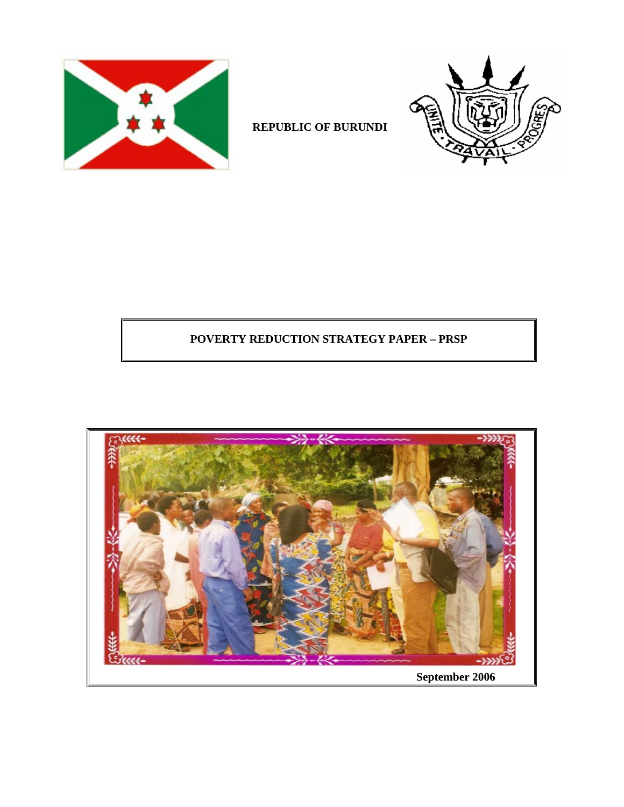



# **REPUBLIC OF BURUNDI**

# **POVERTY REDUCTION STRATEGY PAPER – PRSP**

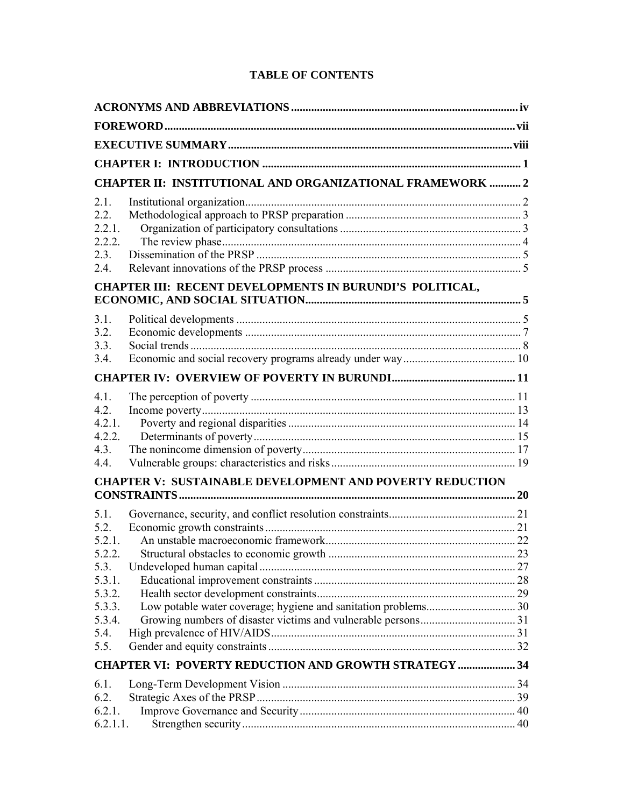## **TABLE OF CONTENTS**

|                  | <b>CHAPTER II: INSTITUTIONAL AND ORGANIZATIONAL FRAMEWORK  2</b> |  |
|------------------|------------------------------------------------------------------|--|
| 2.1.             |                                                                  |  |
| 2.2.             |                                                                  |  |
| 2.2.1.           |                                                                  |  |
| 2.2.2.<br>2.3.   |                                                                  |  |
| 2.4.             |                                                                  |  |
|                  | CHAPTER III: RECENT DEVELOPMENTS IN BURUNDI'S POLITICAL,         |  |
|                  |                                                                  |  |
| 3.1.             |                                                                  |  |
| 3.2.             |                                                                  |  |
| 3.3.             |                                                                  |  |
| 3.4.             |                                                                  |  |
|                  |                                                                  |  |
| 4.1.             |                                                                  |  |
| 4.2.             |                                                                  |  |
| 4.2.1.<br>4.2.2. |                                                                  |  |
| 4.3.             |                                                                  |  |
| 4.4.             |                                                                  |  |
|                  | <b>CHAPTER V: SUSTAINABLE DEVELOPMENT AND POVERTY REDUCTION</b>  |  |
|                  |                                                                  |  |
| 5.1.             |                                                                  |  |
| 5.2.             |                                                                  |  |
| 5.2.1.           |                                                                  |  |
| 5.2.2.           |                                                                  |  |
| 5.3.<br>5.3.1.   |                                                                  |  |
| 5.3.2.           |                                                                  |  |
| 5.3.3.           |                                                                  |  |
| 5.3.4.           |                                                                  |  |
| 5.4.             |                                                                  |  |
| 5.5.             |                                                                  |  |
|                  | <b>CHAPTER VI: POVERTY REDUCTION AND GROWTH STRATEGY  34</b>     |  |
| 6.1.             |                                                                  |  |
| 6.2.             |                                                                  |  |
| 6.2.1.           |                                                                  |  |
| 6.2.1.1.         |                                                                  |  |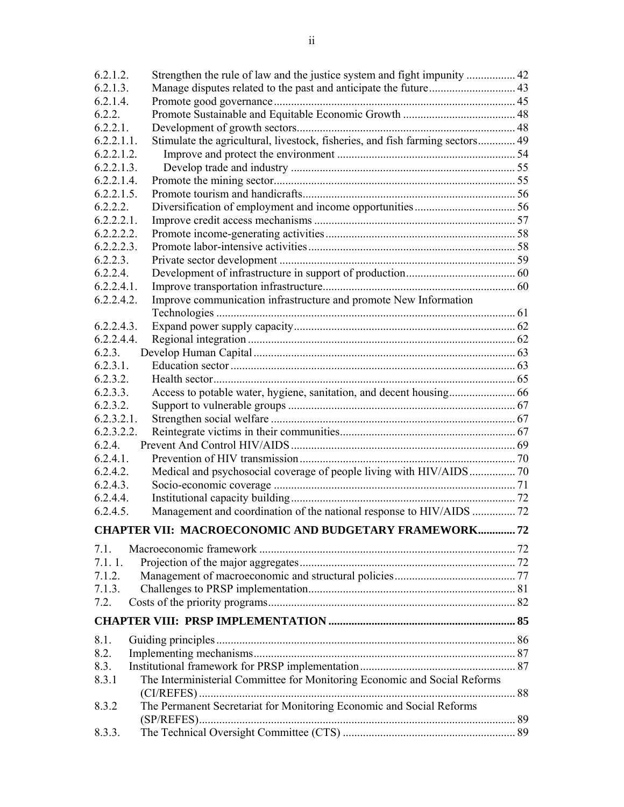| 6.2.1.2.      | Strengthen the rule of law and the justice system and fight impunity  42      |  |
|---------------|-------------------------------------------------------------------------------|--|
| 6.2.1.3.      |                                                                               |  |
| 6.2.1.4.      |                                                                               |  |
| 6.2.2.        |                                                                               |  |
| $6.2.2.1$ .   |                                                                               |  |
| 6.2.2.1.1.    | Stimulate the agricultural, livestock, fisheries, and fish farming sectors 49 |  |
| 6.2.2.1.2.    |                                                                               |  |
| 6.2.2.1.3.    |                                                                               |  |
| 6.2.2.1.4.    |                                                                               |  |
| $6.2.2.1.5$ . |                                                                               |  |
| 6.2.2.2.      |                                                                               |  |
| $6.2.2.2.1$ . |                                                                               |  |
| 6.2.2.2.2.    |                                                                               |  |
| 6.2.2.2.3.    |                                                                               |  |
| 6.2.2.3.      |                                                                               |  |
| 6.2.2.4.      |                                                                               |  |
| 6.2.2.4.1.    |                                                                               |  |
| 6.2.2.4.2.    | Improve communication infrastructure and promote New Information              |  |
|               |                                                                               |  |
| 6.2.2.4.3.    |                                                                               |  |
| 6.2.2.4.4.    |                                                                               |  |
| 6.2.3.        |                                                                               |  |
| 6.2.3.1.      |                                                                               |  |
| 6.2.3.2.      |                                                                               |  |
| 6.2.3.3.      |                                                                               |  |
| 6.2.3.2.      |                                                                               |  |
| 6.2.3.2.1.    |                                                                               |  |
| 6.2.3.2.2.    |                                                                               |  |
| 6.2.4.        |                                                                               |  |
| $6.2.4.1$ .   |                                                                               |  |
| 6.2.4.2.      |                                                                               |  |
| 6.2.4.3.      |                                                                               |  |
| 6.2.4.4.      |                                                                               |  |
| $6.2.4.5$ .   |                                                                               |  |
|               | <b>CHAPTER VII: MACROECONOMIC AND BUDGETARY FRAMEWORK 72</b>                  |  |
| 7.1.          |                                                                               |  |
| 7.1.1.        |                                                                               |  |
| 7.1.2.        |                                                                               |  |
| 7.1.3.        |                                                                               |  |
| 7.2.          |                                                                               |  |
|               |                                                                               |  |
|               |                                                                               |  |
| 8.1.          |                                                                               |  |
| 8.2.          |                                                                               |  |
| 8.3.          |                                                                               |  |
| 8.3.1         | The Interministerial Committee for Monitoring Economic and Social Reforms     |  |
| 8.3.2         | The Permanent Secretariat for Monitoring Economic and Social Reforms          |  |
|               |                                                                               |  |
| 8.3.3.        |                                                                               |  |
|               |                                                                               |  |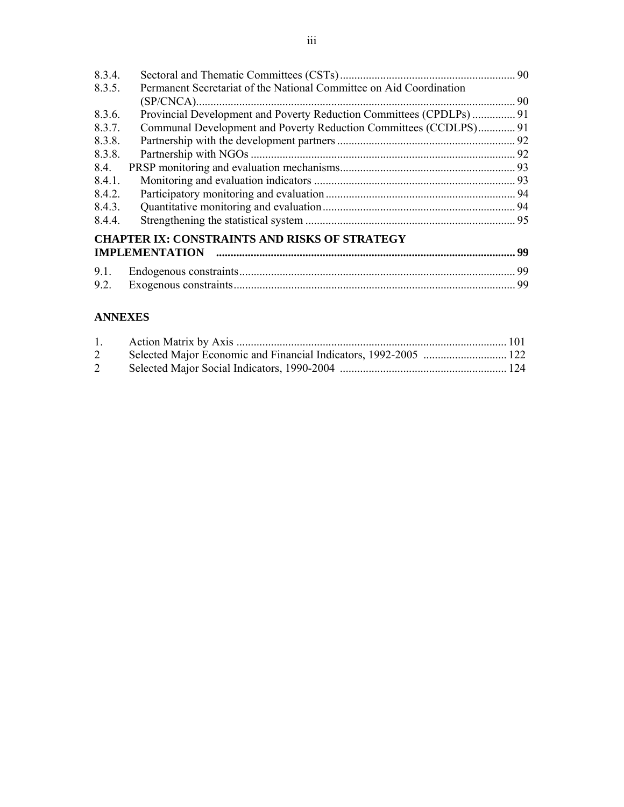| 8.3.4. |                                                                     |    |
|--------|---------------------------------------------------------------------|----|
| 8.3.5. | Permanent Secretariat of the National Committee on Aid Coordination |    |
|        |                                                                     |    |
| 8.3.6. |                                                                     |    |
| 8.3.7. | Communal Development and Poverty Reduction Committees (CCDLPS) 91   |    |
| 8.3.8. |                                                                     |    |
| 8.3.8. |                                                                     |    |
| 8.4.   |                                                                     |    |
| 8.4.1. |                                                                     |    |
| 8.4.2. |                                                                     |    |
| 8.4.3. |                                                                     |    |
| 8.4.4. |                                                                     |    |
|        | <b>CHAPTER IX: CONSTRAINTS AND RISKS OF STRATEGY</b>                |    |
|        | <b>IMPLEMENTATION</b>                                               | 99 |
| 9.1.   |                                                                     | 99 |
| 9.2.   |                                                                     | 99 |

## **ANNEXES**

| 2 |  |
|---|--|
| 2 |  |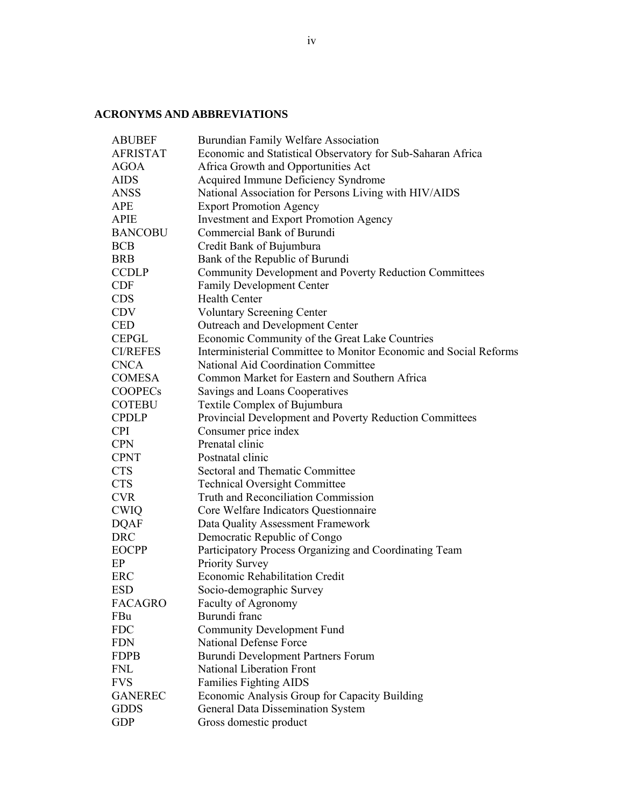## **ACRONYMS AND ABBREVIATIONS**

| <b>ABUBEF</b>   | Burundian Family Welfare Association                              |
|-----------------|-------------------------------------------------------------------|
| <b>AFRISTAT</b> | Economic and Statistical Observatory for Sub-Saharan Africa       |
| <b>AGOA</b>     | Africa Growth and Opportunities Act                               |
| AIDS            | Acquired Immune Deficiency Syndrome                               |
| <b>ANSS</b>     | National Association for Persons Living with HIV/AIDS             |
| <b>APE</b>      | <b>Export Promotion Agency</b>                                    |
| <b>APIE</b>     | <b>Investment and Export Promotion Agency</b>                     |
| <b>BANCOBU</b>  | Commercial Bank of Burundi                                        |
| <b>BCB</b>      | Credit Bank of Bujumbura                                          |
| <b>BRB</b>      | Bank of the Republic of Burundi                                   |
| <b>CCDLP</b>    | Community Development and Poverty Reduction Committees            |
| <b>CDF</b>      | Family Development Center                                         |
| <b>CDS</b>      | <b>Health Center</b>                                              |
| <b>CDV</b>      | <b>Voluntary Screening Center</b>                                 |
| <b>CED</b>      | Outreach and Development Center                                   |
| <b>CEPGL</b>    | Economic Community of the Great Lake Countries                    |
| <b>CI/REFES</b> | Interministerial Committee to Monitor Economic and Social Reforms |
| <b>CNCA</b>     | National Aid Coordination Committee                               |
| <b>COMESA</b>   | Common Market for Eastern and Southern Africa                     |
| <b>COOPECs</b>  | Savings and Loans Cooperatives                                    |
| <b>COTEBU</b>   | Textile Complex of Bujumbura                                      |
| <b>CPDLP</b>    | Provincial Development and Poverty Reduction Committees           |
| <b>CPI</b>      | Consumer price index                                              |
| <b>CPN</b>      | Prenatal clinic                                                   |
| <b>CPNT</b>     | Postnatal clinic                                                  |
| <b>CTS</b>      | Sectoral and Thematic Committee                                   |
| <b>CTS</b>      | <b>Technical Oversight Committee</b>                              |
| <b>CVR</b>      | Truth and Reconciliation Commission                               |
| <b>CWIQ</b>     | Core Welfare Indicators Questionnaire                             |
| <b>DQAF</b>     | Data Quality Assessment Framework                                 |
| <b>DRC</b>      | Democratic Republic of Congo                                      |
| <b>EOCPP</b>    | Participatory Process Organizing and Coordinating Team            |
| EP              | <b>Priority Survey</b>                                            |
| <b>ERC</b>      | Economic Rehabilitation Credit                                    |
| <b>ESD</b>      | Socio-demographic Survey                                          |
| <b>FACAGRO</b>  | Faculty of Agronomy                                               |
| FBu             | Burundi franc                                                     |
| <b>FDC</b>      | <b>Community Development Fund</b>                                 |
| <b>FDN</b>      | <b>National Defense Force</b>                                     |
| <b>FDPB</b>     | Burundi Development Partners Forum                                |
| <b>FNL</b>      | National Liberation Front                                         |
| <b>FVS</b>      | <b>Families Fighting AIDS</b>                                     |
| <b>GANEREC</b>  | Economic Analysis Group for Capacity Building                     |
| <b>GDDS</b>     | General Data Dissemination System                                 |
| <b>GDP</b>      | Gross domestic product                                            |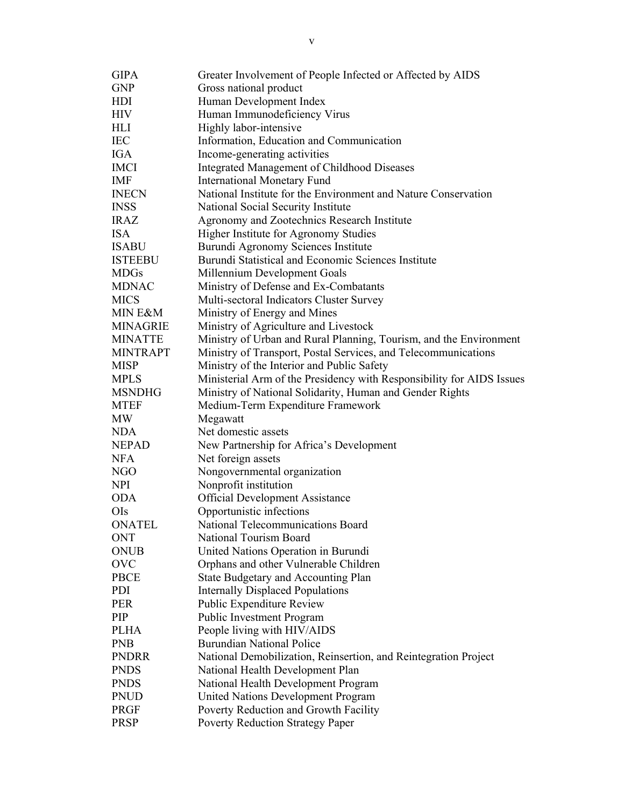| Ministry of Urban and Rural Planning, Tourism, and the Environment    |
|-----------------------------------------------------------------------|
|                                                                       |
|                                                                       |
| Ministerial Arm of the Presidency with Responsibility for AIDS Issues |
|                                                                       |
|                                                                       |
|                                                                       |
|                                                                       |
|                                                                       |
|                                                                       |
|                                                                       |
|                                                                       |
|                                                                       |
|                                                                       |
|                                                                       |
|                                                                       |
|                                                                       |
|                                                                       |
|                                                                       |
|                                                                       |
|                                                                       |
|                                                                       |
|                                                                       |
|                                                                       |
|                                                                       |
|                                                                       |
|                                                                       |
|                                                                       |
|                                                                       |
|                                                                       |
|                                                                       |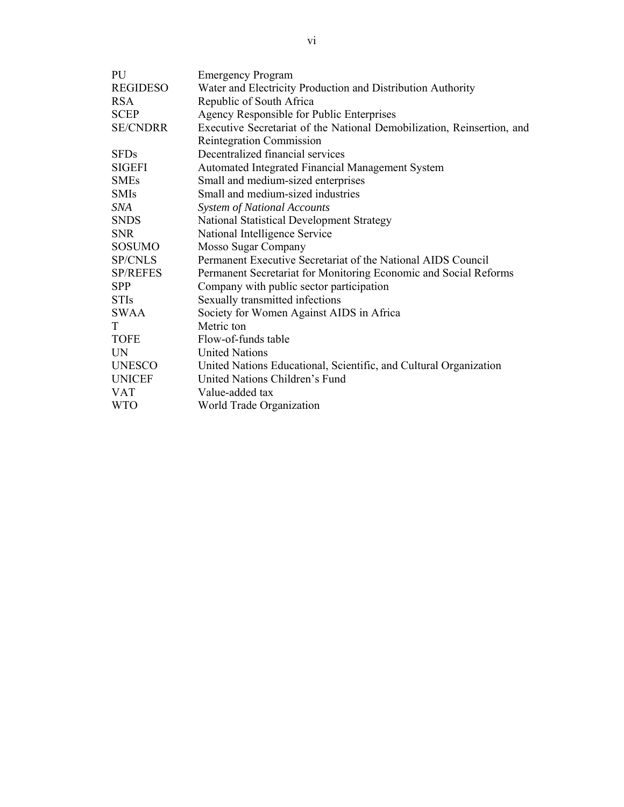| PU              | <b>Emergency Program</b>                                               |  |  |  |
|-----------------|------------------------------------------------------------------------|--|--|--|
| <b>REGIDESO</b> | Water and Electricity Production and Distribution Authority            |  |  |  |
| <b>RSA</b>      | Republic of South Africa                                               |  |  |  |
| <b>SCEP</b>     | Agency Responsible for Public Enterprises                              |  |  |  |
| <b>SE/CNDRR</b> | Executive Secretariat of the National Demobilization, Reinsertion, and |  |  |  |
|                 | <b>Reintegration Commission</b>                                        |  |  |  |
| <b>SFDs</b>     | Decentralized financial services                                       |  |  |  |
| <b>SIGEFI</b>   | Automated Integrated Financial Management System                       |  |  |  |
| <b>SMEs</b>     | Small and medium-sized enterprises                                     |  |  |  |
| <b>SMIs</b>     | Small and medium-sized industries                                      |  |  |  |
| SNA             | <b>System of National Accounts</b>                                     |  |  |  |
| <b>SNDS</b>     | National Statistical Development Strategy                              |  |  |  |
| <b>SNR</b>      | National Intelligence Service                                          |  |  |  |
| <b>SOSUMO</b>   | Mosso Sugar Company                                                    |  |  |  |
| <b>SP/CNLS</b>  | Permanent Executive Secretariat of the National AIDS Council           |  |  |  |
| <b>SP/REFES</b> | Permanent Secretariat for Monitoring Economic and Social Reforms       |  |  |  |
| <b>SPP</b>      | Company with public sector participation                               |  |  |  |
| <b>STIs</b>     | Sexually transmitted infections                                        |  |  |  |
| <b>SWAA</b>     | Society for Women Against AIDS in Africa                               |  |  |  |
| T               | Metric ton                                                             |  |  |  |
| <b>TOFE</b>     | Flow-of-funds table                                                    |  |  |  |
| <b>UN</b>       | <b>United Nations</b>                                                  |  |  |  |
| <b>UNESCO</b>   | United Nations Educational, Scientific, and Cultural Organization      |  |  |  |
| <b>UNICEF</b>   | United Nations Children's Fund                                         |  |  |  |
| <b>VAT</b>      | Value-added tax                                                        |  |  |  |
| <b>WTO</b>      | World Trade Organization                                               |  |  |  |
|                 |                                                                        |  |  |  |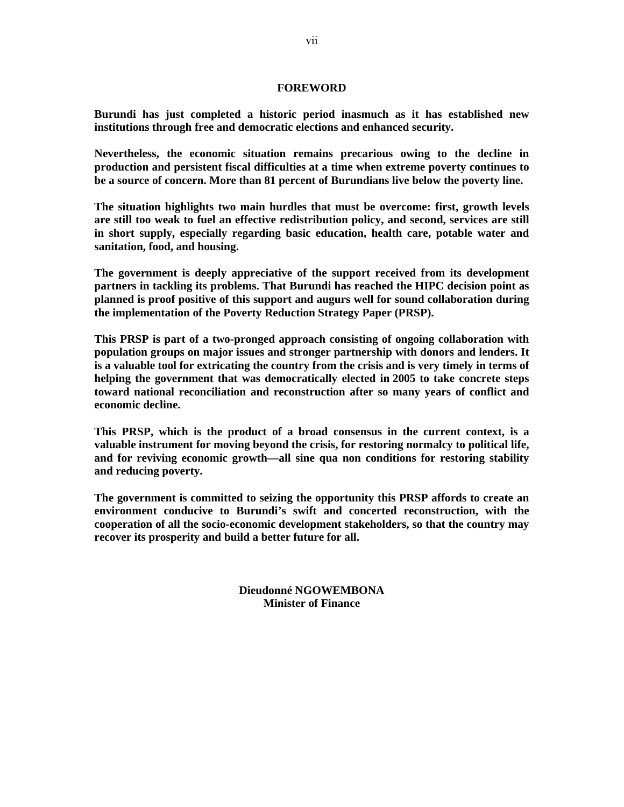#### **FOREWORD**

**Burundi has just completed a historic period inasmuch as it has established new institutions through free and democratic elections and enhanced security.** 

**Nevertheless, the economic situation remains precarious owing to the decline in production and persistent fiscal difficulties at a time when extreme poverty continues to be a source of concern. More than 81 percent of Burundians live below the poverty line.** 

**The situation highlights two main hurdles that must be overcome: first, growth levels are still too weak to fuel an effective redistribution policy, and second, services are still in short supply, especially regarding basic education, health care, potable water and sanitation, food, and housing.** 

**The government is deeply appreciative of the support received from its development partners in tackling its problems. That Burundi has reached the HIPC decision point as planned is proof positive of this support and augurs well for sound collaboration during the implementation of the Poverty Reduction Strategy Paper (PRSP).** 

**This PRSP is part of a two-pronged approach consisting of ongoing collaboration with population groups on major issues and stronger partnership with donors and lenders. It is a valuable tool for extricating the country from the crisis and is very timely in terms of helping the government that was democratically elected in 2005 to take concrete steps toward national reconciliation and reconstruction after so many years of conflict and economic decline.** 

**This PRSP, which is the product of a broad consensus in the current context, is a valuable instrument for moving beyond the crisis, for restoring normalcy to political life, and for reviving economic growth—all sine qua non conditions for restoring stability and reducing poverty.** 

**The government is committed to seizing the opportunity this PRSP affords to create an environment conducive to Burundi's swift and concerted reconstruction, with the cooperation of all the socio-economic development stakeholders, so that the country may recover its prosperity and build a better future for all.** 

> **Dieudonné NGOWEMBONA Minister of Finance**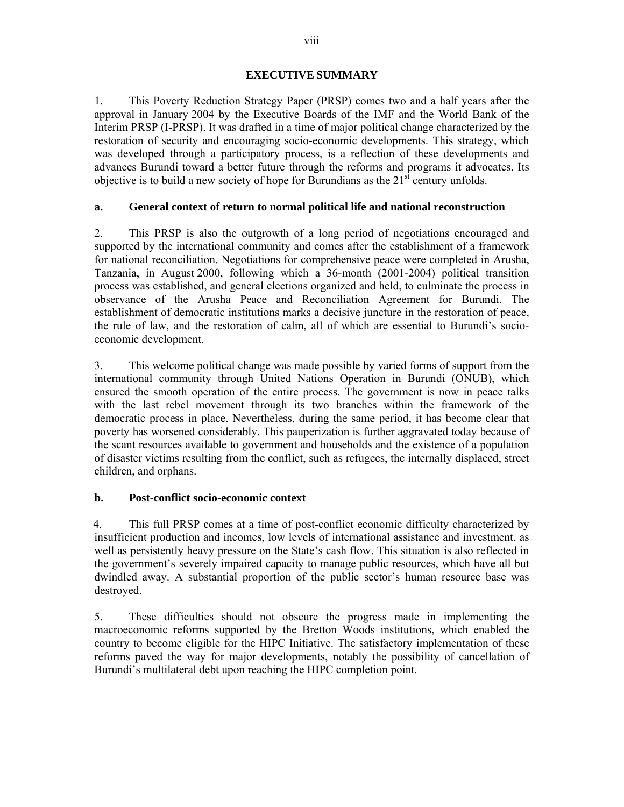#### **EXECUTIVE SUMMARY**

1. This Poverty Reduction Strategy Paper (PRSP) comes two and a half years after the approval in January 2004 by the Executive Boards of the IMF and the World Bank of the Interim PRSP (I-PRSP). It was drafted in a time of major political change characterized by the restoration of security and encouraging socio-economic developments. This strategy, which was developed through a participatory process, is a reflection of these developments and advances Burundi toward a better future through the reforms and programs it advocates. Its objective is to build a new society of hope for Burundians as the  $21<sup>st</sup>$  century unfolds.

#### **a. General context of return to normal political life and national reconstruction**

2. This PRSP is also the outgrowth of a long period of negotiations encouraged and supported by the international community and comes after the establishment of a framework for national reconciliation. Negotiations for comprehensive peace were completed in Arusha, Tanzania, in August 2000, following which a 36-month (2001-2004) political transition process was established, and general elections organized and held, to culminate the process in observance of the Arusha Peace and Reconciliation Agreement for Burundi. The establishment of democratic institutions marks a decisive juncture in the restoration of peace, the rule of law, and the restoration of calm, all of which are essential to Burundi's socioeconomic development.

3. This welcome political change was made possible by varied forms of support from the international community through United Nations Operation in Burundi (ONUB), which ensured the smooth operation of the entire process. The government is now in peace talks with the last rebel movement through its two branches within the framework of the democratic process in place. Nevertheless, during the same period, it has become clear that poverty has worsened considerably. This pauperization is further aggravated today because of the scant resources available to government and households and the existence of a population of disaster victims resulting from the conflict, such as refugees, the internally displaced, street children, and orphans.

### **b. Post-conflict socio-economic context**

4. This full PRSP comes at a time of post-conflict economic difficulty characterized by insufficient production and incomes, low levels of international assistance and investment, as well as persistently heavy pressure on the State's cash flow. This situation is also reflected in the government's severely impaired capacity to manage public resources, which have all but dwindled away. A substantial proportion of the public sector's human resource base was destroyed.

5. These difficulties should not obscure the progress made in implementing the macroeconomic reforms supported by the Bretton Woods institutions, which enabled the country to become eligible for the HIPC Initiative. The satisfactory implementation of these reforms paved the way for major developments, notably the possibility of cancellation of Burundi's multilateral debt upon reaching the HIPC completion point.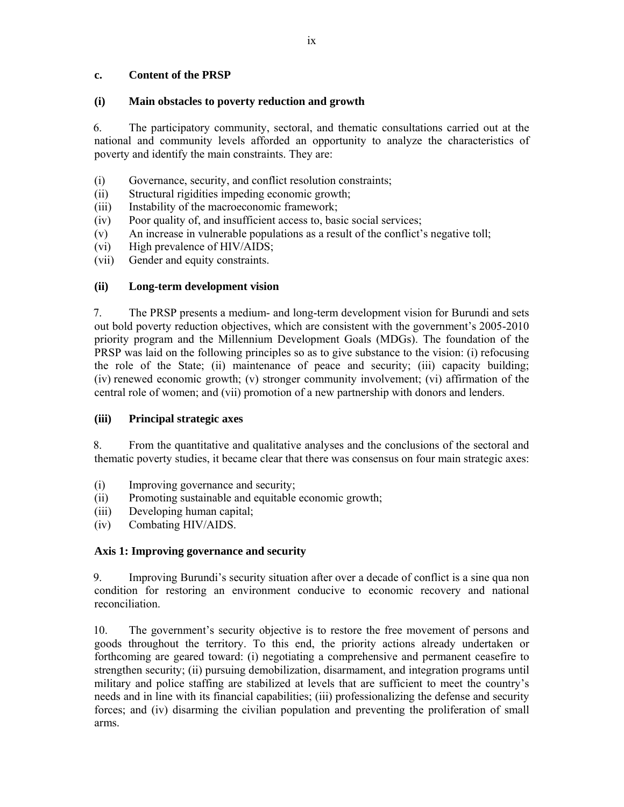#### **c. Content of the PRSP**

#### **(i) Main obstacles to poverty reduction and growth**

6. The participatory community, sectoral, and thematic consultations carried out at the national and community levels afforded an opportunity to analyze the characteristics of poverty and identify the main constraints. They are:

- (i) Governance, security, and conflict resolution constraints;
- (ii) Structural rigidities impeding economic growth;
- (iii) Instability of the macroeconomic framework;
- (iv) Poor quality of, and insufficient access to, basic social services;
- (v) An increase in vulnerable populations as a result of the conflict's negative toll;
- (vi) High prevalence of HIV/AIDS;
- (vii) Gender and equity constraints.

### **(ii) Long-term development vision**

7. The PRSP presents a medium- and long-term development vision for Burundi and sets out bold poverty reduction objectives, which are consistent with the government's 2005-2010 priority program and the Millennium Development Goals (MDGs). The foundation of the PRSP was laid on the following principles so as to give substance to the vision: (i) refocusing the role of the State; (ii) maintenance of peace and security; (iii) capacity building; (iv) renewed economic growth; (v) stronger community involvement; (vi) affirmation of the central role of women; and (vii) promotion of a new partnership with donors and lenders.

### **(iii) Principal strategic axes**

8. From the quantitative and qualitative analyses and the conclusions of the sectoral and thematic poverty studies, it became clear that there was consensus on four main strategic axes:

- (i) Improving governance and security;
- (ii) Promoting sustainable and equitable economic growth;
- (iii) Developing human capital;
- (iv) Combating HIV/AIDS.

### **Axis 1: Improving governance and security**

9. Improving Burundi's security situation after over a decade of conflict is a sine qua non condition for restoring an environment conducive to economic recovery and national reconciliation.

10. The government's security objective is to restore the free movement of persons and goods throughout the territory. To this end, the priority actions already undertaken or forthcoming are geared toward: (i) negotiating a comprehensive and permanent ceasefire to strengthen security; (ii) pursuing demobilization, disarmament, and integration programs until military and police staffing are stabilized at levels that are sufficient to meet the country's needs and in line with its financial capabilities; (iii) professionalizing the defense and security forces; and (iv) disarming the civilian population and preventing the proliferation of small arms.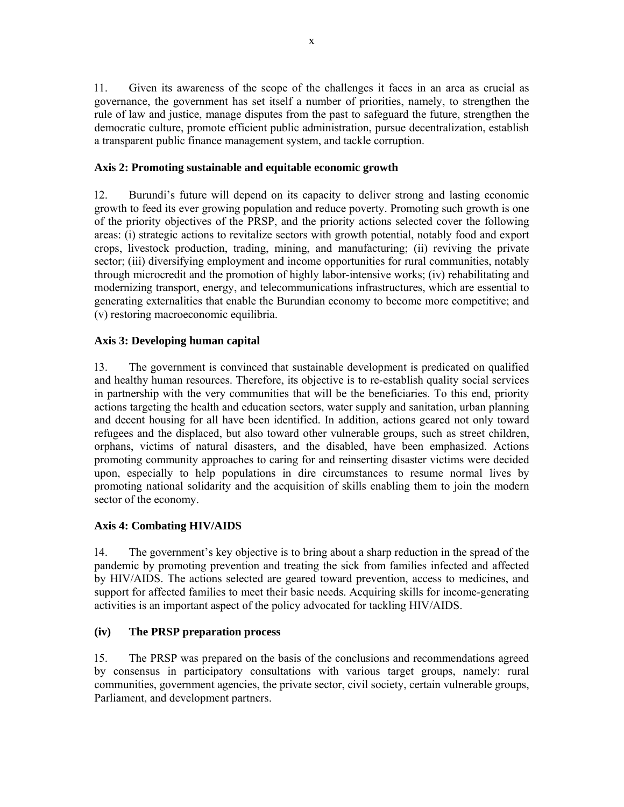11. Given its awareness of the scope of the challenges it faces in an area as crucial as governance, the government has set itself a number of priorities, namely, to strengthen the rule of law and justice, manage disputes from the past to safeguard the future, strengthen the democratic culture, promote efficient public administration, pursue decentralization, establish a transparent public finance management system, and tackle corruption.

### **Axis 2: Promoting sustainable and equitable economic growth**

12. Burundi's future will depend on its capacity to deliver strong and lasting economic growth to feed its ever growing population and reduce poverty. Promoting such growth is one of the priority objectives of the PRSP, and the priority actions selected cover the following areas: (i) strategic actions to revitalize sectors with growth potential, notably food and export crops, livestock production, trading, mining, and manufacturing; (ii) reviving the private sector; (iii) diversifying employment and income opportunities for rural communities, notably through microcredit and the promotion of highly labor-intensive works; (iv) rehabilitating and modernizing transport, energy, and telecommunications infrastructures, which are essential to generating externalities that enable the Burundian economy to become more competitive; and (v) restoring macroeconomic equilibria.

#### **Axis 3: Developing human capital**

13. The government is convinced that sustainable development is predicated on qualified and healthy human resources. Therefore, its objective is to re-establish quality social services in partnership with the very communities that will be the beneficiaries. To this end, priority actions targeting the health and education sectors, water supply and sanitation, urban planning and decent housing for all have been identified. In addition, actions geared not only toward refugees and the displaced, but also toward other vulnerable groups, such as street children, orphans, victims of natural disasters, and the disabled, have been emphasized. Actions promoting community approaches to caring for and reinserting disaster victims were decided upon, especially to help populations in dire circumstances to resume normal lives by promoting national solidarity and the acquisition of skills enabling them to join the modern sector of the economy.

### **Axis 4: Combating HIV/AIDS**

14. The government's key objective is to bring about a sharp reduction in the spread of the pandemic by promoting prevention and treating the sick from families infected and affected by HIV/AIDS. The actions selected are geared toward prevention, access to medicines, and support for affected families to meet their basic needs. Acquiring skills for income-generating activities is an important aspect of the policy advocated for tackling HIV/AIDS.

### **(iv) The PRSP preparation process**

15. The PRSP was prepared on the basis of the conclusions and recommendations agreed by consensus in participatory consultations with various target groups, namely: rural communities, government agencies, the private sector, civil society, certain vulnerable groups, Parliament, and development partners.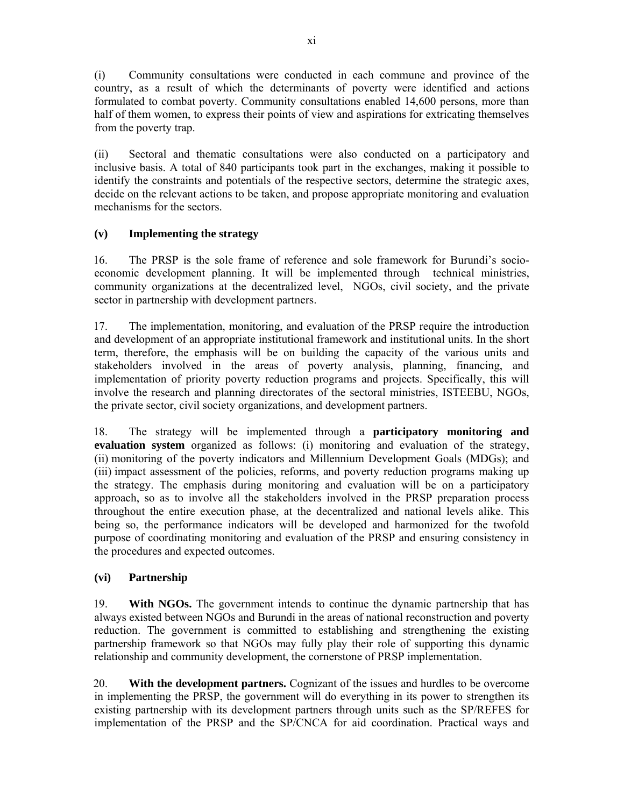(i) Community consultations were conducted in each commune and province of the country, as a result of which the determinants of poverty were identified and actions formulated to combat poverty. Community consultations enabled 14,600 persons, more than half of them women, to express their points of view and aspirations for extricating themselves from the poverty trap.

(ii) Sectoral and thematic consultations were also conducted on a participatory and inclusive basis. A total of 840 participants took part in the exchanges, making it possible to identify the constraints and potentials of the respective sectors, determine the strategic axes, decide on the relevant actions to be taken, and propose appropriate monitoring and evaluation mechanisms for the sectors.

### **(v) Implementing the strategy**

16. The PRSP is the sole frame of reference and sole framework for Burundi's socioeconomic development planning. It will be implemented through technical ministries, community organizations at the decentralized level, NGOs, civil society, and the private sector in partnership with development partners.

17. The implementation, monitoring, and evaluation of the PRSP require the introduction and development of an appropriate institutional framework and institutional units. In the short term, therefore, the emphasis will be on building the capacity of the various units and stakeholders involved in the areas of poverty analysis, planning, financing, and implementation of priority poverty reduction programs and projects. Specifically, this will involve the research and planning directorates of the sectoral ministries, ISTEEBU, NGOs, the private sector, civil society organizations, and development partners.

18. The strategy will be implemented through a **participatory monitoring and evaluation system** organized as follows: (i) monitoring and evaluation of the strategy, (ii) monitoring of the poverty indicators and Millennium Development Goals (MDGs); and (iii) impact assessment of the policies, reforms, and poverty reduction programs making up the strategy. The emphasis during monitoring and evaluation will be on a participatory approach, so as to involve all the stakeholders involved in the PRSP preparation process throughout the entire execution phase, at the decentralized and national levels alike. This being so, the performance indicators will be developed and harmonized for the twofold purpose of coordinating monitoring and evaluation of the PRSP and ensuring consistency in the procedures and expected outcomes.

### **(vi) Partnership**

19. **With NGOs.** The government intends to continue the dynamic partnership that has always existed between NGOs and Burundi in the areas of national reconstruction and poverty reduction. The government is committed to establishing and strengthening the existing partnership framework so that NGOs may fully play their role of supporting this dynamic relationship and community development, the cornerstone of PRSP implementation.

20. **With the development partners.** Cognizant of the issues and hurdles to be overcome in implementing the PRSP, the government will do everything in its power to strengthen its existing partnership with its development partners through units such as the SP/REFES for implementation of the PRSP and the SP/CNCA for aid coordination. Practical ways and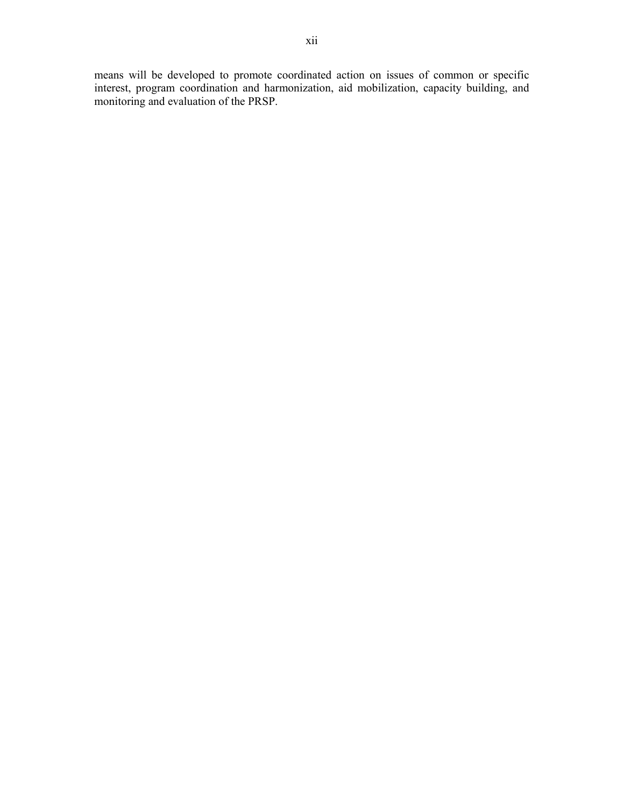means will be developed to promote coordinated action on issues of common or specific interest, program coordination and harmonization, aid mobilization, capacity building, and monitoring and evaluation of the PRSP.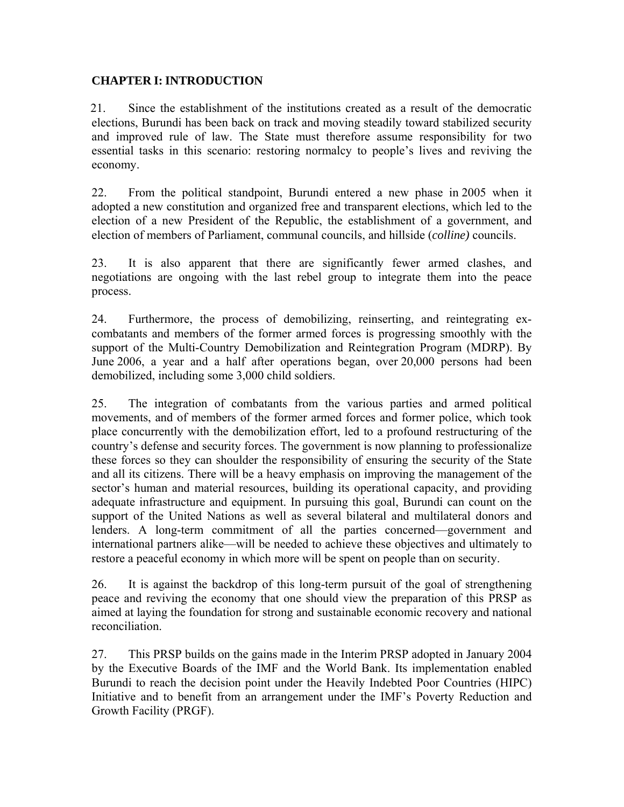### **CHAPTER I: INTRODUCTION**

21. Since the establishment of the institutions created as a result of the democratic elections, Burundi has been back on track and moving steadily toward stabilized security and improved rule of law. The State must therefore assume responsibility for two essential tasks in this scenario: restoring normalcy to people's lives and reviving the economy.

22. From the political standpoint, Burundi entered a new phase in 2005 when it adopted a new constitution and organized free and transparent elections, which led to the election of a new President of the Republic, the establishment of a government, and election of members of Parliament, communal councils, and hillside (*colline)* councils.

23. It is also apparent that there are significantly fewer armed clashes, and negotiations are ongoing with the last rebel group to integrate them into the peace process.

24. Furthermore, the process of demobilizing, reinserting, and reintegrating excombatants and members of the former armed forces is progressing smoothly with the support of the Multi-Country Demobilization and Reintegration Program (MDRP). By June 2006, a year and a half after operations began, over 20,000 persons had been demobilized, including some 3,000 child soldiers.

25. The integration of combatants from the various parties and armed political movements, and of members of the former armed forces and former police, which took place concurrently with the demobilization effort, led to a profound restructuring of the country's defense and security forces. The government is now planning to professionalize these forces so they can shoulder the responsibility of ensuring the security of the State and all its citizens. There will be a heavy emphasis on improving the management of the sector's human and material resources, building its operational capacity, and providing adequate infrastructure and equipment. In pursuing this goal, Burundi can count on the support of the United Nations as well as several bilateral and multilateral donors and lenders. A long-term commitment of all the parties concerned—government and international partners alike—will be needed to achieve these objectives and ultimately to restore a peaceful economy in which more will be spent on people than on security.

26. It is against the backdrop of this long-term pursuit of the goal of strengthening peace and reviving the economy that one should view the preparation of this PRSP as aimed at laying the foundation for strong and sustainable economic recovery and national reconciliation.

27. This PRSP builds on the gains made in the Interim PRSP adopted in January 2004 by the Executive Boards of the IMF and the World Bank. Its implementation enabled Burundi to reach the decision point under the Heavily Indebted Poor Countries (HIPC) Initiative and to benefit from an arrangement under the IMF's Poverty Reduction and Growth Facility (PRGF).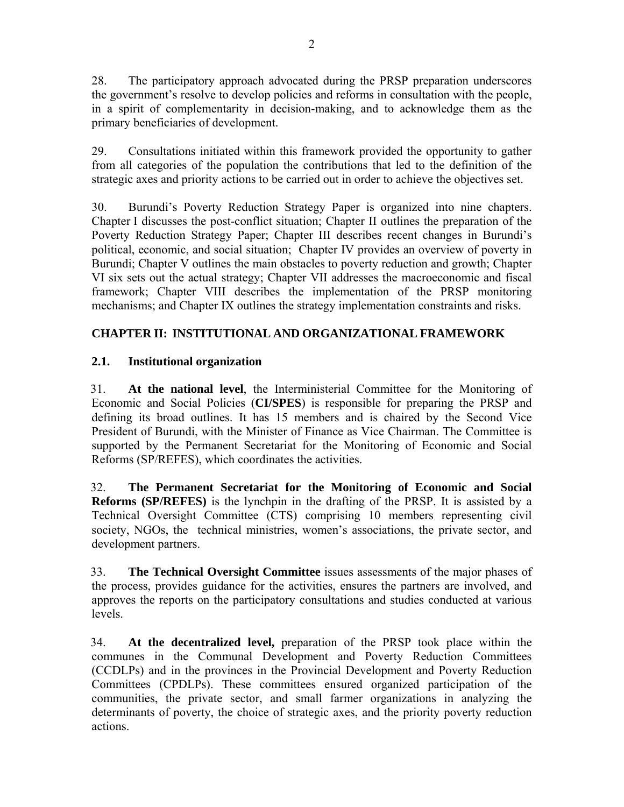28. The participatory approach advocated during the PRSP preparation underscores the government's resolve to develop policies and reforms in consultation with the people, in a spirit of complementarity in decision-making, and to acknowledge them as the primary beneficiaries of development.

29. Consultations initiated within this framework provided the opportunity to gather from all categories of the population the contributions that led to the definition of the strategic axes and priority actions to be carried out in order to achieve the objectives set.

30. Burundi's Poverty Reduction Strategy Paper is organized into nine chapters. Chapter I discusses the post-conflict situation; Chapter II outlines the preparation of the Poverty Reduction Strategy Paper; Chapter III describes recent changes in Burundi's political, economic, and social situation; Chapter IV provides an overview of poverty in Burundi; Chapter V outlines the main obstacles to poverty reduction and growth; Chapter VI six sets out the actual strategy; Chapter VII addresses the macroeconomic and fiscal framework; Chapter VIII describes the implementation of the PRSP monitoring mechanisms; and Chapter IX outlines the strategy implementation constraints and risks.

# **CHAPTER II: INSTITUTIONAL AND ORGANIZATIONAL FRAMEWORK**

## **2.1. Institutional organization**

31. **At the national level**, the Interministerial Committee for the Monitoring of Economic and Social Policies (**CI/SPES**) is responsible for preparing the PRSP and defining its broad outlines. It has 15 members and is chaired by the Second Vice President of Burundi, with the Minister of Finance as Vice Chairman. The Committee is supported by the Permanent Secretariat for the Monitoring of Economic and Social Reforms (SP/REFES), which coordinates the activities.

32. **The Permanent Secretariat for the Monitoring of Economic and Social Reforms (SP/REFES)** is the lynchpin in the drafting of the PRSP. It is assisted by a Technical Oversight Committee (CTS) comprising 10 members representing civil society, NGOs, the technical ministries, women's associations, the private sector, and development partners.

33. **The Technical Oversight Committee** issues assessments of the major phases of the process, provides guidance for the activities, ensures the partners are involved, and approves the reports on the participatory consultations and studies conducted at various levels.

34. **At the decentralized level,** preparation of the PRSP took place within the communes in the Communal Development and Poverty Reduction Committees (CCDLPs) and in the provinces in the Provincial Development and Poverty Reduction Committees (CPDLPs). These committees ensured organized participation of the communities, the private sector, and small farmer organizations in analyzing the determinants of poverty, the choice of strategic axes, and the priority poverty reduction actions.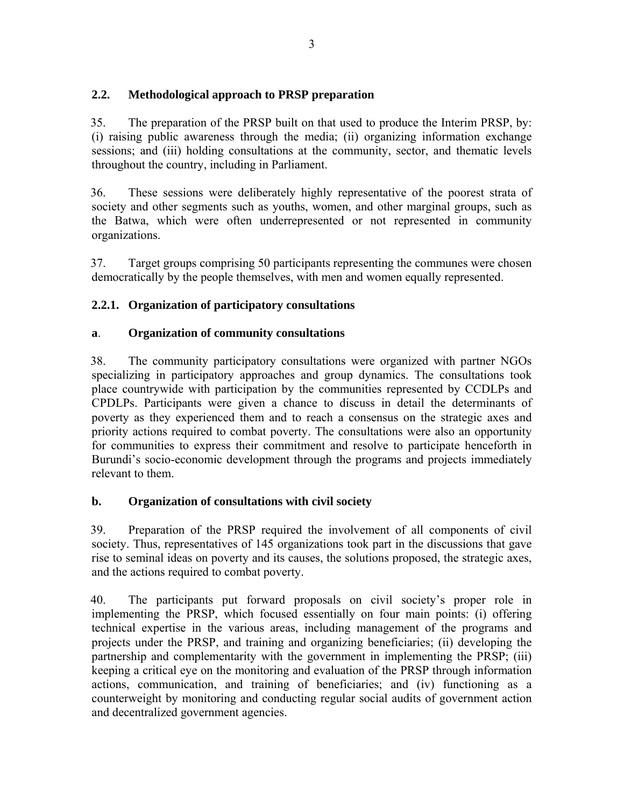## **2.2. Methodological approach to PRSP preparation**

35. The preparation of the PRSP built on that used to produce the Interim PRSP, by: (i) raising public awareness through the media; (ii) organizing information exchange sessions; and (iii) holding consultations at the community, sector, and thematic levels throughout the country, including in Parliament.

36. These sessions were deliberately highly representative of the poorest strata of society and other segments such as youths, women, and other marginal groups, such as the Batwa, which were often underrepresented or not represented in community organizations.

37. Target groups comprising 50 participants representing the communes were chosen democratically by the people themselves, with men and women equally represented.

## **2.2.1. Organization of participatory consultations**

## **a**. **Organization of community consultations**

38. The community participatory consultations were organized with partner NGOs specializing in participatory approaches and group dynamics. The consultations took place countrywide with participation by the communities represented by CCDLPs and CPDLPs. Participants were given a chance to discuss in detail the determinants of poverty as they experienced them and to reach a consensus on the strategic axes and priority actions required to combat poverty. The consultations were also an opportunity for communities to express their commitment and resolve to participate henceforth in Burundi's socio-economic development through the programs and projects immediately relevant to them.

## **b. Organization of consultations with civil society**

39. Preparation of the PRSP required the involvement of all components of civil society. Thus, representatives of 145 organizations took part in the discussions that gave rise to seminal ideas on poverty and its causes, the solutions proposed, the strategic axes, and the actions required to combat poverty.

40. The participants put forward proposals on civil society's proper role in implementing the PRSP, which focused essentially on four main points: (i) offering technical expertise in the various areas, including management of the programs and projects under the PRSP, and training and organizing beneficiaries; (ii) developing the partnership and complementarity with the government in implementing the PRSP; (iii) keeping a critical eye on the monitoring and evaluation of the PRSP through information actions, communication, and training of beneficiaries; and (iv) functioning as a counterweight by monitoring and conducting regular social audits of government action and decentralized government agencies.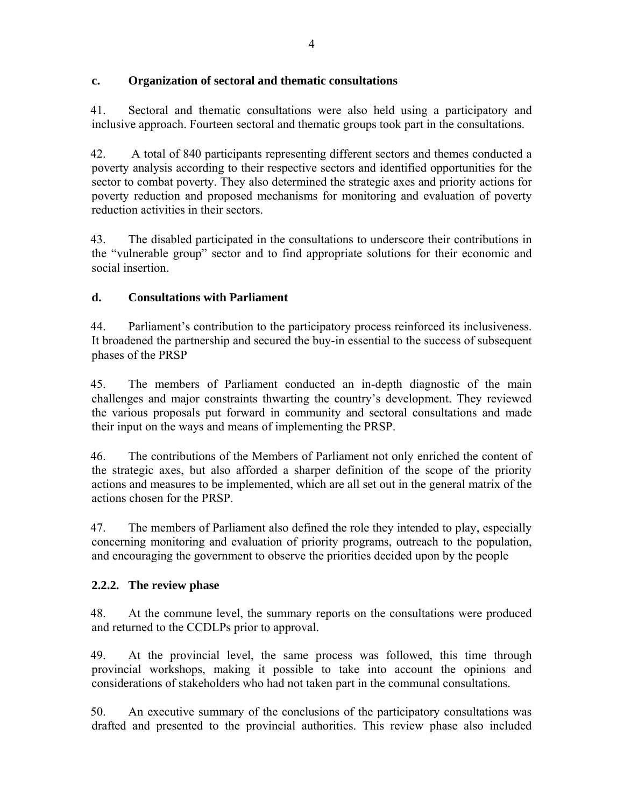## **c. Organization of sectoral and thematic consultations**

41. Sectoral and thematic consultations were also held using a participatory and inclusive approach. Fourteen sectoral and thematic groups took part in the consultations.

42. A total of 840 participants representing different sectors and themes conducted a poverty analysis according to their respective sectors and identified opportunities for the sector to combat poverty. They also determined the strategic axes and priority actions for poverty reduction and proposed mechanisms for monitoring and evaluation of poverty reduction activities in their sectors.

43. The disabled participated in the consultations to underscore their contributions in the "vulnerable group" sector and to find appropriate solutions for their economic and social insertion.

## **d. Consultations with Parliament**

44. Parliament's contribution to the participatory process reinforced its inclusiveness. It broadened the partnership and secured the buy-in essential to the success of subsequent phases of the PRSP

45. The members of Parliament conducted an in-depth diagnostic of the main challenges and major constraints thwarting the country's development. They reviewed the various proposals put forward in community and sectoral consultations and made their input on the ways and means of implementing the PRSP.

46. The contributions of the Members of Parliament not only enriched the content of the strategic axes, but also afforded a sharper definition of the scope of the priority actions and measures to be implemented, which are all set out in the general matrix of the actions chosen for the PRSP.

47. The members of Parliament also defined the role they intended to play, especially concerning monitoring and evaluation of priority programs, outreach to the population, and encouraging the government to observe the priorities decided upon by the people

## **2.2.2. The review phase**

48. At the commune level, the summary reports on the consultations were produced and returned to the CCDLPs prior to approval.

49. At the provincial level, the same process was followed, this time through provincial workshops, making it possible to take into account the opinions and considerations of stakeholders who had not taken part in the communal consultations.

50. An executive summary of the conclusions of the participatory consultations was drafted and presented to the provincial authorities. This review phase also included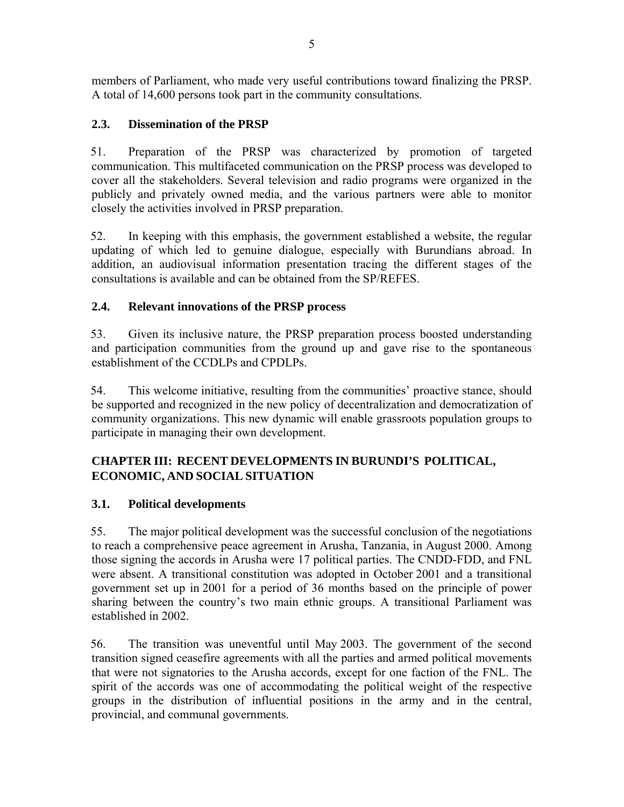members of Parliament, who made very useful contributions toward finalizing the PRSP. A total of 14,600 persons took part in the community consultations.

## **2.3. Dissemination of the PRSP**

51. Preparation of the PRSP was characterized by promotion of targeted communication. This multifaceted communication on the PRSP process was developed to cover all the stakeholders. Several television and radio programs were organized in the publicly and privately owned media, and the various partners were able to monitor closely the activities involved in PRSP preparation.

52. In keeping with this emphasis, the government established a website, the regular updating of which led to genuine dialogue, especially with Burundians abroad. In addition, an audiovisual information presentation tracing the different stages of the consultations is available and can be obtained from the SP/REFES.

## **2.4. Relevant innovations of the PRSP process**

53. Given its inclusive nature, the PRSP preparation process boosted understanding and participation communities from the ground up and gave rise to the spontaneous establishment of the CCDLPs and CPDLPs.

54. This welcome initiative, resulting from the communities' proactive stance, should be supported and recognized in the new policy of decentralization and democratization of community organizations. This new dynamic will enable grassroots population groups to participate in managing their own development.

# **CHAPTER III: RECENT DEVELOPMENTS IN BURUNDI'S POLITICAL, ECONOMIC, AND SOCIAL SITUATION**

## **3.1. Political developments**

55. The major political development was the successful conclusion of the negotiations to reach a comprehensive peace agreement in Arusha, Tanzania, in August 2000. Among those signing the accords in Arusha were 17 political parties. The CNDD-FDD, and FNL were absent. A transitional constitution was adopted in October 2001 and a transitional government set up in 2001 for a period of 36 months based on the principle of power sharing between the country's two main ethnic groups. A transitional Parliament was established in 2002.

56. The transition was uneventful until May 2003. The government of the second transition signed ceasefire agreements with all the parties and armed political movements that were not signatories to the Arusha accords, except for one faction of the FNL. The spirit of the accords was one of accommodating the political weight of the respective groups in the distribution of influential positions in the army and in the central, provincial, and communal governments.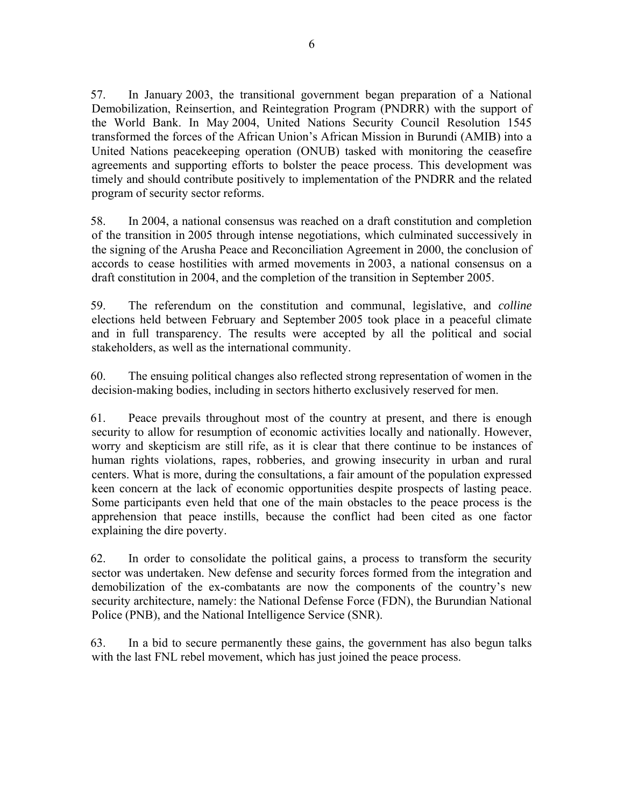57. In January 2003, the transitional government began preparation of a National Demobilization, Reinsertion, and Reintegration Program (PNDRR) with the support of the World Bank. In May 2004, United Nations Security Council Resolution 1545 transformed the forces of the African Union's African Mission in Burundi (AMIB) into a United Nations peacekeeping operation (ONUB) tasked with monitoring the ceasefire agreements and supporting efforts to bolster the peace process. This development was timely and should contribute positively to implementation of the PNDRR and the related program of security sector reforms.

58. In 2004, a national consensus was reached on a draft constitution and completion of the transition in 2005 through intense negotiations, which culminated successively in the signing of the Arusha Peace and Reconciliation Agreement in 2000, the conclusion of accords to cease hostilities with armed movements in 2003, a national consensus on a draft constitution in 2004, and the completion of the transition in September 2005.

59. The referendum on the constitution and communal, legislative, and *colline* elections held between February and September 2005 took place in a peaceful climate and in full transparency. The results were accepted by all the political and social stakeholders, as well as the international community.

60. The ensuing political changes also reflected strong representation of women in the decision-making bodies, including in sectors hitherto exclusively reserved for men.

61. Peace prevails throughout most of the country at present, and there is enough security to allow for resumption of economic activities locally and nationally. However, worry and skepticism are still rife, as it is clear that there continue to be instances of human rights violations, rapes, robberies, and growing insecurity in urban and rural centers. What is more, during the consultations, a fair amount of the population expressed keen concern at the lack of economic opportunities despite prospects of lasting peace. Some participants even held that one of the main obstacles to the peace process is the apprehension that peace instills, because the conflict had been cited as one factor explaining the dire poverty.

62. In order to consolidate the political gains, a process to transform the security sector was undertaken. New defense and security forces formed from the integration and demobilization of the ex-combatants are now the components of the country's new security architecture, namely: the National Defense Force (FDN), the Burundian National Police (PNB), and the National Intelligence Service (SNR).

63. In a bid to secure permanently these gains, the government has also begun talks with the last FNL rebel movement, which has just joined the peace process.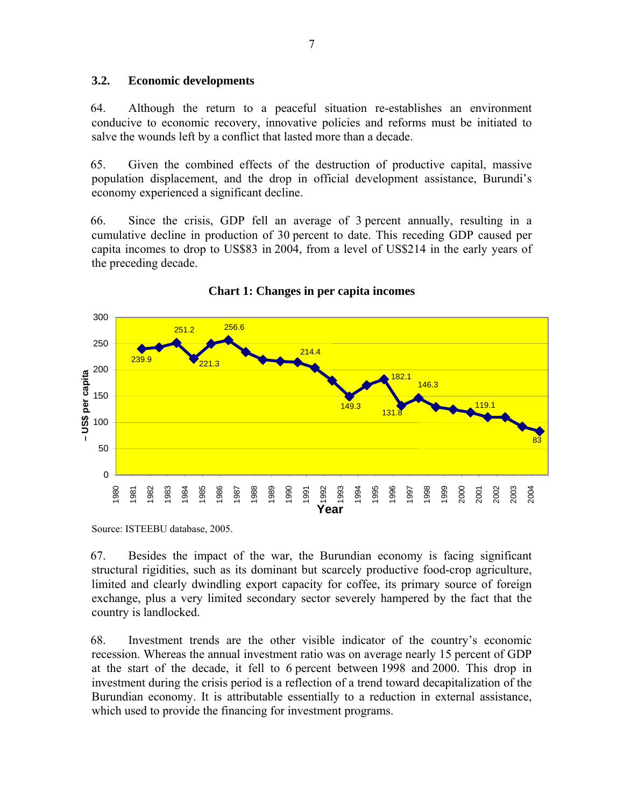#### **3.2. Economic developments**

64. Although the return to a peaceful situation re-establishes an environment conducive to economic recovery, innovative policies and reforms must be initiated to salve the wounds left by a conflict that lasted more than a decade.

65. Given the combined effects of the destruction of productive capital, massive population displacement, and the drop in official development assistance, Burundi's economy experienced a significant decline.

66. Since the crisis, GDP fell an average of 3 percent annually, resulting in a cumulative decline in production of 30 percent to date. This receding GDP caused per capita incomes to drop to US\$83 in 2004, from a level of US\$214 in the early years of the preceding decade.



### **Chart 1: Changes in per capita incomes**

Source: ISTEEBU database, 2005.

67. Besides the impact of the war, the Burundian economy is facing significant structural rigidities, such as its dominant but scarcely productive food-crop agriculture, limited and clearly dwindling export capacity for coffee, its primary source of foreign exchange, plus a very limited secondary sector severely hampered by the fact that the country is landlocked.

68. Investment trends are the other visible indicator of the country's economic recession. Whereas the annual investment ratio was on average nearly 15 percent of GDP at the start of the decade, it fell to 6 percent between 1998 and 2000. This drop in investment during the crisis period is a reflection of a trend toward decapitalization of the Burundian economy. It is attributable essentially to a reduction in external assistance, which used to provide the financing for investment programs.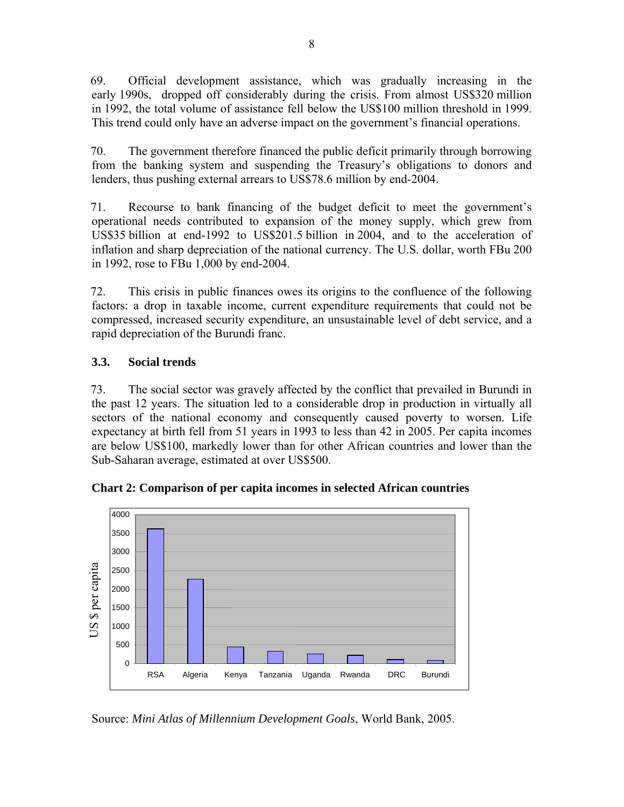69. Official development assistance, which was gradually increasing in the early 1990s, dropped off considerably during the crisis. From almost US\$320 million in 1992, the total volume of assistance fell below the US\$100 million threshold in 1999. This trend could only have an adverse impact on the government's financial operations.

70. The government therefore financed the public deficit primarily through borrowing from the banking system and suspending the Treasury's obligations to donors and lenders, thus pushing external arrears to US\$78.6 million by end-2004.

71. Recourse to bank financing of the budget deficit to meet the government's operational needs contributed to expansion of the money supply, which grew from US\$35 billion at end-1992 to US\$201.5 billion in 2004, and to the acceleration of inflation and sharp depreciation of the national currency. The U.S. dollar, worth FBu 200 in 1992, rose to FBu 1,000 by end-2004.

72. This crisis in public finances owes its origins to the confluence of the following factors: a drop in taxable income, current expenditure requirements that could not be compressed, increased security expenditure, an unsustainable level of debt service, and a rapid depreciation of the Burundi franc.

# **3.3. Social trends**

73. The social sector was gravely affected by the conflict that prevailed in Burundi in the past 12 years. The situation led to a considerable drop in production in virtually all sectors of the national economy and consequently caused poverty to worsen. Life expectancy at birth fell from 51 years in 1993 to less than 42 in 2005. Per capita incomes are below US\$100, markedly lower than for other African countries and lower than the Sub-Saharan average, estimated at over US\$500.



**Chart 2: Comparison of per capita incomes in selected African countries** 

Source: *Mini Atlas of Millennium Development Goals*, World Bank, 2005.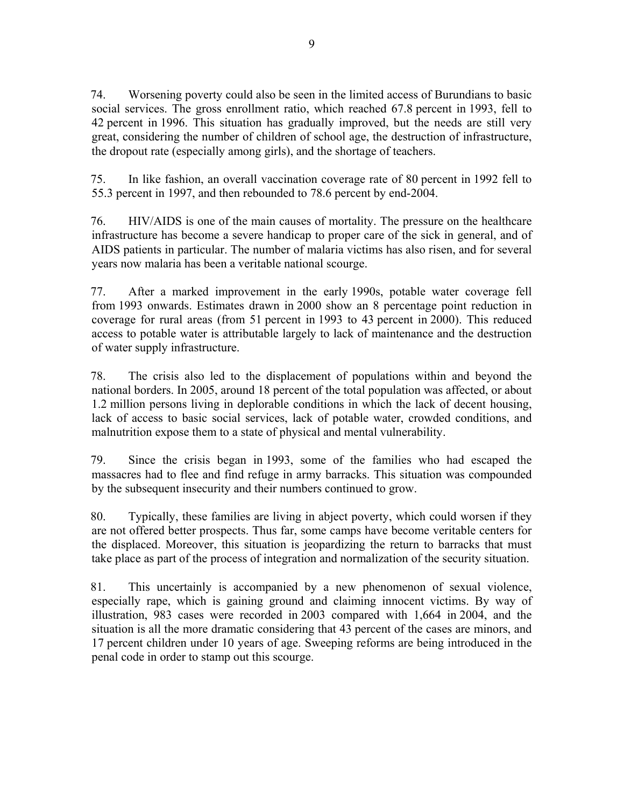74. Worsening poverty could also be seen in the limited access of Burundians to basic social services. The gross enrollment ratio, which reached 67.8 percent in 1993, fell to 42 percent in 1996. This situation has gradually improved, but the needs are still very great, considering the number of children of school age, the destruction of infrastructure, the dropout rate (especially among girls), and the shortage of teachers.

75. In like fashion, an overall vaccination coverage rate of 80 percent in 1992 fell to 55.3 percent in 1997, and then rebounded to 78.6 percent by end-2004.

76. HIV/AIDS is one of the main causes of mortality. The pressure on the healthcare infrastructure has become a severe handicap to proper care of the sick in general, and of AIDS patients in particular. The number of malaria victims has also risen, and for several years now malaria has been a veritable national scourge.

77. After a marked improvement in the early 1990s, potable water coverage fell from 1993 onwards. Estimates drawn in 2000 show an 8 percentage point reduction in coverage for rural areas (from 51 percent in 1993 to 43 percent in 2000). This reduced access to potable water is attributable largely to lack of maintenance and the destruction of water supply infrastructure.

78. The crisis also led to the displacement of populations within and beyond the national borders. In 2005, around 18 percent of the total population was affected, or about 1.2 million persons living in deplorable conditions in which the lack of decent housing, lack of access to basic social services, lack of potable water, crowded conditions, and malnutrition expose them to a state of physical and mental vulnerability.

79. Since the crisis began in 1993, some of the families who had escaped the massacres had to flee and find refuge in army barracks. This situation was compounded by the subsequent insecurity and their numbers continued to grow.

80. Typically, these families are living in abject poverty, which could worsen if they are not offered better prospects. Thus far, some camps have become veritable centers for the displaced. Moreover, this situation is jeopardizing the return to barracks that must take place as part of the process of integration and normalization of the security situation.

81. This uncertainly is accompanied by a new phenomenon of sexual violence, especially rape, which is gaining ground and claiming innocent victims. By way of illustration, 983 cases were recorded in 2003 compared with 1,664 in 2004, and the situation is all the more dramatic considering that 43 percent of the cases are minors, and 17 percent children under 10 years of age. Sweeping reforms are being introduced in the penal code in order to stamp out this scourge.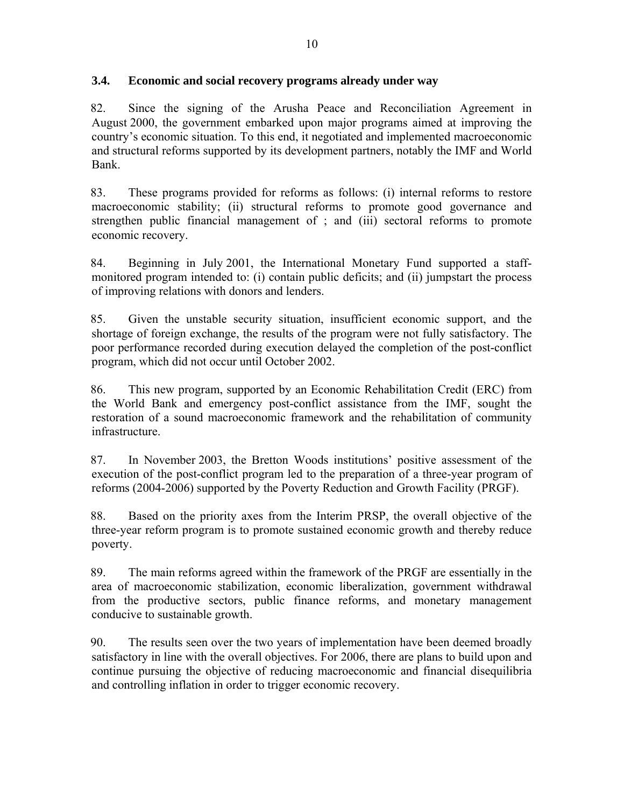### **3.4. Economic and social recovery programs already under way**

82. Since the signing of the Arusha Peace and Reconciliation Agreement in August 2000, the government embarked upon major programs aimed at improving the country's economic situation. To this end, it negotiated and implemented macroeconomic and structural reforms supported by its development partners, notably the IMF and World Bank.

83. These programs provided for reforms as follows: (i) internal reforms to restore macroeconomic stability; (ii) structural reforms to promote good governance and strengthen public financial management of ; and (iii) sectoral reforms to promote economic recovery.

84. Beginning in July 2001, the International Monetary Fund supported a staffmonitored program intended to: (i) contain public deficits; and (ii) jumpstart the process of improving relations with donors and lenders.

85. Given the unstable security situation, insufficient economic support, and the shortage of foreign exchange, the results of the program were not fully satisfactory. The poor performance recorded during execution delayed the completion of the post-conflict program, which did not occur until October 2002.

86. This new program, supported by an Economic Rehabilitation Credit (ERC) from the World Bank and emergency post-conflict assistance from the IMF, sought the restoration of a sound macroeconomic framework and the rehabilitation of community infrastructure.

87. In November 2003, the Bretton Woods institutions' positive assessment of the execution of the post-conflict program led to the preparation of a three-year program of reforms (2004-2006) supported by the Poverty Reduction and Growth Facility (PRGF).

88. Based on the priority axes from the Interim PRSP, the overall objective of the three-year reform program is to promote sustained economic growth and thereby reduce poverty.

89. The main reforms agreed within the framework of the PRGF are essentially in the area of macroeconomic stabilization, economic liberalization, government withdrawal from the productive sectors, public finance reforms, and monetary management conducive to sustainable growth.

90. The results seen over the two years of implementation have been deemed broadly satisfactory in line with the overall objectives. For 2006, there are plans to build upon and continue pursuing the objective of reducing macroeconomic and financial disequilibria and controlling inflation in order to trigger economic recovery.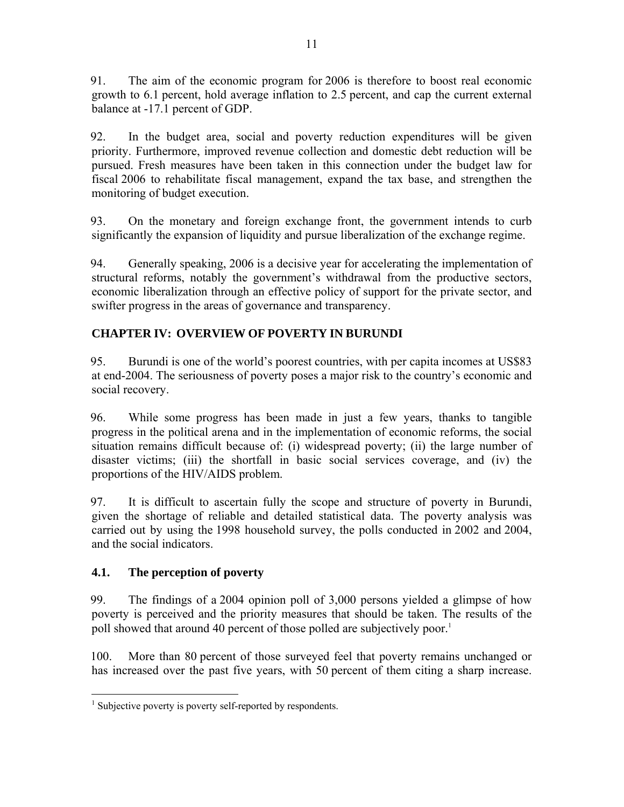91. The aim of the economic program for 2006 is therefore to boost real economic growth to 6.1 percent, hold average inflation to 2.5 percent, and cap the current external balance at -17.1 percent of GDP.

92. In the budget area, social and poverty reduction expenditures will be given priority. Furthermore, improved revenue collection and domestic debt reduction will be pursued. Fresh measures have been taken in this connection under the budget law for fiscal 2006 to rehabilitate fiscal management, expand the tax base, and strengthen the monitoring of budget execution.

93. On the monetary and foreign exchange front, the government intends to curb significantly the expansion of liquidity and pursue liberalization of the exchange regime.

94. Generally speaking, 2006 is a decisive year for accelerating the implementation of structural reforms, notably the government's withdrawal from the productive sectors, economic liberalization through an effective policy of support for the private sector, and swifter progress in the areas of governance and transparency.

# **CHAPTER IV: OVERVIEW OF POVERTY IN BURUNDI**

95. Burundi is one of the world's poorest countries, with per capita incomes at US\$83 at end-2004. The seriousness of poverty poses a major risk to the country's economic and social recovery.

96. While some progress has been made in just a few years, thanks to tangible progress in the political arena and in the implementation of economic reforms, the social situation remains difficult because of: (i) widespread poverty; (ii) the large number of disaster victims; (iii) the shortfall in basic social services coverage, and (iv) the proportions of the HIV/AIDS problem.

97. It is difficult to ascertain fully the scope and structure of poverty in Burundi, given the shortage of reliable and detailed statistical data. The poverty analysis was carried out by using the 1998 household survey, the polls conducted in 2002 and 2004, and the social indicators.

## **4.1. The perception of poverty**

99. The findings of a 2004 opinion poll of 3,000 persons yielded a glimpse of how poverty is perceived and the priority measures that should be taken. The results of the poll showed that around 40 percent of those polled are subjectively poor.<sup>1</sup>

100. More than 80 percent of those surveyed feel that poverty remains unchanged or has increased over the past five years, with 50 percent of them citing a sharp increase.

 1 Subjective poverty is poverty self-reported by respondents.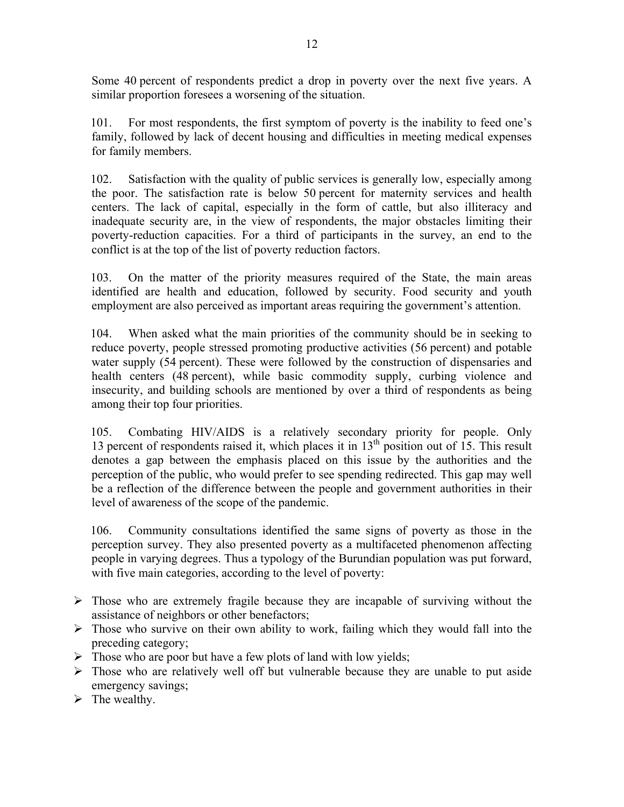Some 40 percent of respondents predict a drop in poverty over the next five years. A similar proportion foresees a worsening of the situation.

101. For most respondents, the first symptom of poverty is the inability to feed one's family, followed by lack of decent housing and difficulties in meeting medical expenses for family members.

102. Satisfaction with the quality of public services is generally low, especially among the poor. The satisfaction rate is below 50 percent for maternity services and health centers. The lack of capital, especially in the form of cattle, but also illiteracy and inadequate security are, in the view of respondents, the major obstacles limiting their poverty-reduction capacities. For a third of participants in the survey, an end to the conflict is at the top of the list of poverty reduction factors.

103. On the matter of the priority measures required of the State, the main areas identified are health and education, followed by security. Food security and youth employment are also perceived as important areas requiring the government's attention.

104. When asked what the main priorities of the community should be in seeking to reduce poverty, people stressed promoting productive activities (56 percent) and potable water supply (54 percent). These were followed by the construction of dispensaries and health centers (48 percent), while basic commodity supply, curbing violence and insecurity, and building schools are mentioned by over a third of respondents as being among their top four priorities.

105. Combating HIV/AIDS is a relatively secondary priority for people. Only 13 percent of respondents raised it, which places it in  $13<sup>th</sup>$  position out of 15. This result denotes a gap between the emphasis placed on this issue by the authorities and the perception of the public, who would prefer to see spending redirected. This gap may well be a reflection of the difference between the people and government authorities in their level of awareness of the scope of the pandemic.

106. Community consultations identified the same signs of poverty as those in the perception survey. They also presented poverty as a multifaceted phenomenon affecting people in varying degrees. Thus a typology of the Burundian population was put forward, with five main categories, according to the level of poverty:

- $\triangleright$  Those who are extremely fragile because they are incapable of surviving without the assistance of neighbors or other benefactors;
- $\triangleright$  Those who survive on their own ability to work, failing which they would fall into the preceding category;
- $\triangleright$  Those who are poor but have a few plots of land with low yields;
- $\triangleright$  Those who are relatively well off but vulnerable because they are unable to put aside emergency savings;
- $\triangleright$  The wealthy.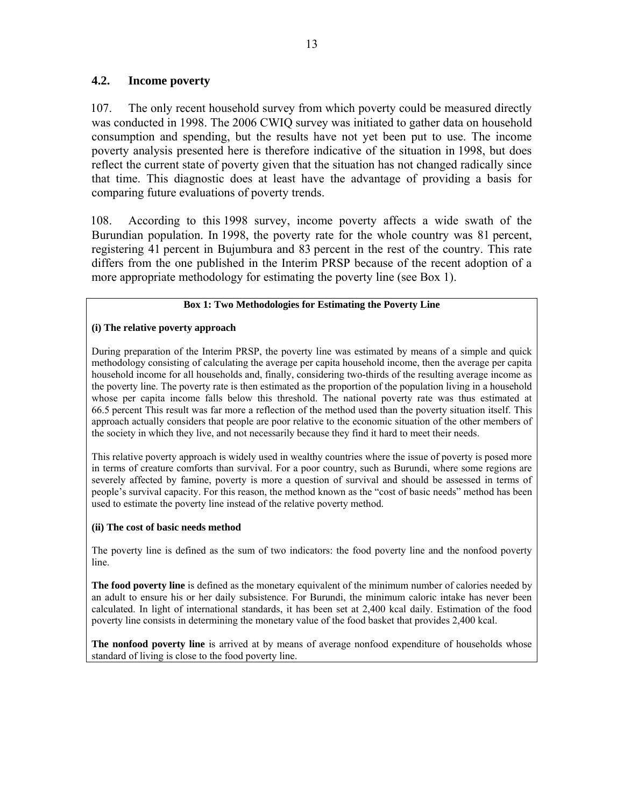### **4.2. Income poverty**

107. The only recent household survey from which poverty could be measured directly was conducted in 1998. The 2006 CWIQ survey was initiated to gather data on household consumption and spending, but the results have not yet been put to use. The income poverty analysis presented here is therefore indicative of the situation in 1998, but does reflect the current state of poverty given that the situation has not changed radically since that time. This diagnostic does at least have the advantage of providing a basis for comparing future evaluations of poverty trends.

108. According to this 1998 survey, income poverty affects a wide swath of the Burundian population. In 1998, the poverty rate for the whole country was 81 percent, registering 41 percent in Bujumbura and 83 percent in the rest of the country. This rate differs from the one published in the Interim PRSP because of the recent adoption of a more appropriate methodology for estimating the poverty line (see Box 1).

#### **Box 1: Two Methodologies for Estimating the Poverty Line**

#### **(i) The relative poverty approach**

During preparation of the Interim PRSP, the poverty line was estimated by means of a simple and quick methodology consisting of calculating the average per capita household income, then the average per capita household income for all households and, finally, considering two-thirds of the resulting average income as the poverty line. The poverty rate is then estimated as the proportion of the population living in a household whose per capita income falls below this threshold. The national poverty rate was thus estimated at 66.5 percent This result was far more a reflection of the method used than the poverty situation itself. This approach actually considers that people are poor relative to the economic situation of the other members of the society in which they live, and not necessarily because they find it hard to meet their needs.

This relative poverty approach is widely used in wealthy countries where the issue of poverty is posed more in terms of creature comforts than survival. For a poor country, such as Burundi, where some regions are severely affected by famine, poverty is more a question of survival and should be assessed in terms of people's survival capacity. For this reason, the method known as the "cost of basic needs" method has been used to estimate the poverty line instead of the relative poverty method.

#### **(ii) The cost of basic needs method**

The poverty line is defined as the sum of two indicators: the food poverty line and the nonfood poverty line.

**The food poverty line** is defined as the monetary equivalent of the minimum number of calories needed by an adult to ensure his or her daily subsistence. For Burundi, the minimum caloric intake has never been calculated. In light of international standards, it has been set at 2,400 kcal daily. Estimation of the food poverty line consists in determining the monetary value of the food basket that provides 2,400 kcal.

**The nonfood poverty line** is arrived at by means of average nonfood expenditure of households whose standard of living is close to the food poverty line.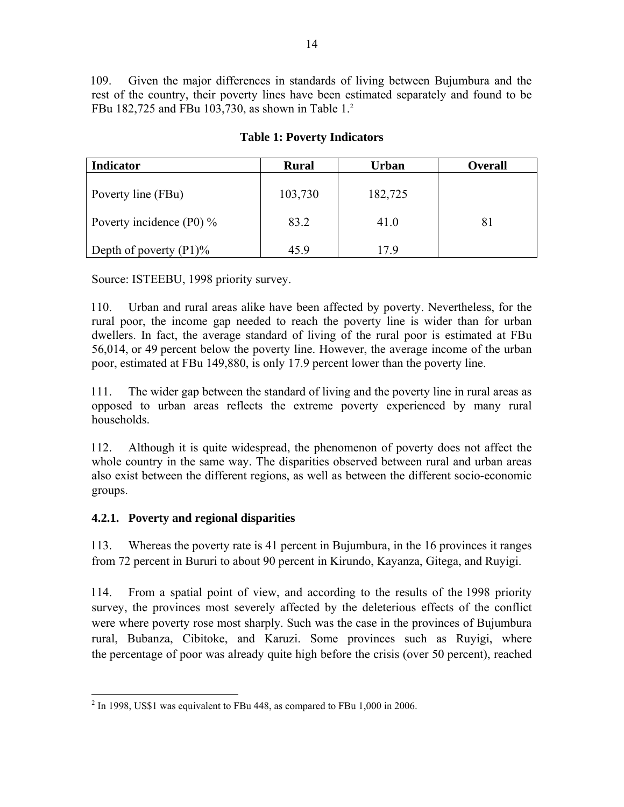109. Given the major differences in standards of living between Bujumbura and the rest of the country, their poverty lines have been estimated separately and found to be FBu 182,725 and FBu 103,730, as shown in Table 1.<sup>2</sup>

| <b>Indicator</b>            | <b>Rural</b> | Urban   | <b>Overall</b> |
|-----------------------------|--------------|---------|----------------|
| Poverty line (FBu)          | 103,730      | 182,725 |                |
| Poverty incidence (P0) $\%$ | 83.2         | 41.0    | 81             |
| Depth of poverty $(P1)$ %   | 45.9         | 79،     |                |

## **Table 1: Poverty Indicators**

Source: ISTEEBU, 1998 priority survey.

110. Urban and rural areas alike have been affected by poverty. Nevertheless, for the rural poor, the income gap needed to reach the poverty line is wider than for urban dwellers. In fact, the average standard of living of the rural poor is estimated at FBu 56,014, or 49 percent below the poverty line. However, the average income of the urban poor, estimated at FBu 149,880, is only 17.9 percent lower than the poverty line.

111. The wider gap between the standard of living and the poverty line in rural areas as opposed to urban areas reflects the extreme poverty experienced by many rural households.

112. Although it is quite widespread, the phenomenon of poverty does not affect the whole country in the same way. The disparities observed between rural and urban areas also exist between the different regions, as well as between the different socio-economic groups.

### **4.2.1. Poverty and regional disparities**

113. Whereas the poverty rate is 41 percent in Bujumbura, in the 16 provinces it ranges from 72 percent in Bururi to about 90 percent in Kirundo, Kayanza, Gitega, and Ruyigi.

114. From a spatial point of view, and according to the results of the 1998 priority survey, the provinces most severely affected by the deleterious effects of the conflict were where poverty rose most sharply. Such was the case in the provinces of Bujumbura rural, Bubanza, Cibitoke, and Karuzi. Some provinces such as Ruyigi, where the percentage of poor was already quite high before the crisis (over 50 percent), reached

<sup>&</sup>lt;sup>2</sup> In 1998, US\$1 was equivalent to FBu 448, as compared to FBu 1,000 in 2006.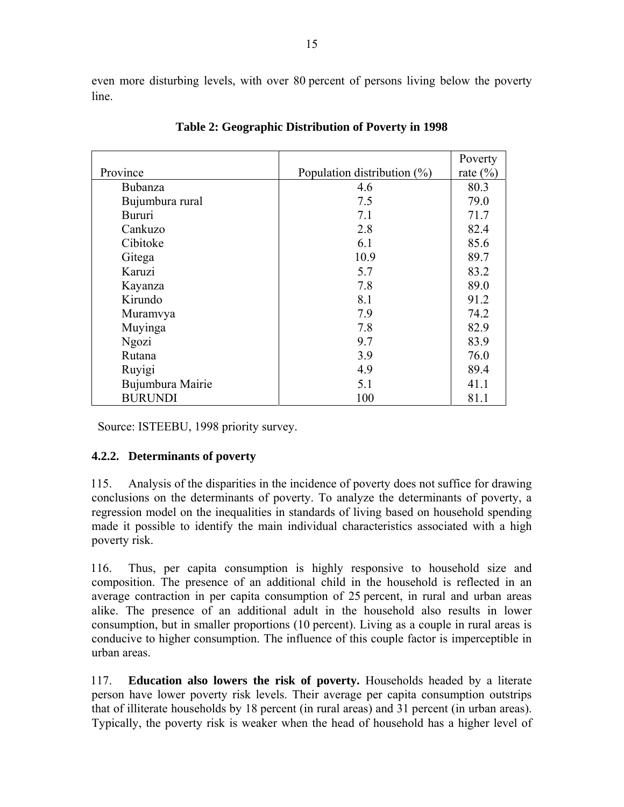even more disturbing levels, with over 80 percent of persons living below the poverty line.

|                  |                                | Poverty      |
|------------------|--------------------------------|--------------|
| Province         | Population distribution $(\%)$ | rate $(\% )$ |
| <b>Bubanza</b>   | 4.6                            | 80.3         |
| Bujumbura rural  | 7.5                            | 79.0         |
| <b>Bururi</b>    | 7.1                            | 71.7         |
| Cankuzo          | 2.8                            | 82.4         |
| Cibitoke         | 6.1                            | 85.6         |
| Gitega           | 10.9                           | 89.7         |
| Karuzi           | 5.7                            | 83.2         |
| Kayanza          | 7.8                            | 89.0         |
| Kirundo          | 8.1                            | 91.2         |
| Muramvya         | 7.9                            | 74.2         |
| Muyinga          | 7.8                            | 82.9         |
| Ngozi            | 9.7                            | 83.9         |
| Rutana           | 3.9                            | 76.0         |
| Ruyigi           | 4.9                            | 89.4         |
| Bujumbura Mairie | 5.1                            | 41.1         |
| <b>BURUNDI</b>   | 100                            | 81.1         |

**Table 2: Geographic Distribution of Poverty in 1998** 

Source: ISTEEBU, 1998 priority survey.

### **4.2.2. Determinants of poverty**

115. Analysis of the disparities in the incidence of poverty does not suffice for drawing conclusions on the determinants of poverty. To analyze the determinants of poverty, a regression model on the inequalities in standards of living based on household spending made it possible to identify the main individual characteristics associated with a high poverty risk.

116. Thus, per capita consumption is highly responsive to household size and composition. The presence of an additional child in the household is reflected in an average contraction in per capita consumption of 25 percent, in rural and urban areas alike. The presence of an additional adult in the household also results in lower consumption, but in smaller proportions (10 percent). Living as a couple in rural areas is conducive to higher consumption. The influence of this couple factor is imperceptible in urban areas.

117. **Education also lowers the risk of poverty.** Households headed by a literate person have lower poverty risk levels. Their average per capita consumption outstrips that of illiterate households by 18 percent (in rural areas) and 31 percent (in urban areas). Typically, the poverty risk is weaker when the head of household has a higher level of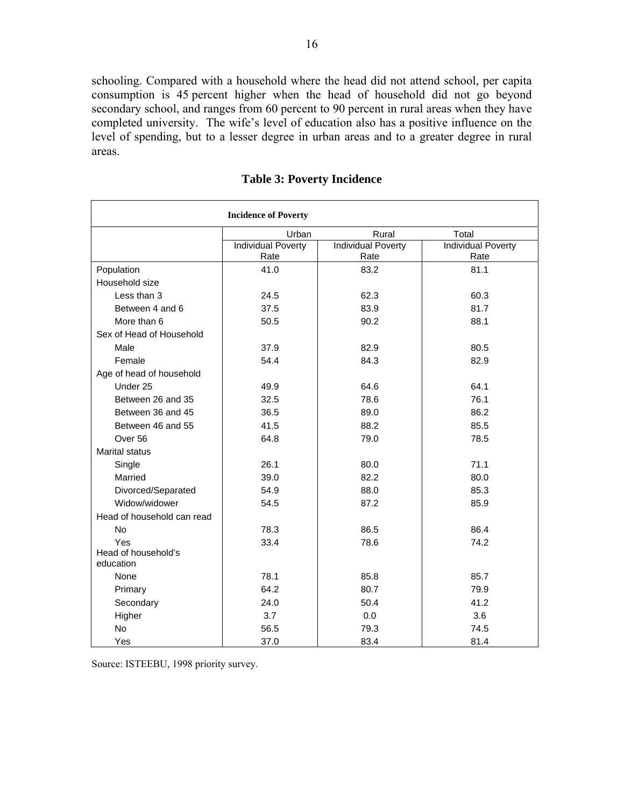schooling. Compared with a household where the head did not attend school, per capita consumption is 45 percent higher when the head of household did not go beyond secondary school, and ranges from 60 percent to 90 percent in rural areas when they have completed university. The wife's level of education also has a positive influence on the level of spending, but to a lesser degree in urban areas and to a greater degree in rural areas.

| <b>Incidence of Poverty</b>      |                           |                           |                           |  |
|----------------------------------|---------------------------|---------------------------|---------------------------|--|
|                                  | Urban                     | Rural                     | Total                     |  |
|                                  | <b>Individual Poverty</b> | <b>Individual Poverty</b> | <b>Individual Poverty</b> |  |
|                                  | Rate                      | Rate                      | Rate                      |  |
| Population                       | 41.0                      | 83.2                      | 81.1                      |  |
| Household size                   |                           |                           |                           |  |
| Less than 3                      | 24.5                      | 62.3                      | 60.3                      |  |
| Between 4 and 6                  | 37.5                      | 83.9                      | 81.7                      |  |
| More than 6                      | 50.5                      | 90.2                      | 88.1                      |  |
| Sex of Head of Household         |                           |                           |                           |  |
| Male                             | 37.9                      | 82.9                      | 80.5                      |  |
| Female                           | 54.4                      | 84.3                      | 82.9                      |  |
| Age of head of household         |                           |                           |                           |  |
| Under 25                         | 49.9                      | 64.6                      | 64.1                      |  |
| Between 26 and 35                | 32.5                      | 78.6                      | 76.1                      |  |
| Between 36 and 45                | 36.5                      | 89.0                      | 86.2                      |  |
| Between 46 and 55                | 41.5                      | 88.2                      | 85.5                      |  |
| Over 56                          | 64.8                      | 79.0                      | 78.5                      |  |
| <b>Marital status</b>            |                           |                           |                           |  |
| Single                           | 26.1                      | 80.0                      | 71.1                      |  |
| Married                          | 39.0                      | 82.2                      | 80.0                      |  |
| Divorced/Separated               | 54.9                      | 88.0                      | 85.3                      |  |
| Widow/widower                    | 54.5                      | 87.2                      | 85.9                      |  |
| Head of household can read       |                           |                           |                           |  |
| No                               | 78.3                      | 86.5                      | 86.4                      |  |
| Yes                              | 33.4                      | 78.6                      | 74.2                      |  |
| Head of household's<br>education |                           |                           |                           |  |
| None                             | 78.1                      | 85.8                      | 85.7                      |  |
| Primary                          | 64.2                      | 80.7                      | 79.9                      |  |
| Secondary                        | 24.0                      | 50.4                      | 41.2                      |  |
| Higher                           | 3.7                       | 0.0                       | 3.6                       |  |
| No                               | 56.5                      | 79.3                      | 74.5                      |  |
| Yes                              | 37.0                      | 83.4                      | 81.4                      |  |

### **Table 3: Poverty Incidence**

Source: ISTEEBU, 1998 priority survey.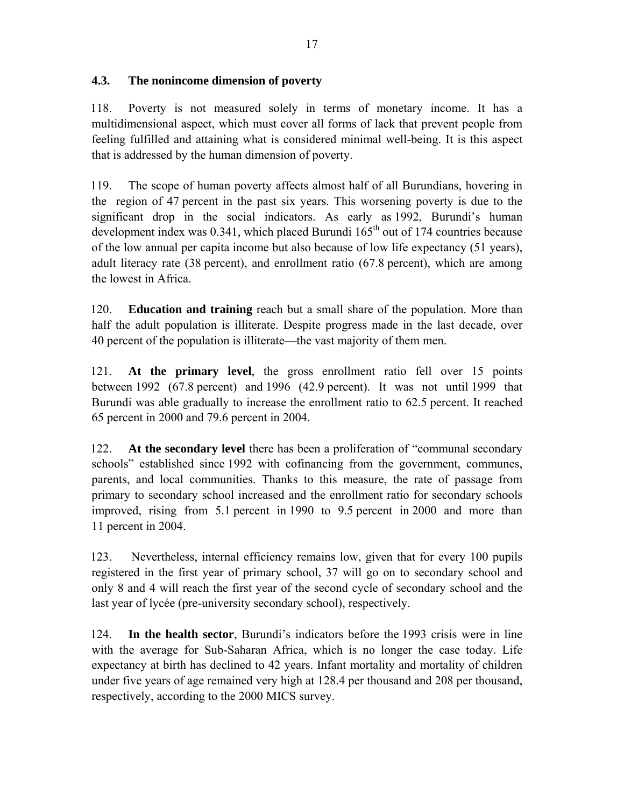## **4.3. The nonincome dimension of poverty**

118. Poverty is not measured solely in terms of monetary income. It has a multidimensional aspect, which must cover all forms of lack that prevent people from feeling fulfilled and attaining what is considered minimal well-being. It is this aspect that is addressed by the human dimension of poverty.

119. The scope of human poverty affects almost half of all Burundians, hovering in the region of 47 percent in the past six years. This worsening poverty is due to the significant drop in the social indicators. As early as 1992, Burundi's human development index was  $0.341$ , which placed Burundi  $165<sup>th</sup>$  out of 174 countries because of the low annual per capita income but also because of low life expectancy (51 years), adult literacy rate (38 percent), and enrollment ratio (67.8 percent), which are among the lowest in Africa.

120. **Education and training** reach but a small share of the population. More than half the adult population is illiterate. Despite progress made in the last decade, over 40 percent of the population is illiterate—the vast majority of them men.

121. **At the primary level**, the gross enrollment ratio fell over 15 points between 1992 (67.8 percent) and 1996 (42.9 percent). It was not until 1999 that Burundi was able gradually to increase the enrollment ratio to 62.5 percent. It reached 65 percent in 2000 and 79.6 percent in 2004.

122. **At the secondary level** there has been a proliferation of "communal secondary schools" established since 1992 with cofinancing from the government, communes, parents, and local communities. Thanks to this measure, the rate of passage from primary to secondary school increased and the enrollment ratio for secondary schools improved, rising from 5.1 percent in 1990 to 9.5 percent in 2000 and more than 11 percent in 2004.

123. Nevertheless, internal efficiency remains low, given that for every 100 pupils registered in the first year of primary school, 37 will go on to secondary school and only 8 and 4 will reach the first year of the second cycle of secondary school and the last year of lycée (pre-university secondary school), respectively.

124. **In the health sector**, Burundi's indicators before the 1993 crisis were in line with the average for Sub-Saharan Africa, which is no longer the case today. Life expectancy at birth has declined to 42 years. Infant mortality and mortality of children under five years of age remained very high at 128.4 per thousand and 208 per thousand, respectively, according to the 2000 MICS survey.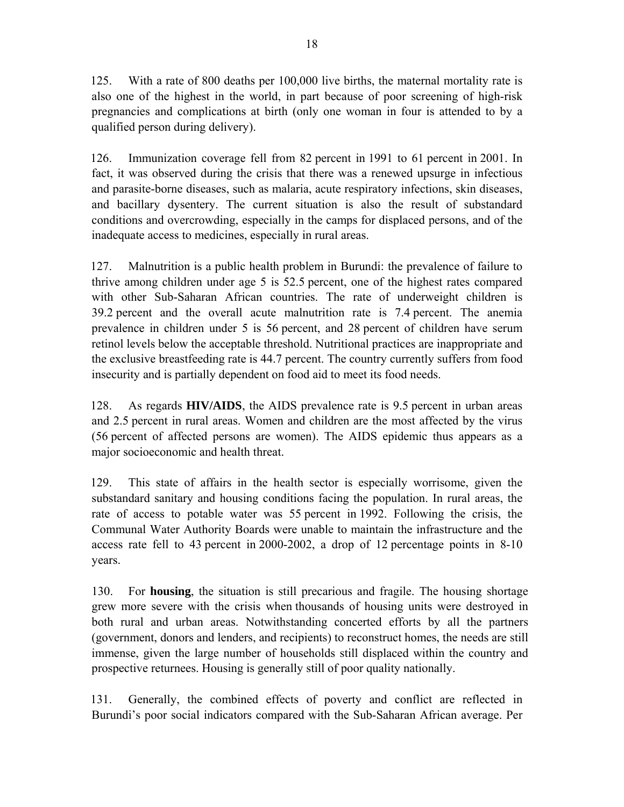125. With a rate of 800 deaths per 100,000 live births, the maternal mortality rate is also one of the highest in the world, in part because of poor screening of high-risk pregnancies and complications at birth (only one woman in four is attended to by a qualified person during delivery).

126. Immunization coverage fell from 82 percent in 1991 to 61 percent in 2001. In fact, it was observed during the crisis that there was a renewed upsurge in infectious and parasite-borne diseases, such as malaria, acute respiratory infections, skin diseases, and bacillary dysentery. The current situation is also the result of substandard conditions and overcrowding, especially in the camps for displaced persons, and of the inadequate access to medicines, especially in rural areas.

127. Malnutrition is a public health problem in Burundi: the prevalence of failure to thrive among children under age 5 is 52.5 percent, one of the highest rates compared with other Sub-Saharan African countries. The rate of underweight children is 39.2 percent and the overall acute malnutrition rate is 7.4 percent. The anemia prevalence in children under 5 is 56 percent, and 28 percent of children have serum retinol levels below the acceptable threshold. Nutritional practices are inappropriate and the exclusive breastfeeding rate is 44.7 percent. The country currently suffers from food insecurity and is partially dependent on food aid to meet its food needs.

128. As regards **HIV/AIDS**, the AIDS prevalence rate is 9.5 percent in urban areas and 2.5 percent in rural areas. Women and children are the most affected by the virus (56 percent of affected persons are women). The AIDS epidemic thus appears as a major socioeconomic and health threat.

129. This state of affairs in the health sector is especially worrisome, given the substandard sanitary and housing conditions facing the population. In rural areas, the rate of access to potable water was 55 percent in 1992. Following the crisis, the Communal Water Authority Boards were unable to maintain the infrastructure and the access rate fell to 43 percent in 2000-2002, a drop of 12 percentage points in 8-10 years.

130. For **housing**, the situation is still precarious and fragile. The housing shortage grew more severe with the crisis when thousands of housing units were destroyed in both rural and urban areas. Notwithstanding concerted efforts by all the partners (government, donors and lenders, and recipients) to reconstruct homes, the needs are still immense, given the large number of households still displaced within the country and prospective returnees. Housing is generally still of poor quality nationally.

131. Generally, the combined effects of poverty and conflict are reflected in Burundi's poor social indicators compared with the Sub-Saharan African average. Per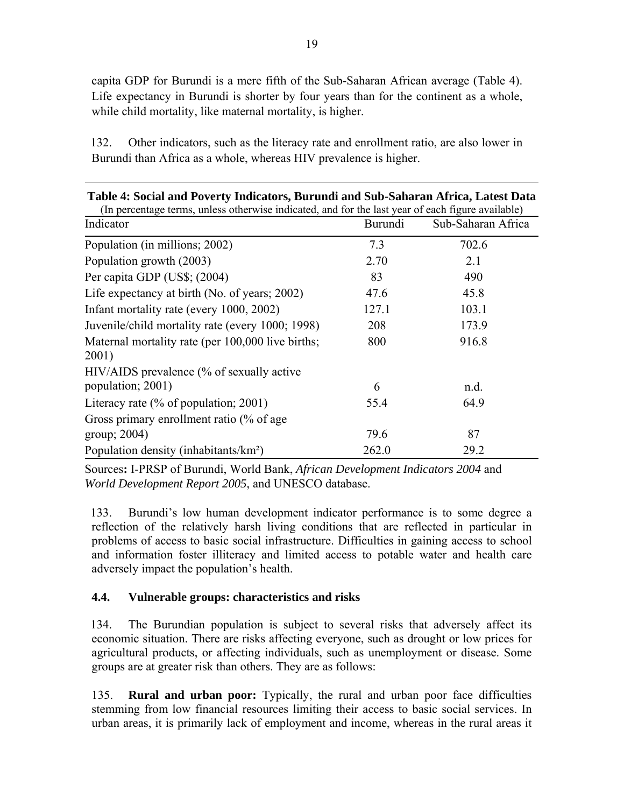| 132. | Other indicators, such as the literacy rate and enrollment ratio, are also lower in |
|------|-------------------------------------------------------------------------------------|
|      | Burundi than Africa as a whole, whereas HIV prevalence is higher.                   |

| Table 4: Social and Poverty Indicators, Burundi and Sub-Saharan Africa, Latest Data<br>(In percentage terms, unless otherwise indicated, and for the last year of each figure available) |         |                    |  |
|------------------------------------------------------------------------------------------------------------------------------------------------------------------------------------------|---------|--------------------|--|
| Indicator                                                                                                                                                                                | Burundi | Sub-Saharan Africa |  |
| Population (in millions; 2002)                                                                                                                                                           | 7.3     | 702.6              |  |
| Population growth (2003)                                                                                                                                                                 | 2.70    | 2.1                |  |
| Per capita GDP (US\$; (2004)                                                                                                                                                             | 83      | 490                |  |
| Life expectancy at birth (No. of years; 2002)                                                                                                                                            | 47.6    | 45.8               |  |
| Infant mortality rate (every 1000, 2002)                                                                                                                                                 | 127.1   | 103.1              |  |
| Juvenile/child mortality rate (every 1000; 1998)                                                                                                                                         | 208     | 173.9              |  |
| Maternal mortality rate (per 100,000 live births;                                                                                                                                        | 800     | 916.8              |  |
| 2001)                                                                                                                                                                                    |         |                    |  |
| HIV/AIDS prevalence (% of sexually active                                                                                                                                                |         |                    |  |
| population; 2001)                                                                                                                                                                        | 6       | n.d.               |  |
| Literacy rate $(\%$ of population; 2001)                                                                                                                                                 | 55.4    | 64.9               |  |
| Gross primary enrollment ratio (% of age                                                                                                                                                 |         |                    |  |
| group; $2004$ )                                                                                                                                                                          | 79.6    | 87                 |  |
| Population density (inhabitants/km <sup>2</sup> )                                                                                                                                        | 262.0   | 29.2               |  |

Sources**:** I-PRSP of Burundi, World Bank, *African Development Indicators 2004* and *World Development Report 2005*, and UNESCO database.

133. Burundi's low human development indicator performance is to some degree a reflection of the relatively harsh living conditions that are reflected in particular in problems of access to basic social infrastructure. Difficulties in gaining access to school and information foster illiteracy and limited access to potable water and health care adversely impact the population's health.

## **4.4. Vulnerable groups: characteristics and risks**

134. The Burundian population is subject to several risks that adversely affect its economic situation. There are risks affecting everyone, such as drought or low prices for agricultural products, or affecting individuals, such as unemployment or disease. Some groups are at greater risk than others. They are as follows:

135. **Rural and urban poor:** Typically, the rural and urban poor face difficulties stemming from low financial resources limiting their access to basic social services. In urban areas, it is primarily lack of employment and income, whereas in the rural areas it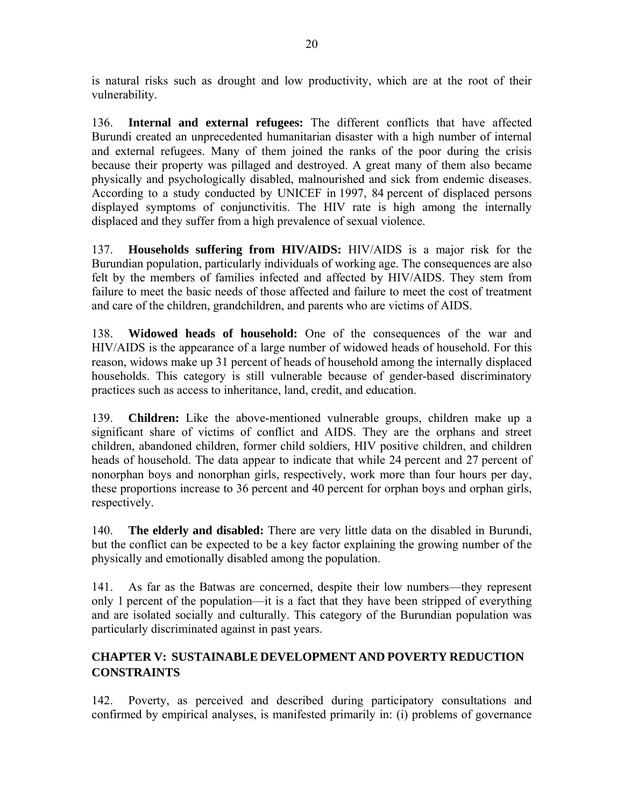is natural risks such as drought and low productivity, which are at the root of their vulnerability.

136. **Internal and external refugees:** The different conflicts that have affected Burundi created an unprecedented humanitarian disaster with a high number of internal and external refugees. Many of them joined the ranks of the poor during the crisis because their property was pillaged and destroyed. A great many of them also became physically and psychologically disabled, malnourished and sick from endemic diseases. According to a study conducted by UNICEF in 1997, 84 percent of displaced persons displayed symptoms of conjunctivitis. The HIV rate is high among the internally displaced and they suffer from a high prevalence of sexual violence.

137. **Households suffering from HIV/AIDS:** HIV/AIDS is a major risk for the Burundian population, particularly individuals of working age. The consequences are also felt by the members of families infected and affected by HIV/AIDS. They stem from failure to meet the basic needs of those affected and failure to meet the cost of treatment and care of the children, grandchildren, and parents who are victims of AIDS.

138. **Widowed heads of household:** One of the consequences of the war and HIV/AIDS is the appearance of a large number of widowed heads of household. For this reason, widows make up 31 percent of heads of household among the internally displaced households. This category is still vulnerable because of gender-based discriminatory practices such as access to inheritance, land, credit, and education.

139. **Children:** Like the above-mentioned vulnerable groups, children make up a significant share of victims of conflict and AIDS. They are the orphans and street children, abandoned children, former child soldiers, HIV positive children, and children heads of household. The data appear to indicate that while 24 percent and 27 percent of nonorphan boys and nonorphan girls, respectively, work more than four hours per day, these proportions increase to 36 percent and 40 percent for orphan boys and orphan girls, respectively.

140. **The elderly and disabled:** There are very little data on the disabled in Burundi, but the conflict can be expected to be a key factor explaining the growing number of the physically and emotionally disabled among the population.

141. As far as the Batwas are concerned, despite their low numbers—they represent only 1 percent of the population—it is a fact that they have been stripped of everything and are isolated socially and culturally. This category of the Burundian population was particularly discriminated against in past years.

## **CHAPTER V: SUSTAINABLE DEVELOPMENT AND POVERTY REDUCTION CONSTRAINTS**

142. Poverty, as perceived and described during participatory consultations and confirmed by empirical analyses, is manifested primarily in: (i) problems of governance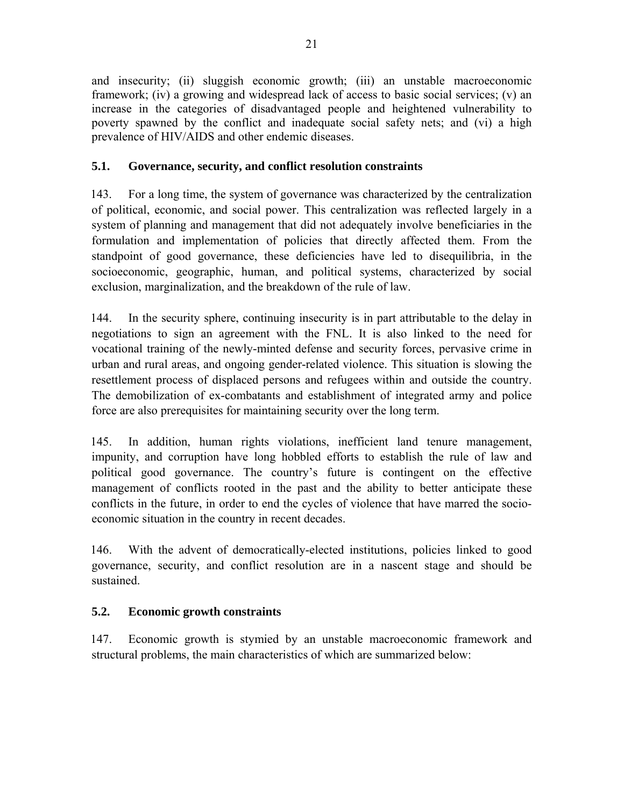and insecurity; (ii) sluggish economic growth; (iii) an unstable macroeconomic framework; (iv) a growing and widespread lack of access to basic social services; (v) an increase in the categories of disadvantaged people and heightened vulnerability to poverty spawned by the conflict and inadequate social safety nets; and (vi) a high prevalence of HIV/AIDS and other endemic diseases.

## **5.1. Governance, security, and conflict resolution constraints**

143. For a long time, the system of governance was characterized by the centralization of political, economic, and social power. This centralization was reflected largely in a system of planning and management that did not adequately involve beneficiaries in the formulation and implementation of policies that directly affected them. From the standpoint of good governance, these deficiencies have led to disequilibria, in the socioeconomic, geographic, human, and political systems, characterized by social exclusion, marginalization, and the breakdown of the rule of law.

144. In the security sphere, continuing insecurity is in part attributable to the delay in negotiations to sign an agreement with the FNL. It is also linked to the need for vocational training of the newly-minted defense and security forces, pervasive crime in urban and rural areas, and ongoing gender-related violence. This situation is slowing the resettlement process of displaced persons and refugees within and outside the country. The demobilization of ex-combatants and establishment of integrated army and police force are also prerequisites for maintaining security over the long term.

145. In addition, human rights violations, inefficient land tenure management, impunity, and corruption have long hobbled efforts to establish the rule of law and political good governance. The country's future is contingent on the effective management of conflicts rooted in the past and the ability to better anticipate these conflicts in the future, in order to end the cycles of violence that have marred the socioeconomic situation in the country in recent decades.

146. With the advent of democratically-elected institutions, policies linked to good governance, security, and conflict resolution are in a nascent stage and should be sustained.

### **5.2. Economic growth constraints**

147. Economic growth is stymied by an unstable macroeconomic framework and structural problems, the main characteristics of which are summarized below: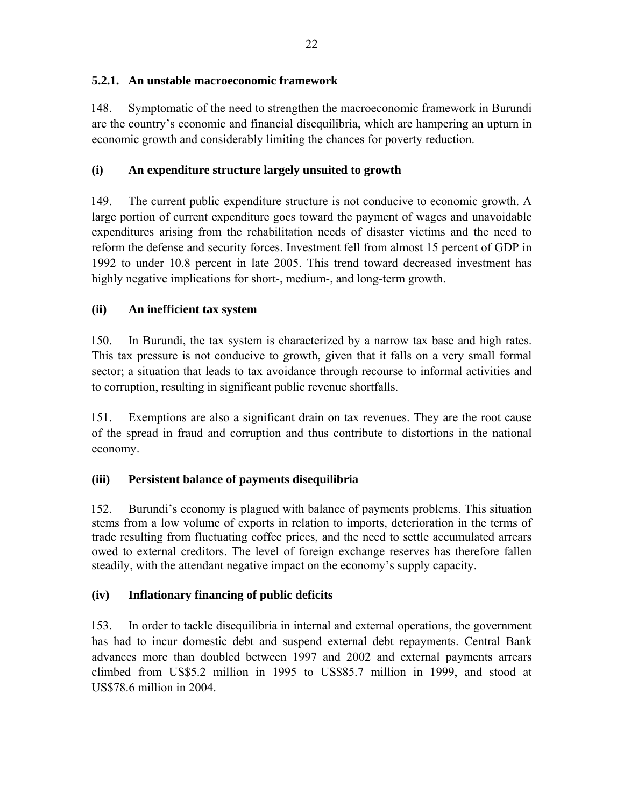## **5.2.1. An unstable macroeconomic framework**

148. Symptomatic of the need to strengthen the macroeconomic framework in Burundi are the country's economic and financial disequilibria, which are hampering an upturn in economic growth and considerably limiting the chances for poverty reduction.

## **(i)****An expenditure structure largely unsuited to growth**

149. The current public expenditure structure is not conducive to economic growth. A large portion of current expenditure goes toward the payment of wages and unavoidable expenditures arising from the rehabilitation needs of disaster victims and the need to reform the defense and security forces. Investment fell from almost 15 percent of GDP in 1992 to under 10.8 percent in late 2005. This trend toward decreased investment has highly negative implications for short-, medium-, and long-term growth.

## **(ii) An inefficient tax system**

150. In Burundi, the tax system is characterized by a narrow tax base and high rates. This tax pressure is not conducive to growth, given that it falls on a very small formal sector; a situation that leads to tax avoidance through recourse to informal activities and to corruption, resulting in significant public revenue shortfalls.

151. Exemptions are also a significant drain on tax revenues. They are the root cause of the spread in fraud and corruption and thus contribute to distortions in the national economy.

## **(iii) Persistent balance of payments disequilibria**

152. Burundi's economy is plagued with balance of payments problems. This situation stems from a low volume of exports in relation to imports, deterioration in the terms of trade resulting from fluctuating coffee prices, and the need to settle accumulated arrears owed to external creditors. The level of foreign exchange reserves has therefore fallen steadily, with the attendant negative impact on the economy's supply capacity.

### **(iv) Inflationary financing of public deficits**

153. In order to tackle disequilibria in internal and external operations, the government has had to incur domestic debt and suspend external debt repayments. Central Bank advances more than doubled between 1997 and 2002 and external payments arrears climbed from US\$5.2 million in 1995 to US\$85.7 million in 1999, and stood at US\$78.6 million in 2004.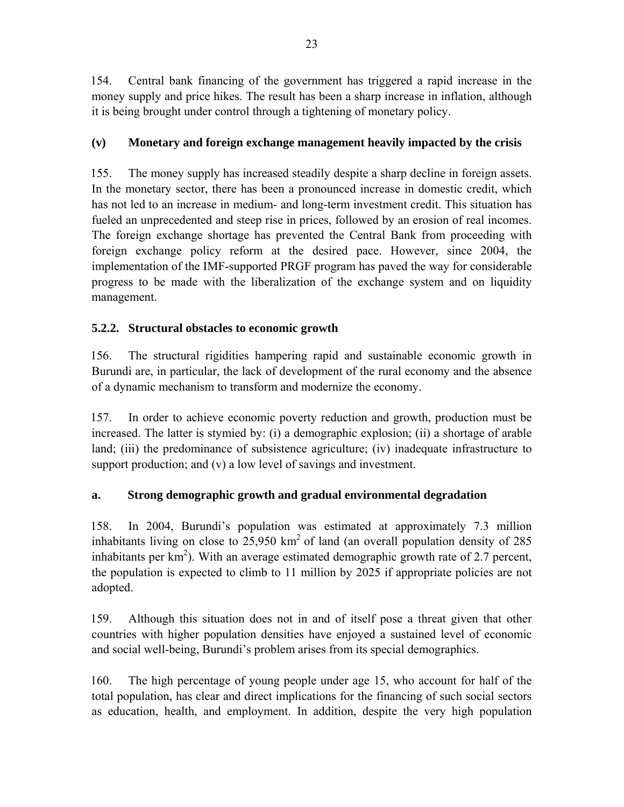154. Central bank financing of the government has triggered a rapid increase in the money supply and price hikes. The result has been a sharp increase in inflation, although it is being brought under control through a tightening of monetary policy.

# **(v)****Monetary and foreign exchange management heavily impacted by the crisis**

155. The money supply has increased steadily despite a sharp decline in foreign assets. In the monetary sector, there has been a pronounced increase in domestic credit, which has not led to an increase in medium- and long-term investment credit. This situation has fueled an unprecedented and steep rise in prices, followed by an erosion of real incomes. The foreign exchange shortage has prevented the Central Bank from proceeding with foreign exchange policy reform at the desired pace. However, since 2004, the implementation of the IMF-supported PRGF program has paved the way for considerable progress to be made with the liberalization of the exchange system and on liquidity management.

# **5.2.2. Structural obstacles to economic growth**

156. The structural rigidities hampering rapid and sustainable economic growth in Burundi are, in particular, the lack of development of the rural economy and the absence of a dynamic mechanism to transform and modernize the economy.

157. In order to achieve economic poverty reduction and growth, production must be increased. The latter is stymied by: (i) a demographic explosion; (ii) a shortage of arable land; (iii) the predominance of subsistence agriculture; (iv) inadequate infrastructure to support production; and (v) a low level of savings and investment.

# **a. Strong demographic growth and gradual environmental degradation**

158. In 2004, Burundi's population was estimated at approximately 7.3 million inhabitants living on close to  $25,950 \text{ km}^2$  of land (an overall population density of 285 inhabitants per  $km<sup>2</sup>$ ). With an average estimated demographic growth rate of 2.7 percent, the population is expected to climb to 11 million by 2025 if appropriate policies are not adopted.

159. Although this situation does not in and of itself pose a threat given that other countries with higher population densities have enjoyed a sustained level of economic and social well-being, Burundi's problem arises from its special demographics.

160. The high percentage of young people under age 15, who account for half of the total population, has clear and direct implications for the financing of such social sectors as education, health, and employment. In addition, despite the very high population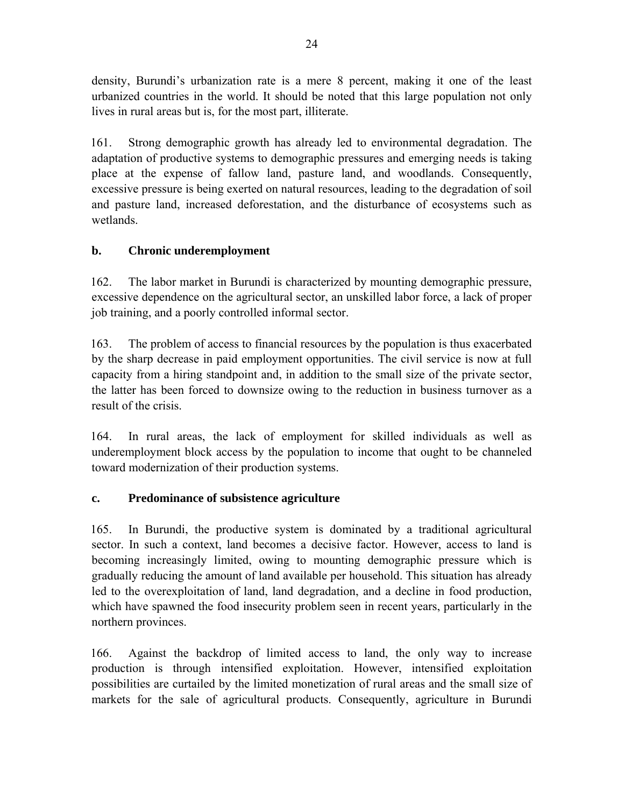density, Burundi's urbanization rate is a mere 8 percent, making it one of the least urbanized countries in the world. It should be noted that this large population not only lives in rural areas but is, for the most part, illiterate.

161. Strong demographic growth has already led to environmental degradation. The adaptation of productive systems to demographic pressures and emerging needs is taking place at the expense of fallow land, pasture land, and woodlands. Consequently, excessive pressure is being exerted on natural resources, leading to the degradation of soil and pasture land, increased deforestation, and the disturbance of ecosystems such as wetlands.

# **b. Chronic underemployment**

162. The labor market in Burundi is characterized by mounting demographic pressure, excessive dependence on the agricultural sector, an unskilled labor force, a lack of proper job training, and a poorly controlled informal sector.

163. The problem of access to financial resources by the population is thus exacerbated by the sharp decrease in paid employment opportunities. The civil service is now at full capacity from a hiring standpoint and, in addition to the small size of the private sector, the latter has been forced to downsize owing to the reduction in business turnover as a result of the crisis.

164. In rural areas, the lack of employment for skilled individuals as well as underemployment block access by the population to income that ought to be channeled toward modernization of their production systems.

# **c. Predominance of subsistence agriculture**

165. In Burundi, the productive system is dominated by a traditional agricultural sector. In such a context, land becomes a decisive factor. However, access to land is becoming increasingly limited, owing to mounting demographic pressure which is gradually reducing the amount of land available per household. This situation has already led to the overexploitation of land, land degradation, and a decline in food production, which have spawned the food insecurity problem seen in recent years, particularly in the northern provinces.

166. Against the backdrop of limited access to land, the only way to increase production is through intensified exploitation. However, intensified exploitation possibilities are curtailed by the limited monetization of rural areas and the small size of markets for the sale of agricultural products. Consequently, agriculture in Burundi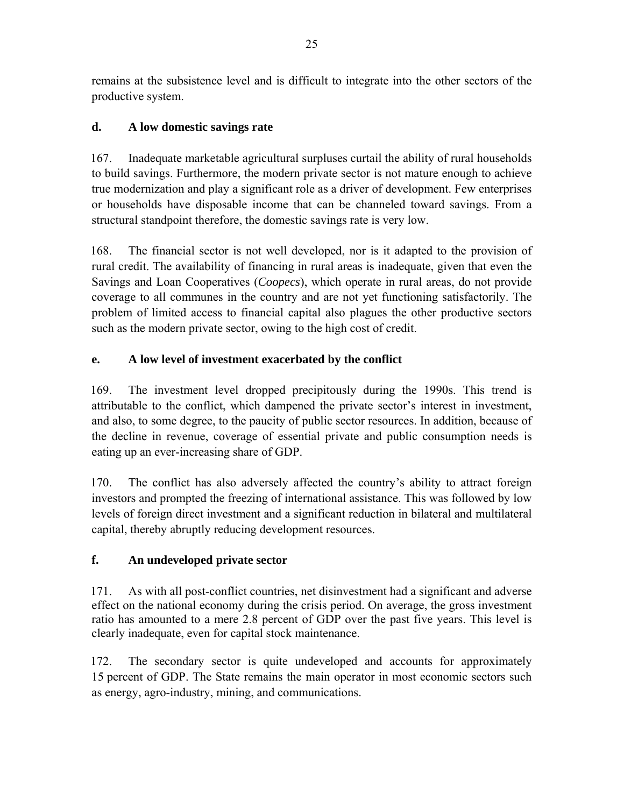remains at the subsistence level and is difficult to integrate into the other sectors of the productive system.

# **d. A low domestic savings rate**

167. Inadequate marketable agricultural surpluses curtail the ability of rural households to build savings. Furthermore, the modern private sector is not mature enough to achieve true modernization and play a significant role as a driver of development. Few enterprises or households have disposable income that can be channeled toward savings. From a structural standpoint therefore, the domestic savings rate is very low.

168. The financial sector is not well developed, nor is it adapted to the provision of rural credit. The availability of financing in rural areas is inadequate, given that even the Savings and Loan Cooperatives (*Coopecs*), which operate in rural areas, do not provide coverage to all communes in the country and are not yet functioning satisfactorily. The problem of limited access to financial capital also plagues the other productive sectors such as the modern private sector, owing to the high cost of credit.

# **e.****A low level of investment exacerbated by the conflict**

169. The investment level dropped precipitously during the 1990s. This trend is attributable to the conflict, which dampened the private sector's interest in investment, and also, to some degree, to the paucity of public sector resources. In addition, because of the decline in revenue, coverage of essential private and public consumption needs is eating up an ever-increasing share of GDP.

170. The conflict has also adversely affected the country's ability to attract foreign investors and prompted the freezing of international assistance. This was followed by low levels of foreign direct investment and a significant reduction in bilateral and multilateral capital, thereby abruptly reducing development resources.

# **f.****An undeveloped private sector**

171. As with all post-conflict countries, net disinvestment had a significant and adverse effect on the national economy during the crisis period. On average, the gross investment ratio has amounted to a mere 2.8 percent of GDP over the past five years. This level is clearly inadequate, even for capital stock maintenance.

172. The secondary sector is quite undeveloped and accounts for approximately 15 percent of GDP. The State remains the main operator in most economic sectors such as energy, agro-industry, mining, and communications.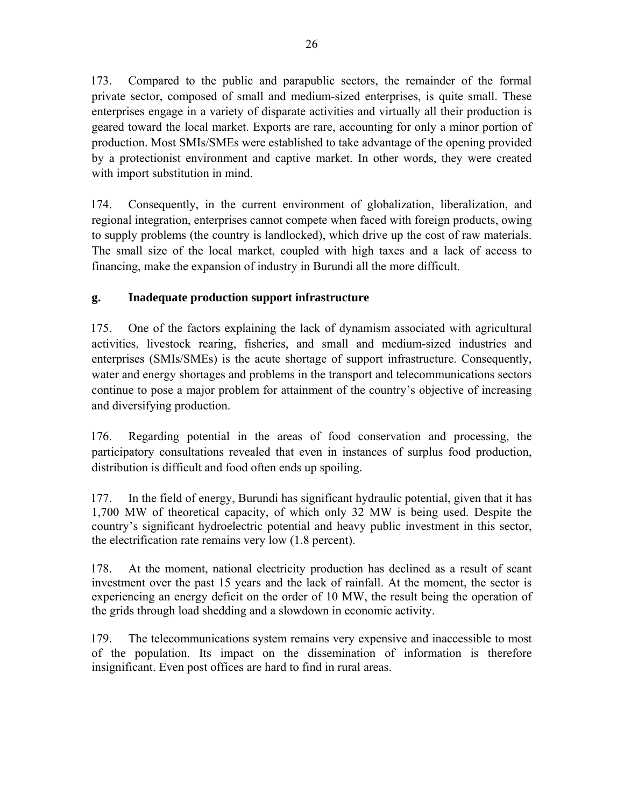173. Compared to the public and parapublic sectors, the remainder of the formal private sector, composed of small and medium-sized enterprises, is quite small. These enterprises engage in a variety of disparate activities and virtually all their production is geared toward the local market. Exports are rare, accounting for only a minor portion of production. Most SMIs/SMEs were established to take advantage of the opening provided by a protectionist environment and captive market. In other words, they were created with import substitution in mind.

174. Consequently, in the current environment of globalization, liberalization, and regional integration, enterprises cannot compete when faced with foreign products, owing to supply problems (the country is landlocked), which drive up the cost of raw materials. The small size of the local market, coupled with high taxes and a lack of access to financing, make the expansion of industry in Burundi all the more difficult.

# **g.****Inadequate production support infrastructure**

175. One of the factors explaining the lack of dynamism associated with agricultural activities, livestock rearing, fisheries, and small and medium-sized industries and enterprises (SMIs/SMEs) is the acute shortage of support infrastructure. Consequently, water and energy shortages and problems in the transport and telecommunications sectors continue to pose a major problem for attainment of the country's objective of increasing and diversifying production.

176. Regarding potential in the areas of food conservation and processing, the participatory consultations revealed that even in instances of surplus food production, distribution is difficult and food often ends up spoiling.

177. In the field of energy, Burundi has significant hydraulic potential, given that it has 1,700 MW of theoretical capacity, of which only 32 MW is being used. Despite the country's significant hydroelectric potential and heavy public investment in this sector, the electrification rate remains very low (1.8 percent).

178. At the moment, national electricity production has declined as a result of scant investment over the past 15 years and the lack of rainfall. At the moment, the sector is experiencing an energy deficit on the order of 10 MW, the result being the operation of the grids through load shedding and a slowdown in economic activity.

179. The telecommunications system remains very expensive and inaccessible to most of the population. Its impact on the dissemination of information is therefore insignificant. Even post offices are hard to find in rural areas.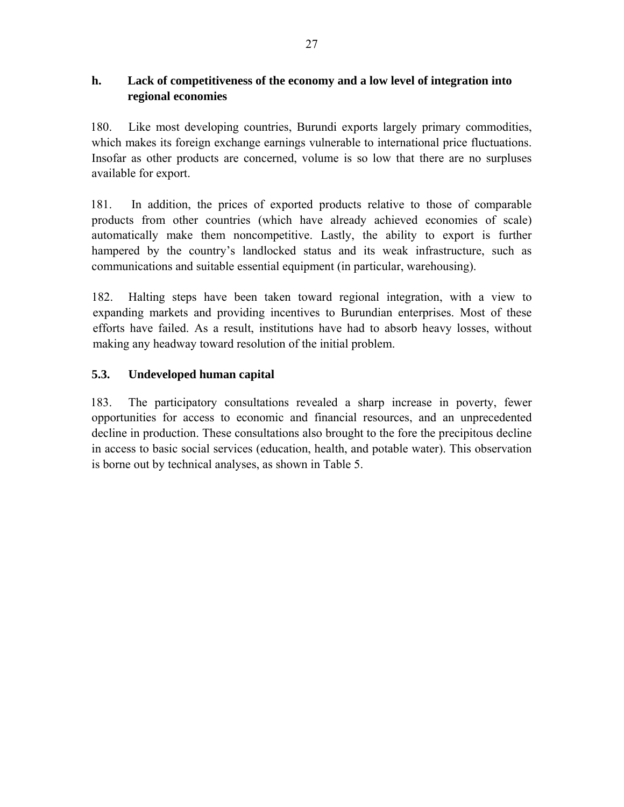### **h.****Lack of competitiveness of the economy and a low level of integration into regional economies**

180. Like most developing countries, Burundi exports largely primary commodities, which makes its foreign exchange earnings vulnerable to international price fluctuations. Insofar as other products are concerned, volume is so low that there are no surpluses available for export.

181. In addition, the prices of exported products relative to those of comparable products from other countries (which have already achieved economies of scale) automatically make them noncompetitive. Lastly, the ability to export is further hampered by the country's landlocked status and its weak infrastructure, such as communications and suitable essential equipment (in particular, warehousing).

182. Halting steps have been taken toward regional integration, with a view to expanding markets and providing incentives to Burundian enterprises. Most of these efforts have failed. As a result, institutions have had to absorb heavy losses, without making any headway toward resolution of the initial problem.

# **5.3. Undeveloped human capital**

183. The participatory consultations revealed a sharp increase in poverty, fewer opportunities for access to economic and financial resources, and an unprecedented decline in production. These consultations also brought to the fore the precipitous decline in access to basic social services (education, health, and potable water). This observation is borne out by technical analyses, as shown in Table 5.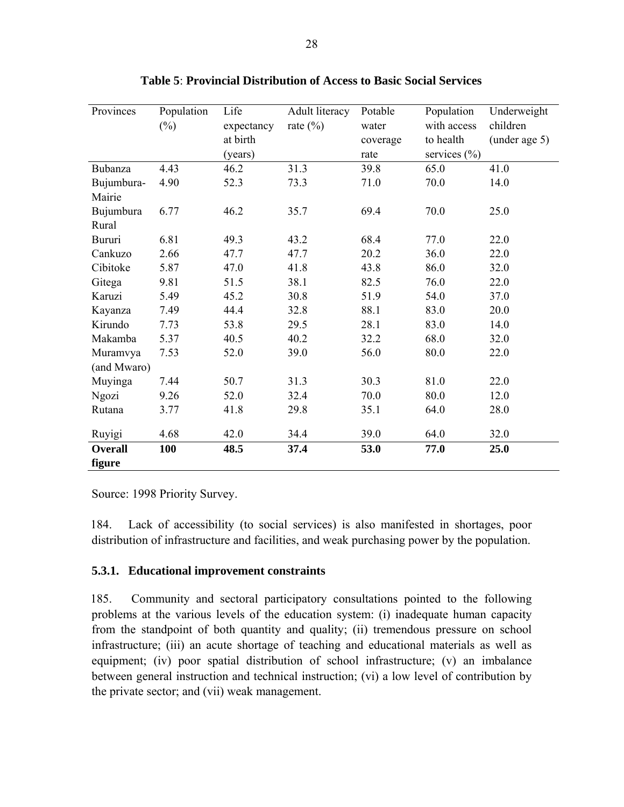| Provinces      | Population | Life       | Adult literacy | Potable  | Population       | Underweight   |
|----------------|------------|------------|----------------|----------|------------------|---------------|
|                | $(\%)$     | expectancy | rate $(\% )$   | water    | with access      | children      |
|                |            | at birth   |                | coverage | to health        | (under age 5) |
|                |            | (years)    |                | rate     | services $(\% )$ |               |
| Bubanza        | 4.43       | 46.2       | 31.3           | 39.8     | 65.0             | 41.0          |
| Bujumbura-     | 4.90       | 52.3       | 73.3           | 71.0     | 70.0             | 14.0          |
| Mairie         |            |            |                |          |                  |               |
| Bujumbura      | 6.77       | 46.2       | 35.7           | 69.4     | 70.0             | 25.0          |
| Rural          |            |            |                |          |                  |               |
| Bururi         | 6.81       | 49.3       | 43.2           | 68.4     | 77.0             | 22.0          |
| Cankuzo        | 2.66       | 47.7       | 47.7           | 20.2     | 36.0             | 22.0          |
| Cibitoke       | 5.87       | 47.0       | 41.8           | 43.8     | 86.0             | 32.0          |
| Gitega         | 9.81       | 51.5       | 38.1           | 82.5     | 76.0             | 22.0          |
| Karuzi         | 5.49       | 45.2       | 30.8           | 51.9     | 54.0             | 37.0          |
| Kayanza        | 7.49       | 44.4       | 32.8           | 88.1     | 83.0             | 20.0          |
| Kirundo        | 7.73       | 53.8       | 29.5           | 28.1     | 83.0             | 14.0          |
| Makamba        | 5.37       | 40.5       | 40.2           | 32.2     | 68.0             | 32.0          |
| Muramvya       | 7.53       | 52.0       | 39.0           | 56.0     | 80.0             | 22.0          |
| (and Mwaro)    |            |            |                |          |                  |               |
| Muyinga        | 7.44       | 50.7       | 31.3           | 30.3     | 81.0             | 22.0          |
| Ngozi          | 9.26       | 52.0       | 32.4           | 70.0     | 80.0             | 12.0          |
| Rutana         | 3.77       | 41.8       | 29.8           | 35.1     | 64.0             | 28.0          |
| Ruyigi         | 4.68       | 42.0       | 34.4           | 39.0     | 64.0             | 32.0          |
| <b>Overall</b> | 100        | 48.5       | 37.4           | 53.0     | 77.0             | 25.0          |
| figure         |            |            |                |          |                  |               |

**Table 5**: **Provincial Distribution of Access to Basic Social Services**

Source: 1998 Priority Survey.

184. Lack of accessibility (to social services) is also manifested in shortages, poor distribution of infrastructure and facilities, and weak purchasing power by the population.

#### **5.3.1. Educational improvement constraints**

185. Community and sectoral participatory consultations pointed to the following problems at the various levels of the education system: (i) inadequate human capacity from the standpoint of both quantity and quality; (ii) tremendous pressure on school infrastructure; (iii) an acute shortage of teaching and educational materials as well as equipment; (iv) poor spatial distribution of school infrastructure; (v) an imbalance between general instruction and technical instruction; (vi) a low level of contribution by the private sector; and (vii) weak management.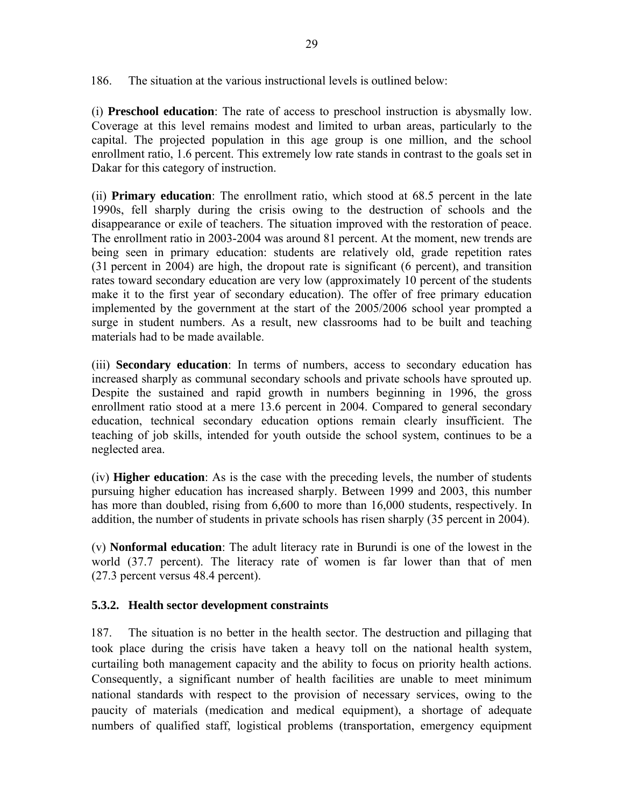186. The situation at the various instructional levels is outlined below:

(i) **Preschool education**: The rate of access to preschool instruction is abysmally low. Coverage at this level remains modest and limited to urban areas, particularly to the capital. The projected population in this age group is one million, and the school enrollment ratio, 1.6 percent. This extremely low rate stands in contrast to the goals set in Dakar for this category of instruction.

(ii) **Primary education**: The enrollment ratio, which stood at 68.5 percent in the late 1990s, fell sharply during the crisis owing to the destruction of schools and the disappearance or exile of teachers. The situation improved with the restoration of peace. The enrollment ratio in 2003-2004 was around 81 percent. At the moment, new trends are being seen in primary education: students are relatively old, grade repetition rates (31 percent in 2004) are high, the dropout rate is significant (6 percent), and transition rates toward secondary education are very low (approximately 10 percent of the students make it to the first year of secondary education). The offer of free primary education implemented by the government at the start of the 2005/2006 school year prompted a surge in student numbers. As a result, new classrooms had to be built and teaching materials had to be made available.

(iii) **Secondary education**: In terms of numbers, access to secondary education has increased sharply as communal secondary schools and private schools have sprouted up. Despite the sustained and rapid growth in numbers beginning in 1996, the gross enrollment ratio stood at a mere 13.6 percent in 2004. Compared to general secondary education, technical secondary education options remain clearly insufficient. The teaching of job skills, intended for youth outside the school system, continues to be a neglected area.

(iv) **Higher education**: As is the case with the preceding levels, the number of students pursuing higher education has increased sharply. Between 1999 and 2003, this number has more than doubled, rising from 6,600 to more than 16,000 students, respectively. In addition, the number of students in private schools has risen sharply (35 percent in 2004).

(v) **Nonformal education**: The adult literacy rate in Burundi is one of the lowest in the world (37.7 percent). The literacy rate of women is far lower than that of men (27.3 percent versus 48.4 percent).

### **5.3.2. Health sector development constraints**

187. The situation is no better in the health sector. The destruction and pillaging that took place during the crisis have taken a heavy toll on the national health system, curtailing both management capacity and the ability to focus on priority health actions. Consequently, a significant number of health facilities are unable to meet minimum national standards with respect to the provision of necessary services, owing to the paucity of materials (medication and medical equipment), a shortage of adequate numbers of qualified staff, logistical problems (transportation, emergency equipment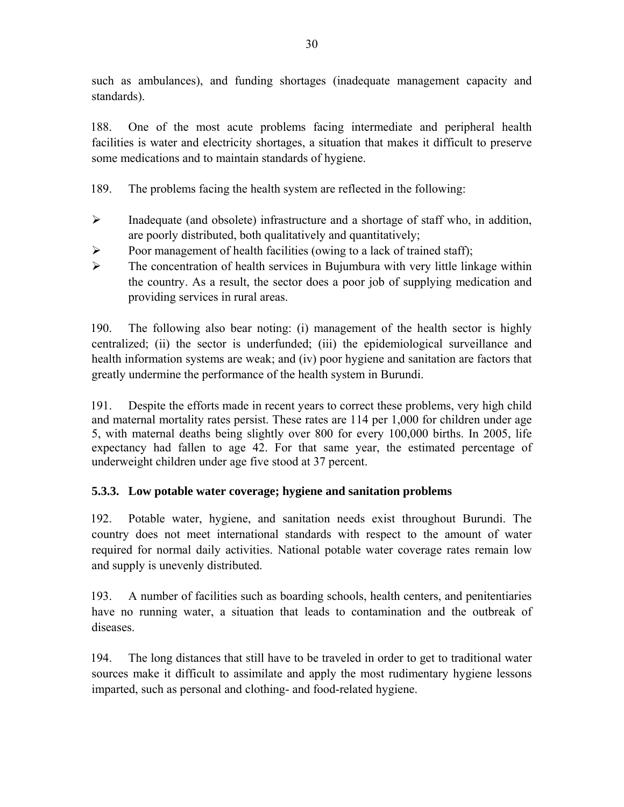such as ambulances), and funding shortages (inadequate management capacity and standards).

188. One of the most acute problems facing intermediate and peripheral health facilities is water and electricity shortages, a situation that makes it difficult to preserve some medications and to maintain standards of hygiene.

- 189. The problems facing the health system are reflected in the following:
- ¾ Inadequate (and obsolete) infrastructure and a shortage of staff who, in addition, are poorly distributed, both qualitatively and quantitatively;
- $\triangleright$  Poor management of health facilities (owing to a lack of trained staff);
- $\triangleright$  The concentration of health services in Bujumbura with very little linkage within the country. As a result, the sector does a poor job of supplying medication and providing services in rural areas.

190. The following also bear noting: (i) management of the health sector is highly centralized; (ii) the sector is underfunded; (iii) the epidemiological surveillance and health information systems are weak; and (iv) poor hygiene and sanitation are factors that greatly undermine the performance of the health system in Burundi.

191. Despite the efforts made in recent years to correct these problems, very high child and maternal mortality rates persist. These rates are 114 per 1,000 for children under age 5, with maternal deaths being slightly over 800 for every 100,000 births. In 2005, life expectancy had fallen to age 42. For that same year, the estimated percentage of underweight children under age five stood at 37 percent.

# **5.3.3. Low potable water coverage; hygiene and sanitation problems**

192. Potable water, hygiene, and sanitation needs exist throughout Burundi. The country does not meet international standards with respect to the amount of water required for normal daily activities. National potable water coverage rates remain low and supply is unevenly distributed.

193. A number of facilities such as boarding schools, health centers, and penitentiaries have no running water, a situation that leads to contamination and the outbreak of diseases.

194. The long distances that still have to be traveled in order to get to traditional water sources make it difficult to assimilate and apply the most rudimentary hygiene lessons imparted, such as personal and clothing- and food-related hygiene.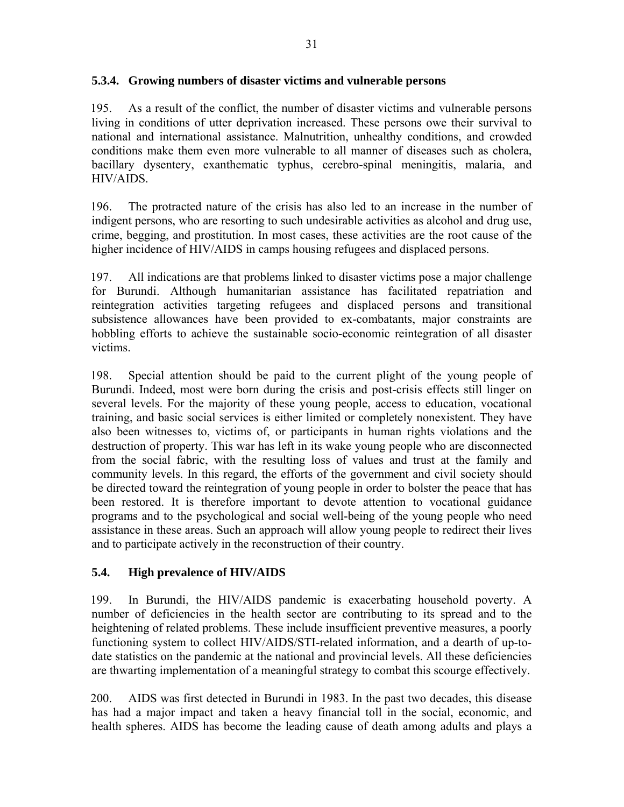#### **5.3.4. Growing numbers of disaster victims and vulnerable persons**

195. As a result of the conflict, the number of disaster victims and vulnerable persons living in conditions of utter deprivation increased. These persons owe their survival to national and international assistance. Malnutrition, unhealthy conditions, and crowded conditions make them even more vulnerable to all manner of diseases such as cholera, bacillary dysentery, exanthematic typhus, cerebro-spinal meningitis, malaria, and HIV/AIDS.

196. The protracted nature of the crisis has also led to an increase in the number of indigent persons, who are resorting to such undesirable activities as alcohol and drug use, crime, begging, and prostitution. In most cases, these activities are the root cause of the higher incidence of HIV/AIDS in camps housing refugees and displaced persons.

197. All indications are that problems linked to disaster victims pose a major challenge for Burundi. Although humanitarian assistance has facilitated repatriation and reintegration activities targeting refugees and displaced persons and transitional subsistence allowances have been provided to ex-combatants, major constraints are hobbling efforts to achieve the sustainable socio-economic reintegration of all disaster victims.

198. Special attention should be paid to the current plight of the young people of Burundi. Indeed, most were born during the crisis and post-crisis effects still linger on several levels. For the majority of these young people, access to education, vocational training, and basic social services is either limited or completely nonexistent. They have also been witnesses to, victims of, or participants in human rights violations and the destruction of property. This war has left in its wake young people who are disconnected from the social fabric, with the resulting loss of values and trust at the family and community levels. In this regard, the efforts of the government and civil society should be directed toward the reintegration of young people in order to bolster the peace that has been restored. It is therefore important to devote attention to vocational guidance programs and to the psychological and social well-being of the young people who need assistance in these areas. Such an approach will allow young people to redirect their lives and to participate actively in the reconstruction of their country.

# **5.4. High prevalence of HIV/AIDS**

199. In Burundi, the HIV/AIDS pandemic is exacerbating household poverty. A number of deficiencies in the health sector are contributing to its spread and to the heightening of related problems. These include insufficient preventive measures, a poorly functioning system to collect HIV/AIDS/STI-related information, and a dearth of up-todate statistics on the pandemic at the national and provincial levels. All these deficiencies are thwarting implementation of a meaningful strategy to combat this scourge effectively.

200. AIDS was first detected in Burundi in 1983. In the past two decades, this disease has had a major impact and taken a heavy financial toll in the social, economic, and health spheres. AIDS has become the leading cause of death among adults and plays a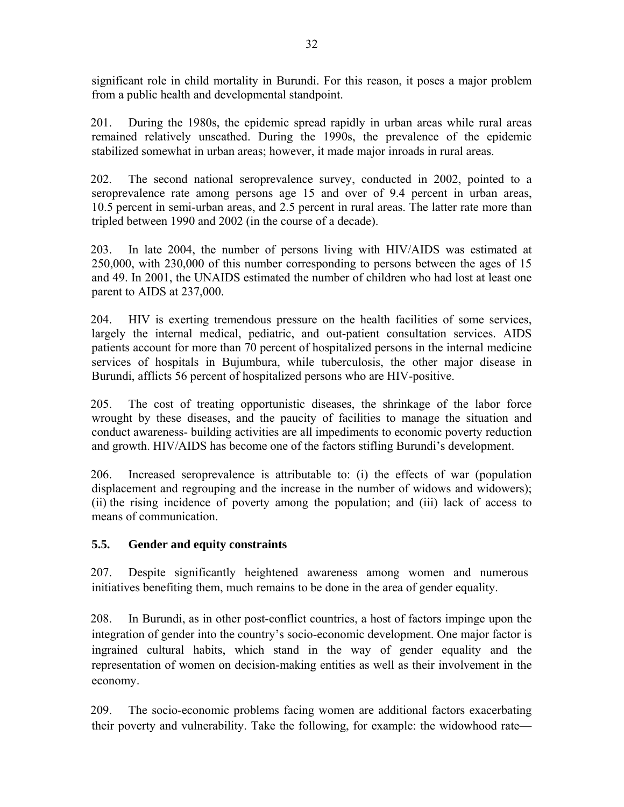significant role in child mortality in Burundi. For this reason, it poses a major problem from a public health and developmental standpoint.

201. During the 1980s, the epidemic spread rapidly in urban areas while rural areas remained relatively unscathed. During the 1990s, the prevalence of the epidemic stabilized somewhat in urban areas; however, it made major inroads in rural areas.

202. The second national seroprevalence survey, conducted in 2002, pointed to a seroprevalence rate among persons age 15 and over of 9.4 percent in urban areas, 10.5 percent in semi-urban areas, and 2.5 percent in rural areas. The latter rate more than tripled between 1990 and 2002 (in the course of a decade).

203. In late 2004, the number of persons living with HIV/AIDS was estimated at 250,000, with 230,000 of this number corresponding to persons between the ages of 15 and 49. In 2001, the UNAIDS estimated the number of children who had lost at least one parent to AIDS at 237,000.

204. HIV is exerting tremendous pressure on the health facilities of some services, largely the internal medical, pediatric, and out-patient consultation services. AIDS patients account for more than 70 percent of hospitalized persons in the internal medicine services of hospitals in Bujumbura, while tuberculosis, the other major disease in Burundi, afflicts 56 percent of hospitalized persons who are HIV-positive.

205. The cost of treating opportunistic diseases, the shrinkage of the labor force wrought by these diseases, and the paucity of facilities to manage the situation and conduct awareness- building activities are all impediments to economic poverty reduction and growth. HIV/AIDS has become one of the factors stifling Burundi's development.

206. Increased seroprevalence is attributable to: (i) the effects of war (population displacement and regrouping and the increase in the number of widows and widowers); (ii) the rising incidence of poverty among the population; and (iii) lack of access to means of communication.

### **5.5. Gender and equity constraints**

207. Despite significantly heightened awareness among women and numerous initiatives benefiting them, much remains to be done in the area of gender equality.

208. In Burundi, as in other post-conflict countries, a host of factors impinge upon the integration of gender into the country's socio-economic development. One major factor is ingrained cultural habits, which stand in the way of gender equality and the representation of women on decision-making entities as well as their involvement in the economy.

209. The socio-economic problems facing women are additional factors exacerbating their poverty and vulnerability. Take the following, for example: the widowhood rate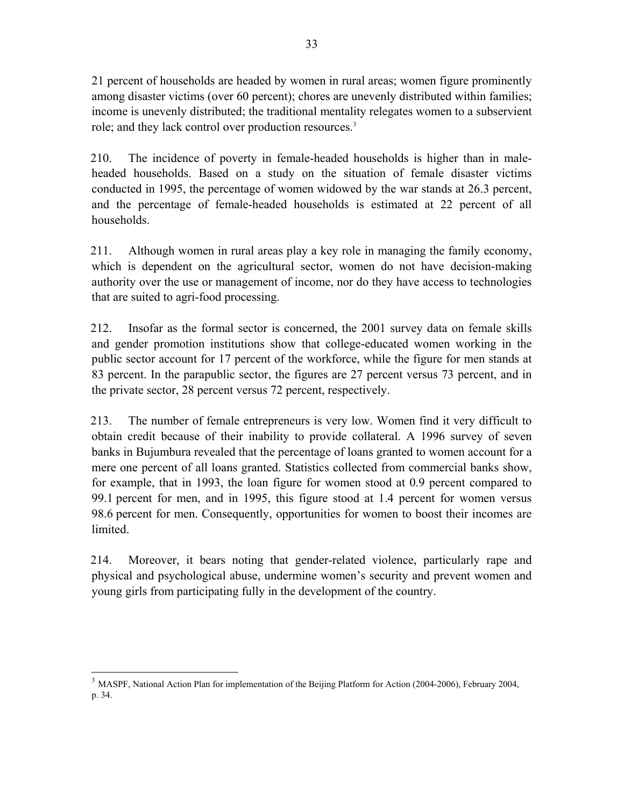21 percent of households are headed by women in rural areas; women figure prominently among disaster victims (over 60 percent); chores are unevenly distributed within families; income is unevenly distributed; the traditional mentality relegates women to a subservient role; and they lack control over production resources.<sup>3</sup>

210. The incidence of poverty in female-headed households is higher than in maleheaded households. Based on a study on the situation of female disaster victims conducted in 1995, the percentage of women widowed by the war stands at 26.3 percent, and the percentage of female-headed households is estimated at 22 percent of all households.

211. Although women in rural areas play a key role in managing the family economy, which is dependent on the agricultural sector, women do not have decision-making authority over the use or management of income, nor do they have access to technologies that are suited to agri-food processing.

212. Insofar as the formal sector is concerned, the 2001 survey data on female skills and gender promotion institutions show that college-educated women working in the public sector account for 17 percent of the workforce, while the figure for men stands at 83 percent. In the parapublic sector, the figures are 27 percent versus 73 percent, and in the private sector, 28 percent versus 72 percent, respectively.

213. The number of female entrepreneurs is very low. Women find it very difficult to obtain credit because of their inability to provide collateral. A 1996 survey of seven banks in Bujumbura revealed that the percentage of loans granted to women account for a mere one percent of all loans granted. Statistics collected from commercial banks show, for example, that in 1993, the loan figure for women stood at 0.9 percent compared to 99.1 percent for men, and in 1995, this figure stood at 1.4 percent for women versus 98.6 percent for men. Consequently, opportunities for women to boost their incomes are limited.

214. Moreover, it bears noting that gender-related violence, particularly rape and physical and psychological abuse, undermine women's security and prevent women and young girls from participating fully in the development of the country.

 $\overline{a}$ <sup>3</sup> MASPF, National Action Plan for implementation of the Beijing Platform for Action (2004-2006), February 2004, p. 34.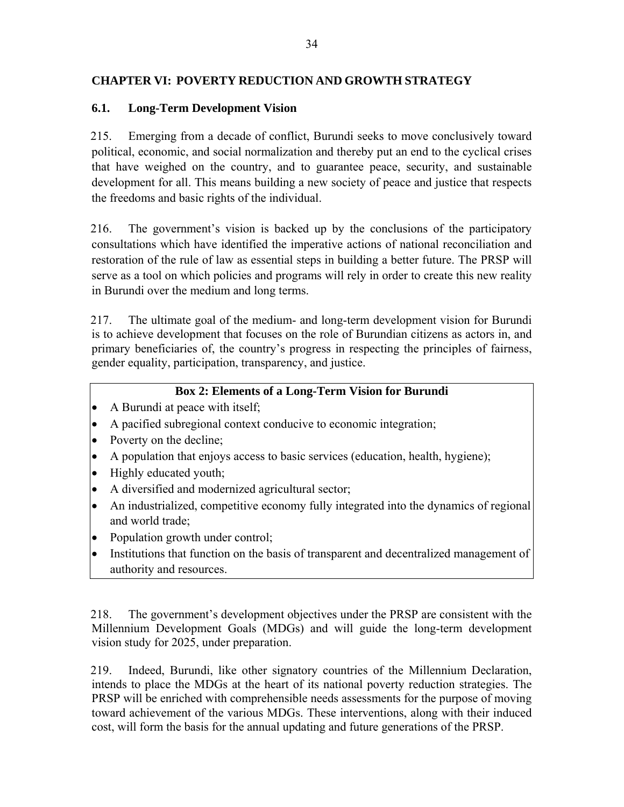### **CHAPTER VI: POVERTY REDUCTION AND GROWTH STRATEGY**

### **6.1. Long-Term Development Vision**

215. Emerging from a decade of conflict, Burundi seeks to move conclusively toward political, economic, and social normalization and thereby put an end to the cyclical crises that have weighed on the country, and to guarantee peace, security, and sustainable development for all. This means building a new society of peace and justice that respects the freedoms and basic rights of the individual.

216. The government's vision is backed up by the conclusions of the participatory consultations which have identified the imperative actions of national reconciliation and restoration of the rule of law as essential steps in building a better future. The PRSP will serve as a tool on which policies and programs will rely in order to create this new reality in Burundi over the medium and long terms.

217. The ultimate goal of the medium- and long-term development vision for Burundi is to achieve development that focuses on the role of Burundian citizens as actors in, and primary beneficiaries of, the country's progress in respecting the principles of fairness, gender equality, participation, transparency, and justice.

### **Box 2: Elements of a Long-Term Vision for Burundi**

- A Burundi at peace with itself;
- A pacified subregional context conducive to economic integration;
- Poverty on the decline;
- A population that enjoys access to basic services (education, health, hygiene);
- Highly educated youth;
- A diversified and modernized agricultural sector;
- An industrialized, competitive economy fully integrated into the dynamics of regional and world trade;
- Population growth under control;
- Institutions that function on the basis of transparent and decentralized management of authority and resources.

218. The government's development objectives under the PRSP are consistent with the Millennium Development Goals (MDGs) and will guide the long-term development vision study for 2025, under preparation.

219. Indeed, Burundi, like other signatory countries of the Millennium Declaration, intends to place the MDGs at the heart of its national poverty reduction strategies. The PRSP will be enriched with comprehensible needs assessments for the purpose of moving toward achievement of the various MDGs. These interventions, along with their induced cost, will form the basis for the annual updating and future generations of the PRSP.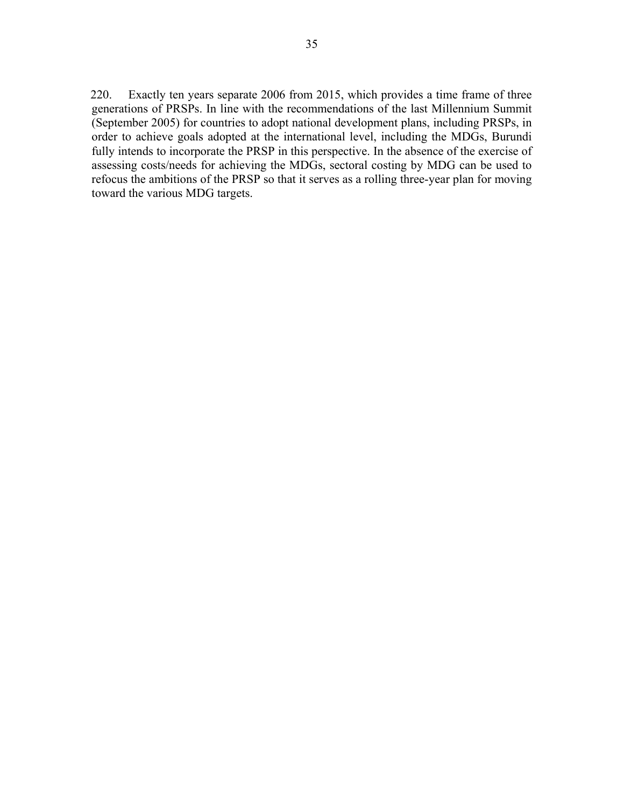220. Exactly ten years separate 2006 from 2015, which provides a time frame of three generations of PRSPs. In line with the recommendations of the last Millennium Summit (September 2005) for countries to adopt national development plans, including PRSPs, in order to achieve goals adopted at the international level, including the MDGs, Burundi fully intends to incorporate the PRSP in this perspective. In the absence of the exercise of assessing costs/needs for achieving the MDGs, sectoral costing by MDG can be used to refocus the ambitions of the PRSP so that it serves as a rolling three-year plan for moving toward the various MDG targets.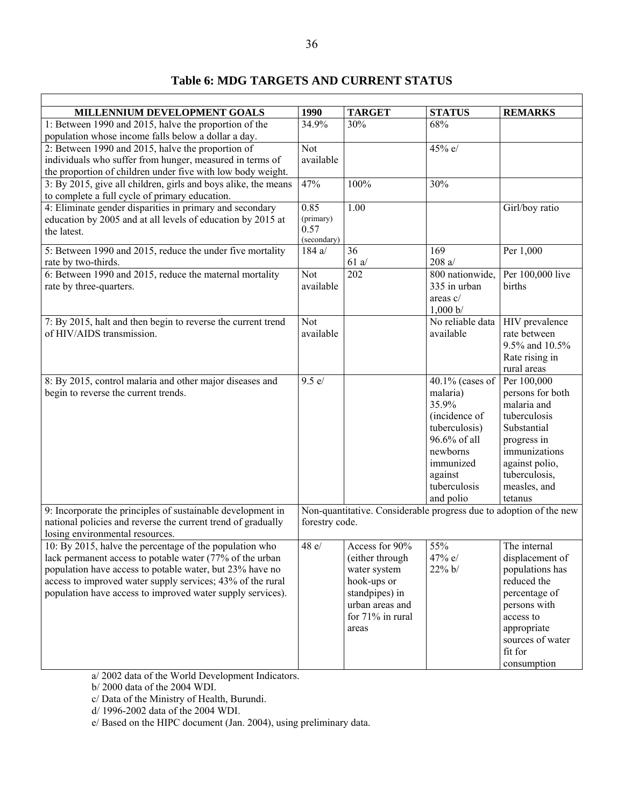# **Table 6: MDG TARGETS AND CURRENT STATUS**

| MILLENNIUM DEVELOPMENT GOALS                                                                                                           | 1990                                                                                 | <b>TARGET</b>    | <b>STATUS</b>                | <b>REMARKS</b>                 |  |
|----------------------------------------------------------------------------------------------------------------------------------------|--------------------------------------------------------------------------------------|------------------|------------------------------|--------------------------------|--|
| 1: Between 1990 and 2015, halve the proportion of the                                                                                  |                                                                                      | 30%              | 68%                          |                                |  |
| population whose income falls below a dollar a day.                                                                                    |                                                                                      |                  |                              |                                |  |
| 2: Between 1990 and 2015, halve the proportion of                                                                                      | Not                                                                                  |                  | 45% e/                       |                                |  |
| individuals who suffer from hunger, measured in terms of                                                                               | available                                                                            |                  |                              |                                |  |
| the proportion of children under five with low body weight.                                                                            |                                                                                      |                  |                              |                                |  |
| 3: By 2015, give all children, girls and boys alike, the means<br>to complete a full cycle of primary education.                       | 47%                                                                                  | 100%             | 30%                          |                                |  |
| 4: Eliminate gender disparities in primary and secondary<br>education by 2005 and at all levels of education by 2015 at<br>the latest. | 0.85<br>(primary)<br>0.57<br>(secondary)                                             | 1.00             |                              | Girl/boy ratio                 |  |
| 5: Between 1990 and 2015, reduce the under five mortality                                                                              | 184 a/                                                                               | 36               | 169                          | Per 1,000                      |  |
| rate by two-thirds.                                                                                                                    |                                                                                      | $61$ a/          | 208a/                        |                                |  |
| 6: Between 1990 and 2015, reduce the maternal mortality                                                                                | <b>Not</b>                                                                           | 202              | $800$ nationwide,            | Per 100,000 live               |  |
| rate by three-quarters.                                                                                                                | available                                                                            |                  | 335 in urban                 | births                         |  |
|                                                                                                                                        |                                                                                      |                  | areas $c/$                   |                                |  |
|                                                                                                                                        |                                                                                      |                  | 1,000 b/<br>No reliable data |                                |  |
| 7: By 2015, halt and then begin to reverse the current trend<br>of HIV/AIDS transmission.                                              | <b>Not</b><br>available                                                              |                  | available                    | HIV prevalence<br>rate between |  |
|                                                                                                                                        |                                                                                      |                  |                              | 9.5% and 10.5%                 |  |
|                                                                                                                                        |                                                                                      |                  |                              | Rate rising in                 |  |
|                                                                                                                                        |                                                                                      |                  |                              | rural areas                    |  |
| 8: By 2015, control malaria and other major diseases and                                                                               | 9.5 e/                                                                               |                  | $40.1\%$ (cases of           | Per 100,000                    |  |
| begin to reverse the current trends.                                                                                                   |                                                                                      |                  | malaria)                     | persons for both               |  |
|                                                                                                                                        |                                                                                      |                  | 35.9%                        | malaria and                    |  |
|                                                                                                                                        |                                                                                      |                  | (incidence of                | tuberculosis                   |  |
|                                                                                                                                        |                                                                                      |                  | tuberculosis)                | Substantial                    |  |
|                                                                                                                                        |                                                                                      |                  | 96.6% of all                 | progress in                    |  |
|                                                                                                                                        |                                                                                      |                  | newborns                     | immunizations                  |  |
|                                                                                                                                        |                                                                                      |                  | immunized                    | against polio,                 |  |
|                                                                                                                                        |                                                                                      |                  | against                      | tuberculosis,                  |  |
|                                                                                                                                        |                                                                                      |                  | tuberculosis                 | measles, and                   |  |
|                                                                                                                                        |                                                                                      |                  | and polio                    | tetanus                        |  |
| 9: Incorporate the principles of sustainable development in<br>national policies and reverse the current trend of gradually            | Non-quantitative. Considerable progress due to adoption of the new<br>forestry code. |                  |                              |                                |  |
| losing environmental resources.<br>10: By 2015, halve the percentage of the population who                                             | 48 e/                                                                                | Access for 90%   | 55%                          | The internal                   |  |
| lack permanent access to potable water (77% of the urban                                                                               |                                                                                      | (either through  | 47% e/                       | displacement of                |  |
| population have access to potable water, but 23% have no                                                                               |                                                                                      | water system     | 22% b/                       | populations has                |  |
| access to improved water supply services; 43% of the rural                                                                             |                                                                                      | hook-ups or      |                              | reduced the                    |  |
| population have access to improved water supply services).                                                                             |                                                                                      | standpipes) in   |                              | percentage of                  |  |
|                                                                                                                                        |                                                                                      | urban areas and  |                              | persons with                   |  |
|                                                                                                                                        |                                                                                      | for 71% in rural |                              | access to                      |  |
|                                                                                                                                        |                                                                                      | areas            |                              | appropriate                    |  |
|                                                                                                                                        |                                                                                      |                  |                              | sources of water               |  |
|                                                                                                                                        |                                                                                      |                  |                              | fit for                        |  |
|                                                                                                                                        |                                                                                      |                  |                              | consumption                    |  |

a/ 2002 data of the World Development Indicators.

b/ 2000 data of the 2004 WDI.

c/ Data of the Ministry of Health, Burundi.

d/ 1996-2002 data of the 2004 WDI.

e/ Based on the HIPC document (Jan. 2004), using preliminary data.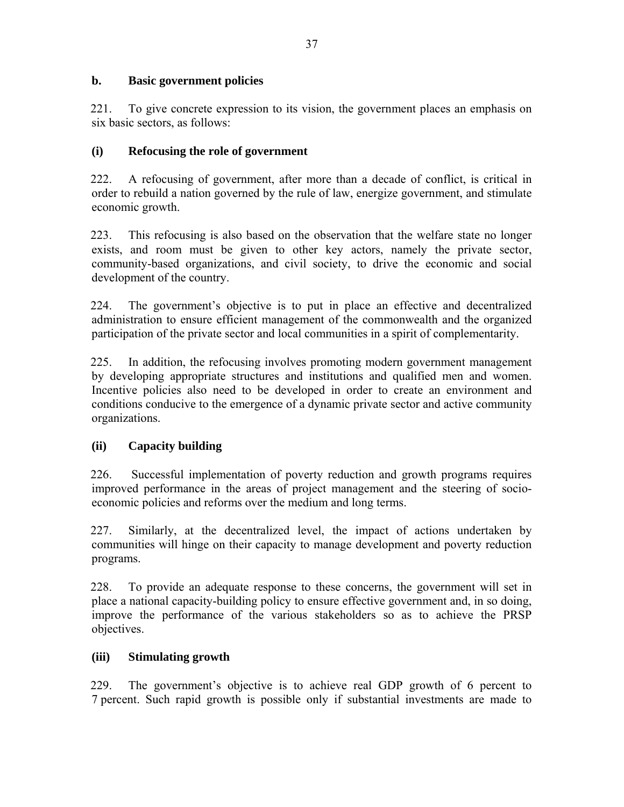#### **b. Basic government policies**

221. To give concrete expression to its vision, the government places an emphasis on six basic sectors, as follows:

#### **(i) Refocusing the role of government**

222. A refocusing of government, after more than a decade of conflict, is critical in order to rebuild a nation governed by the rule of law, energize government, and stimulate economic growth.

223. This refocusing is also based on the observation that the welfare state no longer exists, and room must be given to other key actors, namely the private sector, community-based organizations, and civil society, to drive the economic and social development of the country.

224. The government's objective is to put in place an effective and decentralized administration to ensure efficient management of the commonwealth and the organized participation of the private sector and local communities in a spirit of complementarity.

225. In addition, the refocusing involves promoting modern government management by developing appropriate structures and institutions and qualified men and women. Incentive policies also need to be developed in order to create an environment and conditions conducive to the emergence of a dynamic private sector and active community organizations.

### **(ii) Capacity building**

226. Successful implementation of poverty reduction and growth programs requires improved performance in the areas of project management and the steering of socioeconomic policies and reforms over the medium and long terms.

227. Similarly, at the decentralized level, the impact of actions undertaken by communities will hinge on their capacity to manage development and poverty reduction programs.

228. To provide an adequate response to these concerns, the government will set in place a national capacity-building policy to ensure effective government and, in so doing, improve the performance of the various stakeholders so as to achieve the PRSP objectives.

#### **(iii) Stimulating growth**

229. The government's objective is to achieve real GDP growth of 6 percent to 7 percent. Such rapid growth is possible only if substantial investments are made to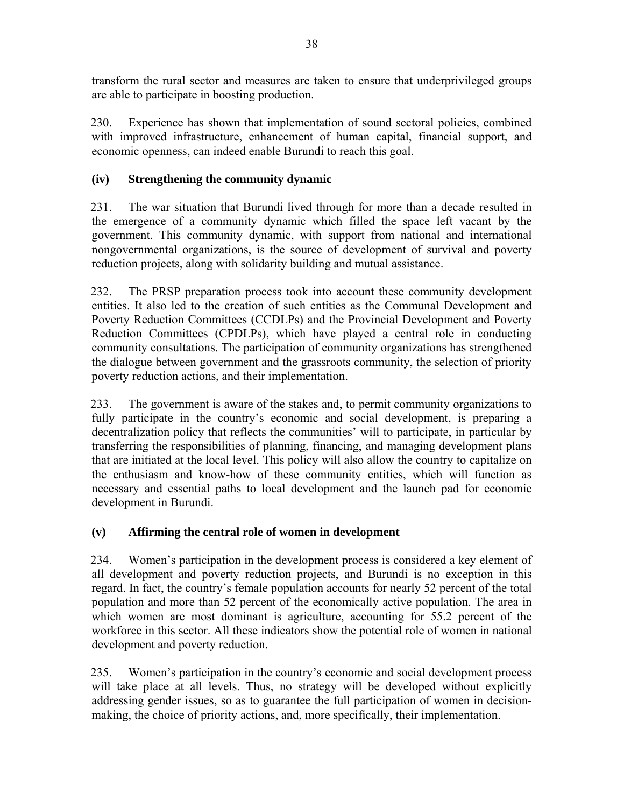transform the rural sector and measures are taken to ensure that underprivileged groups are able to participate in boosting production.

230. Experience has shown that implementation of sound sectoral policies, combined with improved infrastructure, enhancement of human capital, financial support, and economic openness, can indeed enable Burundi to reach this goal.

# **(iv) Strengthening the community dynamic**

231. The war situation that Burundi lived through for more than a decade resulted in the emergence of a community dynamic which filled the space left vacant by the government. This community dynamic, with support from national and international nongovernmental organizations, is the source of development of survival and poverty reduction projects, along with solidarity building and mutual assistance.

232. The PRSP preparation process took into account these community development entities. It also led to the creation of such entities as the Communal Development and Poverty Reduction Committees (CCDLPs) and the Provincial Development and Poverty Reduction Committees (CPDLPs), which have played a central role in conducting community consultations. The participation of community organizations has strengthened the dialogue between government and the grassroots community, the selection of priority poverty reduction actions, and their implementation.

233. The government is aware of the stakes and, to permit community organizations to fully participate in the country's economic and social development, is preparing a decentralization policy that reflects the communities' will to participate, in particular by transferring the responsibilities of planning, financing, and managing development plans that are initiated at the local level. This policy will also allow the country to capitalize on the enthusiasm and know-how of these community entities, which will function as necessary and essential paths to local development and the launch pad for economic development in Burundi.

# **(v) Affirming the central role of women in development**

234. Women's participation in the development process is considered a key element of all development and poverty reduction projects, and Burundi is no exception in this regard. In fact, the country's female population accounts for nearly 52 percent of the total population and more than 52 percent of the economically active population. The area in which women are most dominant is agriculture, accounting for 55.2 percent of the workforce in this sector. All these indicators show the potential role of women in national development and poverty reduction.

235. Women's participation in the country's economic and social development process will take place at all levels. Thus, no strategy will be developed without explicitly addressing gender issues, so as to guarantee the full participation of women in decisionmaking, the choice of priority actions, and, more specifically, their implementation.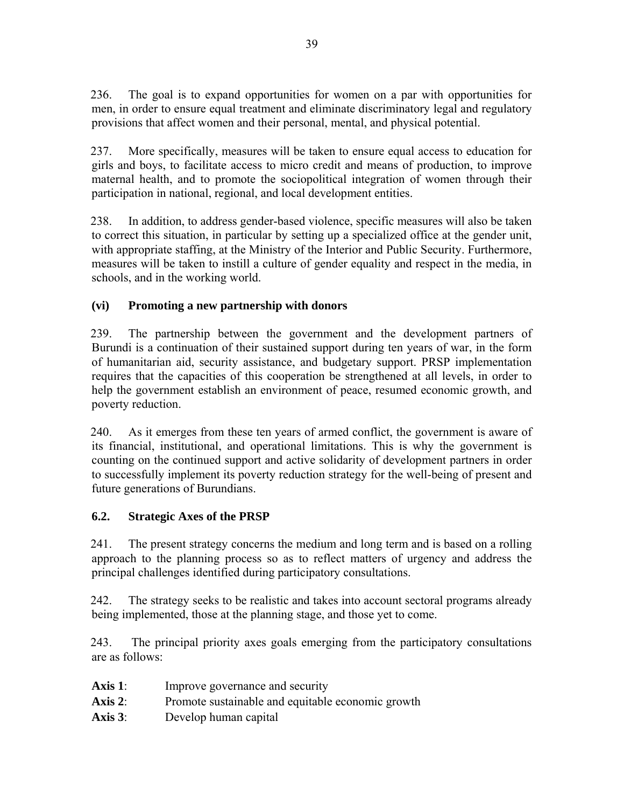236. The goal is to expand opportunities for women on a par with opportunities for men, in order to ensure equal treatment and eliminate discriminatory legal and regulatory provisions that affect women and their personal, mental, and physical potential.

237. More specifically, measures will be taken to ensure equal access to education for girls and boys, to facilitate access to micro credit and means of production, to improve maternal health, and to promote the sociopolitical integration of women through their participation in national, regional, and local development entities.

238. In addition, to address gender-based violence, specific measures will also be taken to correct this situation, in particular by setting up a specialized office at the gender unit, with appropriate staffing, at the Ministry of the Interior and Public Security. Furthermore, measures will be taken to instill a culture of gender equality and respect in the media, in schools, and in the working world.

# **(vi) Promoting a new partnership with donors**

239. The partnership between the government and the development partners of Burundi is a continuation of their sustained support during ten years of war, in the form of humanitarian aid, security assistance, and budgetary support. PRSP implementation requires that the capacities of this cooperation be strengthened at all levels, in order to help the government establish an environment of peace, resumed economic growth, and poverty reduction.

240. As it emerges from these ten years of armed conflict, the government is aware of its financial, institutional, and operational limitations. This is why the government is counting on the continued support and active solidarity of development partners in order to successfully implement its poverty reduction strategy for the well-being of present and future generations of Burundians.

# **6.2. Strategic Axes of the PRSP**

241. The present strategy concerns the medium and long term and is based on a rolling approach to the planning process so as to reflect matters of urgency and address the principal challenges identified during participatory consultations.

242. The strategy seeks to be realistic and takes into account sectoral programs already being implemented, those at the planning stage, and those yet to come.

243. The principal priority axes goals emerging from the participatory consultations are as follows:

- Axis 1: Improve governance and security
- Axis 2: Promote sustainable and equitable economic growth
- **Axis 3**: Develop human capital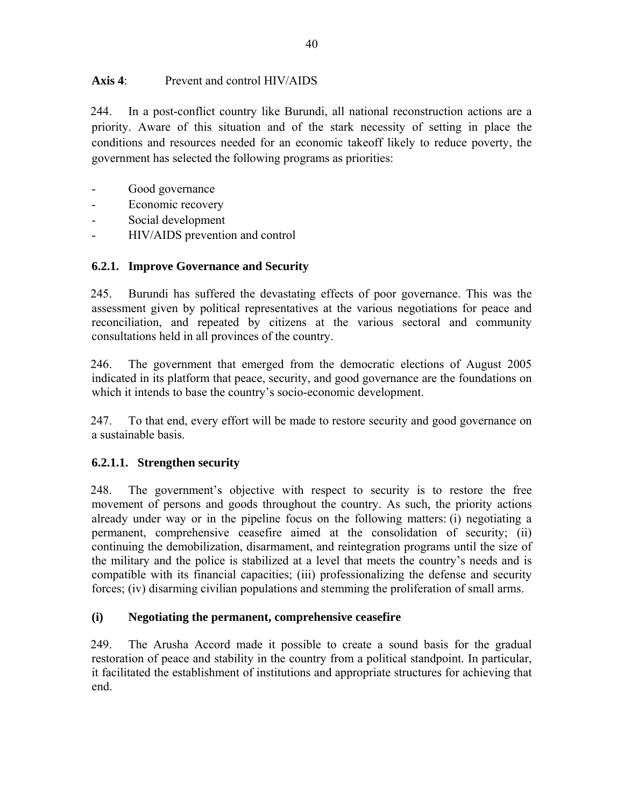### **Axis 4**: Prevent and control HIV/AIDS

244. In a post-conflict country like Burundi, all national reconstruction actions are a priority. Aware of this situation and of the stark necessity of setting in place the conditions and resources needed for an economic takeoff likely to reduce poverty, the government has selected the following programs as priorities:

- Good governance
- Economic recovery
- Social development
- HIV/AIDS prevention and control

# **6.2.1. Improve Governance and Security**

245. Burundi has suffered the devastating effects of poor governance. This was the assessment given by political representatives at the various negotiations for peace and reconciliation, and repeated by citizens at the various sectoral and community consultations held in all provinces of the country.

246. The government that emerged from the democratic elections of August 2005 indicated in its platform that peace, security, and good governance are the foundations on which it intends to base the country's socio-economic development.

247. To that end, every effort will be made to restore security and good governance on a sustainable basis.

# **6.2.1.1. Strengthen security**

248. The government's objective with respect to security is to restore the free movement of persons and goods throughout the country. As such, the priority actions already under way or in the pipeline focus on the following matters: (i) negotiating a permanent, comprehensive ceasefire aimed at the consolidation of security; (ii) continuing the demobilization, disarmament, and reintegration programs until the size of the military and the police is stabilized at a level that meets the country's needs and is compatible with its financial capacities; (iii) professionalizing the defense and security forces; (iv) disarming civilian populations and stemming the proliferation of small arms.

# **(i) Negotiating the permanent, comprehensive ceasefire**

249. The Arusha Accord made it possible to create a sound basis for the gradual restoration of peace and stability in the country from a political standpoint. In particular, it facilitated the establishment of institutions and appropriate structures for achieving that end.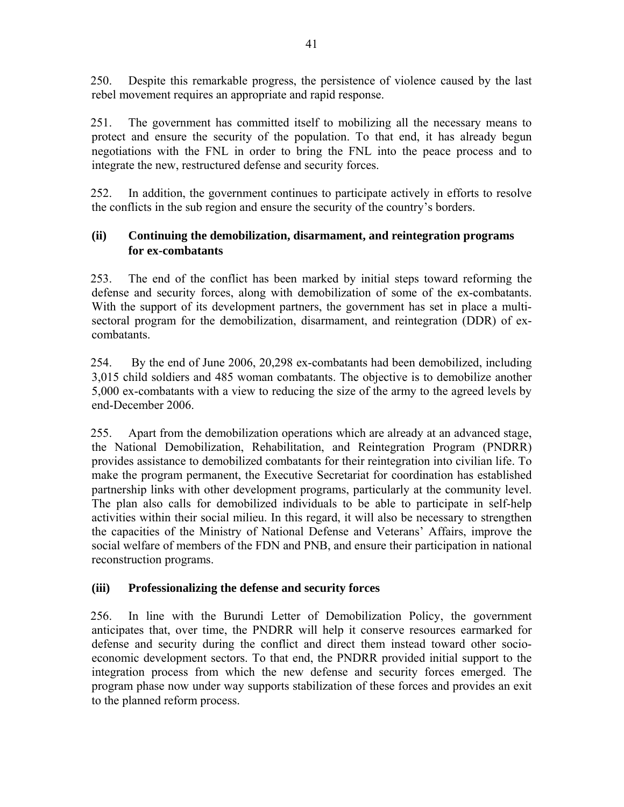250. Despite this remarkable progress, the persistence of violence caused by the last rebel movement requires an appropriate and rapid response.

251. The government has committed itself to mobilizing all the necessary means to protect and ensure the security of the population. To that end, it has already begun negotiations with the FNL in order to bring the FNL into the peace process and to integrate the new, restructured defense and security forces.

252. In addition, the government continues to participate actively in efforts to resolve the conflicts in the sub region and ensure the security of the country's borders.

### **(ii) Continuing the demobilization, disarmament, and reintegration programs for ex-combatants**

253. The end of the conflict has been marked by initial steps toward reforming the defense and security forces, along with demobilization of some of the ex-combatants. With the support of its development partners, the government has set in place a multisectoral program for the demobilization, disarmament, and reintegration (DDR) of excombatants.

254. By the end of June 2006, 20,298 ex-combatants had been demobilized, including 3,015 child soldiers and 485 woman combatants. The objective is to demobilize another 5,000 ex-combatants with a view to reducing the size of the army to the agreed levels by end-December 2006.

255. Apart from the demobilization operations which are already at an advanced stage, the National Demobilization, Rehabilitation, and Reintegration Program (PNDRR) provides assistance to demobilized combatants for their reintegration into civilian life. To make the program permanent, the Executive Secretariat for coordination has established partnership links with other development programs, particularly at the community level. The plan also calls for demobilized individuals to be able to participate in self-help activities within their social milieu. In this regard, it will also be necessary to strengthen the capacities of the Ministry of National Defense and Veterans' Affairs, improve the social welfare of members of the FDN and PNB, and ensure their participation in national reconstruction programs.

### **(iii) Professionalizing the defense and security forces**

256. In line with the Burundi Letter of Demobilization Policy, the government anticipates that, over time, the PNDRR will help it conserve resources earmarked for defense and security during the conflict and direct them instead toward other socioeconomic development sectors. To that end, the PNDRR provided initial support to the integration process from which the new defense and security forces emerged. The program phase now under way supports stabilization of these forces and provides an exit to the planned reform process.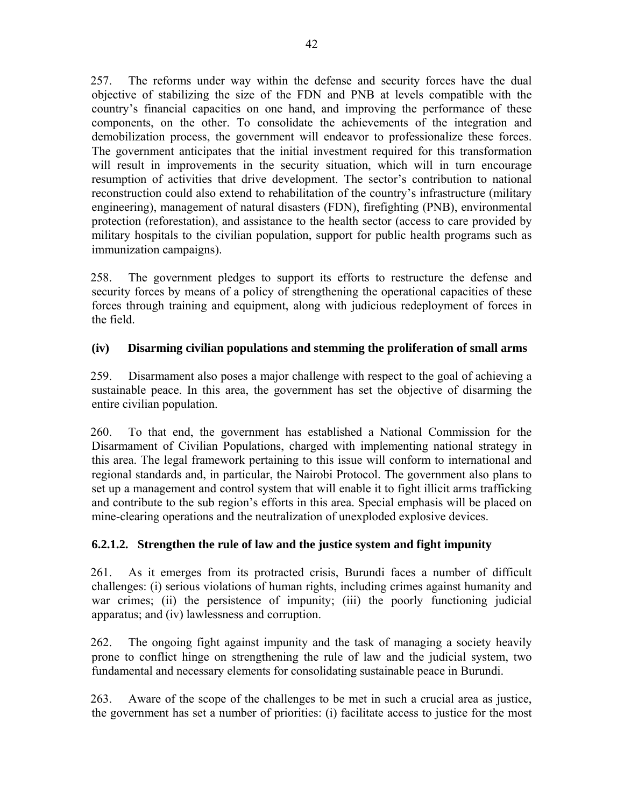257. The reforms under way within the defense and security forces have the dual objective of stabilizing the size of the FDN and PNB at levels compatible with the country's financial capacities on one hand, and improving the performance of these components, on the other. To consolidate the achievements of the integration and demobilization process, the government will endeavor to professionalize these forces. The government anticipates that the initial investment required for this transformation will result in improvements in the security situation, which will in turn encourage resumption of activities that drive development. The sector's contribution to national reconstruction could also extend to rehabilitation of the country's infrastructure (military engineering), management of natural disasters (FDN), firefighting (PNB), environmental protection (reforestation), and assistance to the health sector (access to care provided by military hospitals to the civilian population, support for public health programs such as immunization campaigns).

258. The government pledges to support its efforts to restructure the defense and security forces by means of a policy of strengthening the operational capacities of these forces through training and equipment, along with judicious redeployment of forces in the field.

### **(iv) Disarming civilian populations and stemming the proliferation of small arms**

259. Disarmament also poses a major challenge with respect to the goal of achieving a sustainable peace. In this area, the government has set the objective of disarming the entire civilian population.

260. To that end, the government has established a National Commission for the Disarmament of Civilian Populations, charged with implementing national strategy in this area. The legal framework pertaining to this issue will conform to international and regional standards and, in particular, the Nairobi Protocol. The government also plans to set up a management and control system that will enable it to fight illicit arms trafficking and contribute to the sub region's efforts in this area. Special emphasis will be placed on mine-clearing operations and the neutralization of unexploded explosive devices.

### **6.2.1.2. Strengthen the rule of law and the justice system and fight impunity**

261. As it emerges from its protracted crisis, Burundi faces a number of difficult challenges: (i) serious violations of human rights, including crimes against humanity and war crimes; (ii) the persistence of impunity; (iii) the poorly functioning judicial apparatus; and (iv) lawlessness and corruption.

262. The ongoing fight against impunity and the task of managing a society heavily prone to conflict hinge on strengthening the rule of law and the judicial system, two fundamental and necessary elements for consolidating sustainable peace in Burundi.

263. Aware of the scope of the challenges to be met in such a crucial area as justice, the government has set a number of priorities: (i) facilitate access to justice for the most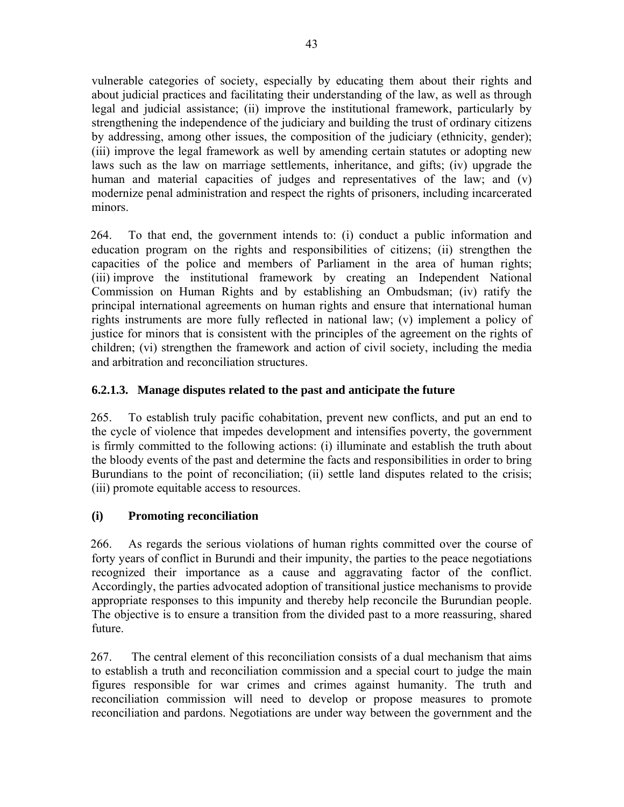vulnerable categories of society, especially by educating them about their rights and about judicial practices and facilitating their understanding of the law, as well as through legal and judicial assistance; (ii) improve the institutional framework, particularly by strengthening the independence of the judiciary and building the trust of ordinary citizens by addressing, among other issues, the composition of the judiciary (ethnicity, gender); (iii) improve the legal framework as well by amending certain statutes or adopting new laws such as the law on marriage settlements, inheritance, and gifts; (iv) upgrade the human and material capacities of judges and representatives of the law; and (v) modernize penal administration and respect the rights of prisoners, including incarcerated minors.

264. To that end, the government intends to: (i) conduct a public information and education program on the rights and responsibilities of citizens; (ii) strengthen the capacities of the police and members of Parliament in the area of human rights; (iii) improve the institutional framework by creating an Independent National Commission on Human Rights and by establishing an Ombudsman; (iv) ratify the principal international agreements on human rights and ensure that international human rights instruments are more fully reflected in national law; (v) implement a policy of justice for minors that is consistent with the principles of the agreement on the rights of children; (vi) strengthen the framework and action of civil society, including the media and arbitration and reconciliation structures.

# **6.2.1.3. Manage disputes related to the past and anticipate the future**

265. To establish truly pacific cohabitation, prevent new conflicts, and put an end to the cycle of violence that impedes development and intensifies poverty, the government is firmly committed to the following actions: (i) illuminate and establish the truth about the bloody events of the past and determine the facts and responsibilities in order to bring Burundians to the point of reconciliation; (ii) settle land disputes related to the crisis; (iii) promote equitable access to resources.

# **(i) Promoting reconciliation**

266. As regards the serious violations of human rights committed over the course of forty years of conflict in Burundi and their impunity, the parties to the peace negotiations recognized their importance as a cause and aggravating factor of the conflict. Accordingly, the parties advocated adoption of transitional justice mechanisms to provide appropriate responses to this impunity and thereby help reconcile the Burundian people. The objective is to ensure a transition from the divided past to a more reassuring, shared future.

267. The central element of this reconciliation consists of a dual mechanism that aims to establish a truth and reconciliation commission and a special court to judge the main figures responsible for war crimes and crimes against humanity. The truth and reconciliation commission will need to develop or propose measures to promote reconciliation and pardons. Negotiations are under way between the government and the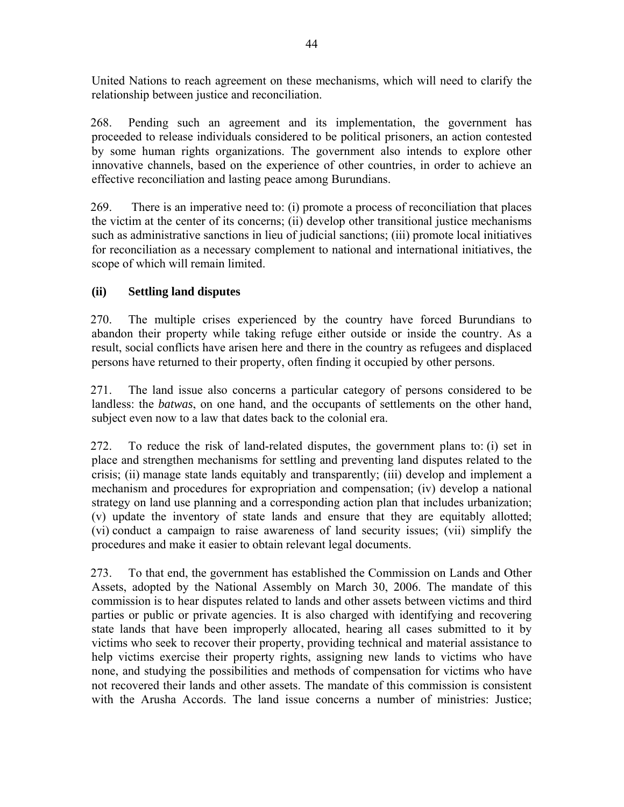United Nations to reach agreement on these mechanisms, which will need to clarify the relationship between justice and reconciliation.

268. Pending such an agreement and its implementation, the government has proceeded to release individuals considered to be political prisoners, an action contested by some human rights organizations. The government also intends to explore other innovative channels, based on the experience of other countries, in order to achieve an effective reconciliation and lasting peace among Burundians.

269. There is an imperative need to: (i) promote a process of reconciliation that places the victim at the center of its concerns; (ii) develop other transitional justice mechanisms such as administrative sanctions in lieu of judicial sanctions; (iii) promote local initiatives for reconciliation as a necessary complement to national and international initiatives, the scope of which will remain limited.

# **(ii) Settling land disputes**

270. The multiple crises experienced by the country have forced Burundians to abandon their property while taking refuge either outside or inside the country. As a result, social conflicts have arisen here and there in the country as refugees and displaced persons have returned to their property, often finding it occupied by other persons.

271. The land issue also concerns a particular category of persons considered to be landless: the *batwas*, on one hand, and the occupants of settlements on the other hand, subject even now to a law that dates back to the colonial era.

272. To reduce the risk of land-related disputes, the government plans to: (i) set in place and strengthen mechanisms for settling and preventing land disputes related to the crisis; (ii) manage state lands equitably and transparently; (iii) develop and implement a mechanism and procedures for expropriation and compensation; (iv) develop a national strategy on land use planning and a corresponding action plan that includes urbanization; (v) update the inventory of state lands and ensure that they are equitably allotted; (vi) conduct a campaign to raise awareness of land security issues; (vii) simplify the procedures and make it easier to obtain relevant legal documents.

273. To that end, the government has established the Commission on Lands and Other Assets, adopted by the National Assembly on March 30, 2006. The mandate of this commission is to hear disputes related to lands and other assets between victims and third parties or public or private agencies. It is also charged with identifying and recovering state lands that have been improperly allocated, hearing all cases submitted to it by victims who seek to recover their property, providing technical and material assistance to help victims exercise their property rights, assigning new lands to victims who have none, and studying the possibilities and methods of compensation for victims who have not recovered their lands and other assets. The mandate of this commission is consistent with the Arusha Accords. The land issue concerns a number of ministries: Justice;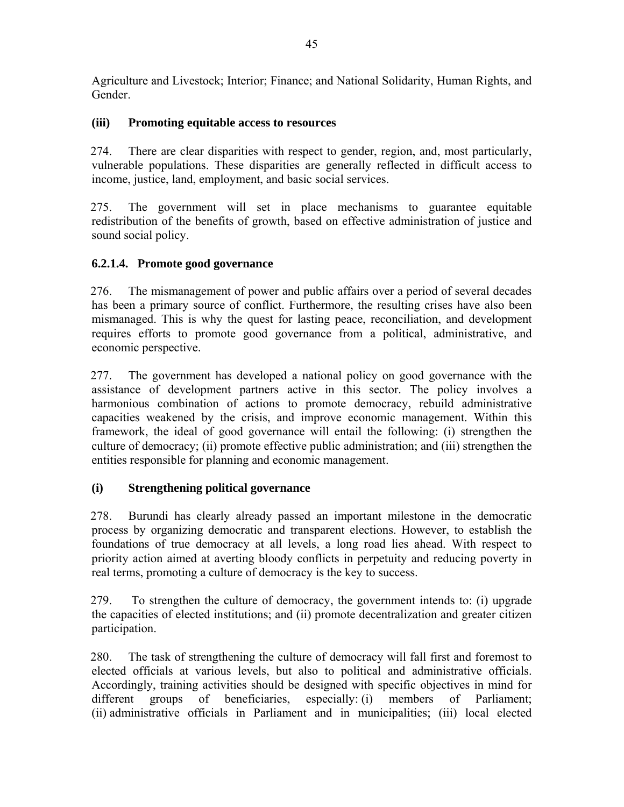Agriculture and Livestock; Interior; Finance; and National Solidarity, Human Rights, and Gender.

### **(iii) Promoting equitable access to resources**

274. There are clear disparities with respect to gender, region, and, most particularly, vulnerable populations. These disparities are generally reflected in difficult access to income, justice, land, employment, and basic social services.

275. The government will set in place mechanisms to guarantee equitable redistribution of the benefits of growth, based on effective administration of justice and sound social policy.

### **6.2.1.4. Promote good governance**

276. The mismanagement of power and public affairs over a period of several decades has been a primary source of conflict. Furthermore, the resulting crises have also been mismanaged. This is why the quest for lasting peace, reconciliation, and development requires efforts to promote good governance from a political, administrative, and economic perspective.

277. The government has developed a national policy on good governance with the assistance of development partners active in this sector. The policy involves a harmonious combination of actions to promote democracy, rebuild administrative capacities weakened by the crisis, and improve economic management. Within this framework, the ideal of good governance will entail the following: (i) strengthen the culture of democracy; (ii) promote effective public administration; and (iii) strengthen the entities responsible for planning and economic management.

# **(i) Strengthening political governance**

278. Burundi has clearly already passed an important milestone in the democratic process by organizing democratic and transparent elections. However, to establish the foundations of true democracy at all levels, a long road lies ahead. With respect to priority action aimed at averting bloody conflicts in perpetuity and reducing poverty in real terms, promoting a culture of democracy is the key to success.

279. To strengthen the culture of democracy, the government intends to: (i) upgrade the capacities of elected institutions; and (ii) promote decentralization and greater citizen participation.

280. The task of strengthening the culture of democracy will fall first and foremost to elected officials at various levels, but also to political and administrative officials. Accordingly, training activities should be designed with specific objectives in mind for different groups of beneficiaries, especially: (i) members of Parliament; (ii) administrative officials in Parliament and in municipalities; (iii) local elected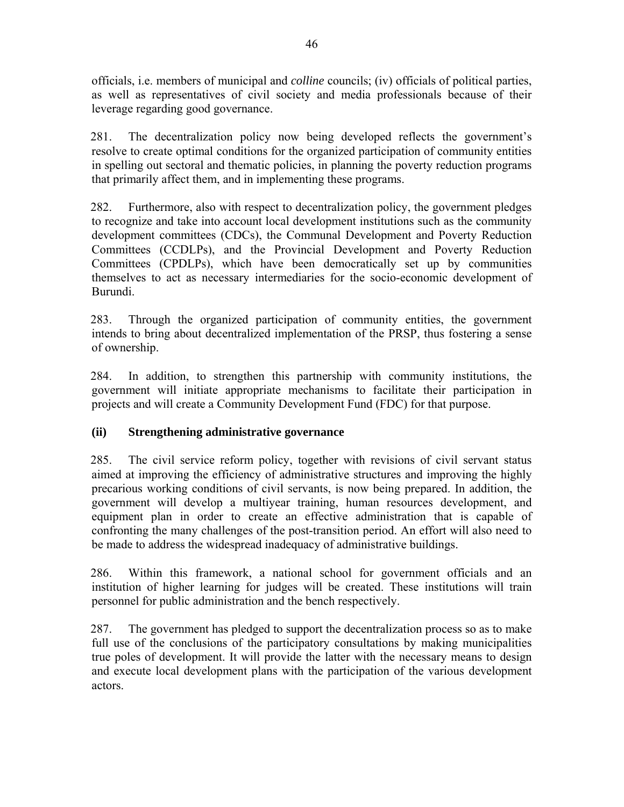officials, i.e. members of municipal and *colline* councils; (iv) officials of political parties, as well as representatives of civil society and media professionals because of their leverage regarding good governance.

281. The decentralization policy now being developed reflects the government's resolve to create optimal conditions for the organized participation of community entities in spelling out sectoral and thematic policies, in planning the poverty reduction programs that primarily affect them, and in implementing these programs.

282. Furthermore, also with respect to decentralization policy, the government pledges to recognize and take into account local development institutions such as the community development committees (CDCs), the Communal Development and Poverty Reduction Committees (CCDLPs), and the Provincial Development and Poverty Reduction Committees (CPDLPs), which have been democratically set up by communities themselves to act as necessary intermediaries for the socio-economic development of Burundi.

283. Through the organized participation of community entities, the government intends to bring about decentralized implementation of the PRSP, thus fostering a sense of ownership.

284. In addition, to strengthen this partnership with community institutions, the government will initiate appropriate mechanisms to facilitate their participation in projects and will create a Community Development Fund (FDC) for that purpose.

# **(ii) Strengthening administrative governance**

285. The civil service reform policy, together with revisions of civil servant status aimed at improving the efficiency of administrative structures and improving the highly precarious working conditions of civil servants, is now being prepared. In addition, the government will develop a multiyear training, human resources development, and equipment plan in order to create an effective administration that is capable of confronting the many challenges of the post-transition period. An effort will also need to be made to address the widespread inadequacy of administrative buildings.

286. Within this framework, a national school for government officials and an institution of higher learning for judges will be created. These institutions will train personnel for public administration and the bench respectively.

287. The government has pledged to support the decentralization process so as to make full use of the conclusions of the participatory consultations by making municipalities true poles of development. It will provide the latter with the necessary means to design and execute local development plans with the participation of the various development actors.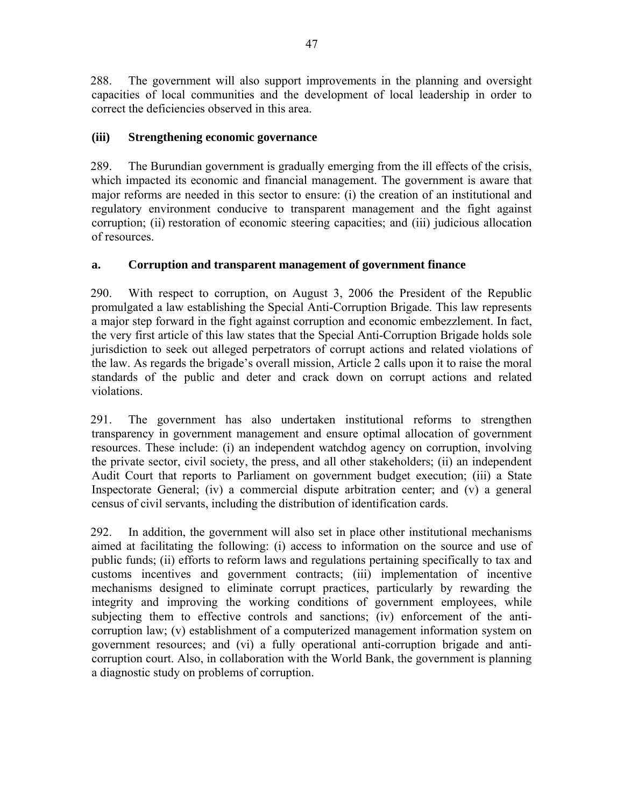288. The government will also support improvements in the planning and oversight capacities of local communities and the development of local leadership in order to correct the deficiencies observed in this area.

### **(iii) Strengthening economic governance**

289. The Burundian government is gradually emerging from the ill effects of the crisis, which impacted its economic and financial management. The government is aware that major reforms are needed in this sector to ensure: (i) the creation of an institutional and regulatory environment conducive to transparent management and the fight against corruption; (ii) restoration of economic steering capacities; and (iii) judicious allocation of resources.

### **a. Corruption and transparent management of government finance**

290. With respect to corruption, on August 3, 2006 the President of the Republic promulgated a law establishing the Special Anti-Corruption Brigade. This law represents a major step forward in the fight against corruption and economic embezzlement. In fact, the very first article of this law states that the Special Anti-Corruption Brigade holds sole jurisdiction to seek out alleged perpetrators of corrupt actions and related violations of the law. As regards the brigade's overall mission, Article 2 calls upon it to raise the moral standards of the public and deter and crack down on corrupt actions and related violations.

291. The government has also undertaken institutional reforms to strengthen transparency in government management and ensure optimal allocation of government resources. These include: (i) an independent watchdog agency on corruption, involving the private sector, civil society, the press, and all other stakeholders; (ii) an independent Audit Court that reports to Parliament on government budget execution; (iii) a State Inspectorate General; (iv) a commercial dispute arbitration center; and (v) a general census of civil servants, including the distribution of identification cards.

292. In addition, the government will also set in place other institutional mechanisms aimed at facilitating the following: (i) access to information on the source and use of public funds; (ii) efforts to reform laws and regulations pertaining specifically to tax and customs incentives and government contracts; (iii) implementation of incentive mechanisms designed to eliminate corrupt practices, particularly by rewarding the integrity and improving the working conditions of government employees, while subjecting them to effective controls and sanctions; (iv) enforcement of the anticorruption law; (v) establishment of a computerized management information system on government resources; and (vi) a fully operational anti-corruption brigade and anticorruption court. Also, in collaboration with the World Bank, the government is planning a diagnostic study on problems of corruption.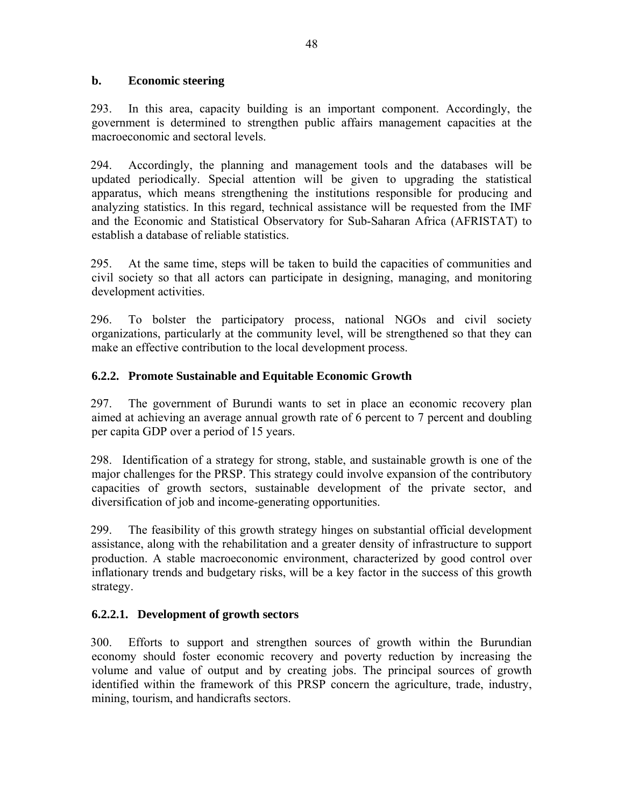#### **b. Economic steering**

293. In this area, capacity building is an important component. Accordingly, the government is determined to strengthen public affairs management capacities at the macroeconomic and sectoral levels.

294. Accordingly, the planning and management tools and the databases will be updated periodically. Special attention will be given to upgrading the statistical apparatus, which means strengthening the institutions responsible for producing and analyzing statistics. In this regard, technical assistance will be requested from the IMF and the Economic and Statistical Observatory for Sub-Saharan Africa (AFRISTAT) to establish a database of reliable statistics.

295. At the same time, steps will be taken to build the capacities of communities and civil society so that all actors can participate in designing, managing, and monitoring development activities.

296. To bolster the participatory process, national NGOs and civil society organizations, particularly at the community level, will be strengthened so that they can make an effective contribution to the local development process.

### **6.2.2. Promote Sustainable and Equitable Economic Growth**

297. The government of Burundi wants to set in place an economic recovery plan aimed at achieving an average annual growth rate of 6 percent to 7 percent and doubling per capita GDP over a period of 15 years.

298. Identification of a strategy for strong, stable, and sustainable growth is one of the major challenges for the PRSP. This strategy could involve expansion of the contributory capacities of growth sectors, sustainable development of the private sector, and diversification of job and income-generating opportunities.

299. The feasibility of this growth strategy hinges on substantial official development assistance, along with the rehabilitation and a greater density of infrastructure to support production. A stable macroeconomic environment, characterized by good control over inflationary trends and budgetary risks, will be a key factor in the success of this growth strategy.

### **6.2.2.1. Development of growth sectors**

300. Efforts to support and strengthen sources of growth within the Burundian economy should foster economic recovery and poverty reduction by increasing the volume and value of output and by creating jobs. The principal sources of growth identified within the framework of this PRSP concern the agriculture, trade, industry, mining, tourism, and handicrafts sectors.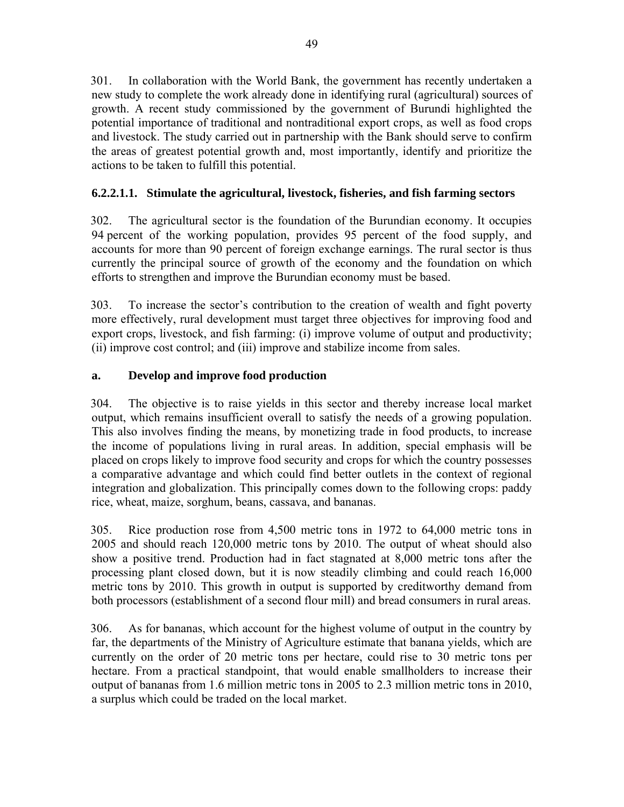301. In collaboration with the World Bank, the government has recently undertaken a new study to complete the work already done in identifying rural (agricultural) sources of growth. A recent study commissioned by the government of Burundi highlighted the potential importance of traditional and nontraditional export crops, as well as food crops and livestock. The study carried out in partnership with the Bank should serve to confirm the areas of greatest potential growth and, most importantly, identify and prioritize the actions to be taken to fulfill this potential.

# **6.2.2.1.1. Stimulate the agricultural, livestock, fisheries, and fish farming sectors**

302. The agricultural sector is the foundation of the Burundian economy. It occupies 94 percent of the working population, provides 95 percent of the food supply, and accounts for more than 90 percent of foreign exchange earnings. The rural sector is thus currently the principal source of growth of the economy and the foundation on which efforts to strengthen and improve the Burundian economy must be based.

303. To increase the sector's contribution to the creation of wealth and fight poverty more effectively, rural development must target three objectives for improving food and export crops, livestock, and fish farming: (i) improve volume of output and productivity; (ii) improve cost control; and (iii) improve and stabilize income from sales.

### **a. Develop and improve food production**

304. The objective is to raise yields in this sector and thereby increase local market output, which remains insufficient overall to satisfy the needs of a growing population. This also involves finding the means, by monetizing trade in food products, to increase the income of populations living in rural areas. In addition, special emphasis will be placed on crops likely to improve food security and crops for which the country possesses a comparative advantage and which could find better outlets in the context of regional integration and globalization. This principally comes down to the following crops: paddy rice, wheat, maize, sorghum, beans, cassava, and bananas.

305. Rice production rose from 4,500 metric tons in 1972 to 64,000 metric tons in 2005 and should reach 120,000 metric tons by 2010. The output of wheat should also show a positive trend. Production had in fact stagnated at 8,000 metric tons after the processing plant closed down, but it is now steadily climbing and could reach 16,000 metric tons by 2010. This growth in output is supported by creditworthy demand from both processors (establishment of a second flour mill) and bread consumers in rural areas.

306. As for bananas, which account for the highest volume of output in the country by far, the departments of the Ministry of Agriculture estimate that banana yields, which are currently on the order of 20 metric tons per hectare, could rise to 30 metric tons per hectare. From a practical standpoint, that would enable smallholders to increase their output of bananas from 1.6 million metric tons in 2005 to 2.3 million metric tons in 2010, a surplus which could be traded on the local market.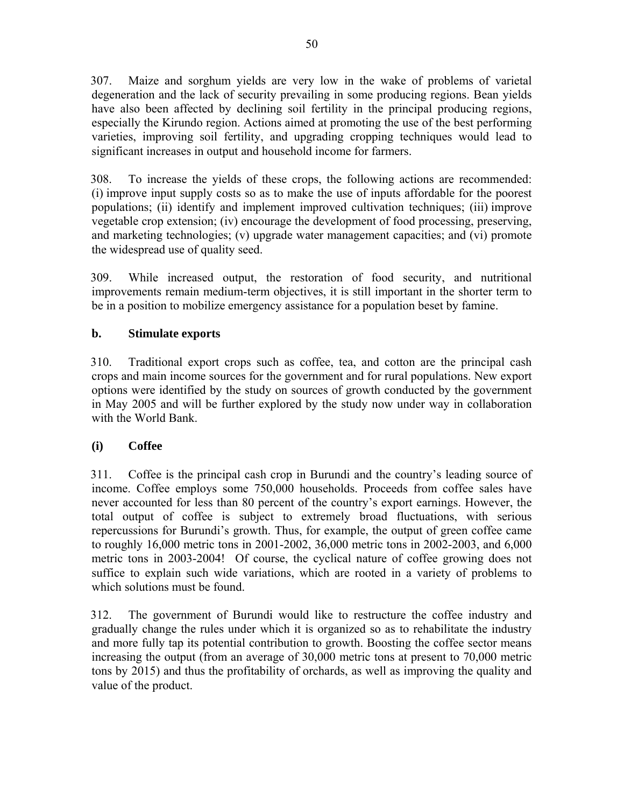307. Maize and sorghum yields are very low in the wake of problems of varietal degeneration and the lack of security prevailing in some producing regions. Bean yields have also been affected by declining soil fertility in the principal producing regions, especially the Kirundo region. Actions aimed at promoting the use of the best performing varieties, improving soil fertility, and upgrading cropping techniques would lead to significant increases in output and household income for farmers.

308. To increase the yields of these crops, the following actions are recommended: (i) improve input supply costs so as to make the use of inputs affordable for the poorest populations; (ii) identify and implement improved cultivation techniques; (iii) improve vegetable crop extension; (iv) encourage the development of food processing, preserving, and marketing technologies; (v) upgrade water management capacities; and (vi) promote the widespread use of quality seed.

309. While increased output, the restoration of food security, and nutritional improvements remain medium-term objectives, it is still important in the shorter term to be in a position to mobilize emergency assistance for a population beset by famine.

### **b. Stimulate exports**

310. Traditional export crops such as coffee, tea, and cotton are the principal cash crops and main income sources for the government and for rural populations. New export options were identified by the study on sources of growth conducted by the government in May 2005 and will be further explored by the study now under way in collaboration with the World Bank.

### **(i) Coffee**

311. Coffee is the principal cash crop in Burundi and the country's leading source of income. Coffee employs some 750,000 households. Proceeds from coffee sales have never accounted for less than 80 percent of the country's export earnings. However, the total output of coffee is subject to extremely broad fluctuations, with serious repercussions for Burundi's growth. Thus, for example, the output of green coffee came to roughly 16,000 metric tons in 2001-2002, 36,000 metric tons in 2002-2003, and 6,000 metric tons in 2003-2004! Of course, the cyclical nature of coffee growing does not suffice to explain such wide variations, which are rooted in a variety of problems to which solutions must be found.

312. The government of Burundi would like to restructure the coffee industry and gradually change the rules under which it is organized so as to rehabilitate the industry and more fully tap its potential contribution to growth. Boosting the coffee sector means increasing the output (from an average of 30,000 metric tons at present to 70,000 metric tons by 2015) and thus the profitability of orchards, as well as improving the quality and value of the product.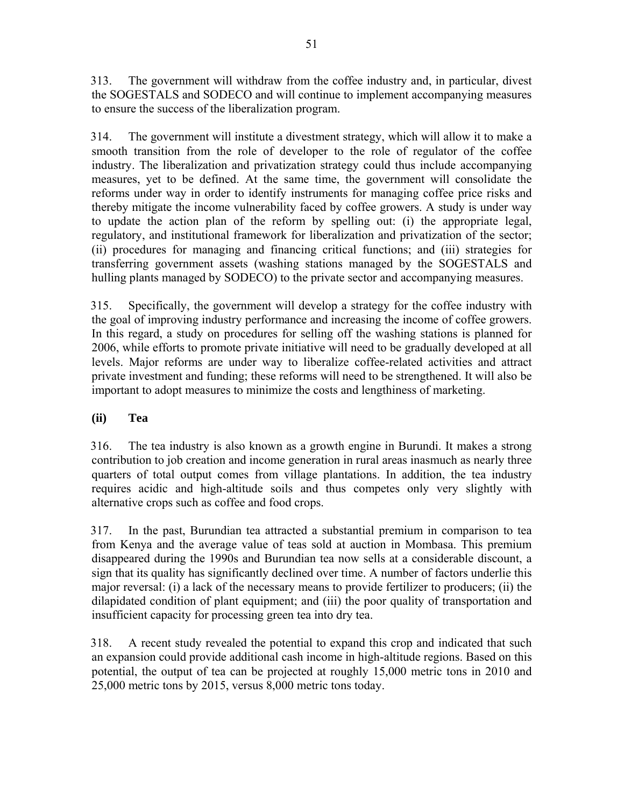313. The government will withdraw from the coffee industry and, in particular, divest the SOGESTALS and SODECO and will continue to implement accompanying measures to ensure the success of the liberalization program.

314. The government will institute a divestment strategy, which will allow it to make a smooth transition from the role of developer to the role of regulator of the coffee industry. The liberalization and privatization strategy could thus include accompanying measures, yet to be defined. At the same time, the government will consolidate the reforms under way in order to identify instruments for managing coffee price risks and thereby mitigate the income vulnerability faced by coffee growers. A study is under way to update the action plan of the reform by spelling out: (i) the appropriate legal, regulatory, and institutional framework for liberalization and privatization of the sector; (ii) procedures for managing and financing critical functions; and (iii) strategies for transferring government assets (washing stations managed by the SOGESTALS and hulling plants managed by SODECO) to the private sector and accompanying measures.

315. Specifically, the government will develop a strategy for the coffee industry with the goal of improving industry performance and increasing the income of coffee growers. In this regard, a study on procedures for selling off the washing stations is planned for 2006, while efforts to promote private initiative will need to be gradually developed at all levels. Major reforms are under way to liberalize coffee-related activities and attract private investment and funding; these reforms will need to be strengthened. It will also be important to adopt measures to minimize the costs and lengthiness of marketing.

# **(ii) Tea**

316. The tea industry is also known as a growth engine in Burundi. It makes a strong contribution to job creation and income generation in rural areas inasmuch as nearly three quarters of total output comes from village plantations. In addition, the tea industry requires acidic and high-altitude soils and thus competes only very slightly with alternative crops such as coffee and food crops.

317. In the past, Burundian tea attracted a substantial premium in comparison to tea from Kenya and the average value of teas sold at auction in Mombasa. This premium disappeared during the 1990s and Burundian tea now sells at a considerable discount, a sign that its quality has significantly declined over time. A number of factors underlie this major reversal: (i) a lack of the necessary means to provide fertilizer to producers; (ii) the dilapidated condition of plant equipment; and (iii) the poor quality of transportation and insufficient capacity for processing green tea into dry tea.

318. A recent study revealed the potential to expand this crop and indicated that such an expansion could provide additional cash income in high-altitude regions. Based on this potential, the output of tea can be projected at roughly 15,000 metric tons in 2010 and 25,000 metric tons by 2015, versus 8,000 metric tons today.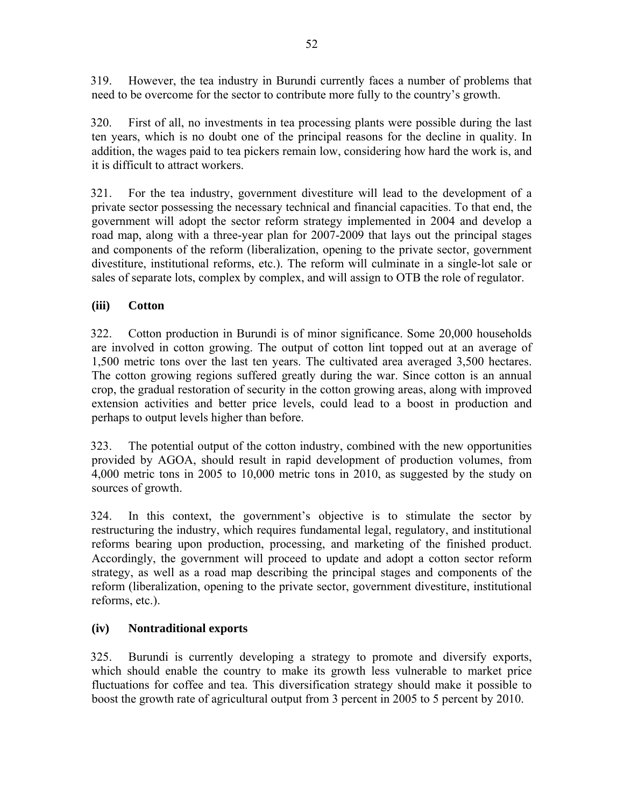319. However, the tea industry in Burundi currently faces a number of problems that need to be overcome for the sector to contribute more fully to the country's growth.

320. First of all, no investments in tea processing plants were possible during the last ten years, which is no doubt one of the principal reasons for the decline in quality. In addition, the wages paid to tea pickers remain low, considering how hard the work is, and it is difficult to attract workers.

321. For the tea industry, government divestiture will lead to the development of a private sector possessing the necessary technical and financial capacities. To that end, the government will adopt the sector reform strategy implemented in 2004 and develop a road map, along with a three-year plan for 2007-2009 that lays out the principal stages and components of the reform (liberalization, opening to the private sector, government divestiture, institutional reforms, etc.). The reform will culminate in a single-lot sale or sales of separate lots, complex by complex, and will assign to OTB the role of regulator.

### **(iii) Cotton**

322. Cotton production in Burundi is of minor significance. Some 20,000 households are involved in cotton growing. The output of cotton lint topped out at an average of 1,500 metric tons over the last ten years. The cultivated area averaged 3,500 hectares. The cotton growing regions suffered greatly during the war. Since cotton is an annual crop, the gradual restoration of security in the cotton growing areas, along with improved extension activities and better price levels, could lead to a boost in production and perhaps to output levels higher than before.

323. The potential output of the cotton industry, combined with the new opportunities provided by AGOA, should result in rapid development of production volumes, from 4,000 metric tons in 2005 to 10,000 metric tons in 2010, as suggested by the study on sources of growth.

324. In this context, the government's objective is to stimulate the sector by restructuring the industry, which requires fundamental legal, regulatory, and institutional reforms bearing upon production, processing, and marketing of the finished product. Accordingly, the government will proceed to update and adopt a cotton sector reform strategy, as well as a road map describing the principal stages and components of the reform (liberalization, opening to the private sector, government divestiture, institutional reforms, etc.).

### **(iv) Nontraditional exports**

325. Burundi is currently developing a strategy to promote and diversify exports, which should enable the country to make its growth less vulnerable to market price fluctuations for coffee and tea. This diversification strategy should make it possible to boost the growth rate of agricultural output from 3 percent in 2005 to 5 percent by 2010.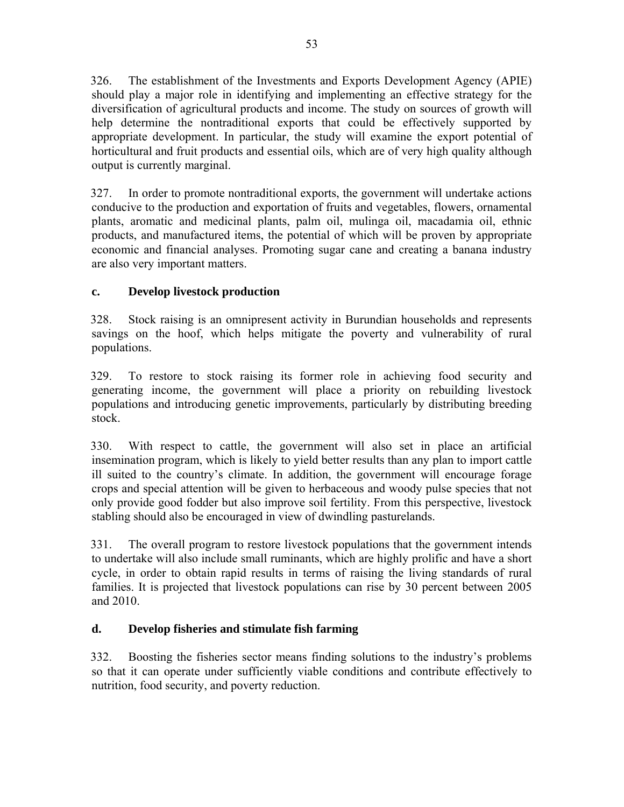326. The establishment of the Investments and Exports Development Agency (APIE) should play a major role in identifying and implementing an effective strategy for the diversification of agricultural products and income. The study on sources of growth will help determine the nontraditional exports that could be effectively supported by appropriate development. In particular, the study will examine the export potential of horticultural and fruit products and essential oils, which are of very high quality although output is currently marginal.

327. In order to promote nontraditional exports, the government will undertake actions conducive to the production and exportation of fruits and vegetables, flowers, ornamental plants, aromatic and medicinal plants, palm oil, mulinga oil, macadamia oil, ethnic products, and manufactured items, the potential of which will be proven by appropriate economic and financial analyses. Promoting sugar cane and creating a banana industry are also very important matters.

# **c. Develop livestock production**

328. Stock raising is an omnipresent activity in Burundian households and represents savings on the hoof, which helps mitigate the poverty and vulnerability of rural populations.

329. To restore to stock raising its former role in achieving food security and generating income, the government will place a priority on rebuilding livestock populations and introducing genetic improvements, particularly by distributing breeding stock.

330. With respect to cattle, the government will also set in place an artificial insemination program, which is likely to yield better results than any plan to import cattle ill suited to the country's climate. In addition, the government will encourage forage crops and special attention will be given to herbaceous and woody pulse species that not only provide good fodder but also improve soil fertility. From this perspective, livestock stabling should also be encouraged in view of dwindling pasturelands.

331. The overall program to restore livestock populations that the government intends to undertake will also include small ruminants, which are highly prolific and have a short cycle, in order to obtain rapid results in terms of raising the living standards of rural families. It is projected that livestock populations can rise by 30 percent between 2005 and 2010.

# **d. Develop fisheries and stimulate fish farming**

332. Boosting the fisheries sector means finding solutions to the industry's problems so that it can operate under sufficiently viable conditions and contribute effectively to nutrition, food security, and poverty reduction.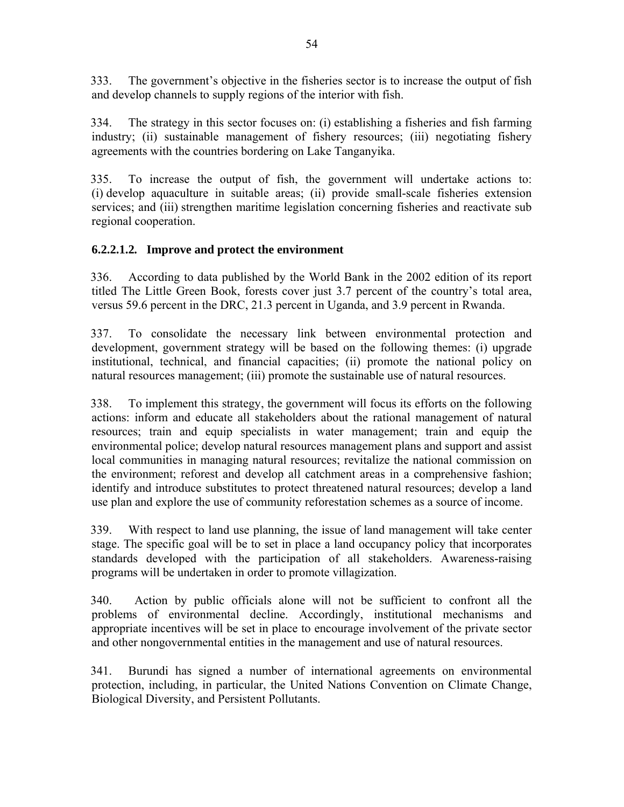333. The government's objective in the fisheries sector is to increase the output of fish and develop channels to supply regions of the interior with fish.

334. The strategy in this sector focuses on: (i) establishing a fisheries and fish farming industry; (ii) sustainable management of fishery resources; (iii) negotiating fishery agreements with the countries bordering on Lake Tanganyika.

335. To increase the output of fish, the government will undertake actions to: (i) develop aquaculture in suitable areas; (ii) provide small-scale fisheries extension services; and (iii) strengthen maritime legislation concerning fisheries and reactivate sub regional cooperation.

# **6.2.2.1.2***.* **Improve and protect the environment**

336. According to data published by the World Bank in the 2002 edition of its report titled The Little Green Book, forests cover just 3.7 percent of the country's total area, versus 59.6 percent in the DRC, 21.3 percent in Uganda, and 3.9 percent in Rwanda.

337. To consolidate the necessary link between environmental protection and development, government strategy will be based on the following themes: (i) upgrade institutional, technical, and financial capacities; (ii) promote the national policy on natural resources management; (iii) promote the sustainable use of natural resources.

338. To implement this strategy, the government will focus its efforts on the following actions: inform and educate all stakeholders about the rational management of natural resources; train and equip specialists in water management; train and equip the environmental police; develop natural resources management plans and support and assist local communities in managing natural resources; revitalize the national commission on the environment; reforest and develop all catchment areas in a comprehensive fashion; identify and introduce substitutes to protect threatened natural resources; develop a land use plan and explore the use of community reforestation schemes as a source of income.

339. With respect to land use planning, the issue of land management will take center stage. The specific goal will be to set in place a land occupancy policy that incorporates standards developed with the participation of all stakeholders. Awareness-raising programs will be undertaken in order to promote villagization.

340. Action by public officials alone will not be sufficient to confront all the problems of environmental decline. Accordingly, institutional mechanisms and appropriate incentives will be set in place to encourage involvement of the private sector and other nongovernmental entities in the management and use of natural resources.

341. Burundi has signed a number of international agreements on environmental protection, including, in particular, the United Nations Convention on Climate Change, Biological Diversity, and Persistent Pollutants.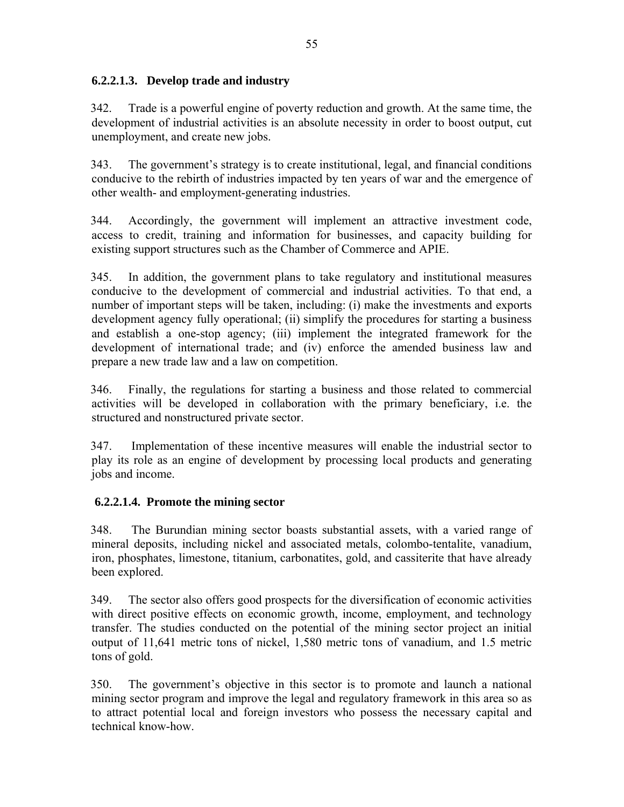### **6.2.2.1.3. Develop trade and industry**

342. Trade is a powerful engine of poverty reduction and growth. At the same time, the development of industrial activities is an absolute necessity in order to boost output, cut unemployment, and create new jobs.

343. The government's strategy is to create institutional, legal, and financial conditions conducive to the rebirth of industries impacted by ten years of war and the emergence of other wealth- and employment-generating industries.

344. Accordingly, the government will implement an attractive investment code, access to credit, training and information for businesses, and capacity building for existing support structures such as the Chamber of Commerce and APIE.

345. In addition, the government plans to take regulatory and institutional measures conducive to the development of commercial and industrial activities. To that end, a number of important steps will be taken, including: (i) make the investments and exports development agency fully operational; (ii) simplify the procedures for starting a business and establish a one-stop agency; (iii) implement the integrated framework for the development of international trade; and (iv) enforce the amended business law and prepare a new trade law and a law on competition.

346. Finally, the regulations for starting a business and those related to commercial activities will be developed in collaboration with the primary beneficiary, i.e. the structured and nonstructured private sector.

347. Implementation of these incentive measures will enable the industrial sector to play its role as an engine of development by processing local products and generating jobs and income.

# **6.2.2.1.4. Promote the mining sector**

348. The Burundian mining sector boasts substantial assets, with a varied range of mineral deposits, including nickel and associated metals, colombo-tentalite, vanadium, iron, phosphates, limestone, titanium, carbonatites, gold, and cassiterite that have already been explored.

349. The sector also offers good prospects for the diversification of economic activities with direct positive effects on economic growth, income, employment, and technology transfer. The studies conducted on the potential of the mining sector project an initial output of 11,641 metric tons of nickel, 1,580 metric tons of vanadium, and 1.5 metric tons of gold.

350. The government's objective in this sector is to promote and launch a national mining sector program and improve the legal and regulatory framework in this area so as to attract potential local and foreign investors who possess the necessary capital and technical know-how.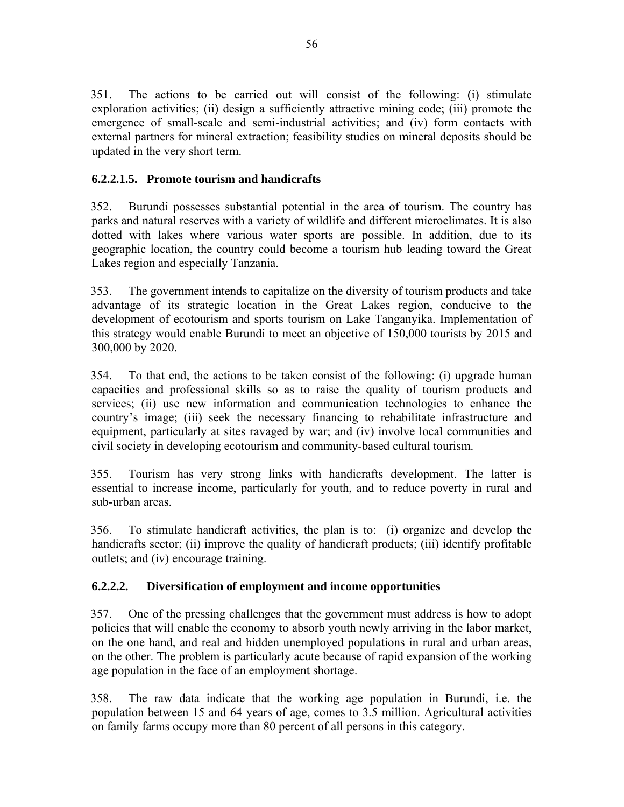351. The actions to be carried out will consist of the following: (i) stimulate exploration activities; (ii) design a sufficiently attractive mining code; (iii) promote the emergence of small-scale and semi-industrial activities; and (iv) form contacts with external partners for mineral extraction; feasibility studies on mineral deposits should be updated in the very short term.

### **6.2.2.1.5. Promote tourism and handicrafts**

352. Burundi possesses substantial potential in the area of tourism. The country has parks and natural reserves with a variety of wildlife and different microclimates. It is also dotted with lakes where various water sports are possible. In addition, due to its geographic location, the country could become a tourism hub leading toward the Great Lakes region and especially Tanzania.

353. The government intends to capitalize on the diversity of tourism products and take advantage of its strategic location in the Great Lakes region, conducive to the development of ecotourism and sports tourism on Lake Tanganyika. Implementation of this strategy would enable Burundi to meet an objective of 150,000 tourists by 2015 and 300,000 by 2020.

354. To that end, the actions to be taken consist of the following: (i) upgrade human capacities and professional skills so as to raise the quality of tourism products and services; (ii) use new information and communication technologies to enhance the country's image; (iii) seek the necessary financing to rehabilitate infrastructure and equipment, particularly at sites ravaged by war; and (iv) involve local communities and civil society in developing ecotourism and community-based cultural tourism.

355. Tourism has very strong links with handicrafts development. The latter is essential to increase income, particularly for youth, and to reduce poverty in rural and sub-urban areas.

356. To stimulate handicraft activities, the plan is to: (i) organize and develop the handicrafts sector; (ii) improve the quality of handicraft products; (iii) identify profitable outlets; and (iv) encourage training.

# **6.2.2.2. Diversification of employment and income opportunities**

357. One of the pressing challenges that the government must address is how to adopt policies that will enable the economy to absorb youth newly arriving in the labor market, on the one hand, and real and hidden unemployed populations in rural and urban areas, on the other. The problem is particularly acute because of rapid expansion of the working age population in the face of an employment shortage.

358. The raw data indicate that the working age population in Burundi, i.e. the population between 15 and 64 years of age, comes to 3.5 million. Agricultural activities on family farms occupy more than 80 percent of all persons in this category.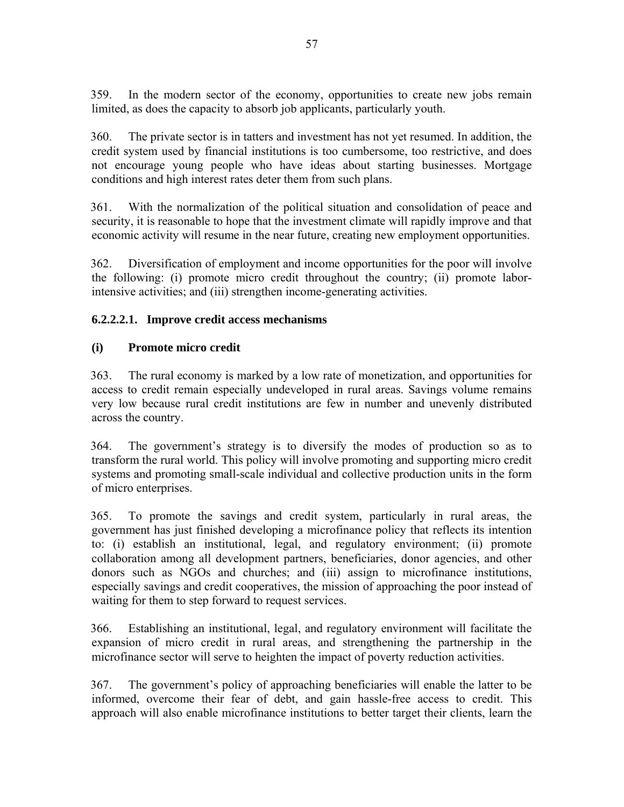359. In the modern sector of the economy, opportunities to create new jobs remain limited, as does the capacity to absorb job applicants, particularly youth.

360. The private sector is in tatters and investment has not yet resumed. In addition, the credit system used by financial institutions is too cumbersome, too restrictive, and does not encourage young people who have ideas about starting businesses. Mortgage conditions and high interest rates deter them from such plans.

361. With the normalization of the political situation and consolidation of peace and security, it is reasonable to hope that the investment climate will rapidly improve and that economic activity will resume in the near future, creating new employment opportunities.

362. Diversification of employment and income opportunities for the poor will involve the following: (i) promote micro credit throughout the country; (ii) promote laborintensive activities; and (iii) strengthen income-generating activities.

# **6.2.2.2.1. Improve credit access mechanisms**

# **(i) Promote micro credit**

363. The rural economy is marked by a low rate of monetization, and opportunities for access to credit remain especially undeveloped in rural areas. Savings volume remains very low because rural credit institutions are few in number and unevenly distributed across the country.

364. The government's strategy is to diversify the modes of production so as to transform the rural world. This policy will involve promoting and supporting micro credit systems and promoting small-scale individual and collective production units in the form of micro enterprises.

365. To promote the savings and credit system, particularly in rural areas, the government has just finished developing a microfinance policy that reflects its intention to: (i) establish an institutional, legal, and regulatory environment; (ii) promote collaboration among all development partners, beneficiaries, donor agencies, and other donors such as NGOs and churches; and (iii) assign to microfinance institutions, especially savings and credit cooperatives, the mission of approaching the poor instead of waiting for them to step forward to request services.

366. Establishing an institutional, legal, and regulatory environment will facilitate the expansion of micro credit in rural areas, and strengthening the partnership in the microfinance sector will serve to heighten the impact of poverty reduction activities.

367. The government's policy of approaching beneficiaries will enable the latter to be informed, overcome their fear of debt, and gain hassle-free access to credit. This approach will also enable microfinance institutions to better target their clients, learn the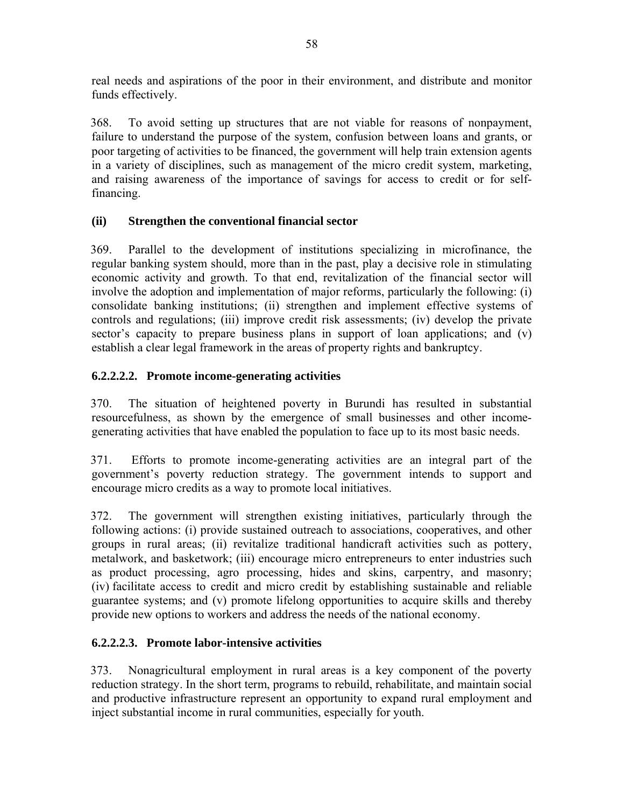real needs and aspirations of the poor in their environment, and distribute and monitor funds effectively.

368. To avoid setting up structures that are not viable for reasons of nonpayment, failure to understand the purpose of the system, confusion between loans and grants, or poor targeting of activities to be financed, the government will help train extension agents in a variety of disciplines, such as management of the micro credit system, marketing, and raising awareness of the importance of savings for access to credit or for selffinancing.

### **(ii) Strengthen the conventional financial sector**

369. Parallel to the development of institutions specializing in microfinance, the regular banking system should, more than in the past, play a decisive role in stimulating economic activity and growth. To that end, revitalization of the financial sector will involve the adoption and implementation of major reforms, particularly the following: (i) consolidate banking institutions; (ii) strengthen and implement effective systems of controls and regulations; (iii) improve credit risk assessments; (iv) develop the private sector's capacity to prepare business plans in support of loan applications; and (v) establish a clear legal framework in the areas of property rights and bankruptcy.

### **6.2.2.2.2. Promote income-generating activities**

370. The situation of heightened poverty in Burundi has resulted in substantial resourcefulness, as shown by the emergence of small businesses and other incomegenerating activities that have enabled the population to face up to its most basic needs.

371. Efforts to promote income-generating activities are an integral part of the government's poverty reduction strategy. The government intends to support and encourage micro credits as a way to promote local initiatives.

372. The government will strengthen existing initiatives, particularly through the following actions: (i) provide sustained outreach to associations, cooperatives, and other groups in rural areas; (ii) revitalize traditional handicraft activities such as pottery, metalwork, and basketwork; (iii) encourage micro entrepreneurs to enter industries such as product processing, agro processing, hides and skins, carpentry, and masonry; (iv) facilitate access to credit and micro credit by establishing sustainable and reliable guarantee systems; and (v) promote lifelong opportunities to acquire skills and thereby provide new options to workers and address the needs of the national economy.

### **6.2.2.2.3. Promote labor-intensive activities**

373. Nonagricultural employment in rural areas is a key component of the poverty reduction strategy. In the short term, programs to rebuild, rehabilitate, and maintain social and productive infrastructure represent an opportunity to expand rural employment and inject substantial income in rural communities, especially for youth.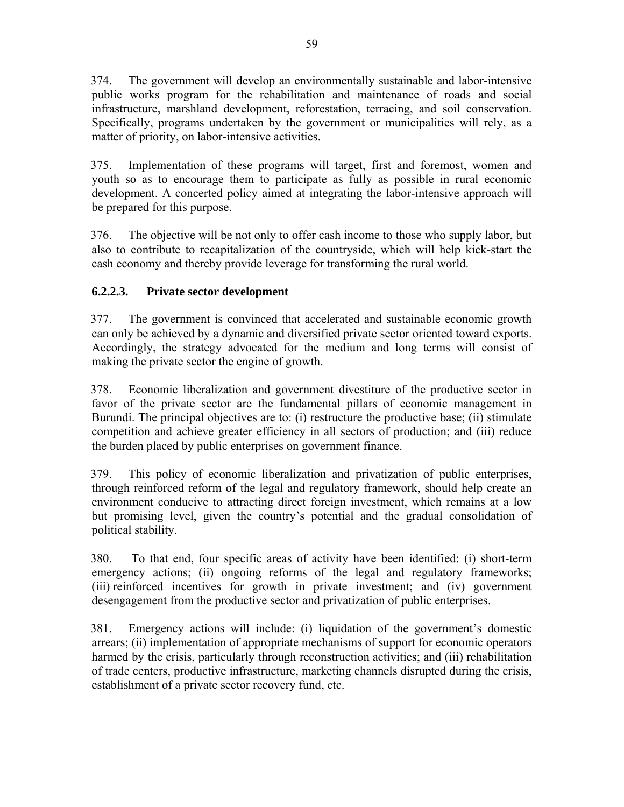374. The government will develop an environmentally sustainable and labor-intensive public works program for the rehabilitation and maintenance of roads and social infrastructure, marshland development, reforestation, terracing, and soil conservation. Specifically, programs undertaken by the government or municipalities will rely, as a matter of priority, on labor-intensive activities.

375. Implementation of these programs will target, first and foremost, women and youth so as to encourage them to participate as fully as possible in rural economic development. A concerted policy aimed at integrating the labor-intensive approach will be prepared for this purpose.

376. The objective will be not only to offer cash income to those who supply labor, but also to contribute to recapitalization of the countryside, which will help kick-start the cash economy and thereby provide leverage for transforming the rural world.

# **6.2.2.3. Private sector development**

377. The government is convinced that accelerated and sustainable economic growth can only be achieved by a dynamic and diversified private sector oriented toward exports. Accordingly, the strategy advocated for the medium and long terms will consist of making the private sector the engine of growth.

378. Economic liberalization and government divestiture of the productive sector in favor of the private sector are the fundamental pillars of economic management in Burundi. The principal objectives are to: (i) restructure the productive base; (ii) stimulate competition and achieve greater efficiency in all sectors of production; and (iii) reduce the burden placed by public enterprises on government finance.

379. This policy of economic liberalization and privatization of public enterprises, through reinforced reform of the legal and regulatory framework, should help create an environment conducive to attracting direct foreign investment, which remains at a low but promising level, given the country's potential and the gradual consolidation of political stability.

380. To that end, four specific areas of activity have been identified: (i) short-term emergency actions; (ii) ongoing reforms of the legal and regulatory frameworks; (iii) reinforced incentives for growth in private investment; and (iv) government desengagement from the productive sector and privatization of public enterprises.

381. Emergency actions will include: (i) liquidation of the government's domestic arrears; (ii) implementation of appropriate mechanisms of support for economic operators harmed by the crisis, particularly through reconstruction activities; and (iii) rehabilitation of trade centers, productive infrastructure, marketing channels disrupted during the crisis, establishment of a private sector recovery fund, etc.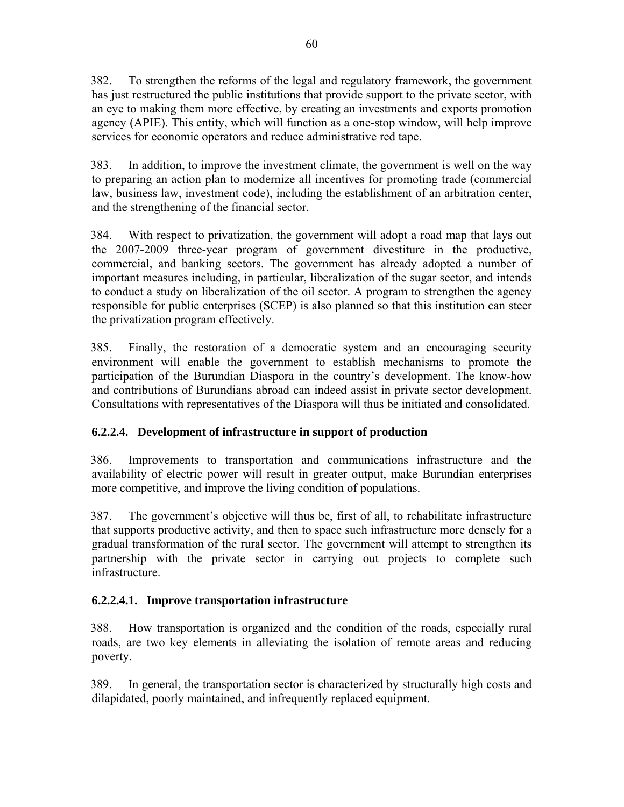382. To strengthen the reforms of the legal and regulatory framework, the government has just restructured the public institutions that provide support to the private sector, with an eye to making them more effective, by creating an investments and exports promotion agency (APIE). This entity, which will function as a one-stop window, will help improve services for economic operators and reduce administrative red tape.

383. In addition, to improve the investment climate, the government is well on the way to preparing an action plan to modernize all incentives for promoting trade (commercial law, business law, investment code), including the establishment of an arbitration center, and the strengthening of the financial sector.

384. With respect to privatization, the government will adopt a road map that lays out the 2007-2009 three-year program of government divestiture in the productive, commercial, and banking sectors. The government has already adopted a number of important measures including, in particular, liberalization of the sugar sector, and intends to conduct a study on liberalization of the oil sector. A program to strengthen the agency responsible for public enterprises (SCEP) is also planned so that this institution can steer the privatization program effectively.

385. Finally, the restoration of a democratic system and an encouraging security environment will enable the government to establish mechanisms to promote the participation of the Burundian Diaspora in the country's development. The know-how and contributions of Burundians abroad can indeed assist in private sector development. Consultations with representatives of the Diaspora will thus be initiated and consolidated.

# **6.2.2.4. Development of infrastructure in support of production**

386. Improvements to transportation and communications infrastructure and the availability of electric power will result in greater output, make Burundian enterprises more competitive, and improve the living condition of populations.

387. The government's objective will thus be, first of all, to rehabilitate infrastructure that supports productive activity, and then to space such infrastructure more densely for a gradual transformation of the rural sector. The government will attempt to strengthen its partnership with the private sector in carrying out projects to complete such infrastructure.

# **6.2.2.4.1. Improve transportation infrastructure**

388. How transportation is organized and the condition of the roads, especially rural roads, are two key elements in alleviating the isolation of remote areas and reducing poverty.

389. In general, the transportation sector is characterized by structurally high costs and dilapidated, poorly maintained, and infrequently replaced equipment.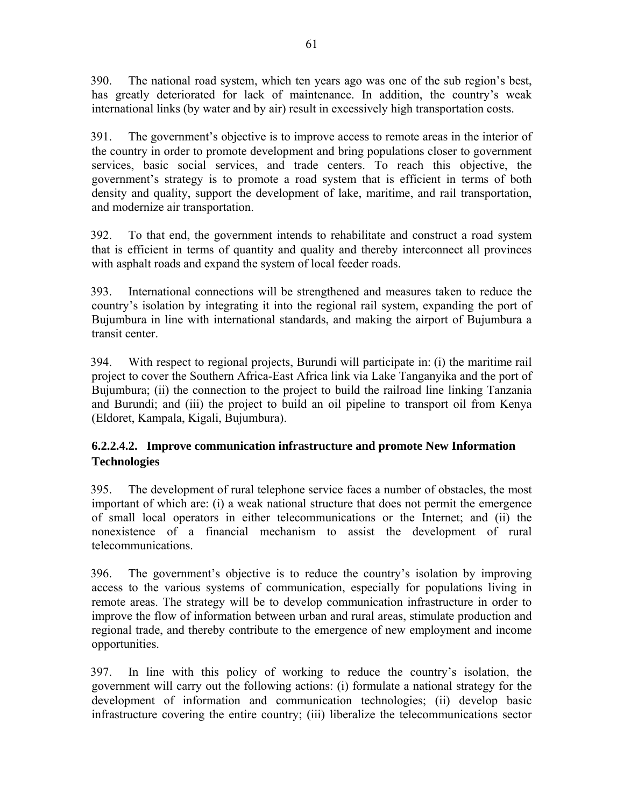390. The national road system, which ten years ago was one of the sub region's best, has greatly deteriorated for lack of maintenance. In addition, the country's weak international links (by water and by air) result in excessively high transportation costs.

391. The government's objective is to improve access to remote areas in the interior of the country in order to promote development and bring populations closer to government services, basic social services, and trade centers. To reach this objective, the government's strategy is to promote a road system that is efficient in terms of both density and quality, support the development of lake, maritime, and rail transportation, and modernize air transportation.

392. To that end, the government intends to rehabilitate and construct a road system that is efficient in terms of quantity and quality and thereby interconnect all provinces with asphalt roads and expand the system of local feeder roads.

393. International connections will be strengthened and measures taken to reduce the country's isolation by integrating it into the regional rail system, expanding the port of Bujumbura in line with international standards, and making the airport of Bujumbura a transit center.

394. With respect to regional projects, Burundi will participate in: (i) the maritime rail project to cover the Southern Africa-East Africa link via Lake Tanganyika and the port of Bujumbura; (ii) the connection to the project to build the railroad line linking Tanzania and Burundi; and (iii) the project to build an oil pipeline to transport oil from Kenya (Eldoret, Kampala, Kigali, Bujumbura).

# **6.2.2.4.2. Improve communication infrastructure and promote New Information Technologies**

395. The development of rural telephone service faces a number of obstacles, the most important of which are: (i) a weak national structure that does not permit the emergence of small local operators in either telecommunications or the Internet; and (ii) the nonexistence of a financial mechanism to assist the development of rural telecommunications.

396. The government's objective is to reduce the country's isolation by improving access to the various systems of communication, especially for populations living in remote areas. The strategy will be to develop communication infrastructure in order to improve the flow of information between urban and rural areas, stimulate production and regional trade, and thereby contribute to the emergence of new employment and income opportunities.

397. In line with this policy of working to reduce the country's isolation, the government will carry out the following actions: (i) formulate a national strategy for the development of information and communication technologies; (ii) develop basic infrastructure covering the entire country; (iii) liberalize the telecommunications sector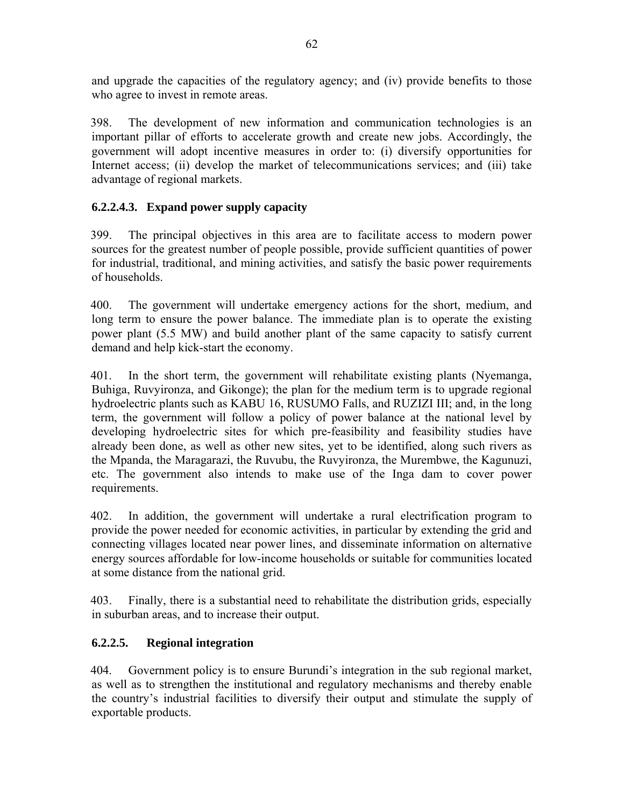and upgrade the capacities of the regulatory agency; and (iv) provide benefits to those who agree to invest in remote areas.

398. The development of new information and communication technologies is an important pillar of efforts to accelerate growth and create new jobs. Accordingly, the government will adopt incentive measures in order to: (i) diversify opportunities for Internet access; (ii) develop the market of telecommunications services; and (iii) take advantage of regional markets.

# **6.2.2.4.3. Expand power supply capacity**

399. The principal objectives in this area are to facilitate access to modern power sources for the greatest number of people possible, provide sufficient quantities of power for industrial, traditional, and mining activities, and satisfy the basic power requirements of households.

400. The government will undertake emergency actions for the short, medium, and long term to ensure the power balance. The immediate plan is to operate the existing power plant (5.5 MW) and build another plant of the same capacity to satisfy current demand and help kick-start the economy.

401. In the short term, the government will rehabilitate existing plants (Nyemanga, Buhiga, Ruvyironza, and Gikonge); the plan for the medium term is to upgrade regional hydroelectric plants such as KABU 16, RUSUMO Falls, and RUZIZI III; and, in the long term, the government will follow a policy of power balance at the national level by developing hydroelectric sites for which pre-feasibility and feasibility studies have already been done, as well as other new sites, yet to be identified, along such rivers as the Mpanda, the Maragarazi, the Ruvubu, the Ruvyironza, the Murembwe, the Kagunuzi, etc. The government also intends to make use of the Inga dam to cover power requirements.

402. In addition, the government will undertake a rural electrification program to provide the power needed for economic activities, in particular by extending the grid and connecting villages located near power lines, and disseminate information on alternative energy sources affordable for low-income households or suitable for communities located at some distance from the national grid.

403. Finally, there is a substantial need to rehabilitate the distribution grids, especially in suburban areas, and to increase their output.

### **6.2.2.5. Regional integration**

404. Government policy is to ensure Burundi's integration in the sub regional market, as well as to strengthen the institutional and regulatory mechanisms and thereby enable the country's industrial facilities to diversify their output and stimulate the supply of exportable products.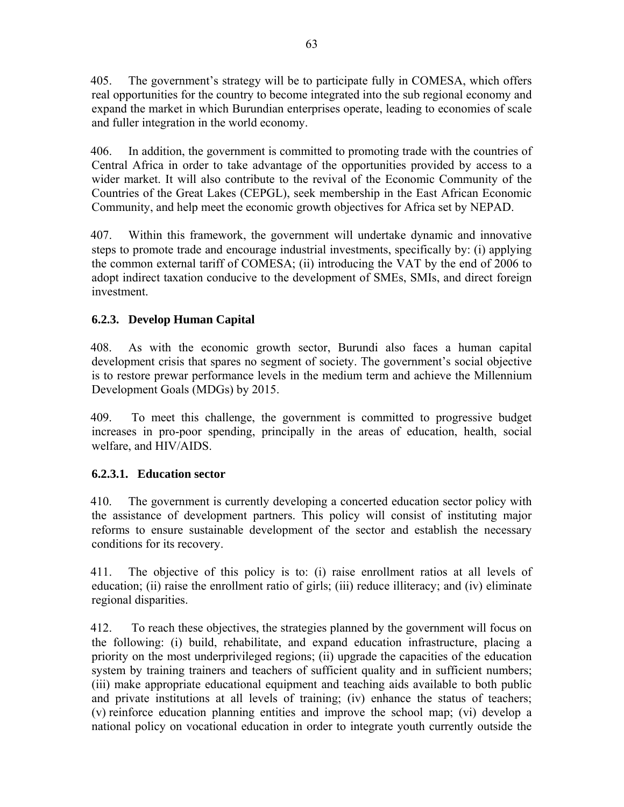405. The government's strategy will be to participate fully in COMESA, which offers real opportunities for the country to become integrated into the sub regional economy and expand the market in which Burundian enterprises operate, leading to economies of scale and fuller integration in the world economy.

406. In addition, the government is committed to promoting trade with the countries of Central Africa in order to take advantage of the opportunities provided by access to a wider market. It will also contribute to the revival of the Economic Community of the Countries of the Great Lakes (CEPGL), seek membership in the East African Economic Community, and help meet the economic growth objectives for Africa set by NEPAD.

407. Within this framework, the government will undertake dynamic and innovative steps to promote trade and encourage industrial investments, specifically by: (i) applying the common external tariff of COMESA; (ii) introducing the VAT by the end of 2006 to adopt indirect taxation conducive to the development of SMEs, SMIs, and direct foreign investment.

# **6.2.3. Develop Human Capital**

408. As with the economic growth sector, Burundi also faces a human capital development crisis that spares no segment of society. The government's social objective is to restore prewar performance levels in the medium term and achieve the Millennium Development Goals (MDGs) by 2015.

409. To meet this challenge, the government is committed to progressive budget increases in pro-poor spending, principally in the areas of education, health, social welfare, and HIV/AIDS.

# **6.2.3.1. Education sector**

410. The government is currently developing a concerted education sector policy with the assistance of development partners. This policy will consist of instituting major reforms to ensure sustainable development of the sector and establish the necessary conditions for its recovery.

411. The objective of this policy is to: (i) raise enrollment ratios at all levels of education; (ii) raise the enrollment ratio of girls; (iii) reduce illiteracy; and (iv) eliminate regional disparities.

412. To reach these objectives, the strategies planned by the government will focus on the following: (i) build, rehabilitate, and expand education infrastructure, placing a priority on the most underprivileged regions; (ii) upgrade the capacities of the education system by training trainers and teachers of sufficient quality and in sufficient numbers; (iii) make appropriate educational equipment and teaching aids available to both public and private institutions at all levels of training; (iv) enhance the status of teachers; (v) reinforce education planning entities and improve the school map; (vi) develop a national policy on vocational education in order to integrate youth currently outside the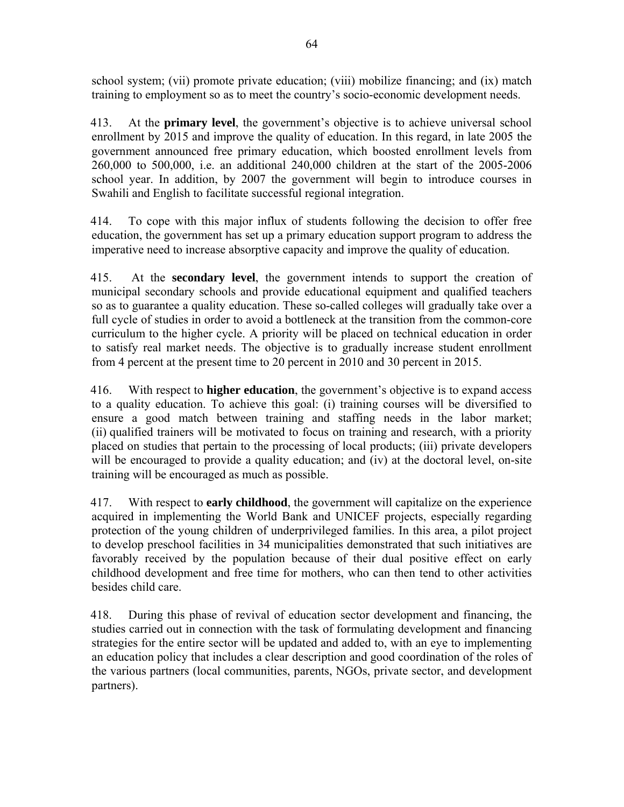school system; (vii) promote private education; (viii) mobilize financing; and (ix) match training to employment so as to meet the country's socio-economic development needs.

413. At the **primary level**, the government's objective is to achieve universal school enrollment by 2015 and improve the quality of education. In this regard, in late 2005 the government announced free primary education, which boosted enrollment levels from 260,000 to 500,000, i.e. an additional 240,000 children at the start of the 2005-2006 school year. In addition, by 2007 the government will begin to introduce courses in Swahili and English to facilitate successful regional integration.

414. To cope with this major influx of students following the decision to offer free education, the government has set up a primary education support program to address the imperative need to increase absorptive capacity and improve the quality of education.

415. At the **secondary level**, the government intends to support the creation of municipal secondary schools and provide educational equipment and qualified teachers so as to guarantee a quality education. These so-called colleges will gradually take over a full cycle of studies in order to avoid a bottleneck at the transition from the common-core curriculum to the higher cycle. A priority will be placed on technical education in order to satisfy real market needs. The objective is to gradually increase student enrollment from 4 percent at the present time to 20 percent in 2010 and 30 percent in 2015.

416. With respect to **higher education**, the government's objective is to expand access to a quality education. To achieve this goal: (i) training courses will be diversified to ensure a good match between training and staffing needs in the labor market; (ii) qualified trainers will be motivated to focus on training and research, with a priority placed on studies that pertain to the processing of local products; (iii) private developers will be encouraged to provide a quality education; and (iv) at the doctoral level, on-site training will be encouraged as much as possible.

417. With respect to **early childhood**, the government will capitalize on the experience acquired in implementing the World Bank and UNICEF projects, especially regarding protection of the young children of underprivileged families. In this area, a pilot project to develop preschool facilities in 34 municipalities demonstrated that such initiatives are favorably received by the population because of their dual positive effect on early childhood development and free time for mothers, who can then tend to other activities besides child care.

418. During this phase of revival of education sector development and financing, the studies carried out in connection with the task of formulating development and financing strategies for the entire sector will be updated and added to, with an eye to implementing an education policy that includes a clear description and good coordination of the roles of the various partners (local communities, parents, NGOs, private sector, and development partners).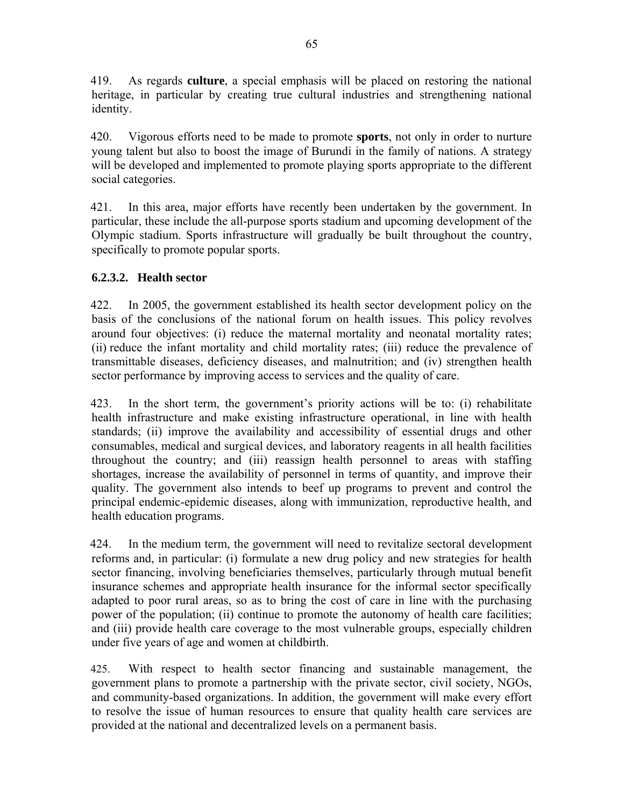419. As regards **culture**, a special emphasis will be placed on restoring the national heritage, in particular by creating true cultural industries and strengthening national identity.

420. Vigorous efforts need to be made to promote **sports**, not only in order to nurture young talent but also to boost the image of Burundi in the family of nations. A strategy will be developed and implemented to promote playing sports appropriate to the different social categories.

421. In this area, major efforts have recently been undertaken by the government. In particular, these include the all-purpose sports stadium and upcoming development of the Olympic stadium. Sports infrastructure will gradually be built throughout the country, specifically to promote popular sports.

# **6.2.3.2. Health sector**

422. In 2005, the government established its health sector development policy on the basis of the conclusions of the national forum on health issues. This policy revolves around four objectives: (i) reduce the maternal mortality and neonatal mortality rates; (ii) reduce the infant mortality and child mortality rates; (iii) reduce the prevalence of transmittable diseases, deficiency diseases, and malnutrition; and (iv) strengthen health sector performance by improving access to services and the quality of care.

423. In the short term, the government's priority actions will be to: (i) rehabilitate health infrastructure and make existing infrastructure operational, in line with health standards; (ii) improve the availability and accessibility of essential drugs and other consumables, medical and surgical devices, and laboratory reagents in all health facilities throughout the country; and (iii) reassign health personnel to areas with staffing shortages, increase the availability of personnel in terms of quantity, and improve their quality. The government also intends to beef up programs to prevent and control the principal endemic-epidemic diseases, along with immunization, reproductive health, and health education programs.

424. In the medium term, the government will need to revitalize sectoral development reforms and, in particular: (i) formulate a new drug policy and new strategies for health sector financing, involving beneficiaries themselves, particularly through mutual benefit insurance schemes and appropriate health insurance for the informal sector specifically adapted to poor rural areas, so as to bring the cost of care in line with the purchasing power of the population; (ii) continue to promote the autonomy of health care facilities; and (iii) provide health care coverage to the most vulnerable groups, especially children under five years of age and women at childbirth.

425. With respect to health sector financing and sustainable management, the government plans to promote a partnership with the private sector, civil society, NGOs, and community-based organizations. In addition, the government will make every effort to resolve the issue of human resources to ensure that quality health care services are provided at the national and decentralized levels on a permanent basis.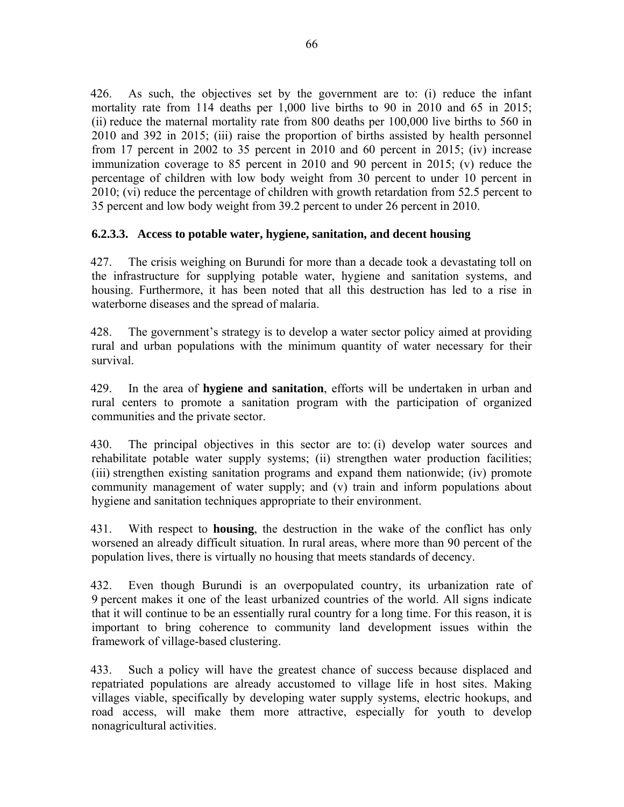426. As such, the objectives set by the government are to: (i) reduce the infant mortality rate from 114 deaths per 1,000 live births to 90 in 2010 and 65 in 2015; (ii) reduce the maternal mortality rate from 800 deaths per 100,000 live births to 560 in 2010 and 392 in 2015; (iii) raise the proportion of births assisted by health personnel from 17 percent in 2002 to 35 percent in 2010 and 60 percent in 2015; (iv) increase immunization coverage to 85 percent in 2010 and 90 percent in 2015; (v) reduce the percentage of children with low body weight from 30 percent to under 10 percent in 2010; (vi) reduce the percentage of children with growth retardation from 52.5 percent to 35 percent and low body weight from 39.2 percent to under 26 percent in 2010.

#### **6.2.3.3. Access to potable water, hygiene, sanitation, and decent housing**

427. The crisis weighing on Burundi for more than a decade took a devastating toll on the infrastructure for supplying potable water, hygiene and sanitation systems, and housing. Furthermore, it has been noted that all this destruction has led to a rise in waterborne diseases and the spread of malaria.

428. The government's strategy is to develop a water sector policy aimed at providing rural and urban populations with the minimum quantity of water necessary for their survival.

429. In the area of **hygiene and sanitation**, efforts will be undertaken in urban and rural centers to promote a sanitation program with the participation of organized communities and the private sector.

430. The principal objectives in this sector are to: (i) develop water sources and rehabilitate potable water supply systems; (ii) strengthen water production facilities; (iii) strengthen existing sanitation programs and expand them nationwide; (iv) promote community management of water supply; and (v) train and inform populations about hygiene and sanitation techniques appropriate to their environment.

431. With respect to **housing**, the destruction in the wake of the conflict has only worsened an already difficult situation. In rural areas, where more than 90 percent of the population lives, there is virtually no housing that meets standards of decency.

432. Even though Burundi is an overpopulated country, its urbanization rate of 9 percent makes it one of the least urbanized countries of the world. All signs indicate that it will continue to be an essentially rural country for a long time. For this reason, it is important to bring coherence to community land development issues within the framework of village-based clustering.

433. Such a policy will have the greatest chance of success because displaced and repatriated populations are already accustomed to village life in host sites. Making villages viable, specifically by developing water supply systems, electric hookups, and road access, will make them more attractive, especially for youth to develop nonagricultural activities.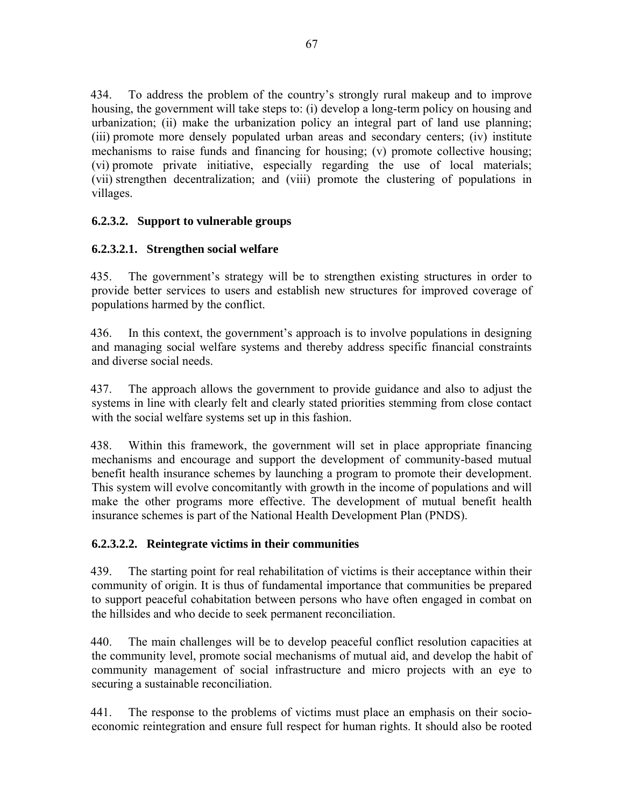434. To address the problem of the country's strongly rural makeup and to improve housing, the government will take steps to: (i) develop a long-term policy on housing and urbanization; (ii) make the urbanization policy an integral part of land use planning; (iii) promote more densely populated urban areas and secondary centers; (iv) institute mechanisms to raise funds and financing for housing; (v) promote collective housing; (vi) promote private initiative, especially regarding the use of local materials; (vii) strengthen decentralization; and (viii) promote the clustering of populations in villages.

### **6.2.3.2. Support to vulnerable groups**

### **6.2.3.2.1. Strengthen social welfare**

435. The government's strategy will be to strengthen existing structures in order to provide better services to users and establish new structures for improved coverage of populations harmed by the conflict.

436. In this context, the government's approach is to involve populations in designing and managing social welfare systems and thereby address specific financial constraints and diverse social needs.

437. The approach allows the government to provide guidance and also to adjust the systems in line with clearly felt and clearly stated priorities stemming from close contact with the social welfare systems set up in this fashion.

438. Within this framework, the government will set in place appropriate financing mechanisms and encourage and support the development of community-based mutual benefit health insurance schemes by launching a program to promote their development. This system will evolve concomitantly with growth in the income of populations and will make the other programs more effective. The development of mutual benefit health insurance schemes is part of the National Health Development Plan (PNDS).

### **6.2.3.2.2. Reintegrate victims in their communities**

439. The starting point for real rehabilitation of victims is their acceptance within their community of origin. It is thus of fundamental importance that communities be prepared to support peaceful cohabitation between persons who have often engaged in combat on the hillsides and who decide to seek permanent reconciliation.

440. The main challenges will be to develop peaceful conflict resolution capacities at the community level, promote social mechanisms of mutual aid, and develop the habit of community management of social infrastructure and micro projects with an eye to securing a sustainable reconciliation.

441. The response to the problems of victims must place an emphasis on their socioeconomic reintegration and ensure full respect for human rights. It should also be rooted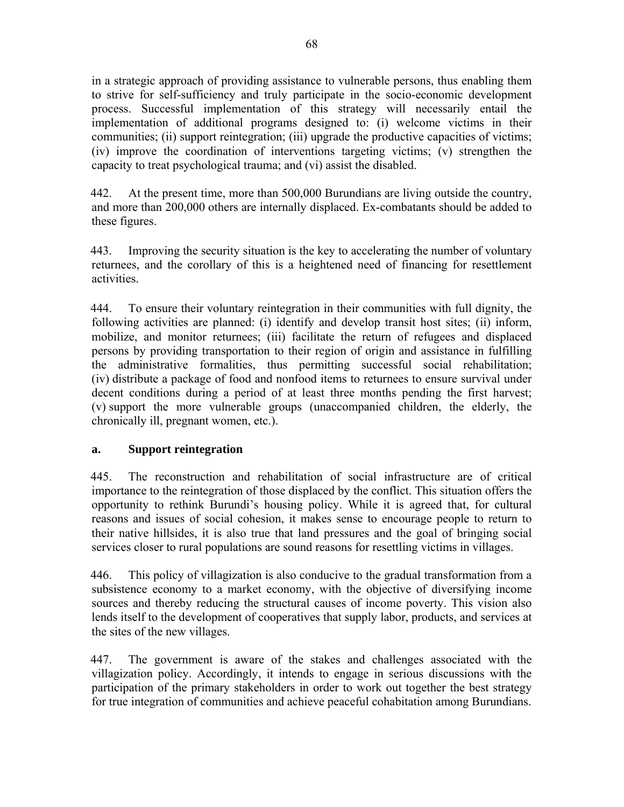in a strategic approach of providing assistance to vulnerable persons, thus enabling them to strive for self-sufficiency and truly participate in the socio-economic development process. Successful implementation of this strategy will necessarily entail the implementation of additional programs designed to: (i) welcome victims in their communities; (ii) support reintegration; (iii) upgrade the productive capacities of victims; (iv) improve the coordination of interventions targeting victims; (v) strengthen the capacity to treat psychological trauma; and (vi) assist the disabled.

442. At the present time, more than 500,000 Burundians are living outside the country, and more than 200,000 others are internally displaced. Ex-combatants should be added to these figures.

443. Improving the security situation is the key to accelerating the number of voluntary returnees, and the corollary of this is a heightened need of financing for resettlement activities.

444. To ensure their voluntary reintegration in their communities with full dignity, the following activities are planned: (i) identify and develop transit host sites; (ii) inform, mobilize, and monitor returnees; (iii) facilitate the return of refugees and displaced persons by providing transportation to their region of origin and assistance in fulfilling the administrative formalities, thus permitting successful social rehabilitation; (iv) distribute a package of food and nonfood items to returnees to ensure survival under decent conditions during a period of at least three months pending the first harvest; (v) support the more vulnerable groups (unaccompanied children, the elderly, the chronically ill, pregnant women, etc.).

### **a. Support reintegration**

445. The reconstruction and rehabilitation of social infrastructure are of critical importance to the reintegration of those displaced by the conflict. This situation offers the opportunity to rethink Burundi's housing policy. While it is agreed that, for cultural reasons and issues of social cohesion, it makes sense to encourage people to return to their native hillsides, it is also true that land pressures and the goal of bringing social services closer to rural populations are sound reasons for resettling victims in villages.

446. This policy of villagization is also conducive to the gradual transformation from a subsistence economy to a market economy, with the objective of diversifying income sources and thereby reducing the structural causes of income poverty. This vision also lends itself to the development of cooperatives that supply labor, products, and services at the sites of the new villages.

447. The government is aware of the stakes and challenges associated with the villagization policy. Accordingly, it intends to engage in serious discussions with the participation of the primary stakeholders in order to work out together the best strategy for true integration of communities and achieve peaceful cohabitation among Burundians.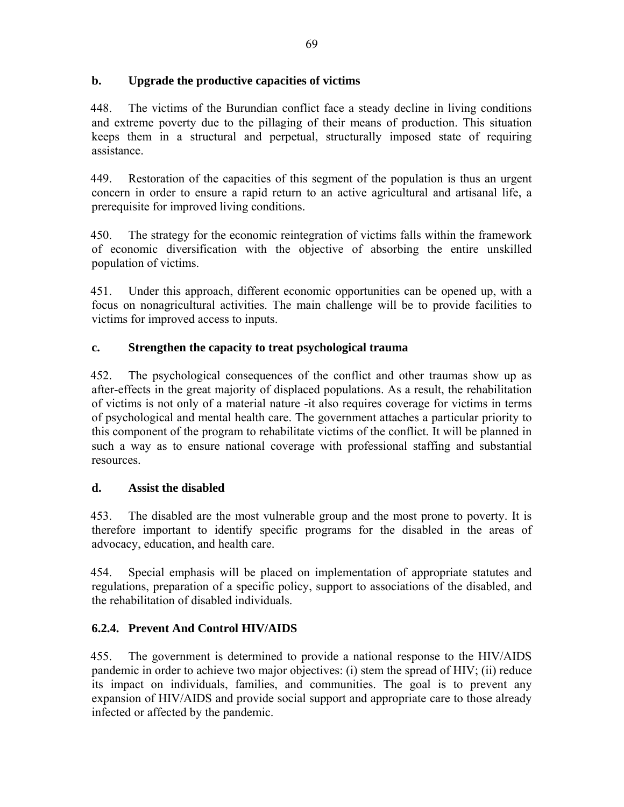### **b. Upgrade the productive capacities of victims**

448. The victims of the Burundian conflict face a steady decline in living conditions and extreme poverty due to the pillaging of their means of production. This situation keeps them in a structural and perpetual, structurally imposed state of requiring assistance.

449. Restoration of the capacities of this segment of the population is thus an urgent concern in order to ensure a rapid return to an active agricultural and artisanal life, a prerequisite for improved living conditions.

450. The strategy for the economic reintegration of victims falls within the framework of economic diversification with the objective of absorbing the entire unskilled population of victims.

451. Under this approach, different economic opportunities can be opened up, with a focus on nonagricultural activities. The main challenge will be to provide facilities to victims for improved access to inputs.

# **c. Strengthen the capacity to treat psychological trauma**

452. The psychological consequences of the conflict and other traumas show up as after-effects in the great majority of displaced populations. As a result, the rehabilitation of victims is not only of a material nature -it also requires coverage for victims in terms of psychological and mental health care. The government attaches a particular priority to this component of the program to rehabilitate victims of the conflict. It will be planned in such a way as to ensure national coverage with professional staffing and substantial resources.

# **d. Assist the disabled**

453. The disabled are the most vulnerable group and the most prone to poverty. It is therefore important to identify specific programs for the disabled in the areas of advocacy, education, and health care.

454. Special emphasis will be placed on implementation of appropriate statutes and regulations, preparation of a specific policy, support to associations of the disabled, and the rehabilitation of disabled individuals.

# **6.2.4. Prevent And Control HIV/AIDS**

455. The government is determined to provide a national response to the HIV/AIDS pandemic in order to achieve two major objectives: (i) stem the spread of HIV; (ii) reduce its impact on individuals, families, and communities. The goal is to prevent any expansion of HIV/AIDS and provide social support and appropriate care to those already infected or affected by the pandemic.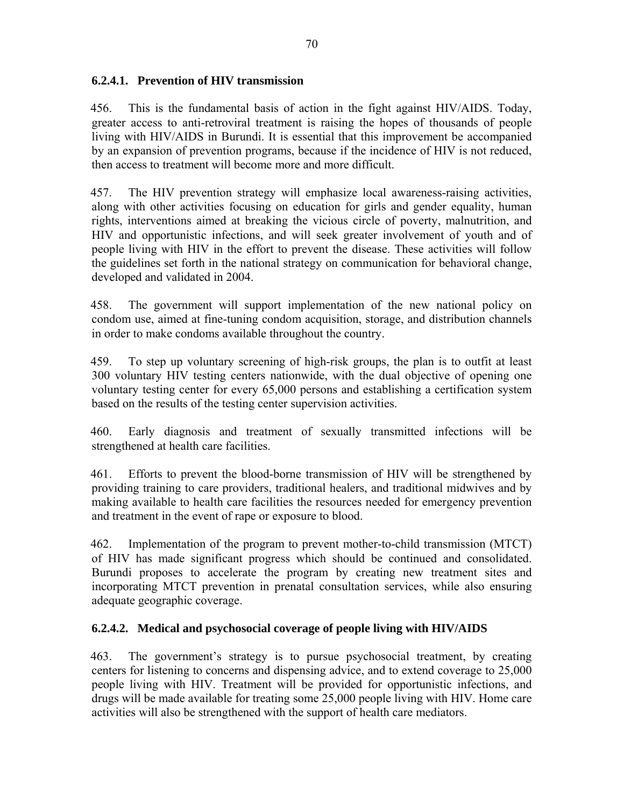### **6.2.4.1. Prevention of HIV transmission**

456. This is the fundamental basis of action in the fight against HIV/AIDS. Today, greater access to anti-retroviral treatment is raising the hopes of thousands of people living with HIV/AIDS in Burundi. It is essential that this improvement be accompanied by an expansion of prevention programs, because if the incidence of HIV is not reduced, then access to treatment will become more and more difficult.

457. The HIV prevention strategy will emphasize local awareness-raising activities, along with other activities focusing on education for girls and gender equality, human rights, interventions aimed at breaking the vicious circle of poverty, malnutrition, and HIV and opportunistic infections, and will seek greater involvement of youth and of people living with HIV in the effort to prevent the disease. These activities will follow the guidelines set forth in the national strategy on communication for behavioral change, developed and validated in 2004.

458. The government will support implementation of the new national policy on condom use, aimed at fine-tuning condom acquisition, storage, and distribution channels in order to make condoms available throughout the country.

459. To step up voluntary screening of high-risk groups, the plan is to outfit at least 300 voluntary HIV testing centers nationwide, with the dual objective of opening one voluntary testing center for every 65,000 persons and establishing a certification system based on the results of the testing center supervision activities.

460. Early diagnosis and treatment of sexually transmitted infections will be strengthened at health care facilities.

461. Efforts to prevent the blood-borne transmission of HIV will be strengthened by providing training to care providers, traditional healers, and traditional midwives and by making available to health care facilities the resources needed for emergency prevention and treatment in the event of rape or exposure to blood.

462. Implementation of the program to prevent mother-to-child transmission (MTCT) of HIV has made significant progress which should be continued and consolidated. Burundi proposes to accelerate the program by creating new treatment sites and incorporating MTCT prevention in prenatal consultation services, while also ensuring adequate geographic coverage.

### **6.2.4.2. Medical and psychosocial coverage of people living with HIV/AIDS**

463. The government's strategy is to pursue psychosocial treatment, by creating centers for listening to concerns and dispensing advice, and to extend coverage to 25,000 people living with HIV. Treatment will be provided for opportunistic infections, and drugs will be made available for treating some 25,000 people living with HIV. Home care activities will also be strengthened with the support of health care mediators.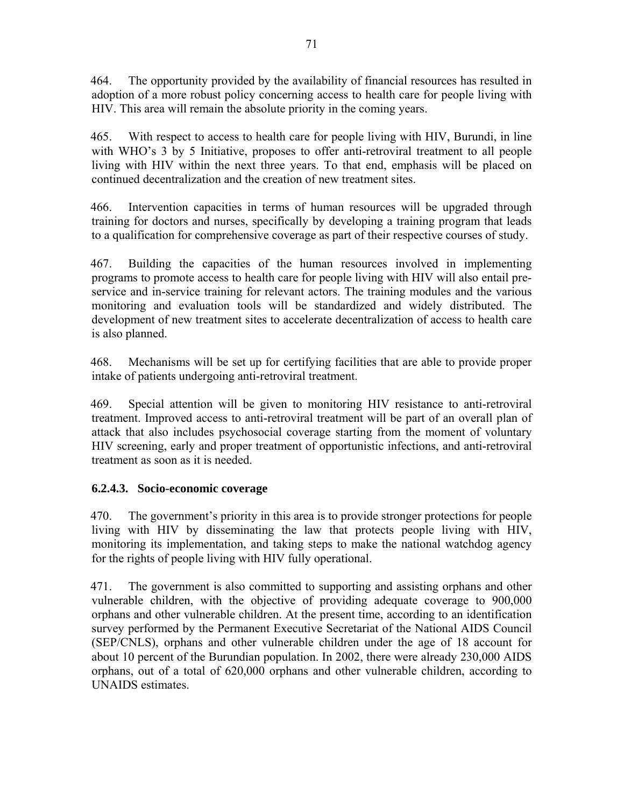464. The opportunity provided by the availability of financial resources has resulted in adoption of a more robust policy concerning access to health care for people living with HIV. This area will remain the absolute priority in the coming years.

465. With respect to access to health care for people living with HIV, Burundi, in line with WHO's 3 by 5 Initiative, proposes to offer anti-retroviral treatment to all people living with HIV within the next three years. To that end, emphasis will be placed on continued decentralization and the creation of new treatment sites.

466. Intervention capacities in terms of human resources will be upgraded through training for doctors and nurses, specifically by developing a training program that leads to a qualification for comprehensive coverage as part of their respective courses of study.

467. Building the capacities of the human resources involved in implementing programs to promote access to health care for people living with HIV will also entail preservice and in-service training for relevant actors. The training modules and the various monitoring and evaluation tools will be standardized and widely distributed. The development of new treatment sites to accelerate decentralization of access to health care is also planned.

468. Mechanisms will be set up for certifying facilities that are able to provide proper intake of patients undergoing anti-retroviral treatment.

469. Special attention will be given to monitoring HIV resistance to anti-retroviral treatment. Improved access to anti-retroviral treatment will be part of an overall plan of attack that also includes psychosocial coverage starting from the moment of voluntary HIV screening, early and proper treatment of opportunistic infections, and anti-retroviral treatment as soon as it is needed.

# **6.2.4.3. Socio-economic coverage**

470. The government's priority in this area is to provide stronger protections for people living with HIV by disseminating the law that protects people living with HIV, monitoring its implementation, and taking steps to make the national watchdog agency for the rights of people living with HIV fully operational.

471. The government is also committed to supporting and assisting orphans and other vulnerable children, with the objective of providing adequate coverage to 900,000 orphans and other vulnerable children. At the present time, according to an identification survey performed by the Permanent Executive Secretariat of the National AIDS Council (SEP/CNLS), orphans and other vulnerable children under the age of 18 account for about 10 percent of the Burundian population. In 2002, there were already 230,000 AIDS orphans, out of a total of 620,000 orphans and other vulnerable children, according to UNAIDS estimates.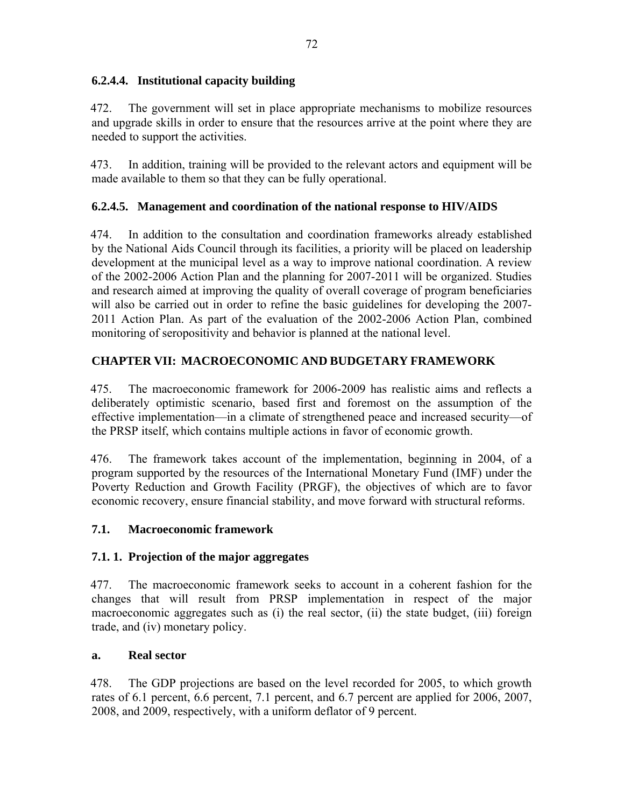### **6.2.4.4. Institutional capacity building**

472. The government will set in place appropriate mechanisms to mobilize resources and upgrade skills in order to ensure that the resources arrive at the point where they are needed to support the activities.

473. In addition, training will be provided to the relevant actors and equipment will be made available to them so that they can be fully operational.

# **6.2.4.5. Management and coordination of the national response to HIV/AIDS**

474. In addition to the consultation and coordination frameworks already established by the National Aids Council through its facilities, a priority will be placed on leadership development at the municipal level as a way to improve national coordination. A review of the 2002-2006 Action Plan and the planning for 2007-2011 will be organized. Studies and research aimed at improving the quality of overall coverage of program beneficiaries will also be carried out in order to refine the basic guidelines for developing the 2007- 2011 Action Plan. As part of the evaluation of the 2002-2006 Action Plan, combined monitoring of seropositivity and behavior is planned at the national level.

# **CHAPTER VII: MACROECONOMIC AND BUDGETARY FRAMEWORK**

475. The macroeconomic framework for 2006-2009 has realistic aims and reflects a deliberately optimistic scenario, based first and foremost on the assumption of the effective implementation—in a climate of strengthened peace and increased security—of the PRSP itself, which contains multiple actions in favor of economic growth.

476. The framework takes account of the implementation, beginning in 2004, of a program supported by the resources of the International Monetary Fund (IMF) under the Poverty Reduction and Growth Facility (PRGF), the objectives of which are to favor economic recovery, ensure financial stability, and move forward with structural reforms.

# **7.1. Macroeconomic framework**

# **7.1. 1. Projection of the major aggregates**

477. The macroeconomic framework seeks to account in a coherent fashion for the changes that will result from PRSP implementation in respect of the major macroeconomic aggregates such as (i) the real sector, (ii) the state budget, (iii) foreign trade, and (iv) monetary policy.

### **a. Real sector**

478. The GDP projections are based on the level recorded for 2005, to which growth rates of 6.1 percent, 6.6 percent, 7.1 percent, and 6.7 percent are applied for 2006, 2007, 2008, and 2009, respectively, with a uniform deflator of 9 percent.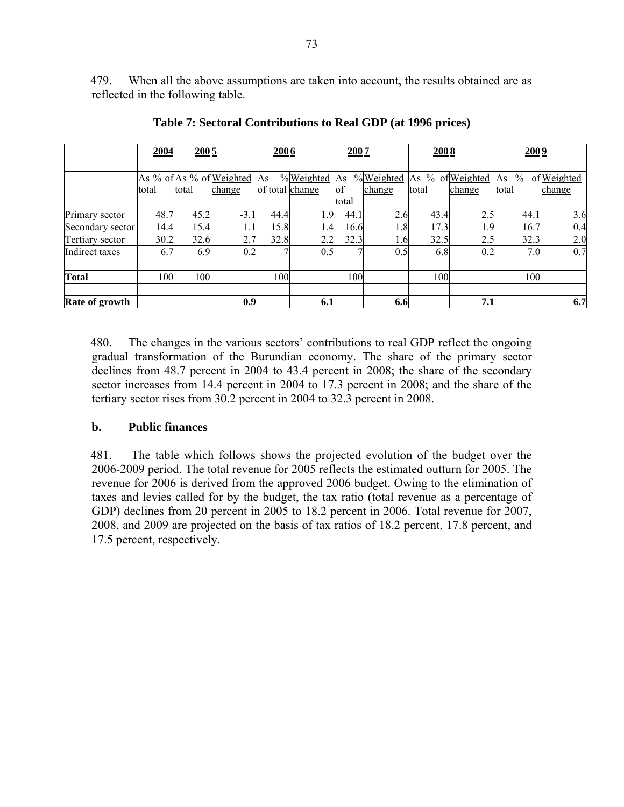479. When all the above assumptions are taken into account, the results obtained are as reflected in the following table.

| 2004 | 2005  |                      | 2006                                                                     |                         | 2007                                 |                                                      | 2008                                                    |                                          | 2009                 |                                                                                         |  |  |
|------|-------|----------------------|--------------------------------------------------------------------------|-------------------------|--------------------------------------|------------------------------------------------------|---------------------------------------------------------|------------------------------------------|----------------------|-----------------------------------------------------------------------------------------|--|--|
|      |       |                      |                                                                          |                         |                                      |                                                      |                                                         |                                          |                      |                                                                                         |  |  |
|      |       |                      |                                                                          |                         |                                      |                                                      |                                                         |                                          |                      | ofWeighted                                                                              |  |  |
|      |       |                      |                                                                          |                         |                                      |                                                      |                                                         |                                          |                      | change                                                                                  |  |  |
|      |       |                      |                                                                          |                         |                                      |                                                      |                                                         |                                          |                      |                                                                                         |  |  |
| 48.7 |       | $-3.1$               | 44.4                                                                     |                         |                                      |                                                      | 43.4                                                    |                                          | 44.1                 | 3.6                                                                                     |  |  |
| 14.4 |       | 1.1                  |                                                                          |                         |                                      |                                                      | 17.3                                                    |                                          | 16.7                 | 0.4                                                                                     |  |  |
|      |       | 2.7                  | 32.8                                                                     |                         |                                      |                                                      | 32.5                                                    |                                          | 32.3                 | 2.0                                                                                     |  |  |
| 6.7  |       |                      |                                                                          |                         |                                      |                                                      |                                                         |                                          | 7.0                  | 0.7                                                                                     |  |  |
|      |       |                      |                                                                          |                         |                                      |                                                      |                                                         |                                          |                      |                                                                                         |  |  |
|      |       |                      |                                                                          |                         |                                      |                                                      |                                                         |                                          |                      |                                                                                         |  |  |
|      |       |                      |                                                                          |                         |                                      |                                                      |                                                         |                                          |                      | 6.7                                                                                     |  |  |
|      | total | total<br>30.2<br>100 | As % of As % of Weighted<br>change<br>45.2<br>15.4<br>32.6<br>6.9<br>100 | As<br>0.2<br>100<br>0.9 | %Weighted<br>of total change<br>15.8 | As<br>of<br>total<br>1.9<br>1.4<br>2.2<br>0.5<br>6.1 | %Weighted<br>change<br>44.1<br>16.6<br>32.3<br>7<br>100 | total<br>2.6<br>1.8<br>1.6<br>0.5<br>6.6 | change<br>6.8<br>100 | As % of Weighted As<br>$\frac{0}{0}$<br>total<br>2.5<br>1.9<br>2.5<br>0.2<br>100<br>7.1 |  |  |

**Table 7: Sectoral Contributions to Real GDP (at 1996 prices)** 

480. The changes in the various sectors' contributions to real GDP reflect the ongoing gradual transformation of the Burundian economy. The share of the primary sector declines from 48.7 percent in 2004 to 43.4 percent in 2008; the share of the secondary sector increases from 14.4 percent in 2004 to 17.3 percent in 2008; and the share of the tertiary sector rises from 30.2 percent in 2004 to 32.3 percent in 2008.

#### **b. Public finances**

481. The table which follows shows the projected evolution of the budget over the 2006-2009 period. The total revenue for 2005 reflects the estimated outturn for 2005. The revenue for 2006 is derived from the approved 2006 budget. Owing to the elimination of taxes and levies called for by the budget, the tax ratio (total revenue as a percentage of GDP) declines from 20 percent in 2005 to 18.2 percent in 2006. Total revenue for 2007, 2008, and 2009 are projected on the basis of tax ratios of 18.2 percent, 17.8 percent, and 17.5 percent, respectively.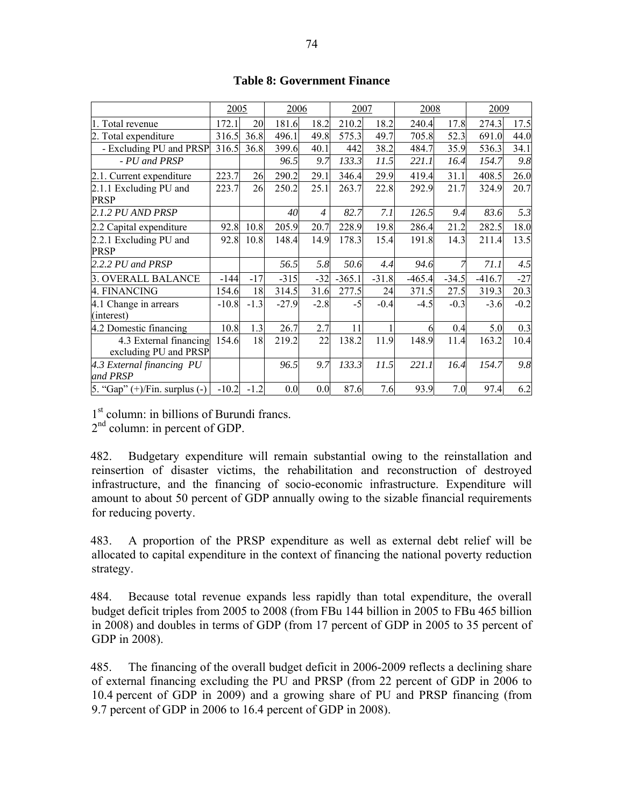|                                                 | 2005    |        | 2006    |                | 2007     |         | 2008     |         | 2009     |        |
|-------------------------------------------------|---------|--------|---------|----------------|----------|---------|----------|---------|----------|--------|
| 1. Total revenue                                | 172.1   | 20     | 181.6   | 18.2           | 210.2    | 18.2    | 240.4    | 17.8    | 274.3    | 17.5   |
| 2. Total expenditure                            | 316.5   | 36.8   | 496.1   | 49.8           | 575.3    | 49.7    | 705.8    | 52.3    | 691.0    | 44.0   |
| - Excluding PU and PRSP                         | 316.5   | 36.8   | 399.6   | 40.1           | 442      | 38.2    | 484.7    | 35.9    | 536.3    | 34.1   |
| - PU and PRSP                                   |         |        | 96.5    | 9.7            | 133.3    | 11.5    | 221.1    | 16.4    | 154.7    | 9.8    |
| 2.1. Current expenditure                        | 223.7   | 26     | 290.2   | 29.1           | 346.4    | 29.9    | 419.4    | 31.1    | 408.5    | 26.0   |
| 2.1.1 Excluding PU and<br><b>PRSP</b>           | 223.7   | 26     | 250.2   | 25.1           | 263.7    | 22.8    | 292.9    | 21.7    | 324.9    | 20.7   |
| 2.1.2 PU AND PRSP                               |         |        | 40      | $\overline{4}$ | 82.7     | 7.1     | 126.5    | 9.4     | 83.6     | 5.3    |
| 2.2 Capital expenditure                         | 92.8    | 10.8   | 205.9   | 20.7           | 228.9    | 19.8    | 286.4    | 21.2    | 282.5    | 18.0   |
| 2.2.1 Excluding PU and<br><b>PRSP</b>           | 92.8    | 10.8   | 148.4   | 14.9           | 178.3    | 15.4    | 191.8    | 14.3    | 211.4    | 13.5   |
| $2.2.2$ PU and PRSP                             |         |        | 56.5    | 5.8            | 50.6     | 4.4     | 94.6     |         | 71.1     | 4.5    |
| 3. OVERALL BALANCE                              | $-144$  | $-17$  | $-315$  | $-32$          | $-365.1$ | $-31.8$ | $-465.4$ | $-34.5$ | $-416.7$ | $-27$  |
| 4. FINANCING                                    | 154.6   | 18     | 314.5   | 31.6           | 277.5    | 24      | 371.5    | 27.5    | 319.3    | 20.3   |
| 4.1 Change in arrears<br>(interest)             | $-10.8$ | $-1.3$ | $-27.9$ | $-2.8$         | $-5$     | $-0.4$  | $-4.5$   | $-0.3$  | $-3.6$   | $-0.2$ |
| 4.2 Domestic financing                          | 10.8    | 1.3    | 26.7    | 2.7            | 11       |         | 6        | 0.4     | 5.0      | 0.3    |
| 4.3 External financing<br>excluding PU and PRSP | 154.6   | 18     | 219.2   | 22             | 138.2    | 11.9    | 148.9    | 11.4    | 163.2    | 10.4   |
| 4.3 External financing PU<br>and PRSP           |         |        | 96.5    | 9.7            | 133.3    | 11.5    | 221.1    | 16.4    | 154.7    | 9.8    |
| $5.$ "Gap" $(+)/$ Fin. surplus $(-)$            | $-10.2$ | $-1.2$ | 0.0     | 0.0            | 87.6     | 7.6     | 93.9     | 7.0     | 97.4     | 6.2    |

#### **Table 8: Government Finance**

1<sup>st</sup> column: in billions of Burundi francs.

2<sup>nd</sup> column: in percent of GDP.

482. Budgetary expenditure will remain substantial owing to the reinstallation and reinsertion of disaster victims, the rehabilitation and reconstruction of destroyed infrastructure, and the financing of socio-economic infrastructure. Expenditure will amount to about 50 percent of GDP annually owing to the sizable financial requirements for reducing poverty.

483. A proportion of the PRSP expenditure as well as external debt relief will be allocated to capital expenditure in the context of financing the national poverty reduction strategy.

484. Because total revenue expands less rapidly than total expenditure, the overall budget deficit triples from 2005 to 2008 (from FBu 144 billion in 2005 to FBu 465 billion in 2008) and doubles in terms of GDP (from 17 percent of GDP in 2005 to 35 percent of GDP in 2008).

485. The financing of the overall budget deficit in 2006-2009 reflects a declining share of external financing excluding the PU and PRSP (from 22 percent of GDP in 2006 to 10.4 percent of GDP in 2009) and a growing share of PU and PRSP financing (from 9.7 percent of GDP in 2006 to 16.4 percent of GDP in 2008).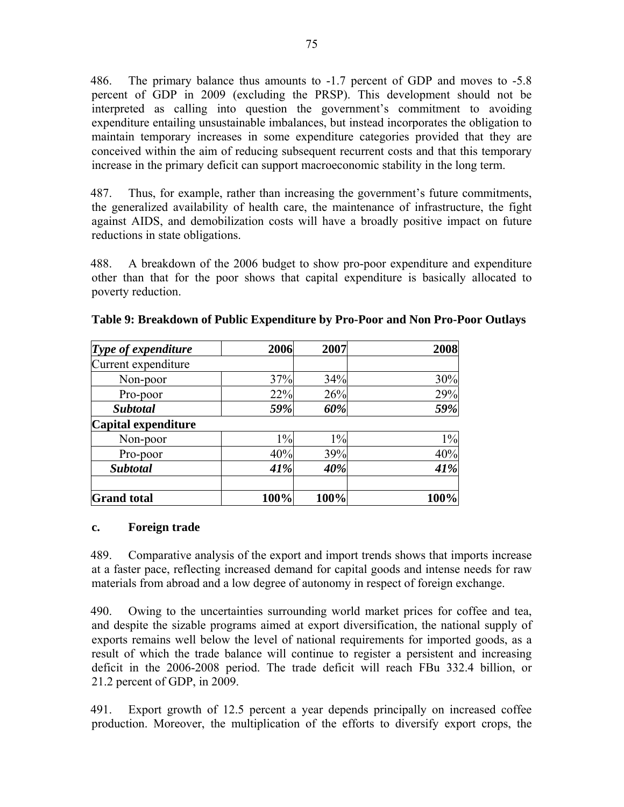486. The primary balance thus amounts to -1.7 percent of GDP and moves to -5.8 percent of GDP in 2009 (excluding the PRSP). This development should not be interpreted as calling into question the government's commitment to avoiding expenditure entailing unsustainable imbalances, but instead incorporates the obligation to maintain temporary increases in some expenditure categories provided that they are conceived within the aim of reducing subsequent recurrent costs and that this temporary increase in the primary deficit can support macroeconomic stability in the long term.

487. Thus, for example, rather than increasing the government's future commitments, the generalized availability of health care, the maintenance of infrastructure, the fight against AIDS, and demobilization costs will have a broadly positive impact on future reductions in state obligations.

488. A breakdown of the 2006 budget to show pro-poor expenditure and expenditure other than that for the poor shows that capital expenditure is basically allocated to poverty reduction.

| Type of expenditure | 2006  | 2007  | 2008  |
|---------------------|-------|-------|-------|
| Current expenditure |       |       |       |
| Non-poor            | 37%   | 34%   | 30%   |
| Pro-poor            | 22%   | 26%   | 29%   |
| <b>Subtotal</b>     | 59%   | 60%   | 59%   |
| Capital expenditure |       |       |       |
| Non-poor            | $1\%$ | $1\%$ | $1\%$ |
| Pro-poor            | 40%   | 39%   | 40%   |
| <b>Subtotal</b>     | 41%   | 40%   | 41%   |
| <b>Grand</b> total  | 100%  | 100%  | 100%  |

**Table 9: Breakdown of Public Expenditure by Pro-Poor and Non Pro-Poor Outlays** 

#### **c. Foreign trade**

489. Comparative analysis of the export and import trends shows that imports increase at a faster pace, reflecting increased demand for capital goods and intense needs for raw materials from abroad and a low degree of autonomy in respect of foreign exchange.

490. Owing to the uncertainties surrounding world market prices for coffee and tea, and despite the sizable programs aimed at export diversification, the national supply of exports remains well below the level of national requirements for imported goods, as a result of which the trade balance will continue to register a persistent and increasing deficit in the 2006-2008 period. The trade deficit will reach FBu 332.4 billion, or 21.2 percent of GDP, in 2009.

491. Export growth of 12.5 percent a year depends principally on increased coffee production. Moreover, the multiplication of the efforts to diversify export crops, the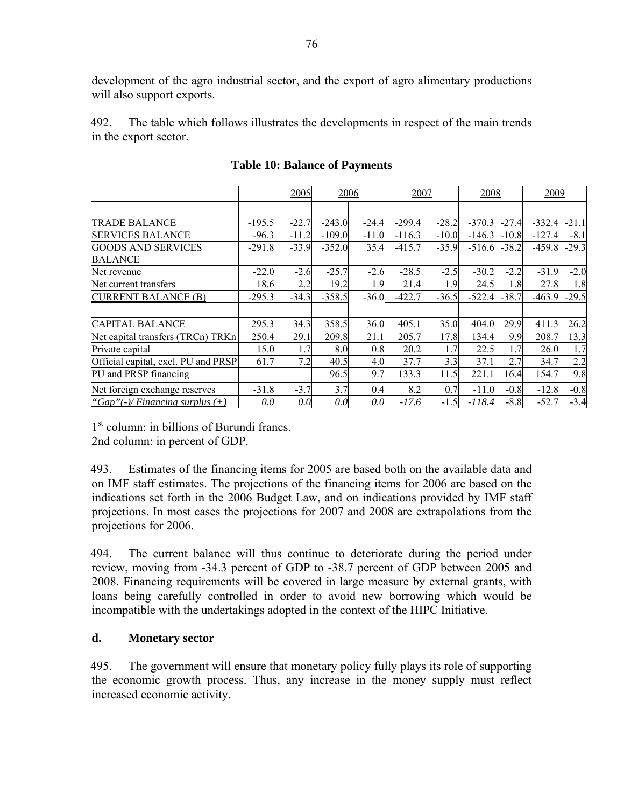development of the agro industrial sector, and the export of agro alimentary productions will also support exports.

492. The table which follows illustrates the developments in respect of the main trends in the export sector.

|                                     |          | 2005    | 2006     |         | 2007     |         | 2008     |         | 2009     |         |
|-------------------------------------|----------|---------|----------|---------|----------|---------|----------|---------|----------|---------|
|                                     |          |         |          |         |          |         |          |         |          |         |
| <b>TRADE BALANCE</b>                | $-195.5$ | $-22.7$ | $-243.0$ | $-24.4$ | $-299.4$ | $-28.2$ | $-370.3$ | $-27.4$ | $-332.4$ | $-21.1$ |
| <b>SERVICES BALANCE</b>             | $-96.3$  | $-11.2$ | $-109.0$ | $-11.0$ | $-116.3$ | $-10.0$ | $-146.3$ | $-10.8$ | $-127.4$ | $-8.1$  |
| <b>GOODS AND SERVICES</b>           | $-291.8$ | $-33.9$ | $-352.0$ | 35.4    | $-415.7$ | $-35.9$ | $-516.6$ | $-38.2$ | $-459.8$ | $-29.3$ |
| <b>BALANCE</b>                      |          |         |          |         |          |         |          |         |          |         |
| Net revenue                         | $-22.0$  | $-2.6$  | $-25.7$  | $-2.6$  | $-28.5$  | $-2.5$  | $-30.2$  | $-2.2$  | $-31.9$  | $-2.0$  |
| Net current transfers               | 18.6     | 2.2     | 19.2     | 1.9     | 21.4     | 1.9     | 24.5     | 1.8     | 27.8     | 1.8     |
| CURRENT BALANCE (B)                 | $-295.3$ | $-34.3$ | $-358.5$ | $-36.0$ | $-422.7$ | $-36.5$ | $-522.4$ | $-38.7$ | $-463.9$ | $-29.5$ |
|                                     |          |         |          |         |          |         |          |         |          |         |
| <b>CAPITAL BALANCE</b>              | 295.3    | 34.3    | 358.5    | 36.0    | 405.1    | 35.0    | 404.0    | 29.9    | 411.3    | 26.2    |
| Net capital transfers (TRCn) TRKn   | 250.4    | 29.1    | 209.8    | 21.1    | 205.7    | 17.8    | 134.4    | 9.9     | 208.7    | 13.3    |
| Private capital                     | 15.0     | 1.7     | 8.0      | 0.8     | 20.2     | 1.7     | 22.5     | 1.7     | 26.0     | 1.7     |
| Official capital, excl. PU and PRSP | 61.7     | 7.2     | 40.5     | 4.0     | 37.7     | 3.3     | 37.1     | 2.7     | 34.7     | 2.2     |
| PU and PRSP financing               |          |         | 96.5     | 9.7     | 133.3    | 11.5    | 221.1    | 16.4    | 154.7    | 9.8     |
| Net foreign exchange reserves       | $-31.8$  | $-3.7$  | 3.7      | 0.4     | 8.2      | 0.7     | $-11.0$  | $-0.8$  | $-12.8$  | $-0.8$  |
| "Gap"(-)/Financing surplus $(+)$    | 0.0      | 0.0     | 0.0      | 0.0     | $-17.6$  | $-1.5$  | $-118.4$ | $-8.8$  | $-52.7$  | $-3.4$  |

#### **Table 10: Balance of Payments**

1<sup>st</sup> column: in billions of Burundi francs. 2nd column: in percent of GDP.

493. Estimates of the financing items for 2005 are based both on the available data and on IMF staff estimates. The projections of the financing items for 2006 are based on the indications set forth in the 2006 Budget Law, and on indications provided by IMF staff projections. In most cases the projections for 2007 and 2008 are extrapolations from the projections for 2006.

494. The current balance will thus continue to deteriorate during the period under review, moving from -34.3 percent of GDP to -38.7 percent of GDP between 2005 and 2008. Financing requirements will be covered in large measure by external grants, with loans being carefully controlled in order to avoid new borrowing which would be incompatible with the undertakings adopted in the context of the HIPC Initiative.

### **d. Monetary sector**

495. The government will ensure that monetary policy fully plays its role of supporting the economic growth process. Thus, any increase in the money supply must reflect increased economic activity.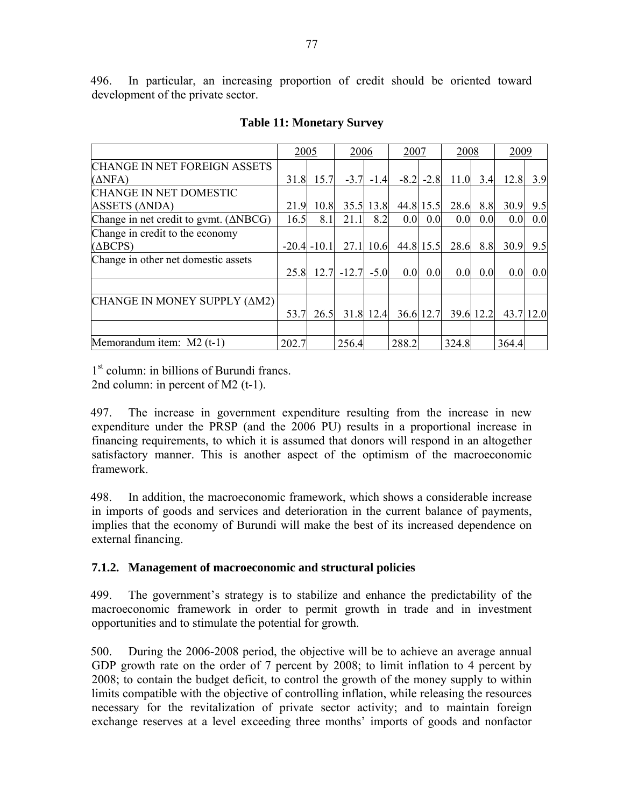496. In particular, an increasing proportion of credit should be oriented toward development of the private sector.

|                                                  | 2005  |                 | 2006    |             | 2007  |               | 2008  |           | 2009             |     |
|--------------------------------------------------|-------|-----------------|---------|-------------|-------|---------------|-------|-----------|------------------|-----|
| CHANGE IN NET FOREIGN ASSETS                     |       |                 |         |             |       |               |       |           |                  |     |
| $(\Delta$ NFA)                                   | 31.8  | 15.7            | $-3.7$  | $-1.4$      |       | $-8.2$ $-2.8$ | 11.0  | 3.4       | 12.8             | 3.9 |
| CHANGE IN NET DOMESTIC                           |       |                 |         |             |       |               |       |           |                  |     |
| ASSETS (ΔNDA)                                    | 21.9  | 10.8            |         | $35.5$ 13.8 |       | 44.8 15.5     | 28.6  | 8.8       | 30.9             | 9.5 |
| Change in net credit to gymt. $(\triangle NBCG)$ | 16.5  | 8.1             | 21.1    | 8.2         | 0.0   | 0.0           | 0.0   | 0.0       | 0.0 <sub>l</sub> | 0.0 |
| Change in credit to the economy                  |       |                 |         |             |       |               |       |           |                  |     |
| $(\triangle BCPS)$                               |       | $-20.4$ $-10.1$ | 27.1    | 10.6        |       | 44.8 15.5     | 28.6  | 8.8       | 30.9             | 9.5 |
| Change in other net domestic assets              |       |                 |         |             |       |               |       |           |                  |     |
|                                                  | 25.8  | 12.7            | $-12.7$ | $-5.0$      | 0.0   | 0.0           | 0.0   | 0.0       | 0.0 <sub>l</sub> | 0.0 |
|                                                  |       |                 |         |             |       |               |       |           |                  |     |
| CHANGE IN MONEY SUPPLY (AM2)                     |       |                 |         |             |       |               |       |           |                  |     |
|                                                  | 53.7  | 26.5            |         | 31.8 12.4   |       | 36.6 12.7     |       | 39.6 12.2 | 43.7 12.0        |     |
|                                                  |       |                 |         |             |       |               |       |           |                  |     |
| Memorandum item: M2 (t-1)                        | 202.7 |                 | 256.4   |             | 288.2 |               | 324.8 |           | 364.4            |     |

### **Table 11: Monetary Survey**

1<sup>st</sup> column: in billions of Burundi francs. 2nd column: in percent of M2 (t-1).

497. The increase in government expenditure resulting from the increase in new expenditure under the PRSP (and the 2006 PU) results in a proportional increase in financing requirements, to which it is assumed that donors will respond in an altogether satisfactory manner. This is another aspect of the optimism of the macroeconomic framework.

498. In addition, the macroeconomic framework, which shows a considerable increase in imports of goods and services and deterioration in the current balance of payments, implies that the economy of Burundi will make the best of its increased dependence on external financing.

### **7.1.2. Management of macroeconomic and structural policies**

499. The government's strategy is to stabilize and enhance the predictability of the macroeconomic framework in order to permit growth in trade and in investment opportunities and to stimulate the potential for growth.

500. During the 2006-2008 period, the objective will be to achieve an average annual GDP growth rate on the order of 7 percent by 2008; to limit inflation to 4 percent by 2008; to contain the budget deficit, to control the growth of the money supply to within limits compatible with the objective of controlling inflation, while releasing the resources necessary for the revitalization of private sector activity; and to maintain foreign exchange reserves at a level exceeding three months' imports of goods and nonfactor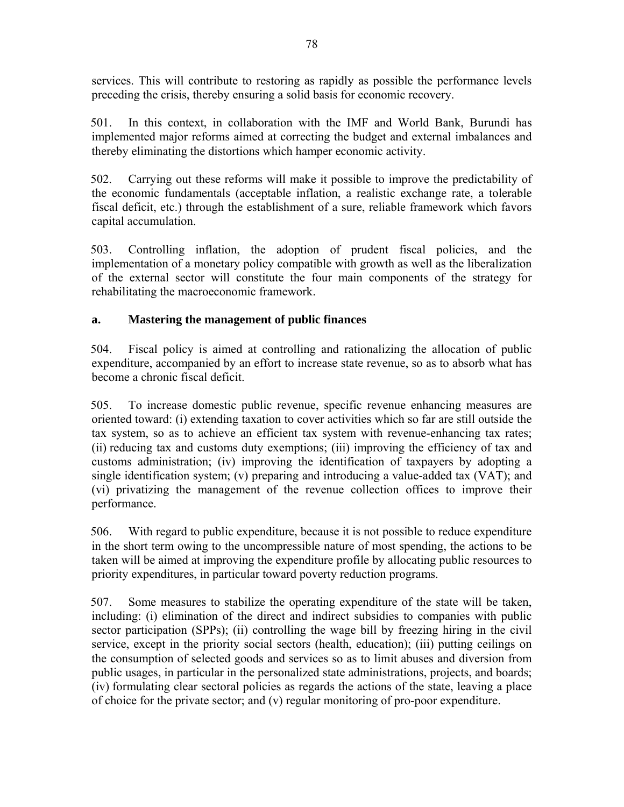services. This will contribute to restoring as rapidly as possible the performance levels preceding the crisis, thereby ensuring a solid basis for economic recovery.

501. In this context, in collaboration with the IMF and World Bank, Burundi has implemented major reforms aimed at correcting the budget and external imbalances and thereby eliminating the distortions which hamper economic activity.

502. Carrying out these reforms will make it possible to improve the predictability of the economic fundamentals (acceptable inflation, a realistic exchange rate, a tolerable fiscal deficit, etc.) through the establishment of a sure, reliable framework which favors capital accumulation.

503. Controlling inflation, the adoption of prudent fiscal policies, and the implementation of a monetary policy compatible with growth as well as the liberalization of the external sector will constitute the four main components of the strategy for rehabilitating the macroeconomic framework.

### **a. Mastering the management of public finances**

504. Fiscal policy is aimed at controlling and rationalizing the allocation of public expenditure, accompanied by an effort to increase state revenue, so as to absorb what has become a chronic fiscal deficit.

505. To increase domestic public revenue, specific revenue enhancing measures are oriented toward: (i) extending taxation to cover activities which so far are still outside the tax system, so as to achieve an efficient tax system with revenue-enhancing tax rates; (ii) reducing tax and customs duty exemptions; (iii) improving the efficiency of tax and customs administration; (iv) improving the identification of taxpayers by adopting a single identification system; (v) preparing and introducing a value-added tax (VAT); and (vi) privatizing the management of the revenue collection offices to improve their performance.

506. With regard to public expenditure, because it is not possible to reduce expenditure in the short term owing to the uncompressible nature of most spending, the actions to be taken will be aimed at improving the expenditure profile by allocating public resources to priority expenditures, in particular toward poverty reduction programs.

507. Some measures to stabilize the operating expenditure of the state will be taken, including: (i) elimination of the direct and indirect subsidies to companies with public sector participation (SPPs); (ii) controlling the wage bill by freezing hiring in the civil service, except in the priority social sectors (health, education); (iii) putting ceilings on the consumption of selected goods and services so as to limit abuses and diversion from public usages, in particular in the personalized state administrations, projects, and boards; (iv) formulating clear sectoral policies as regards the actions of the state, leaving a place of choice for the private sector; and (v) regular monitoring of pro-poor expenditure.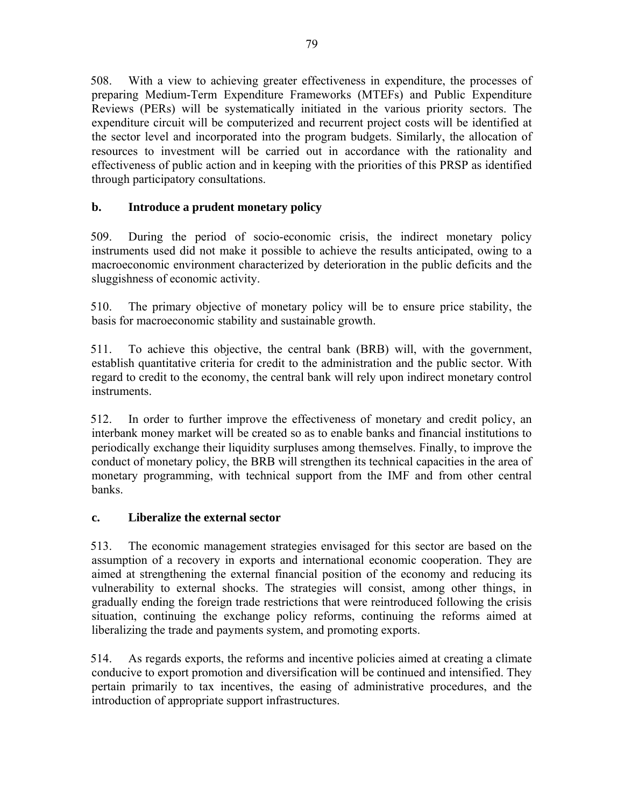508. With a view to achieving greater effectiveness in expenditure, the processes of preparing Medium-Term Expenditure Frameworks (MTEFs) and Public Expenditure Reviews (PERs) will be systematically initiated in the various priority sectors. The expenditure circuit will be computerized and recurrent project costs will be identified at the sector level and incorporated into the program budgets. Similarly, the allocation of resources to investment will be carried out in accordance with the rationality and effectiveness of public action and in keeping with the priorities of this PRSP as identified through participatory consultations.

# **b. Introduce a prudent monetary policy**

509. During the period of socio-economic crisis, the indirect monetary policy instruments used did not make it possible to achieve the results anticipated, owing to a macroeconomic environment characterized by deterioration in the public deficits and the sluggishness of economic activity.

510. The primary objective of monetary policy will be to ensure price stability, the basis for macroeconomic stability and sustainable growth.

511. To achieve this objective, the central bank (BRB) will, with the government, establish quantitative criteria for credit to the administration and the public sector. With regard to credit to the economy, the central bank will rely upon indirect monetary control instruments.

512. In order to further improve the effectiveness of monetary and credit policy, an interbank money market will be created so as to enable banks and financial institutions to periodically exchange their liquidity surpluses among themselves. Finally, to improve the conduct of monetary policy, the BRB will strengthen its technical capacities in the area of monetary programming, with technical support from the IMF and from other central banks.

### **c. Liberalize the external sector**

513. The economic management strategies envisaged for this sector are based on the assumption of a recovery in exports and international economic cooperation. They are aimed at strengthening the external financial position of the economy and reducing its vulnerability to external shocks. The strategies will consist, among other things, in gradually ending the foreign trade restrictions that were reintroduced following the crisis situation, continuing the exchange policy reforms, continuing the reforms aimed at liberalizing the trade and payments system, and promoting exports.

514. As regards exports, the reforms and incentive policies aimed at creating a climate conducive to export promotion and diversification will be continued and intensified. They pertain primarily to tax incentives, the easing of administrative procedures, and the introduction of appropriate support infrastructures.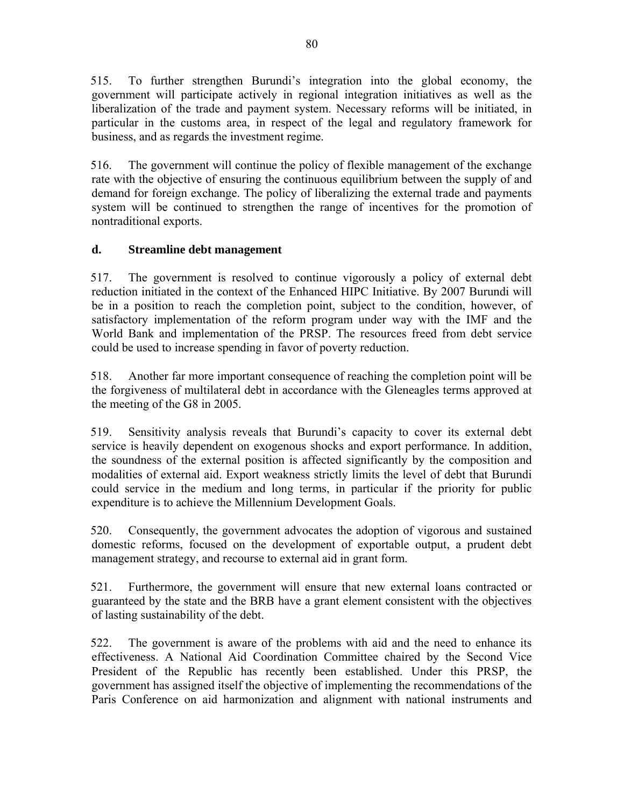515. To further strengthen Burundi's integration into the global economy, the government will participate actively in regional integration initiatives as well as the liberalization of the trade and payment system. Necessary reforms will be initiated, in particular in the customs area, in respect of the legal and regulatory framework for business, and as regards the investment regime.

516. The government will continue the policy of flexible management of the exchange rate with the objective of ensuring the continuous equilibrium between the supply of and demand for foreign exchange. The policy of liberalizing the external trade and payments system will be continued to strengthen the range of incentives for the promotion of nontraditional exports.

# **d. Streamline debt management**

517. The government is resolved to continue vigorously a policy of external debt reduction initiated in the context of the Enhanced HIPC Initiative. By 2007 Burundi will be in a position to reach the completion point, subject to the condition, however, of satisfactory implementation of the reform program under way with the IMF and the World Bank and implementation of the PRSP. The resources freed from debt service could be used to increase spending in favor of poverty reduction.

518. Another far more important consequence of reaching the completion point will be the forgiveness of multilateral debt in accordance with the Gleneagles terms approved at the meeting of the G8 in 2005.

519. Sensitivity analysis reveals that Burundi's capacity to cover its external debt service is heavily dependent on exogenous shocks and export performance. In addition, the soundness of the external position is affected significantly by the composition and modalities of external aid. Export weakness strictly limits the level of debt that Burundi could service in the medium and long terms, in particular if the priority for public expenditure is to achieve the Millennium Development Goals.

520. Consequently, the government advocates the adoption of vigorous and sustained domestic reforms, focused on the development of exportable output, a prudent debt management strategy, and recourse to external aid in grant form.

521. Furthermore, the government will ensure that new external loans contracted or guaranteed by the state and the BRB have a grant element consistent with the objectives of lasting sustainability of the debt.

522. The government is aware of the problems with aid and the need to enhance its effectiveness. A National Aid Coordination Committee chaired by the Second Vice President of the Republic has recently been established. Under this PRSP, the government has assigned itself the objective of implementing the recommendations of the Paris Conference on aid harmonization and alignment with national instruments and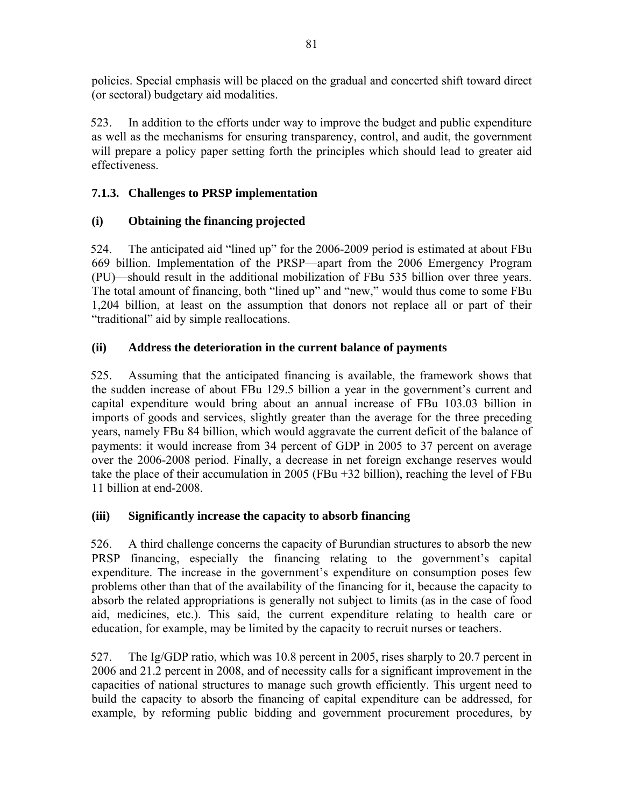policies. Special emphasis will be placed on the gradual and concerted shift toward direct (or sectoral) budgetary aid modalities.

523. In addition to the efforts under way to improve the budget and public expenditure as well as the mechanisms for ensuring transparency, control, and audit, the government will prepare a policy paper setting forth the principles which should lead to greater aid effectiveness.

# **7.1.3. Challenges to PRSP implementation**

# **(i) Obtaining the financing projected**

524. The anticipated aid "lined up" for the 2006-2009 period is estimated at about FBu 669 billion. Implementation of the PRSP—apart from the 2006 Emergency Program (PU)—should result in the additional mobilization of FBu 535 billion over three years. The total amount of financing, both "lined up" and "new," would thus come to some FBu 1,204 billion, at least on the assumption that donors not replace all or part of their "traditional" aid by simple reallocations.

# **(ii) Address the deterioration in the current balance of payments**

525. Assuming that the anticipated financing is available, the framework shows that the sudden increase of about FBu 129.5 billion a year in the government's current and capital expenditure would bring about an annual increase of FBu 103.03 billion in imports of goods and services, slightly greater than the average for the three preceding years, namely FBu 84 billion, which would aggravate the current deficit of the balance of payments: it would increase from 34 percent of GDP in 2005 to 37 percent on average over the 2006-2008 period. Finally, a decrease in net foreign exchange reserves would take the place of their accumulation in 2005 (FBu +32 billion), reaching the level of FBu 11 billion at end-2008.

# **(iii) Significantly increase the capacity to absorb financing**

526. A third challenge concerns the capacity of Burundian structures to absorb the new PRSP financing, especially the financing relating to the government's capital expenditure. The increase in the government's expenditure on consumption poses few problems other than that of the availability of the financing for it, because the capacity to absorb the related appropriations is generally not subject to limits (as in the case of food aid, medicines, etc.). This said, the current expenditure relating to health care or education, for example, may be limited by the capacity to recruit nurses or teachers.

527. The Ig/GDP ratio, which was 10.8 percent in 2005, rises sharply to 20.7 percent in 2006 and 21.2 percent in 2008, and of necessity calls for a significant improvement in the capacities of national structures to manage such growth efficiently. This urgent need to build the capacity to absorb the financing of capital expenditure can be addressed, for example, by reforming public bidding and government procurement procedures, by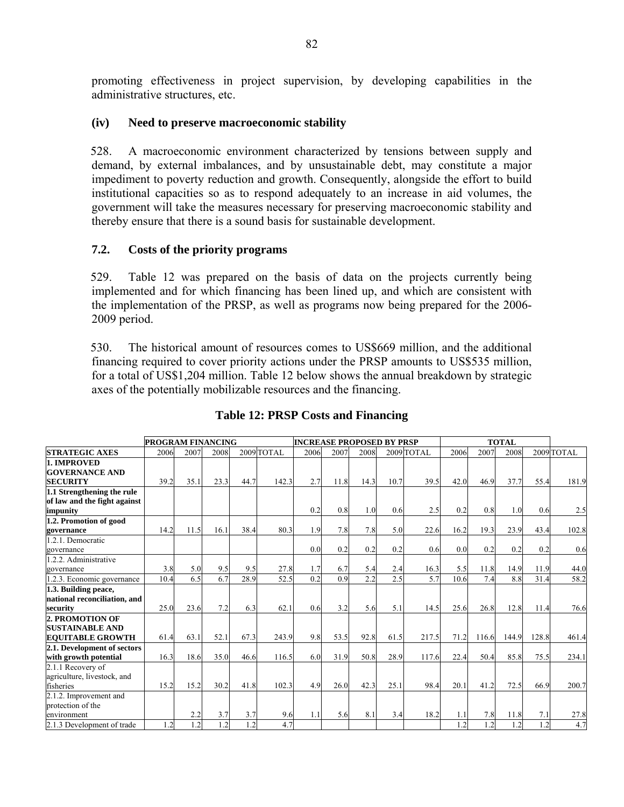promoting effectiveness in project supervision, by developing capabilities in the administrative structures, etc.

#### **(iv) Need to preserve macroeconomic stability**

528. A macroeconomic environment characterized by tensions between supply and demand, by external imbalances, and by unsustainable debt, may constitute a major impediment to poverty reduction and growth. Consequently, alongside the effort to build institutional capacities so as to respond adequately to an increase in aid volumes, the government will take the measures necessary for preserving macroeconomic stability and thereby ensure that there is a sound basis for sustainable development.

### **7.2. Costs of the priority programs**

529. Table 12 was prepared on the basis of data on the projects currently being implemented and for which financing has been lined up, and which are consistent with the implementation of the PRSP, as well as programs now being prepared for the 2006- 2009 period.

530. The historical amount of resources comes to US\$669 million, and the additional financing required to cover priority actions under the PRSP amounts to US\$535 million, for a total of US\$1,204 million. Table 12 below shows the annual breakdown by strategic axes of the potentially mobilizable resources and the financing.

|                                                                        | <b>PROGRAM FINANCING</b> |      |      |      |            | <b>INCREASE PROPOSED BY PRSP</b> |      |      |      |            |      |       |       |       |            |
|------------------------------------------------------------------------|--------------------------|------|------|------|------------|----------------------------------|------|------|------|------------|------|-------|-------|-------|------------|
| <b>STRATEGIC AXES</b>                                                  | 2006                     | 2007 | 2008 |      | 2009 TOTAL | 2006                             | 2007 | 2008 |      | 2009 TOTAL | 2006 | 2007  | 2008  |       | 2009 TOTAL |
| 1. IMPROVED<br><b>GOVERNANCE AND</b><br><b>SECURITY</b>                | 39.2                     | 35.1 | 23.3 | 44.7 | 142.3      | 2.7                              | 11.8 | 14.3 | 10.7 | 39.5       | 42.0 | 46.9  | 37.7  | 55.4  | 181.9      |
| 1.1 Strengthening the rule<br>of law and the fight against<br>impunity |                          |      |      |      |            | 0.2                              | 0.8  | 1.0  | 0.6  | 2.5        | 0.2  | 0.8   | 1.0   | 0.6   | 2.5        |
| 1.2. Promotion of good<br>governance                                   | 14.2                     | 11.5 | 16.1 | 38.4 | 80.3       | 1.9                              | 7.8  | 7.8  | 5.0  | 22.6       | 16.2 | 19.3  | 23.9  | 43.4  | 102.8      |
| 1.2.1. Democratic<br>governance                                        |                          |      |      |      |            | 0.0                              | 0.2  | 0.2  | 0.2  | 0.6        | 0.0  | 0.2   | 0.2   | 0.2   | 0.6        |
| 1.2.2. Administrative<br>governance                                    | 3.8                      | 5.0  | 9.5  | 9.5  | 27.8       | 1.7                              | 6.7  | 5.4  | 2.4  | 16.3       | 5.5  | 11.8  | 14.9  | 11.9  | 44.0       |
| 1.2.3. Economic governance                                             | 10.4                     | 6.5  | 6.7  | 28.9 | 52.5       | 0.2                              | 0.9  | 2.2  | 2.5  | 5.7        | 10.6 | 7.4   | 8.8   | 31.4  | 58.2       |
| 1.3. Building peace,<br>national reconciliation, and<br>security       | 25.0                     | 23.6 | 7.2  | 6.3  | 62.1       | 0.6                              | 3.2  | 5.6  | 5.1  | 14.5       | 25.6 | 26.8  | 12.8  | 11.4  | 76.6       |
| 2. PROMOTION OF<br><b>SUSTAINABLE AND</b><br><b>EQUITABLE GROWTH</b>   | 61.4                     | 63.1 | 52.1 | 67.3 | 243.9      | 9.8                              | 53.5 | 92.8 | 61.5 | 217.5      | 71.2 | 116.6 | 144.9 | 128.8 | 461.4      |
| 2.1. Development of sectors<br>with growth potential                   | 16.3                     | 18.6 | 35.0 | 46.6 | 116.5      | 6.0                              | 31.9 | 50.8 | 28.9 | 117.6      | 22.4 | 50.4  | 85.8  | 75.5  | 234.1      |
| 2.1.1 Recovery of<br>agriculture, livestock, and<br>fisheries          | 15.2                     | 15.2 | 30.2 | 41.8 | 102.3      | 4.9                              | 26.0 | 42.3 | 25.1 | 98.4       | 20.1 | 41.2  | 72.5  | 66.9  | 200.7      |
| 2.1.2. Improvement and<br>protection of the<br>environment             |                          | 2.2  | 3.7  | 3.7  | 9.6        | 1.1                              | 5.6  | 8.1  | 3.4  | 18.2       | 1.1  | 7.8   | 11.8  | 7.1   | 27.8       |
| 2.1.3 Development of trade                                             | 1.2                      | 1.2  | 1.2  | 1.2  | 4.7        |                                  |      |      |      |            | 1.2  | 1.2   | 1.2   | 1.2   | 4.7        |

### **Table 12: PRSP Costs and Financing**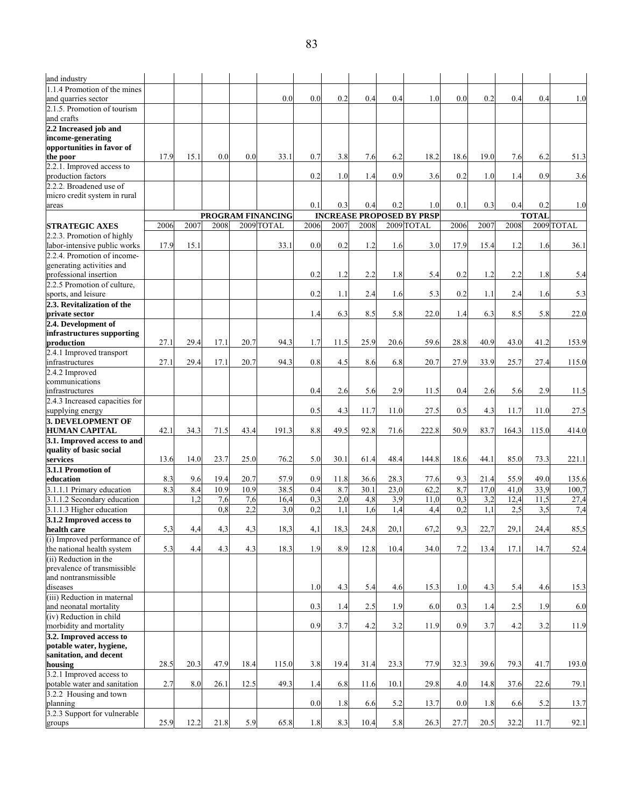| and industry                                        |      |      |      |      |                   |      |      |      |      |                                  |      |      |       |              |            |
|-----------------------------------------------------|------|------|------|------|-------------------|------|------|------|------|----------------------------------|------|------|-------|--------------|------------|
| 1.1.4 Promotion of the mines<br>and quarries sector |      |      |      |      | 0.0               | 0.0  | 0.2  | 0.4  | 0.4  | 1.0                              | 0.0  | 0.2  | 0.4   | 0.4          | 1.0        |
| 2.1.5. Promotion of tourism                         |      |      |      |      |                   |      |      |      |      |                                  |      |      |       |              |            |
| and crafts<br>2.2 Increased job and                 |      |      |      |      |                   |      |      |      |      |                                  |      |      |       |              |            |
| income-generating                                   |      |      |      |      |                   |      |      |      |      |                                  |      |      |       |              |            |
| opportunities in favor of                           |      |      |      |      |                   |      |      |      |      |                                  |      |      |       |              |            |
| the poor                                            | 17.9 | 15.1 | 0.0  | 0.0  | 33.1              | 0.7  | 3.8  | 7.6  | 6.2  | 18.2                             | 18.6 | 19.0 | 7.6   | 6.2          | 51.3       |
| 2.2.1. Improved access to<br>production factors     |      |      |      |      |                   | 0.2  | 1.0  | 1.4  | 0.9  | 3.6                              | 0.2  | 1.0  | 1.4   | 0.9          | 3.6        |
| 2.2.2. Broadened use of                             |      |      |      |      |                   |      |      |      |      |                                  |      |      |       |              |            |
| micro credit system in rural                        |      |      |      |      |                   |      |      |      |      |                                  |      |      |       |              |            |
| areas                                               |      |      |      |      |                   | 0.1  | 0.3  | 0.4  | 0.2  | 1.0                              | 0.1  | 0.3  | 0.4   | 0.2          | 1.0        |
|                                                     |      |      |      |      | PROGRAM FINANCING |      |      |      |      | <b>INCREASE PROPOSED BY PRSP</b> |      |      |       | <b>TOTAL</b> |            |
| <b>STRATEGIC AXES</b>                               | 2006 | 2007 | 2008 |      | 2009 TOTAL        | 2006 | 2007 | 2008 |      | 2009 TOTAL                       | 2006 | 2007 | 2008  |              | 2009 TOTAL |
| 2.2.3. Promotion of highly                          |      |      |      |      |                   |      |      |      |      |                                  |      |      |       |              |            |
| labor-intensive public works                        | 17.9 | 15.1 |      |      | 33.1              | 0.0  | 0.2  | 1.2  | 1.6  | 3.0                              | 17.9 | 15.4 | 1.2   | 1.6          | 36.1       |
| 2.2.4. Promotion of income-                         |      |      |      |      |                   |      |      |      |      |                                  |      |      |       |              |            |
| generating activities and<br>professional insertion |      |      |      |      |                   | 0.2  | 1.2  | 2.2  | 1.8  | 5.4                              | 0.2  | 1.2  | 2.2   | 1.8          | 5.4        |
| 2.2.5 Promotion of culture.                         |      |      |      |      |                   |      |      |      |      |                                  |      |      |       |              |            |
| sports, and leisure                                 |      |      |      |      |                   | 0.2  | 1.1  | 2.4  | 1.6  | 5.3                              | 0.2  | 1.1  | 2.4   | 1.6          | 5.3        |
| 2.3. Revitalization of the                          |      |      |      |      |                   |      |      |      |      |                                  |      |      |       |              |            |
| <b>private</b> sector                               |      |      |      |      |                   | 1.4  | 6.3  | 8.5  | 5.8  | 22.0                             | 1.4  | 6.3  | 8.5   | 5.8          | 22.0       |
| 2.4. Development of                                 |      |      |      |      |                   |      |      |      |      |                                  |      |      |       |              |            |
| infrastructures supporting                          |      |      |      |      |                   |      |      |      |      |                                  |      |      |       |              |            |
| production                                          | 27.1 | 29.4 | 17.1 | 20.7 | 94.3              | 1.7  | 11.5 | 25.9 | 20.6 | 59.6                             | 28.8 | 40.9 | 43.0  | 41.2         | 153.9      |
| 2.4.1 Improved transport                            |      |      |      |      |                   |      |      |      |      |                                  |      |      |       |              |            |
| infrastructures                                     | 27.1 | 29.4 | 17.1 | 20.7 | 94.3              | 0.8  | 4.5  | 8.6  | 6.8  | 20.7                             | 27.9 | 33.9 | 25.7  | 27.4         | 115.0      |
| 2.4.2 Improved                                      |      |      |      |      |                   |      |      |      |      |                                  |      |      |       |              |            |
| communications                                      |      |      |      |      |                   |      |      |      |      |                                  |      |      |       |              |            |
| infrastructures                                     |      |      |      |      |                   | 0.4  | 2.6  | 5.6  | 2.9  | 11.5                             | 0.4  | 2.6  | 5.6   | 2.9          | 11.5       |
| 2.4.3 Increased capacities for                      |      |      |      |      |                   |      |      |      |      |                                  |      |      |       |              |            |
| supplying energy                                    |      |      |      |      |                   | 0.5  | 4.3  | 11.7 | 11.0 | 27.5                             | 0.5  | 4.3  | 11.7  | 11.0         | 27.5       |
| <b>3. DEVELOPMENT OF</b><br><b>HUMAN CAPITAL</b>    | 42.1 | 34.3 | 71.5 | 43.4 | 191.3             | 8.8  | 49.5 | 92.8 | 71.6 | 222.8                            | 50.9 | 83.7 | 164.3 | 115.0        | 414.0      |
| 3.1. Improved access to and                         |      |      |      |      |                   |      |      |      |      |                                  |      |      |       |              |            |
| quality of basic social                             |      |      |      |      |                   |      |      |      |      |                                  |      |      |       |              |            |
| services                                            | 13.6 | 14.0 | 23.7 | 25.0 | 76.2              | 5.0  | 30.1 | 61.4 | 48.4 | 144.8                            | 18.6 | 44.1 | 85.0  | 73.3         | 221.1      |
| 3.1.1 Promotion of                                  |      |      |      |      |                   |      |      |      |      |                                  |      |      |       |              |            |
| education                                           | 8.3  | 9.6  | 19.4 | 20.7 | 57.9              | 0.9  | 11.8 | 36.6 | 28.3 | 77.6                             | 9.3  | 21.4 | 55.9  | 49.0         | 135.6      |
| 3.1.1.1 Primary education                           | 8.3  | 8.4  | 10.9 | 10.9 | 38.5              | 0.4  | 8.7  | 30.1 | 23,0 | 62,2                             | 8,7  | 17,0 | 41,0  | 33,9         | 100,7      |
| 3.1.1.2 Secondary education                         |      | 1,2  | 7,6  | 7,6  | 16,4              | 0.3  | 2,0  | 4,8  | 3,9  | 11,0                             | 0.3  | 3,2  | 12,4  | 11,5         | 27,4       |
| 3.1.1.3 Higher education                            |      |      | 0,8  | 2,2  | 3,0               | 0,2  | 1,1  | 1,6  | 1,4  | 4,4                              | 0,2  | 1,1  | 2,5   | 3,5          | 7,4        |
| 3.1.2 Improved access to                            |      |      |      |      |                   |      |      |      |      |                                  |      |      |       |              |            |
| health care                                         | 5,3  | 4,4  | 4,3  | 4,3  | 18,3              | 4,1  | 18,3 | 24,8 | 20,1 | 67,2                             | 9,3  | 22,7 | 29,1  | 24,4         | 85,5       |
| (i) Improved performance of                         |      |      |      |      |                   |      |      |      |      |                                  |      |      |       |              |            |
| the national health system                          | 5.3  | 4.4  | 4.3  | 4.3  | 18.3              | 1.9  | 8.9  | 12.8 | 10.4 | 34.0                             | 7.2  | 13.4 | 17.1  | 14.7         | 52.4       |
| (ii) Reduction in the                               |      |      |      |      |                   |      |      |      |      |                                  |      |      |       |              |            |
| prevalence of transmissible                         |      |      |      |      |                   |      |      |      |      |                                  |      |      |       |              |            |
| and nontransmissible                                |      |      |      |      |                   |      |      |      |      |                                  |      |      |       |              |            |
| diseases<br>(iii) Reduction in maternal             |      |      |      |      |                   | 1.0  | 4.3  | 5.4  | 4.6  | 15.3                             | 1.0  | 4.3  | 5.4   | 4.6          | 15.3       |
| and neonatal mortality                              |      |      |      |      |                   | 0.3  | 1.4  | 2.5  | 1.9  | 6.0                              | 0.3  | 1.4  | 2.5   | 1.9          | 6.0        |
| (iv) Reduction in child                             |      |      |      |      |                   |      |      |      |      |                                  |      |      |       |              |            |
| morbidity and mortality                             |      |      |      |      |                   | 0.9  | 3.7  | 4.2  | 3.2  | 11.9                             | 0.9  | 3.7  | 4.2   | 3.2          | 11.9       |
| 3.2. Improved access to                             |      |      |      |      |                   |      |      |      |      |                                  |      |      |       |              |            |
| potable water, hygiene,                             |      |      |      |      |                   |      |      |      |      |                                  |      |      |       |              |            |
| sanitation, and decent                              |      |      |      |      |                   |      |      |      |      |                                  |      |      |       |              |            |
| housing                                             | 28.5 | 20.3 | 47.9 | 18.4 | 115.0             | 3.8  | 19.4 | 31.4 | 23.3 | 77.9                             | 32.3 | 39.6 | 79.3  | 41.7         | 193.0      |
| 3.2.1 Improved access to                            |      |      |      |      |                   |      |      |      |      |                                  |      |      |       |              |            |
| potable water and sanitation                        | 2.7  | 8.0  | 26.1 | 12.5 | 49.3              | 1.4  | 6.8  | 11.6 | 10.1 | 29.8                             | 4.0  | 14.8 | 37.6  | 22.6         | 79.1       |
| 3.2.2 Housing and town                              |      |      |      |      |                   |      |      |      |      |                                  |      |      |       |              |            |
| planning                                            |      |      |      |      |                   | 0.0  | 1.8  | 6.6  | 5.2  | 13.7                             | 0.0  | 1.8  | 6.6   | 5.2          | 13.7       |
| 3.2.3 Support for vulnerable                        |      |      |      |      |                   |      |      |      |      |                                  |      |      |       |              |            |
| groups                                              | 25.9 | 12.2 | 21.8 | 5.9  | 65.8              | 1.8  | 8.3  | 10.4 | 5.8  | 26.3                             | 27.7 | 20.5 | 32.2  | 11.7         | 92.1       |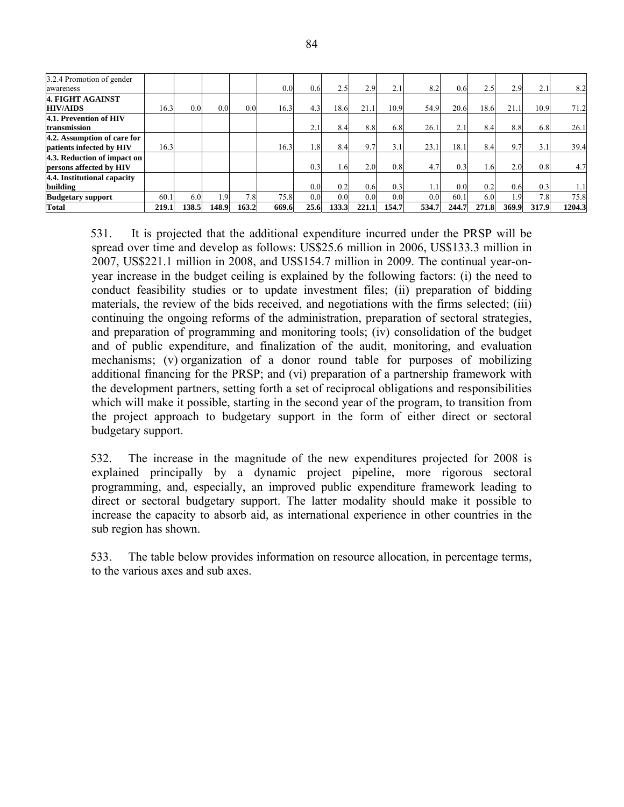| 3.2.4 Promotion of gender<br>awareness                  |       |       |                  |       | 0.0   | 0.6 <sub>l</sub> | 2.5   | 2.9   | 2.1   | 8.2   | 0.6 <sub>l</sub> | 2.5   | 2.9   | 2.1   | 8.2    |
|---------------------------------------------------------|-------|-------|------------------|-------|-------|------------------|-------|-------|-------|-------|------------------|-------|-------|-------|--------|
| 4. FIGHT AGAINST<br><b>HIV/AIDS</b>                     | 16.3  | 0.0   | 0.0              | 0.0   | 16.3  | 4.3              | 18.6  | 21.1  | 10.9  | 54.9  | 20.6             | 18.6  | 21.1  | 10.9  | 71.2   |
| 4.1. Prevention of HIV<br>transmission                  |       |       |                  |       |       | 2.1              | 8.4   | 8.8   | 6.8   | 26.1  | 2.1              | 8.4   | 8.8   | 6.8   | 26.1   |
| 4.2. Assumption of care for<br>patients infected by HIV | 16.3  |       |                  |       | 16.3  | 1.8              | 8.4   | 9.7   | 3.1   | 23.1  | 18.1             | 8.4   | 9.7   | 3.1   | 39.4   |
| 4.3. Reduction of impact on<br>persons affected by HIV  |       |       |                  |       |       | 0.3              | . 61  | 2.0   | 0.8   | 4.7   | 0.3              | . .6  | 2.0   | 0.8   | 4.7    |
| 4.4. Institutional capacity<br>building                 |       |       |                  |       |       | 0.0              | 0.2   | 0.6   | 0.3   |       | 0.0              | 0.2   | 0.6   | 0.3   |        |
| <b>Budgetary support</b>                                | 60.1  | 6.0   | 1.9 <sup>1</sup> | 7.8   | 75.8  | 0.0 <sub>1</sub> | 0.0   | 0.0   | 0.0   | 0.0   | 60.1             | 6.0   | - 9   | 7.8   | 75.8   |
| Total                                                   | 219.1 | 138.5 | 148.9            | 163.2 | 669.6 | 25.6             | 133.3 | 221.1 | 154.7 | 534.7 | 244.7            | 271.8 | 369.9 | 317.9 | 1204.3 |

531. It is projected that the additional expenditure incurred under the PRSP will be spread over time and develop as follows: US\$25.6 million in 2006, US\$133.3 million in 2007, US\$221.1 million in 2008, and US\$154.7 million in 2009. The continual year-onyear increase in the budget ceiling is explained by the following factors: (i) the need to conduct feasibility studies or to update investment files; (ii) preparation of bidding materials, the review of the bids received, and negotiations with the firms selected; (iii) continuing the ongoing reforms of the administration, preparation of sectoral strategies, and preparation of programming and monitoring tools; (iv) consolidation of the budget and of public expenditure, and finalization of the audit, monitoring, and evaluation mechanisms; (v) organization of a donor round table for purposes of mobilizing additional financing for the PRSP; and (vi) preparation of a partnership framework with the development partners, setting forth a set of reciprocal obligations and responsibilities which will make it possible, starting in the second year of the program, to transition from the project approach to budgetary support in the form of either direct or sectoral budgetary support.

532. The increase in the magnitude of the new expenditures projected for 2008 is explained principally by a dynamic project pipeline, more rigorous sectoral programming, and, especially, an improved public expenditure framework leading to direct or sectoral budgetary support. The latter modality should make it possible to increase the capacity to absorb aid, as international experience in other countries in the sub region has shown.

533. The table below provides information on resource allocation, in percentage terms, to the various axes and sub axes.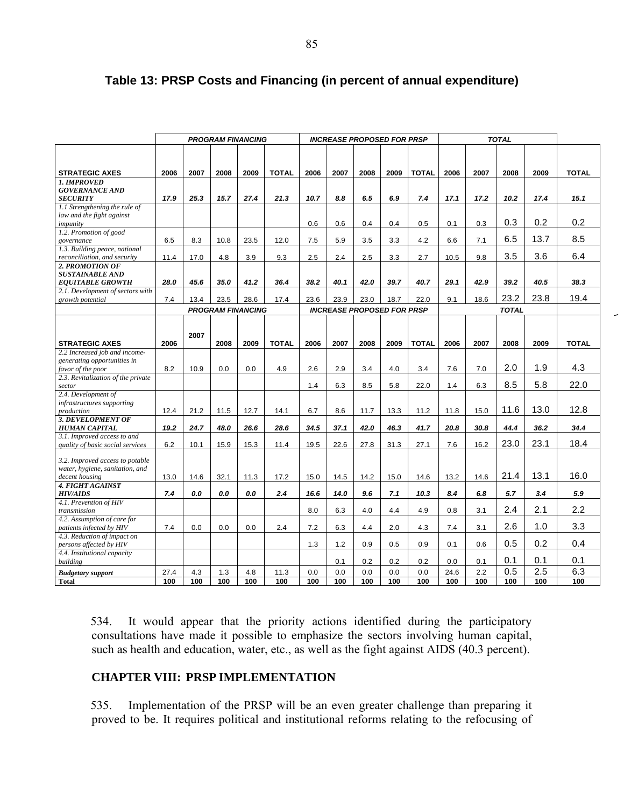|                                                        | <b>PROGRAM FINANCING</b> |      |                          |      |              |      |      | <b>INCREASE PROPOSED FOR PRSP</b> |      |              |      |      |              |      |              |
|--------------------------------------------------------|--------------------------|------|--------------------------|------|--------------|------|------|-----------------------------------|------|--------------|------|------|--------------|------|--------------|
|                                                        |                          |      |                          |      |              |      |      |                                   |      |              |      |      |              |      |              |
|                                                        |                          |      |                          |      |              |      |      |                                   |      |              |      |      |              |      |              |
| <b>STRATEGIC AXES</b>                                  | 2006                     | 2007 | 2008                     | 2009 | <b>TOTAL</b> | 2006 | 2007 | 2008                              | 2009 | <b>TOTAL</b> | 2006 | 2007 | 2008         | 2009 | <b>TOTAL</b> |
| 1. IMPROVED                                            |                          |      |                          |      |              |      |      |                                   |      |              |      |      |              |      |              |
| <b>GOVERNANCE AND</b>                                  |                          |      |                          |      |              |      |      |                                   |      |              |      |      |              |      |              |
| <b>SECURITY</b>                                        | 17.9                     | 25.3 | 15.7                     | 27.4 | 21.3         | 10.7 | 8.8  | 6.5                               | 6.9  | 7.4          | 17.1 | 17.2 | 10.2         | 17.4 | 15.1         |
| 1.1 Strengthening the rule of                          |                          |      |                          |      |              |      |      |                                   |      |              |      |      |              |      |              |
| law and the fight against                              |                          |      |                          |      |              |      |      |                                   |      |              |      |      |              |      |              |
| impunity                                               |                          |      |                          |      |              | 0.6  | 0.6  | 0.4                               | 0.4  | 0.5          | 0.1  | 0.3  | 0.3          | 0.2  | 0.2          |
| 1.2. Promotion of good                                 |                          |      |                          |      |              |      |      |                                   |      |              |      |      | 6.5          | 13.7 | 8.5          |
| governance                                             | 6.5                      | 8.3  | 10.8                     | 23.5 | 12.0         | 7.5  | 5.9  | 3.5                               | 3.3  | 4.2          | 6.6  | 7.1  |              |      |              |
| 1.3. Building peace, national                          | 11.4                     | 17.0 | 4.8                      | 3.9  | 9.3          | 2.5  | 2.4  | 2.5                               | 3.3  | 2.7          | 10.5 | 9.8  | 3.5          | 3.6  | 6.4          |
| reconciliation, and security<br>2. PROMOTION OF        |                          |      |                          |      |              |      |      |                                   |      |              |      |      |              |      |              |
| <b>SUSTAINABLE AND</b>                                 |                          |      |                          |      |              |      |      |                                   |      |              |      |      |              |      |              |
| <b>EQUITABLE GROWTH</b>                                | 28.0                     | 45.6 | 35.0                     | 41.2 | 36.4         | 38.2 | 40.1 | 42.0                              | 39.7 | 40.7         | 29.1 | 42.9 | 39.2         | 40.5 | 38.3         |
| 2.1. Development of sectors with                       |                          |      |                          |      |              |      |      |                                   |      |              |      |      |              |      |              |
| growth potential                                       | 7.4                      | 13.4 | 23.5                     | 28.6 | 17.4         | 23.6 | 23.9 | 23.0                              | 18.7 | 22.0         | 9.1  | 18.6 | 23.2         | 23.8 | 19.4         |
|                                                        |                          |      | <b>PROGRAM FINANCING</b> |      |              |      |      | <b>INCREASE PROPOSED FOR PRSP</b> |      |              |      |      | <b>TOTAL</b> |      |              |
|                                                        |                          |      |                          |      |              |      |      |                                   |      |              |      |      |              |      |              |
|                                                        |                          |      |                          |      |              |      |      |                                   |      |              |      |      |              |      |              |
|                                                        |                          | 2007 |                          |      |              |      |      |                                   |      |              |      |      |              |      |              |
| <b>STRATEGIC AXES</b>                                  | 2006                     |      | 2008                     | 2009 | <b>TOTAL</b> | 2006 | 2007 | 2008                              | 2009 | <b>TOTAL</b> | 2006 | 2007 | 2008         | 2009 | <b>TOTAL</b> |
| 2.2 Increased job and income-                          |                          |      |                          |      |              |      |      |                                   |      |              |      |      |              |      |              |
| generating opportunities in                            |                          |      |                          |      |              |      |      |                                   |      |              |      |      | 2.0          | 1.9  | 4.3          |
| favor of the poor                                      | 8.2                      | 10.9 | 0.0                      | 0.0  | 4.9          | 2.6  | 2.9  | 3.4                               | 4.0  | 3.4          | 7.6  | 7.0  |              |      |              |
| 2.3. Revitalization of the private<br>sector           |                          |      |                          |      |              | 1.4  | 6.3  | 8.5                               | 5.8  | 22.0         | 1.4  | 6.3  | 8.5          | 5.8  | 22.0         |
| 2.4. Development of                                    |                          |      |                          |      |              |      |      |                                   |      |              |      |      |              |      |              |
| infrastructures supporting                             |                          |      |                          |      |              |      |      |                                   |      |              |      |      |              |      |              |
| production                                             | 12.4                     | 21.2 | 11.5                     | 12.7 | 14.1         | 6.7  | 8.6  | 11.7                              | 13.3 | 11.2         | 11.8 | 15.0 | 11.6         | 13.0 | 12.8         |
| 3. DEVELOPMENT OF                                      |                          |      |                          |      |              |      |      |                                   |      |              |      |      |              |      |              |
| <b>HUMAN CAPITAL</b>                                   | 19.2                     | 24.7 | 48.0                     | 26.6 | 28.6         | 34.5 | 37.1 | 42.0                              | 46.3 | 41.7         | 20.8 | 30.8 | 44.4         | 36.2 | 34.4         |
| 3.1. Improved access to and                            |                          |      |                          |      |              |      |      |                                   |      |              |      |      |              |      |              |
| quality of basic social services                       | 6.2                      | 10.1 | 15.9                     | 15.3 | 11.4         | 19.5 | 22.6 | 27.8                              | 31.3 | 27.1         | 7.6  | 16.2 | 23.0         | 23.1 | 18.4         |
| 3.2. Improved access to potable                        |                          |      |                          |      |              |      |      |                                   |      |              |      |      |              |      |              |
| water, hygiene, sanitation, and                        |                          |      |                          |      |              |      |      |                                   |      |              |      |      |              |      |              |
| decent housing                                         | 13.0                     | 14.6 | 32.1                     | 11.3 | 17.2         | 15.0 | 14.5 | 14.2                              | 15.0 | 14.6         | 13.2 | 14.6 | 21.4         | 13.1 | 16.0         |
| <b>4. FIGHT AGAINST</b>                                |                          |      |                          |      |              |      |      |                                   |      |              |      |      |              |      |              |
| <b>HIV/AIDS</b>                                        | 7.4                      | 0.0  | 0.0                      | 0.0  | 2.4          | 16.6 | 14.0 | 9.6                               | 7.1  | 10.3         | 8.4  | 6.8  | 5.7          | 3.4  | 5.9          |
| 4.1. Prevention of HIV                                 |                          |      |                          |      |              |      |      |                                   |      |              |      |      |              |      |              |
| transmission                                           |                          |      |                          |      |              | 8.0  | 6.3  | 4.0                               | 4.4  | 4.9          | 0.8  | 3.1  | 2.4          | 2.1  | 2.2          |
| 4.2. Assumption of care for                            |                          |      |                          |      |              |      |      |                                   |      |              |      |      | 2.6          | 1.0  | 3.3          |
| patients infected by HIV                               | 7.4                      | 0.0  | 0.0                      | 0.0  | 2.4          | 7.2  | 6.3  | 4.4                               | 2.0  | 4.3          | 7.4  | 3.1  |              |      |              |
| 4.3. Reduction of impact on                            |                          |      |                          |      |              | 1.3  | 1.2  | 0.9                               | 0.5  | 0.9          | 0.1  | 0.6  | 0.5          | 0.2  | 0.4          |
| persons affected by HIV<br>4.4. Institutional capacity |                          |      |                          |      |              |      |      |                                   |      |              |      |      |              |      |              |
| building                                               |                          |      |                          |      |              |      | 0.1  | 0.2                               | 0.2  | 0.2          | 0.0  | 0.1  | 0.1          | 0.1  | 0.1          |
| <b>Budgetary</b> support                               | 27.4                     | 4.3  | 1.3                      | 4.8  | 11.3         | 0.0  | 0.0  | 0.0                               | 0.0  | 0.0          | 24.6 | 2.2  | 0.5          | 2.5  | 6.3          |
| <b>Total</b>                                           | 100                      | 100  | 100                      | 100  | 100          | 100  | 100  | 100                               | 100  | 100          | 100  | 100  | 100          | 100  | 100          |

# **Table 13: PRSP Costs and Financing (in percent of annual expenditure)**

534. It would appear that the priority actions identified during the participatory consultations have made it possible to emphasize the sectors involving human capital, such as health and education, water, etc., as well as the fight against AIDS (40.3 percent).

#### **CHAPTER VIII: PRSP IMPLEMENTATION**

535. Implementation of the PRSP will be an even greater challenge than preparing it proved to be. It requires political and institutional reforms relating to the refocusing of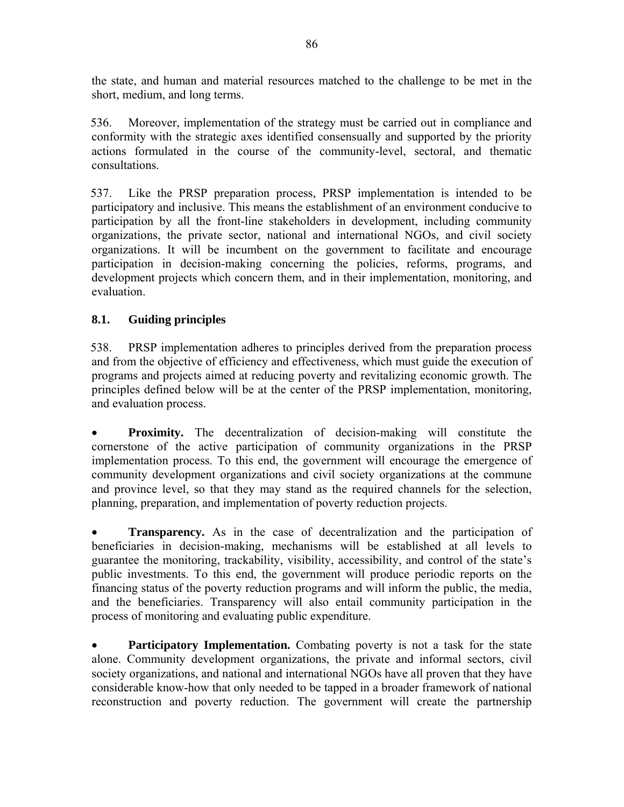the state, and human and material resources matched to the challenge to be met in the short, medium, and long terms.

536. Moreover, implementation of the strategy must be carried out in compliance and conformity with the strategic axes identified consensually and supported by the priority actions formulated in the course of the community-level, sectoral, and thematic consultations.

537. Like the PRSP preparation process, PRSP implementation is intended to be participatory and inclusive. This means the establishment of an environment conducive to participation by all the front-line stakeholders in development, including community organizations, the private sector, national and international NGOs, and civil society organizations. It will be incumbent on the government to facilitate and encourage participation in decision-making concerning the policies, reforms, programs, and development projects which concern them, and in their implementation, monitoring, and evaluation.

### **8.1. Guiding principles**

538. PRSP implementation adheres to principles derived from the preparation process and from the objective of efficiency and effectiveness, which must guide the execution of programs and projects aimed at reducing poverty and revitalizing economic growth. The principles defined below will be at the center of the PRSP implementation, monitoring, and evaluation process.

• **Proximity.** The decentralization of decision-making will constitute the cornerstone of the active participation of community organizations in the PRSP implementation process. To this end, the government will encourage the emergence of community development organizations and civil society organizations at the commune and province level, so that they may stand as the required channels for the selection, planning, preparation, and implementation of poverty reduction projects.

**Transparency.** As in the case of decentralization and the participation of beneficiaries in decision-making, mechanisms will be established at all levels to guarantee the monitoring, trackability, visibility, accessibility, and control of the state's public investments. To this end, the government will produce periodic reports on the financing status of the poverty reduction programs and will inform the public, the media, and the beneficiaries. Transparency will also entail community participation in the process of monitoring and evaluating public expenditure.

• **Participatory Implementation.** Combating poverty is not a task for the state alone. Community development organizations, the private and informal sectors, civil society organizations, and national and international NGOs have all proven that they have considerable know-how that only needed to be tapped in a broader framework of national reconstruction and poverty reduction. The government will create the partnership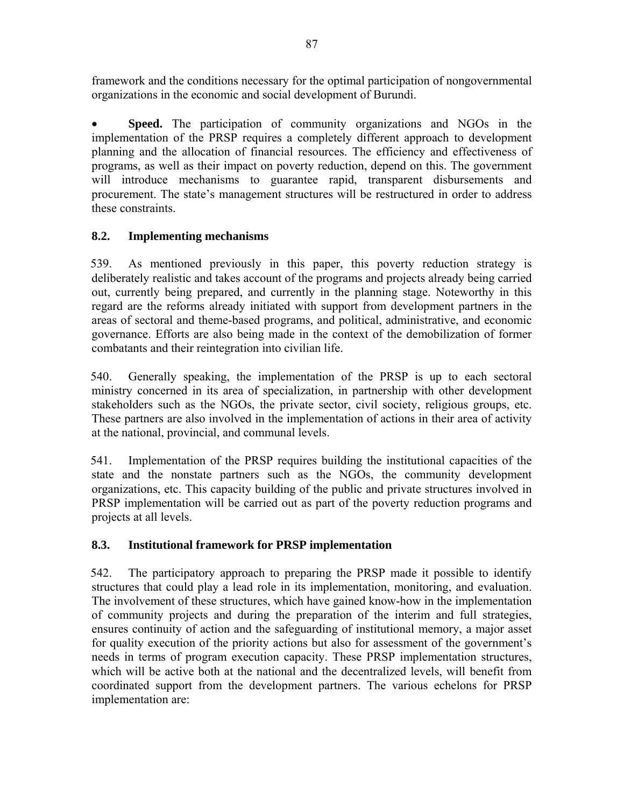framework and the conditions necessary for the optimal participation of nongovernmental organizations in the economic and social development of Burundi.

**Speed.** The participation of community organizations and NGOs in the implementation of the PRSP requires a completely different approach to development planning and the allocation of financial resources. The efficiency and effectiveness of programs, as well as their impact on poverty reduction, depend on this. The government will introduce mechanisms to guarantee rapid, transparent disbursements and procurement. The state's management structures will be restructured in order to address these constraints.

# **8.2. Implementing mechanisms**

539. As mentioned previously in this paper, this poverty reduction strategy is deliberately realistic and takes account of the programs and projects already being carried out, currently being prepared, and currently in the planning stage. Noteworthy in this regard are the reforms already initiated with support from development partners in the areas of sectoral and theme-based programs, and political, administrative, and economic governance. Efforts are also being made in the context of the demobilization of former combatants and their reintegration into civilian life.

540. Generally speaking, the implementation of the PRSP is up to each sectoral ministry concerned in its area of specialization, in partnership with other development stakeholders such as the NGOs, the private sector, civil society, religious groups, etc. These partners are also involved in the implementation of actions in their area of activity at the national, provincial, and communal levels.

541. Implementation of the PRSP requires building the institutional capacities of the state and the nonstate partners such as the NGOs, the community development organizations, etc. This capacity building of the public and private structures involved in PRSP implementation will be carried out as part of the poverty reduction programs and projects at all levels.

# **8.3. Institutional framework for PRSP implementation**

542. The participatory approach to preparing the PRSP made it possible to identify structures that could play a lead role in its implementation, monitoring, and evaluation. The involvement of these structures, which have gained know-how in the implementation of community projects and during the preparation of the interim and full strategies, ensures continuity of action and the safeguarding of institutional memory, a major asset for quality execution of the priority actions but also for assessment of the government's needs in terms of program execution capacity. These PRSP implementation structures, which will be active both at the national and the decentralized levels, will benefit from coordinated support from the development partners. The various echelons for PRSP implementation are: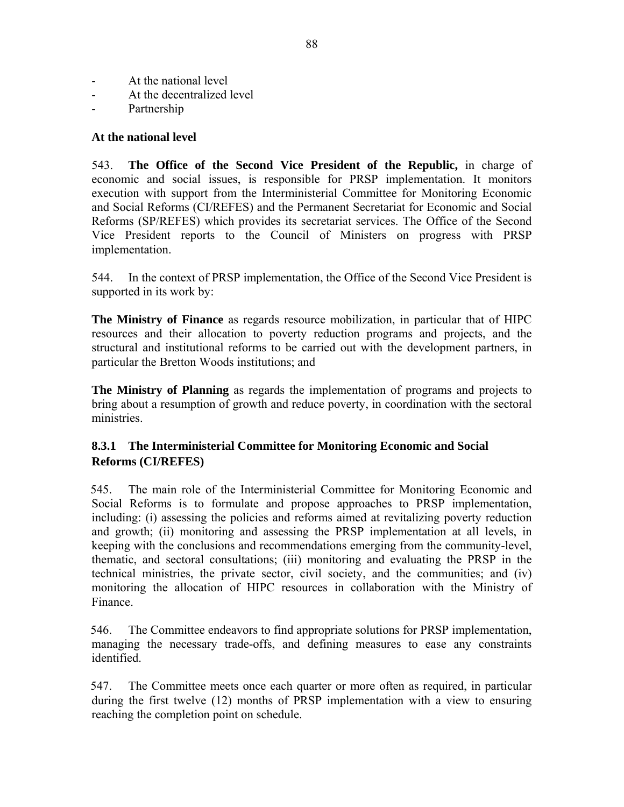- At the national level
- At the decentralized level
- Partnership

#### **At the national level**

543. **The Office of the Second Vice President of the Republic,** in charge of economic and social issues, is responsible for PRSP implementation. It monitors execution with support from the Interministerial Committee for Monitoring Economic and Social Reforms (CI/REFES) and the Permanent Secretariat for Economic and Social Reforms (SP/REFES) which provides its secretariat services. The Office of the Second Vice President reports to the Council of Ministers on progress with PRSP implementation.

544. In the context of PRSP implementation, the Office of the Second Vice President is supported in its work by:

**The Ministry of Finance** as regards resource mobilization, in particular that of HIPC resources and their allocation to poverty reduction programs and projects, and the structural and institutional reforms to be carried out with the development partners, in particular the Bretton Woods institutions; and

**The Ministry of Planning** as regards the implementation of programs and projects to bring about a resumption of growth and reduce poverty, in coordination with the sectoral ministries.

### **8.3.1 The Interministerial Committee for Monitoring Economic and Social Reforms (CI/REFES)**

545. The main role of the Interministerial Committee for Monitoring Economic and Social Reforms is to formulate and propose approaches to PRSP implementation, including: (i) assessing the policies and reforms aimed at revitalizing poverty reduction and growth; (ii) monitoring and assessing the PRSP implementation at all levels, in keeping with the conclusions and recommendations emerging from the community-level, thematic, and sectoral consultations; (iii) monitoring and evaluating the PRSP in the technical ministries, the private sector, civil society, and the communities; and (iv) monitoring the allocation of HIPC resources in collaboration with the Ministry of Finance.

546. The Committee endeavors to find appropriate solutions for PRSP implementation, managing the necessary trade-offs, and defining measures to ease any constraints identified.

547. The Committee meets once each quarter or more often as required, in particular during the first twelve (12) months of PRSP implementation with a view to ensuring reaching the completion point on schedule.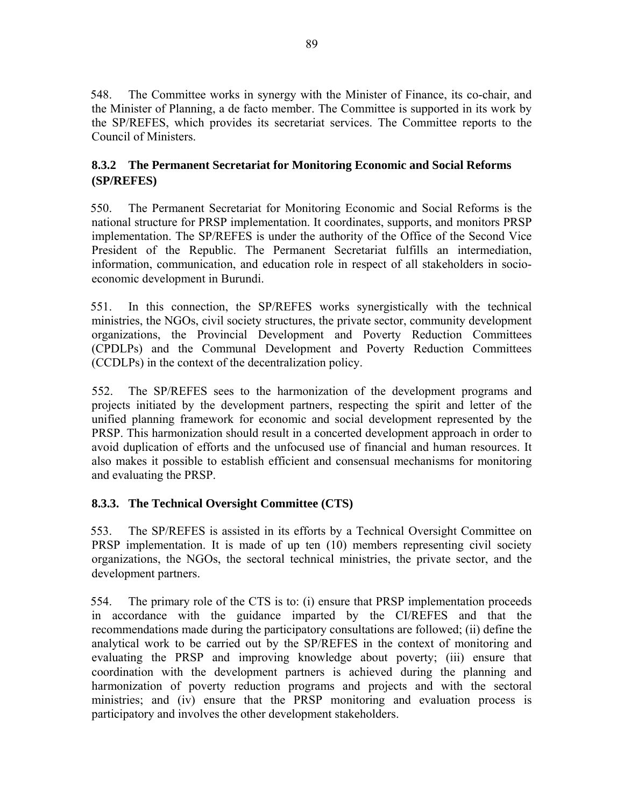548. The Committee works in synergy with the Minister of Finance, its co-chair, and the Minister of Planning, a de facto member. The Committee is supported in its work by the SP/REFES, which provides its secretariat services. The Committee reports to the Council of Ministers.

# **8.3.2 The Permanent Secretariat for Monitoring Economic and Social Reforms (SP/REFES)**

550. The Permanent Secretariat for Monitoring Economic and Social Reforms is the national structure for PRSP implementation. It coordinates, supports, and monitors PRSP implementation. The SP/REFES is under the authority of the Office of the Second Vice President of the Republic. The Permanent Secretariat fulfills an intermediation, information, communication, and education role in respect of all stakeholders in socioeconomic development in Burundi.

551. In this connection, the SP/REFES works synergistically with the technical ministries, the NGOs, civil society structures, the private sector, community development organizations, the Provincial Development and Poverty Reduction Committees (CPDLPs) and the Communal Development and Poverty Reduction Committees (CCDLPs) in the context of the decentralization policy.

552. The SP/REFES sees to the harmonization of the development programs and projects initiated by the development partners, respecting the spirit and letter of the unified planning framework for economic and social development represented by the PRSP. This harmonization should result in a concerted development approach in order to avoid duplication of efforts and the unfocused use of financial and human resources. It also makes it possible to establish efficient and consensual mechanisms for monitoring and evaluating the PRSP.

# **8.3.3. The Technical Oversight Committee (CTS)**

553. The SP/REFES is assisted in its efforts by a Technical Oversight Committee on PRSP implementation. It is made of up ten (10) members representing civil society organizations, the NGOs, the sectoral technical ministries, the private sector, and the development partners.

554. The primary role of the CTS is to: (i) ensure that PRSP implementation proceeds in accordance with the guidance imparted by the CI/REFES and that the recommendations made during the participatory consultations are followed; (ii) define the analytical work to be carried out by the SP/REFES in the context of monitoring and evaluating the PRSP and improving knowledge about poverty; (iii) ensure that coordination with the development partners is achieved during the planning and harmonization of poverty reduction programs and projects and with the sectoral ministries; and (iv) ensure that the PRSP monitoring and evaluation process is participatory and involves the other development stakeholders.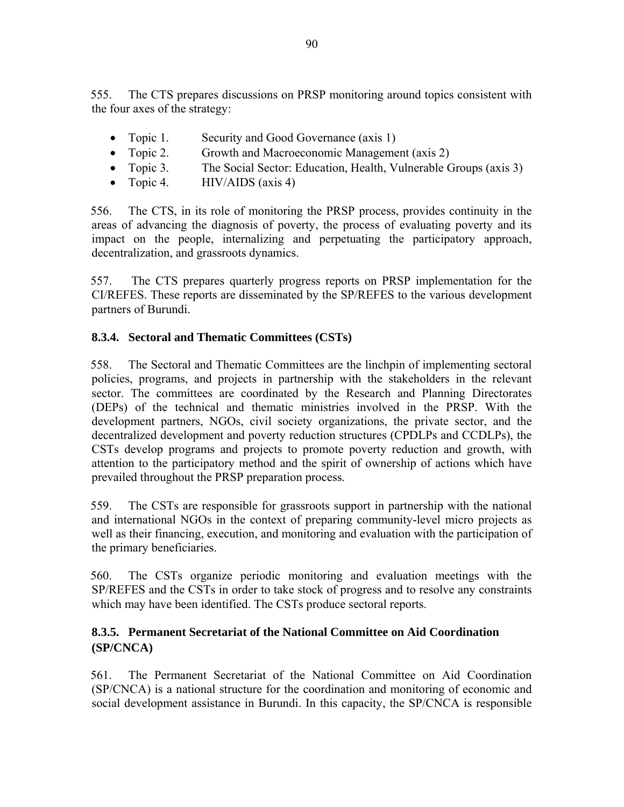555. The CTS prepares discussions on PRSP monitoring around topics consistent with the four axes of the strategy:

- Topic 1. Security and Good Governance (axis 1)
- Topic 2. Growth and Macroeconomic Management (axis 2)
- Topic 3. The Social Sector: Education, Health, Vulnerable Groups (axis 3)
- Topic 4.  $HIV/AIDS$  (axis 4)

556. The CTS, in its role of monitoring the PRSP process, provides continuity in the areas of advancing the diagnosis of poverty, the process of evaluating poverty and its impact on the people, internalizing and perpetuating the participatory approach, decentralization, and grassroots dynamics.

557. The CTS prepares quarterly progress reports on PRSP implementation for the CI/REFES. These reports are disseminated by the SP/REFES to the various development partners of Burundi.

#### **8.3.4. Sectoral and Thematic Committees (CSTs)**

558. The Sectoral and Thematic Committees are the linchpin of implementing sectoral policies, programs, and projects in partnership with the stakeholders in the relevant sector. The committees are coordinated by the Research and Planning Directorates (DEPs) of the technical and thematic ministries involved in the PRSP. With the development partners, NGOs, civil society organizations, the private sector, and the decentralized development and poverty reduction structures (CPDLPs and CCDLPs), the CSTs develop programs and projects to promote poverty reduction and growth, with attention to the participatory method and the spirit of ownership of actions which have prevailed throughout the PRSP preparation process.

559. The CSTs are responsible for grassroots support in partnership with the national and international NGOs in the context of preparing community-level micro projects as well as their financing, execution, and monitoring and evaluation with the participation of the primary beneficiaries.

560. The CSTs organize periodic monitoring and evaluation meetings with the SP/REFES and the CSTs in order to take stock of progress and to resolve any constraints which may have been identified. The CSTs produce sectoral reports.

### **8.3.5. Permanent Secretariat of the National Committee on Aid Coordination (SP/CNCA)**

561. The Permanent Secretariat of the National Committee on Aid Coordination (SP/CNCA) is a national structure for the coordination and monitoring of economic and social development assistance in Burundi. In this capacity, the SP/CNCA is responsible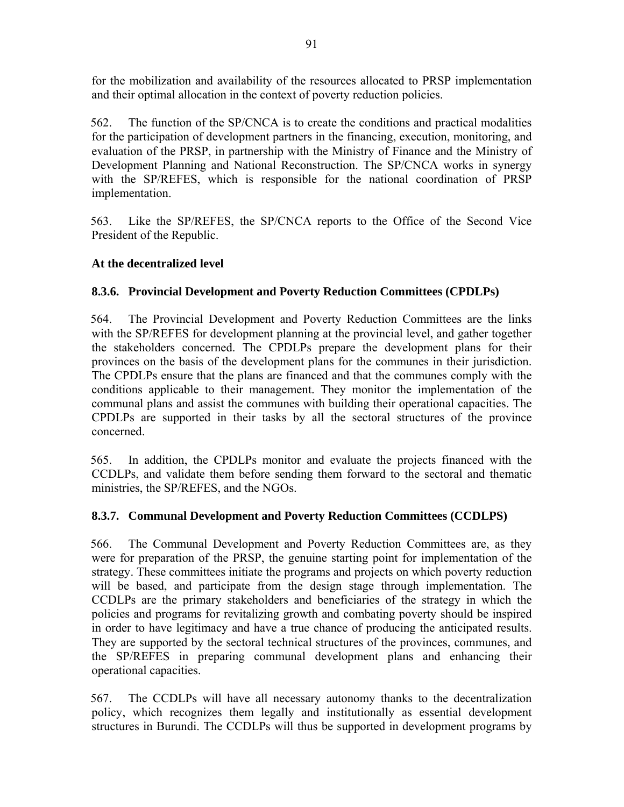for the mobilization and availability of the resources allocated to PRSP implementation and their optimal allocation in the context of poverty reduction policies.

562. The function of the SP/CNCA is to create the conditions and practical modalities for the participation of development partners in the financing, execution, monitoring, and evaluation of the PRSP, in partnership with the Ministry of Finance and the Ministry of Development Planning and National Reconstruction. The SP/CNCA works in synergy with the SP/REFES, which is responsible for the national coordination of PRSP implementation.

563. Like the SP/REFES, the SP/CNCA reports to the Office of the Second Vice President of the Republic.

### **At the decentralized level**

### **8.3.6. Provincial Development and Poverty Reduction Committees (CPDLPs)**

564. The Provincial Development and Poverty Reduction Committees are the links with the SP/REFES for development planning at the provincial level, and gather together the stakeholders concerned. The CPDLPs prepare the development plans for their provinces on the basis of the development plans for the communes in their jurisdiction. The CPDLPs ensure that the plans are financed and that the communes comply with the conditions applicable to their management. They monitor the implementation of the communal plans and assist the communes with building their operational capacities. The CPDLPs are supported in their tasks by all the sectoral structures of the province concerned.

565. In addition, the CPDLPs monitor and evaluate the projects financed with the CCDLPs, and validate them before sending them forward to the sectoral and thematic ministries, the SP/REFES, and the NGOs.

### **8.3.7. Communal Development and Poverty Reduction Committees (CCDLPS)**

566. The Communal Development and Poverty Reduction Committees are, as they were for preparation of the PRSP, the genuine starting point for implementation of the strategy. These committees initiate the programs and projects on which poverty reduction will be based, and participate from the design stage through implementation. The CCDLPs are the primary stakeholders and beneficiaries of the strategy in which the policies and programs for revitalizing growth and combating poverty should be inspired in order to have legitimacy and have a true chance of producing the anticipated results. They are supported by the sectoral technical structures of the provinces, communes, and the SP/REFES in preparing communal development plans and enhancing their operational capacities.

567. The CCDLPs will have all necessary autonomy thanks to the decentralization policy, which recognizes them legally and institutionally as essential development structures in Burundi. The CCDLPs will thus be supported in development programs by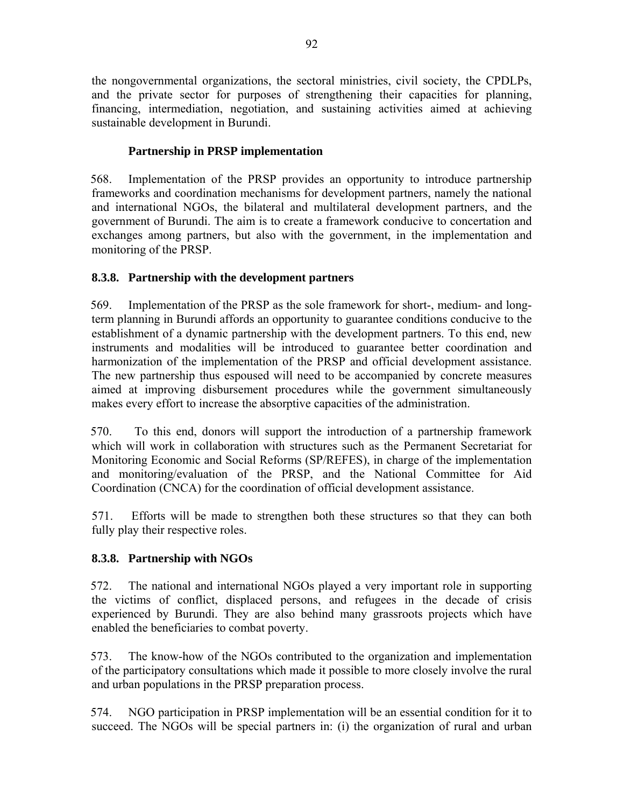the nongovernmental organizations, the sectoral ministries, civil society, the CPDLPs, and the private sector for purposes of strengthening their capacities for planning, financing, intermediation, negotiation, and sustaining activities aimed at achieving sustainable development in Burundi.

### **Partnership in PRSP implementation**

568. Implementation of the PRSP provides an opportunity to introduce partnership frameworks and coordination mechanisms for development partners, namely the national and international NGOs, the bilateral and multilateral development partners, and the government of Burundi. The aim is to create a framework conducive to concertation and exchanges among partners, but also with the government, in the implementation and monitoring of the PRSP.

# **8.3.8. Partnership with the development partners**

569. Implementation of the PRSP as the sole framework for short-, medium- and longterm planning in Burundi affords an opportunity to guarantee conditions conducive to the establishment of a dynamic partnership with the development partners. To this end, new instruments and modalities will be introduced to guarantee better coordination and harmonization of the implementation of the PRSP and official development assistance. The new partnership thus espoused will need to be accompanied by concrete measures aimed at improving disbursement procedures while the government simultaneously makes every effort to increase the absorptive capacities of the administration.

570. To this end, donors will support the introduction of a partnership framework which will work in collaboration with structures such as the Permanent Secretariat for Monitoring Economic and Social Reforms (SP/REFES), in charge of the implementation and monitoring/evaluation of the PRSP, and the National Committee for Aid Coordination (CNCA) for the coordination of official development assistance.

571. Efforts will be made to strengthen both these structures so that they can both fully play their respective roles.

# **8.3.8. Partnership with NGOs**

572. The national and international NGOs played a very important role in supporting the victims of conflict, displaced persons, and refugees in the decade of crisis experienced by Burundi. They are also behind many grassroots projects which have enabled the beneficiaries to combat poverty.

573. The know-how of the NGOs contributed to the organization and implementation of the participatory consultations which made it possible to more closely involve the rural and urban populations in the PRSP preparation process.

574. NGO participation in PRSP implementation will be an essential condition for it to succeed. The NGOs will be special partners in: (i) the organization of rural and urban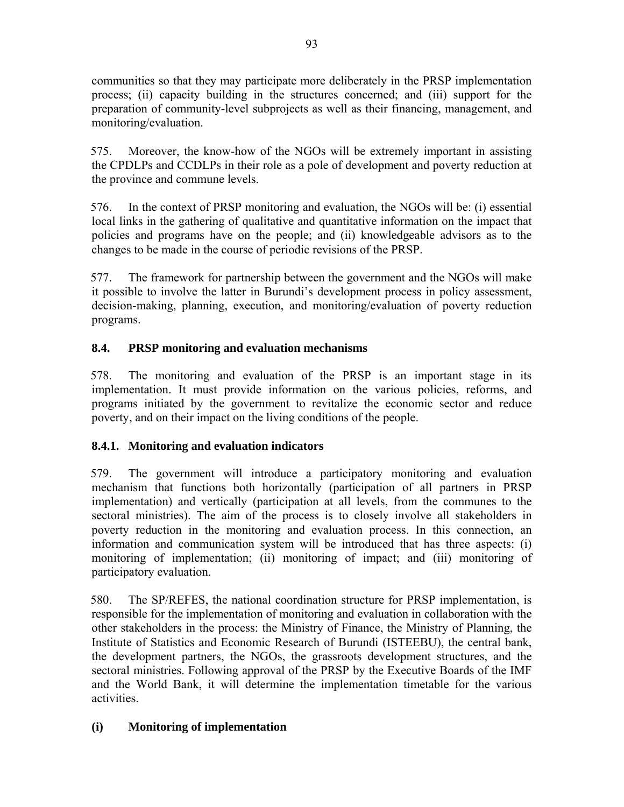communities so that they may participate more deliberately in the PRSP implementation process; (ii) capacity building in the structures concerned; and (iii) support for the preparation of community-level subprojects as well as their financing, management, and monitoring/evaluation.

575. Moreover, the know-how of the NGOs will be extremely important in assisting the CPDLPs and CCDLPs in their role as a pole of development and poverty reduction at the province and commune levels.

576. In the context of PRSP monitoring and evaluation, the NGOs will be: (i) essential local links in the gathering of qualitative and quantitative information on the impact that policies and programs have on the people; and (ii) knowledgeable advisors as to the changes to be made in the course of periodic revisions of the PRSP.

577. The framework for partnership between the government and the NGOs will make it possible to involve the latter in Burundi's development process in policy assessment, decision-making, planning, execution, and monitoring/evaluation of poverty reduction programs.

# **8.4. PRSP monitoring and evaluation mechanisms**

578. The monitoring and evaluation of the PRSP is an important stage in its implementation. It must provide information on the various policies, reforms, and programs initiated by the government to revitalize the economic sector and reduce poverty, and on their impact on the living conditions of the people.

# **8.4.1. Monitoring and evaluation indicators**

579. The government will introduce a participatory monitoring and evaluation mechanism that functions both horizontally (participation of all partners in PRSP implementation) and vertically (participation at all levels, from the communes to the sectoral ministries). The aim of the process is to closely involve all stakeholders in poverty reduction in the monitoring and evaluation process. In this connection, an information and communication system will be introduced that has three aspects: (i) monitoring of implementation; (ii) monitoring of impact; and (iii) monitoring of participatory evaluation.

580. The SP/REFES, the national coordination structure for PRSP implementation, is responsible for the implementation of monitoring and evaluation in collaboration with the other stakeholders in the process: the Ministry of Finance, the Ministry of Planning, the Institute of Statistics and Economic Research of Burundi (ISTEEBU), the central bank, the development partners, the NGOs, the grassroots development structures, and the sectoral ministries. Following approval of the PRSP by the Executive Boards of the IMF and the World Bank, it will determine the implementation timetable for the various activities.

# **(i) Monitoring of implementation**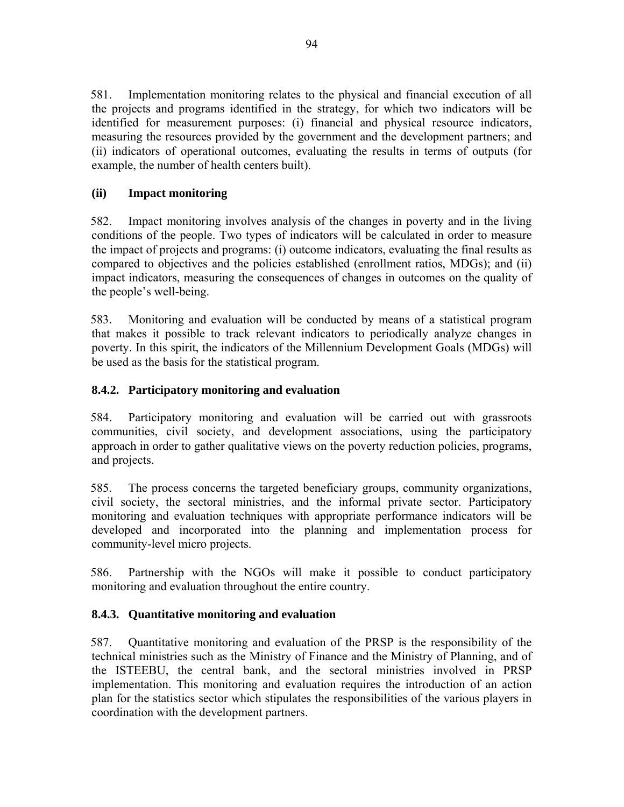581. Implementation monitoring relates to the physical and financial execution of all the projects and programs identified in the strategy, for which two indicators will be identified for measurement purposes: (i) financial and physical resource indicators, measuring the resources provided by the government and the development partners; and (ii) indicators of operational outcomes, evaluating the results in terms of outputs (for example, the number of health centers built).

# **(ii) Impact monitoring**

582. Impact monitoring involves analysis of the changes in poverty and in the living conditions of the people. Two types of indicators will be calculated in order to measure the impact of projects and programs: (i) outcome indicators, evaluating the final results as compared to objectives and the policies established (enrollment ratios, MDGs); and (ii) impact indicators, measuring the consequences of changes in outcomes on the quality of the people's well-being.

583. Monitoring and evaluation will be conducted by means of a statistical program that makes it possible to track relevant indicators to periodically analyze changes in poverty. In this spirit, the indicators of the Millennium Development Goals (MDGs) will be used as the basis for the statistical program.

# **8.4.2. Participatory monitoring and evaluation**

584. Participatory monitoring and evaluation will be carried out with grassroots communities, civil society, and development associations, using the participatory approach in order to gather qualitative views on the poverty reduction policies, programs, and projects.

585. The process concerns the targeted beneficiary groups, community organizations, civil society, the sectoral ministries, and the informal private sector. Participatory monitoring and evaluation techniques with appropriate performance indicators will be developed and incorporated into the planning and implementation process for community-level micro projects.

586. Partnership with the NGOs will make it possible to conduct participatory monitoring and evaluation throughout the entire country.

# **8.4.3. Quantitative monitoring and evaluation**

587. Quantitative monitoring and evaluation of the PRSP is the responsibility of the technical ministries such as the Ministry of Finance and the Ministry of Planning, and of the ISTEEBU, the central bank, and the sectoral ministries involved in PRSP implementation. This monitoring and evaluation requires the introduction of an action plan for the statistics sector which stipulates the responsibilities of the various players in coordination with the development partners.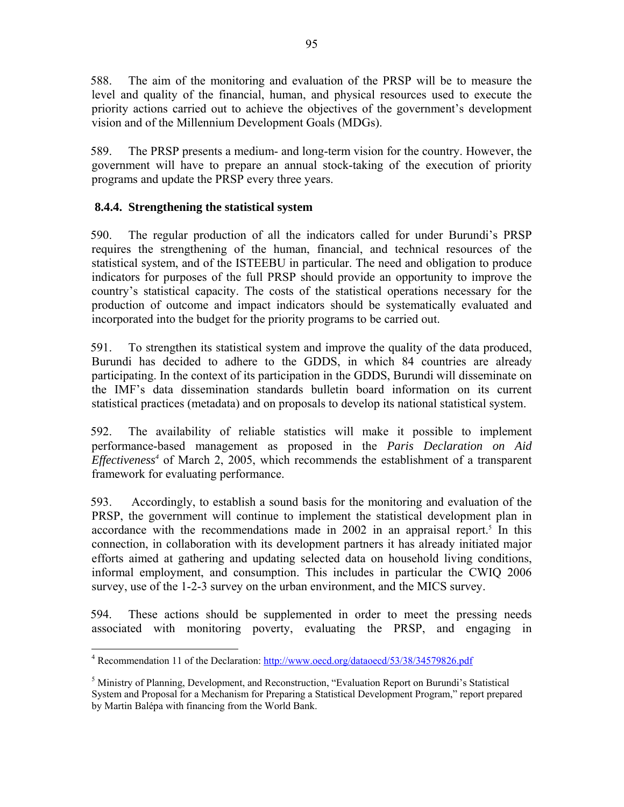588. The aim of the monitoring and evaluation of the PRSP will be to measure the level and quality of the financial, human, and physical resources used to execute the priority actions carried out to achieve the objectives of the government's development vision and of the Millennium Development Goals (MDGs).

589. The PRSP presents a medium- and long-term vision for the country. However, the government will have to prepare an annual stock-taking of the execution of priority programs and update the PRSP every three years.

### **8.4.4. Strengthening the statistical system**

590. The regular production of all the indicators called for under Burundi's PRSP requires the strengthening of the human, financial, and technical resources of the statistical system, and of the ISTEEBU in particular. The need and obligation to produce indicators for purposes of the full PRSP should provide an opportunity to improve the country's statistical capacity. The costs of the statistical operations necessary for the production of outcome and impact indicators should be systematically evaluated and incorporated into the budget for the priority programs to be carried out.

591. To strengthen its statistical system and improve the quality of the data produced, Burundi has decided to adhere to the GDDS, in which 84 countries are already participating. In the context of its participation in the GDDS, Burundi will disseminate on the IMF's data dissemination standards bulletin board information on its current statistical practices (metadata) and on proposals to develop its national statistical system.

592. The availability of reliable statistics will make it possible to implement performance-based management as proposed in the *Paris Declaration on Aid Effectiveness<sup>4</sup>* of March 2, 2005, which recommends the establishment of a transparent framework for evaluating performance.

593. Accordingly, to establish a sound basis for the monitoring and evaluation of the PRSP, the government will continue to implement the statistical development plan in accordance with the recommendations made in 2002 in an appraisal report.<sup>5</sup> In this connection, in collaboration with its development partners it has already initiated major efforts aimed at gathering and updating selected data on household living conditions, informal employment, and consumption. This includes in particular the CWIQ 2006 survey, use of the 1-2-3 survey on the urban environment, and the MICS survey.

594. These actions should be supplemented in order to meet the pressing needs associated with monitoring poverty, evaluating the PRSP, and engaging in

 $\overline{a}$ <sup>4</sup> Recommendation 11 of the Declaration: http://www.oecd.org/dataoecd/53/38/34579826.pdf

<sup>&</sup>lt;sup>5</sup> Ministry of Planning, Development, and Reconstruction, "Evaluation Report on Burundi's Statistical System and Proposal for a Mechanism for Preparing a Statistical Development Program," report prepared by Martin Balépa with financing from the World Bank.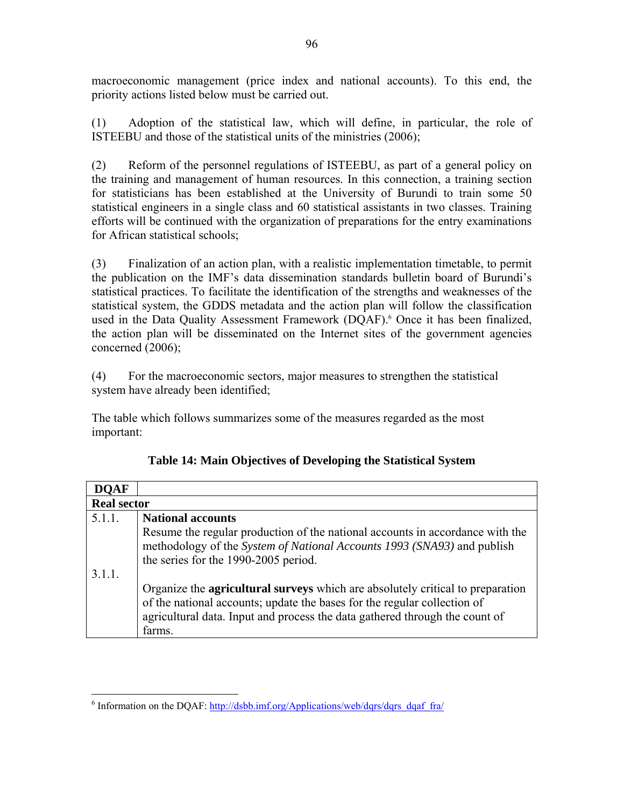macroeconomic management (price index and national accounts). To this end, the priority actions listed below must be carried out.

(1) Adoption of the statistical law, which will define, in particular, the role of ISTEEBU and those of the statistical units of the ministries (2006);

(2) Reform of the personnel regulations of ISTEEBU, as part of a general policy on the training and management of human resources. In this connection, a training section for statisticians has been established at the University of Burundi to train some 50 statistical engineers in a single class and 60 statistical assistants in two classes. Training efforts will be continued with the organization of preparations for the entry examinations for African statistical schools;

(3) Finalization of an action plan, with a realistic implementation timetable, to permit the publication on the IMF's data dissemination standards bulletin board of Burundi's statistical practices. To facilitate the identification of the strengths and weaknesses of the statistical system, the GDDS metadata and the action plan will follow the classification used in the Data Quality Assessment Framework (DQAF).<sup>6</sup> Once it has been finalized, the action plan will be disseminated on the Internet sites of the government agencies concerned (2006);

(4) For the macroeconomic sectors, major measures to strengthen the statistical system have already been identified;

The table which follows summarizes some of the measures regarded as the most important:

| DOAF               |                                                                                       |
|--------------------|---------------------------------------------------------------------------------------|
| <b>Real sector</b> |                                                                                       |
| 5.1.1.             | <b>National accounts</b>                                                              |
|                    | Resume the regular production of the national accounts in accordance with the         |
|                    | methodology of the System of National Accounts 1993 (SNA93) and publish               |
|                    | the series for the 1990-2005 period.                                                  |
| 3.1.1.             |                                                                                       |
|                    | Organize the <b>agricultural surveys</b> which are absolutely critical to preparation |
|                    | of the national accounts; update the bases for the regular collection of              |
|                    | agricultural data. Input and process the data gathered through the count of           |
|                    | farms.                                                                                |

|  |  |  | Table 14: Main Objectives of Developing the Statistical System |
|--|--|--|----------------------------------------------------------------|
|--|--|--|----------------------------------------------------------------|

 $\overline{a}$ <sup>6</sup> Information on the DQAF:  $\frac{http://dsb.b.inf.org/Applications/web/dqrs/dqrs\text{ d}qaf-fra/}{$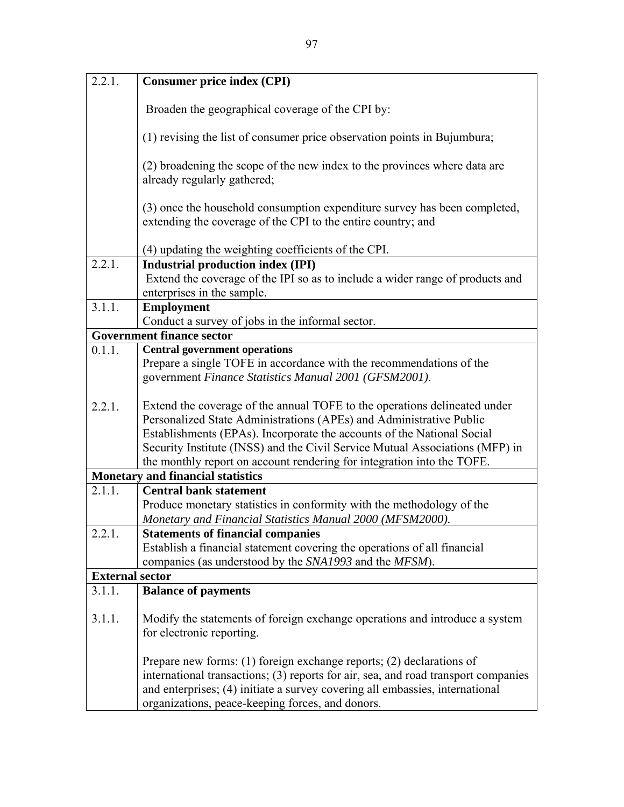| 2.2.1.                 | <b>Consumer price index (CPI)</b>                                                                                                                                                                                                                                                                                                                                                    |
|------------------------|--------------------------------------------------------------------------------------------------------------------------------------------------------------------------------------------------------------------------------------------------------------------------------------------------------------------------------------------------------------------------------------|
|                        | Broaden the geographical coverage of the CPI by:                                                                                                                                                                                                                                                                                                                                     |
|                        | (1) revising the list of consumer price observation points in Bujumbura;                                                                                                                                                                                                                                                                                                             |
|                        | (2) broadening the scope of the new index to the provinces where data are<br>already regularly gathered;                                                                                                                                                                                                                                                                             |
|                        | (3) once the household consumption expenditure survey has been completed,<br>extending the coverage of the CPI to the entire country; and                                                                                                                                                                                                                                            |
|                        | (4) updating the weighting coefficients of the CPI.                                                                                                                                                                                                                                                                                                                                  |
| 2.2.1.                 | <b>Industrial production index (IPI)</b>                                                                                                                                                                                                                                                                                                                                             |
|                        | Extend the coverage of the IPI so as to include a wider range of products and<br>enterprises in the sample.                                                                                                                                                                                                                                                                          |
| 3.1.1.                 | <b>Employment</b>                                                                                                                                                                                                                                                                                                                                                                    |
|                        | Conduct a survey of jobs in the informal sector.<br><b>Government finance sector</b>                                                                                                                                                                                                                                                                                                 |
| 0.1.1.                 | <b>Central government operations</b>                                                                                                                                                                                                                                                                                                                                                 |
|                        | Prepare a single TOFE in accordance with the recommendations of the<br>government Finance Statistics Manual 2001 (GFSM2001).                                                                                                                                                                                                                                                         |
| 2.2.1.                 | Extend the coverage of the annual TOFE to the operations delineated under<br>Personalized State Administrations (APEs) and Administrative Public<br>Establishments (EPAs). Incorporate the accounts of the National Social<br>Security Institute (INSS) and the Civil Service Mutual Associations (MFP) in<br>the monthly report on account rendering for integration into the TOFE. |
|                        | <b>Monetary and financial statistics</b>                                                                                                                                                                                                                                                                                                                                             |
| 2.1.1.                 | <b>Central bank statement</b><br>Produce monetary statistics in conformity with the methodology of the<br>Monetary and Financial Statistics Manual 2000 (MFSM2000).                                                                                                                                                                                                                  |
| 2.2.1.                 | <b>Statements of financial companies</b><br>Establish a financial statement covering the operations of all financial<br>companies (as understood by the SNA1993 and the MFSM).                                                                                                                                                                                                       |
| <b>External sector</b> |                                                                                                                                                                                                                                                                                                                                                                                      |
| 3.1.1.                 | <b>Balance of payments</b>                                                                                                                                                                                                                                                                                                                                                           |
| 3.1.1.                 | Modify the statements of foreign exchange operations and introduce a system<br>for electronic reporting.                                                                                                                                                                                                                                                                             |
|                        | Prepare new forms: $(1)$ foreign exchange reports; $(2)$ declarations of<br>international transactions; (3) reports for air, sea, and road transport companies<br>and enterprises; (4) initiate a survey covering all embassies, international<br>organizations, peace-keeping forces, and donors.                                                                                   |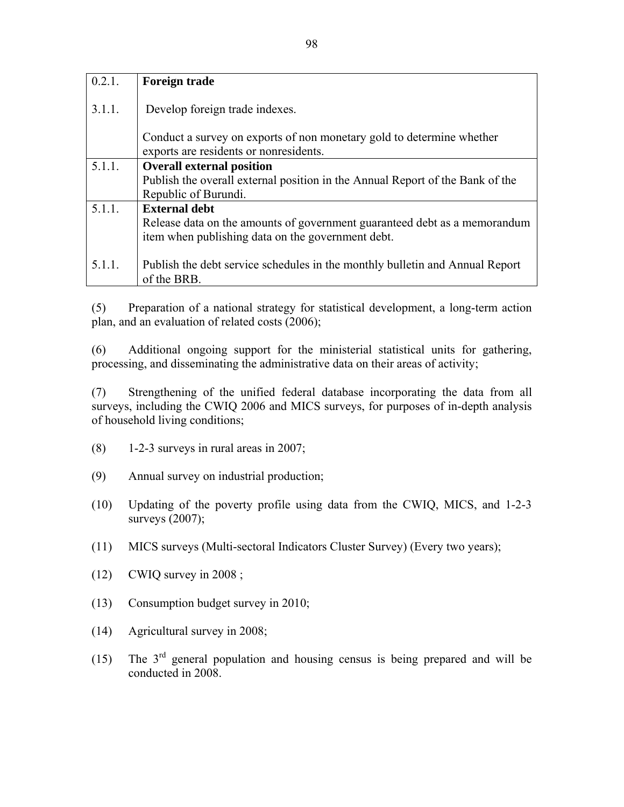| 0.2.1. | <b>Foreign trade</b>                                                                                            |
|--------|-----------------------------------------------------------------------------------------------------------------|
| 3.1.1. | Develop foreign trade indexes.                                                                                  |
|        | Conduct a survey on exports of non monetary gold to determine whether<br>exports are residents or nonresidents. |
| 5.1.1. | <b>Overall external position</b>                                                                                |
|        | Publish the overall external position in the Annual Report of the Bank of the                                   |
|        | Republic of Burundi.                                                                                            |
| 5.1.1. | <b>External debt</b>                                                                                            |
|        | Release data on the amounts of government guaranteed debt as a memorandum                                       |
|        | item when publishing data on the government debt.                                                               |
|        |                                                                                                                 |
| 5.1.1. | Publish the debt service schedules in the monthly bulletin and Annual Report                                    |
|        | of the BRB.                                                                                                     |

(5) Preparation of a national strategy for statistical development, a long-term action plan, and an evaluation of related costs (2006);

(6) Additional ongoing support for the ministerial statistical units for gathering, processing, and disseminating the administrative data on their areas of activity;

(7) Strengthening of the unified federal database incorporating the data from all surveys, including the CWIQ 2006 and MICS surveys, for purposes of in-depth analysis of household living conditions;

- (8) 1-2-3 surveys in rural areas in 2007;
- (9) Annual survey on industrial production;
- (10) Updating of the poverty profile using data from the CWIQ, MICS, and 1-2-3 surveys (2007);
- (11) MICS surveys (Multi-sectoral Indicators Cluster Survey) (Every two years);
- (12) CWIQ survey in 2008 ;
- (13) Consumption budget survey in 2010;
- (14) Agricultural survey in 2008;
- (15) The  $3<sup>rd</sup>$  general population and housing census is being prepared and will be conducted in 2008.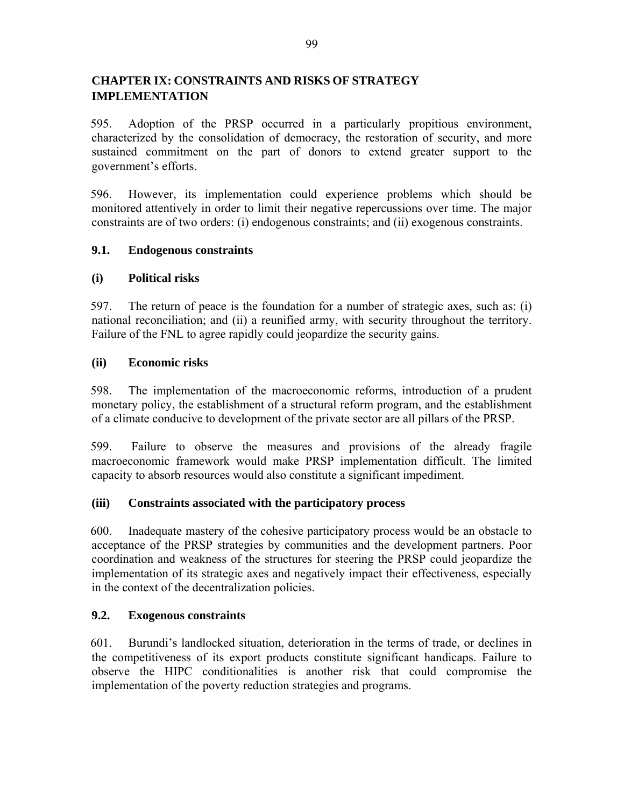# **CHAPTER IX: CONSTRAINTS AND RISKS OF STRATEGY IMPLEMENTATION**

595. Adoption of the PRSP occurred in a particularly propitious environment, characterized by the consolidation of democracy, the restoration of security, and more sustained commitment on the part of donors to extend greater support to the government's efforts.

596. However, its implementation could experience problems which should be monitored attentively in order to limit their negative repercussions over time. The major constraints are of two orders: (i) endogenous constraints; and (ii) exogenous constraints.

# **9.1. Endogenous constraints**

# **(i) Political risks**

597. The return of peace is the foundation for a number of strategic axes, such as: (i) national reconciliation; and (ii) a reunified army, with security throughout the territory. Failure of the FNL to agree rapidly could jeopardize the security gains.

## **(ii) Economic risks**

598. The implementation of the macroeconomic reforms, introduction of a prudent monetary policy, the establishment of a structural reform program, and the establishment of a climate conducive to development of the private sector are all pillars of the PRSP.

599. Failure to observe the measures and provisions of the already fragile macroeconomic framework would make PRSP implementation difficult. The limited capacity to absorb resources would also constitute a significant impediment.

## **(iii) Constraints associated with the participatory process**

600. Inadequate mastery of the cohesive participatory process would be an obstacle to acceptance of the PRSP strategies by communities and the development partners. Poor coordination and weakness of the structures for steering the PRSP could jeopardize the implementation of its strategic axes and negatively impact their effectiveness, especially in the context of the decentralization policies.

# **9.2. Exogenous constraints**

601. Burundi's landlocked situation, deterioration in the terms of trade, or declines in the competitiveness of its export products constitute significant handicaps. Failure to observe the HIPC conditionalities is another risk that could compromise the implementation of the poverty reduction strategies and programs.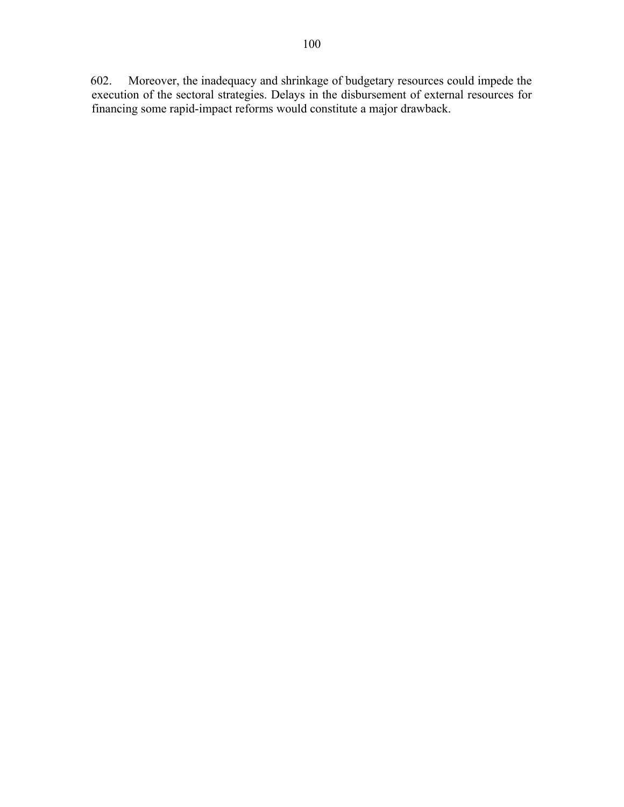602. Moreover, the inadequacy and shrinkage of budgetary resources could impede the execution of the sectoral strategies. Delays in the disbursement of external resources for financing some rapid-impact reforms would constitute a major drawback.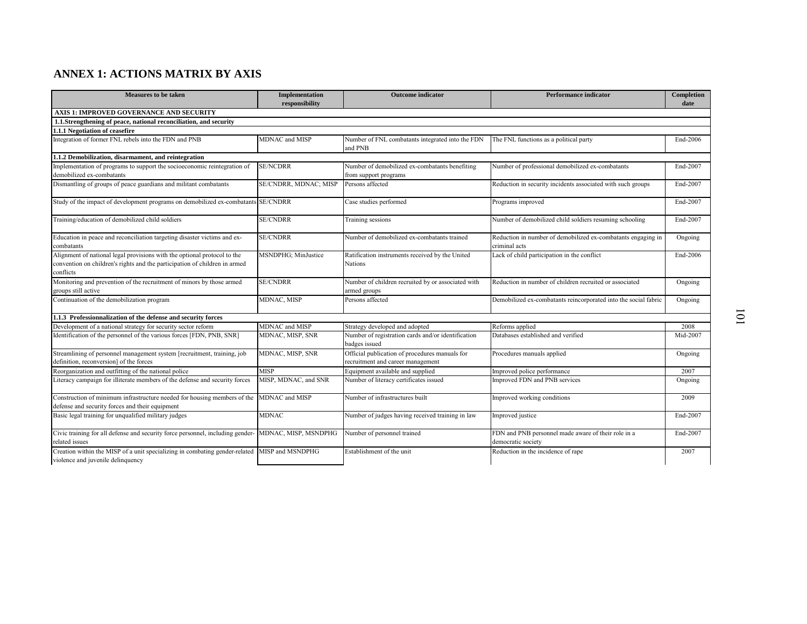| <b>Measures to be taken</b>                                                                                                                                         | Implementation<br>responsibility | <b>Outcome</b> indicator                                                            | <b>Performance indicator</b>                                              | Completion<br>date |
|---------------------------------------------------------------------------------------------------------------------------------------------------------------------|----------------------------------|-------------------------------------------------------------------------------------|---------------------------------------------------------------------------|--------------------|
| AXIS 1: IMPROVED GOVERNANCE AND SECURITY                                                                                                                            |                                  |                                                                                     |                                                                           |                    |
| 1.1.Strengthening of peace, national reconciliation, and security                                                                                                   |                                  |                                                                                     |                                                                           |                    |
| 1.1.1 Negotiation of ceasefire                                                                                                                                      |                                  |                                                                                     |                                                                           |                    |
| Integration of former FNL rebels into the FDN and PNB                                                                                                               | MDNAC and MISP                   | Number of FNL combatants integrated into the FDN<br>and PNB                         | The FNL functions as a political party                                    | End-2006           |
| 1.1.2 Demobilization, disarmament, and reintegration                                                                                                                |                                  |                                                                                     |                                                                           |                    |
| Implementation of programs to support the socioeconomic reintegration of<br>demobilized ex-combatants                                                               | <b>SE/NCDRR</b>                  | Number of demobilized ex-combatants benefiting                                      | Number of professional demobilized ex-combatants                          | End-2007           |
| Dismantling of groups of peace guardians and militant combatants                                                                                                    | SE/CNDRR, MDNAC; MISP            | from support programs<br>Persons affected                                           | Reduction in security incidents associated with such groups               | End-2007           |
|                                                                                                                                                                     |                                  |                                                                                     |                                                                           |                    |
| Study of the impact of development programs on demobilized ex-combatants                                                                                            | <b>SE/CNDRR</b>                  | Case studies performed                                                              | Programs improved                                                         | End-2007           |
| Training/education of demobilized child soldiers                                                                                                                    | <b>SE/CNDRR</b>                  | Training sessions                                                                   | Number of demobilized child soldiers resuming schooling                   | End-2007           |
| Education in peace and reconciliation targeting disaster victims and ex-                                                                                            | <b>SE/CNDRR</b>                  | Number of demobilized ex-combatants trained                                         | Reduction in number of demobilized ex-combatants engaging in              | Ongoing            |
| combatants                                                                                                                                                          |                                  |                                                                                     | criminal acts                                                             |                    |
| Alignment of national legal provisions with the optional protocol to the<br>convention on children's rights and the participation of children in armed<br>conflicts | MSNDPHG; MinJustice              | Ratification instruments received by the United<br><b>Nations</b>                   | Lack of child participation in the conflict                               | End-2006           |
| Monitoring and prevention of the recruitment of minors by those armed                                                                                               | <b>SE/CNDRR</b>                  | Number of children recruited by or associated with                                  | Reduction in number of children recruited or associated                   | Ongoing            |
| groups still active                                                                                                                                                 |                                  | armed groups                                                                        |                                                                           |                    |
| Continuation of the demobilization program                                                                                                                          | MDNAC, MISP                      | Persons affected                                                                    | Demobilized ex-combatants reincorporated into the social fabric           | Ongoing            |
| 1.1.3 Professionnalization of the defense and security forces                                                                                                       |                                  |                                                                                     |                                                                           |                    |
| Development of a national strategy for security sector reform                                                                                                       | MDNAC and MISP                   | Strategy developed and adopted                                                      | Reforms applied                                                           | 2008               |
| Identification of the personnel of the various forces [FDN, PNB, SNR]                                                                                               | MDNAC, MISP, SNR                 | Number of registration cards and/or identification<br>badges issued                 | Databases established and verified                                        | Mid-2007           |
| Streamlining of personnel management system [recruitment, training, job<br>definition, reconversion] of the forces                                                  | MDNAC, MISP, SNR                 | Official publication of procedures manuals for<br>recruitment and career management | Procedures manuals applied                                                | Ongoing            |
| Reorganization and outfitting of the national police                                                                                                                | <b>MISP</b>                      | Equipment available and supplied                                                    | Improved police performance                                               | 2007               |
| Literacy campaign for illiterate members of the defense and security forces                                                                                         | MISP, MDNAC, and SNR             | Number of literacy certificates issued                                              | Improved FDN and PNB services                                             | Ongoing            |
| Construction of minimum infrastructure needed for housing members of the<br>defense and security forces and their equipment                                         | MDNAC and MISP                   | Number of infrastructures built                                                     | Improved working conditions                                               | 2009               |
| Basic legal training for unqualified military judges                                                                                                                | <b>MDNAC</b>                     | Number of judges having received training in law                                    | Improved justice                                                          | End-2007           |
| Civic training for all defense and security force personnel, including gender-<br>related issues                                                                    | MDNAC, MISP, MSNDPHG             | Number of personnel trained                                                         | FDN and PNB personnel made aware of their role in a<br>democratic society | End-2007           |
| Creation within the MISP of a unit specializing in combating gender-related MISP and MSNDPHG<br>violence and juvenile delinquency                                   |                                  | Establishment of the unit                                                           | Reduction in the incidence of rape                                        | 2007               |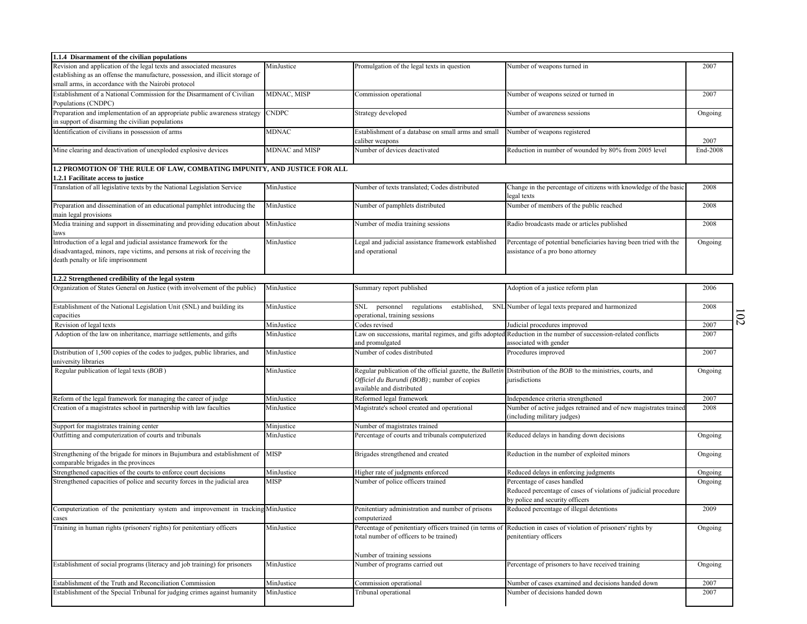| 1.1.4 Disarmament of the civilian populations                                                                                                                                                                |                |                                                                                                    |                                                                                                                                          |                        |
|--------------------------------------------------------------------------------------------------------------------------------------------------------------------------------------------------------------|----------------|----------------------------------------------------------------------------------------------------|------------------------------------------------------------------------------------------------------------------------------------------|------------------------|
| Revision and application of the legal texts and associated measures<br>establishing as an offense the manufacture, possession, and illicit storage of<br>small arms, in accordance with the Nairobi protocol | MinJustice     | Promulgation of the legal texts in question                                                        | Number of weapons turned in                                                                                                              | 2007                   |
| Establishment of a National Commission for the Disarmament of Civilian<br>Populations (CNDPC)                                                                                                                | MDNAC, MISP    | Commission operational                                                                             | Number of weapons seized or turned in                                                                                                    | 2007                   |
| Preparation and implementation of an appropriate public awareness strategy<br>in support of disarming the civilian populations                                                                               | <b>CNDPC</b>   | Strategy developed                                                                                 | Number of awareness sessions                                                                                                             | Ongoing                |
| Identification of civilians in possession of arms                                                                                                                                                            | MDNAC          | Establishment of a database on small arms and small<br>caliber weapons                             | Number of weapons registered                                                                                                             | 2007                   |
| Mine clearing and deactivation of unexploded explosive devices                                                                                                                                               | MDNAC and MISP | Number of devices deactivated                                                                      | Reduction in number of wounded by 80% from 2005 level                                                                                    | End-2008               |
| 1.2 PROMOTION OF THE RULE OF LAW, COMBATING IMPUNITY, AND JUSTICE FOR ALL                                                                                                                                    |                |                                                                                                    |                                                                                                                                          |                        |
| 1.2.1 Facilitate access to justice                                                                                                                                                                           |                |                                                                                                    |                                                                                                                                          |                        |
| Translation of all legislative texts by the National Legislation Service                                                                                                                                     | MinJustice     | Number of texts translated; Codes distributed                                                      | Change in the percentage of citizens with knowledge of the basic<br>legal texts                                                          | 2008                   |
| Preparation and dissemination of an educational pamphlet introducing the<br>main legal provisions                                                                                                            | MinJustice     | Number of pamphlets distributed                                                                    | Number of members of the public reached                                                                                                  | 2008                   |
| Media training and support in disseminating and providing education about<br>laws                                                                                                                            | MinJustice     | Number of media training sessions                                                                  | Radio broadcasts made or articles published                                                                                              | 2008                   |
| Introduction of a legal and judicial assistance framework for the<br>disadvantaged, minors, rape victims, and persons at risk of receiving the<br>death penalty or life imprisonment                         | MinJustice     | Legal and judicial assistance framework established<br>and operational                             | Percentage of potential beneficiaries having been tried with the<br>assistance of a pro bono attorney                                    | Ongoing                |
| 1.2.2 Strengthened credibility of the legal system                                                                                                                                                           |                |                                                                                                    |                                                                                                                                          |                        |
| Organization of States General on Justice (with involvement of the public)                                                                                                                                   | MinJustice     | Summary report published                                                                           | Adoption of a justice reform plan                                                                                                        | 2006                   |
| Establishment of the National Legislation Unit (SNL) and building its<br>capacities                                                                                                                          | MinJustice     | SNL personnel regulations<br>operational, training sessions                                        | established, SNL Number of legal texts prepared and harmonized                                                                           | 2008                   |
| Revision of legal texts                                                                                                                                                                                      | MinJustice     | Codes revised                                                                                      | Judicial procedures improved                                                                                                             | $\overline{c}$<br>2007 |
| Adoption of the law on inheritance, marriage settlements, and gifts                                                                                                                                          | MinJustice     | and promulgated                                                                                    | Law on successions, marital regimes, and gifts adopted Reduction in the number of succession-related conflicts<br>associated with gender | 2007                   |
| Distribution of 1,500 copies of the codes to judges, public libraries, and<br>university libraries                                                                                                           | MinJustice     | Number of codes distributed                                                                        | Procedures improved                                                                                                                      | 2007                   |
| Regular publication of legal texts (BOB)                                                                                                                                                                     | MinJustice     | Officiel du Burundi (BOB); number of copies<br>available and distributed                           | Regular publication of the official gazette, the <i>Bulletin</i> Distribution of the BOB to the ministries, courts, and<br>jurisdictions | Ongoing                |
| Reform of the legal framework for managing the career of judge                                                                                                                                               | MinJustice     | Reformed legal framework                                                                           | Independence criteria strengthened                                                                                                       | 2007                   |
| Creation of a magistrates school in partnership with law faculties                                                                                                                                           | MinJustice     | Magistrate's school created and operational                                                        | Number of active judges retrained and of new magistrates trained<br>(including military judges)                                          | 2008                   |
| Support for magistrates training center                                                                                                                                                                      | Minjustice     | Number of magistrates trained                                                                      |                                                                                                                                          |                        |
| Outfitting and computerization of courts and tribunals                                                                                                                                                       | MinJustice     | Percentage of courts and tribunals computerized                                                    | Reduced delays in handing down decisions                                                                                                 | Ongoing                |
| Strengthening of the brigade for minors in Bujumbura and establishment of<br>comparable brigades in the provinces                                                                                            | <b>MISP</b>    | Brigades strengthened and created                                                                  | Reduction in the number of exploited minors                                                                                              | Ongoing                |
| Strengthened capacities of the courts to enforce court decisions                                                                                                                                             | MinJustice     | Higher rate of judgments enforced                                                                  | Reduced delays in enforcing judgments                                                                                                    | Ongoing                |
| Strengthened capacities of police and security forces in the judicial area                                                                                                                                   | MISP           | Number of police officers trained                                                                  | Percentage of cases handled<br>Reduced percentage of cases of violations of judicial procedure<br>by police and security officers        | Ongoing                |
| Computerization of the penitentiary system and improvement in tracking MinJustice<br>cases                                                                                                                   |                | Penitentiary administration and number of prisons<br>computerized                                  | Reduced percentage of illegal detentions                                                                                                 | 2009                   |
| Training in human rights (prisoners' rights) for penitentiary officers                                                                                                                                       | MinJustice     | Percentage of penitentiary officers trained (in terms o<br>total number of officers to be trained) | Reduction in cases of violation of prisoners' rights by<br>benitentiary officers                                                         | Ongoing                |
|                                                                                                                                                                                                              |                | Number of training sessions                                                                        |                                                                                                                                          |                        |
| Establishment of social programs (literacy and job training) for prisoners                                                                                                                                   | MinJustice     | Number of programs carried out                                                                     | Percentage of prisoners to have received training                                                                                        | Ongoing                |
| Establishment of the Truth and Reconciliation Commission                                                                                                                                                     | MinJustice     | Commission operational                                                                             | Number of cases examined and decisions handed down                                                                                       | 2007                   |
| Establishment of the Special Tribunal for judging crimes against humanity                                                                                                                                    | MinJustice     | Tribunal operational                                                                               | Number of decisions handed down                                                                                                          | 2007                   |
|                                                                                                                                                                                                              |                |                                                                                                    |                                                                                                                                          |                        |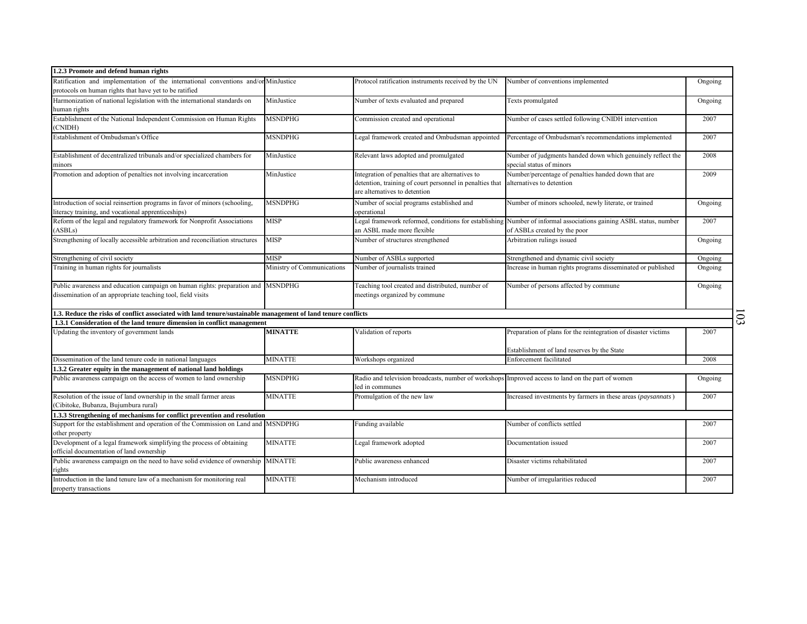| 1.2.3 Promote and defend human rights                                                                                                           |                            |                                                                                                                                                |                                                                                                                                                   |         |          |
|-------------------------------------------------------------------------------------------------------------------------------------------------|----------------------------|------------------------------------------------------------------------------------------------------------------------------------------------|---------------------------------------------------------------------------------------------------------------------------------------------------|---------|----------|
| Ratification and implementation of the international conventions and/or MinJustice<br>protocols on human rights that have yet to be ratified    |                            | Protocol ratification instruments received by the UN                                                                                           | Number of conventions implemented                                                                                                                 | Ongoing |          |
| Harmonization of national legislation with the international standards on<br>human rights                                                       | MinJustice                 | Number of texts evaluated and prepared                                                                                                         | Texts promulgated                                                                                                                                 | Ongoing |          |
| Establishment of the National Independent Commission on Human Rights<br>(CNIDH)                                                                 | <b>MSNDPHG</b>             | Commission created and operational                                                                                                             | Number of cases settled following CNIDH intervention                                                                                              | 2007    |          |
| Establishment of Ombudsman's Office                                                                                                             | MSNDPHG                    | Legal framework created and Ombudsman appointed                                                                                                | Percentage of Ombudsman's recommendations implemented                                                                                             | 2007    |          |
| Establishment of decentralized tribunals and/or specialized chambers for<br>minors                                                              | MinJustice                 | Relevant laws adopted and promulgated                                                                                                          | Number of judgments handed down which genuinely reflect the<br>special status of minors                                                           | 2008    |          |
| Promotion and adoption of penalties not involving incarceration                                                                                 | MinJustice                 | Integration of penalties that are alternatives to<br>detention, training of court personnel in penalties that<br>are alternatives to detention | Number/percentage of penalties handed down that are<br>alternatives to detention                                                                  | 2009    |          |
| Introduction of social reinsertion programs in favor of minors (schooling,<br>literacy training, and vocational apprenticeships)                | <b>MSNDPHG</b>             | Number of social programs established and<br>operational                                                                                       | Number of minors schooled, newly literate, or trained                                                                                             | Ongoing |          |
| Reform of the legal and regulatory framework for Nonprofit Associations<br>(ASBLs)                                                              | <b>MISP</b>                | an ASBL made more flexible                                                                                                                     | Legal framework reformed, conditions for establishing Number of informal associations gaining ASBL status, number<br>of ASBLs created by the poor | 2007    |          |
| Strengthening of locally accessible arbitration and reconciliation structures                                                                   | <b>MISP</b>                | Number of structures strengthened                                                                                                              | Arbitration rulings issued                                                                                                                        | Ongoing |          |
| Strengthening of civil society                                                                                                                  | MISP                       | Number of ASBLs supported                                                                                                                      | Strengthened and dynamic civil society                                                                                                            | Ongoing |          |
| Training in human rights for journalists                                                                                                        | Ministry of Communications | Number of journalists trained                                                                                                                  | Increase in human rights programs disseminated or published                                                                                       | Ongoing |          |
| Public awareness and education campaign on human rights: preparation and MSNDPHG<br>dissemination of an appropriate teaching tool, field visits |                            | Teaching tool created and distributed, number of<br>meetings organized by commune                                                              | Number of persons affected by commune                                                                                                             | Ongoing |          |
| 1.3. Reduce the risks of conflict associated with land tenure/sustainable management of land tenure conflicts                                   |                            |                                                                                                                                                |                                                                                                                                                   |         |          |
| 1.3.1 Consideration of the land tenure dimension in conflict management                                                                         |                            |                                                                                                                                                |                                                                                                                                                   |         | $\Omega$ |
| Updating the inventory of government lands                                                                                                      | <b>MINATTE</b>             | Validation of reports                                                                                                                          | Preparation of plans for the reintegration of disaster victims                                                                                    | 2007    |          |
|                                                                                                                                                 |                            |                                                                                                                                                | Establishment of land reserves by the State                                                                                                       |         |          |
| Dissemination of the land tenure code in national languages                                                                                     | <b>MINATTE</b>             | Workshops organized                                                                                                                            | Enforcement facilitated                                                                                                                           | 2008    |          |
| 1.3.2 Greater equity in the management of national land holdings                                                                                |                            |                                                                                                                                                |                                                                                                                                                   |         |          |
| Public awareness campaign on the access of women to land ownership                                                                              | <b>MSNDPHG</b>             | Radio and television broadcasts, number of workshops Improved access to land on the part of women<br>led in communes                           |                                                                                                                                                   | Ongoing |          |
| Resolution of the issue of land ownership in the small farmer areas<br>(Cibitoke, Bubanza, Bujumbura rural)                                     | <b>MINATTE</b>             | Promulgation of the new law                                                                                                                    | Increased investments by farmers in these areas (paysannats)                                                                                      | 2007    |          |
| 1.3.3 Strengthening of mechanisms for conflict prevention and resolution                                                                        |                            |                                                                                                                                                |                                                                                                                                                   |         |          |
| Support for the establishment and operation of the Commission on Land and MSNDPHG                                                               |                            | Funding available                                                                                                                              | Number of conflicts settled                                                                                                                       | 2007    |          |
| other property                                                                                                                                  |                            |                                                                                                                                                |                                                                                                                                                   |         |          |
| Development of a legal framework simplifying the process of obtaining<br>official documentation of land ownership                               | <b>MINATTE</b>             | Legal framework adopted                                                                                                                        | Documentation issued                                                                                                                              | 2007    |          |
| Public awareness campaign on the need to have solid evidence of ownership MINATTE<br>rights                                                     |                            | Public awareness enhanced                                                                                                                      | Disaster victims rehabilitated                                                                                                                    | 2007    |          |
| Introduction in the land tenure law of a mechanism for monitoring real<br>property transactions                                                 | <b>MINATTE</b>             | Mechanism introduced                                                                                                                           | Number of irregularities reduced                                                                                                                  | 2007    |          |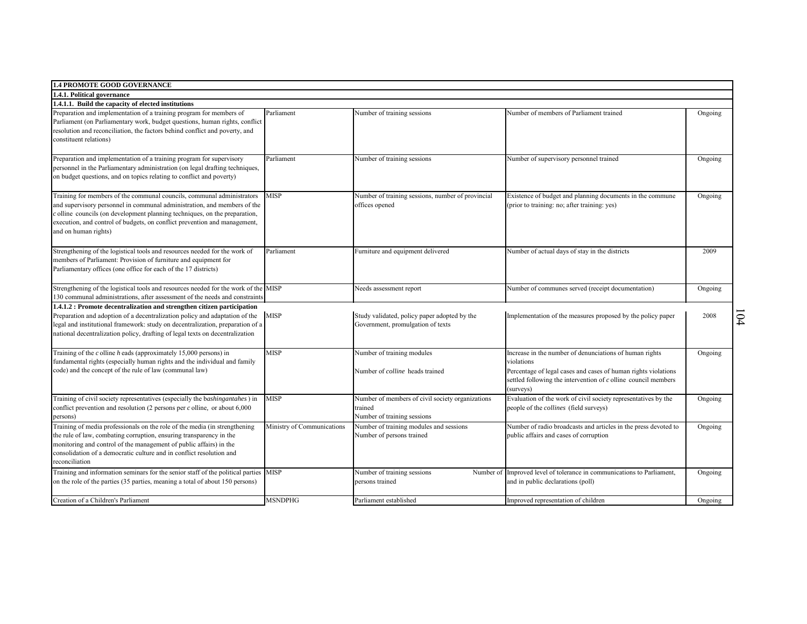| <b>1.4 PROMOTE GOOD GOVERNANCE</b>                                                                                                                                                                                                                                                                                                      |                            |                                                                                            |                                                                                                                                                                                                                          |         |               |
|-----------------------------------------------------------------------------------------------------------------------------------------------------------------------------------------------------------------------------------------------------------------------------------------------------------------------------------------|----------------------------|--------------------------------------------------------------------------------------------|--------------------------------------------------------------------------------------------------------------------------------------------------------------------------------------------------------------------------|---------|---------------|
| 1.4.1. Political governance                                                                                                                                                                                                                                                                                                             |                            |                                                                                            |                                                                                                                                                                                                                          |         |               |
| 1.4.1.1. Build the capacity of elected institutions<br>Preparation and implementation of a training program for members of                                                                                                                                                                                                              | Parliament                 | Number of training sessions                                                                | Number of members of Parliament trained                                                                                                                                                                                  |         |               |
| Parliament (on Parliamentary work, budget questions, human rights, conflict<br>resolution and reconciliation, the factors behind conflict and poverty, and<br>constituent relations)                                                                                                                                                    |                            |                                                                                            |                                                                                                                                                                                                                          | Ongoing |               |
| Preparation and implementation of a training program for supervisory<br>personnel in the Parliamentary administration (on legal drafting techniques,<br>on budget questions, and on topics relating to conflict and poverty)                                                                                                            | Parliament                 | Number of training sessions                                                                | Number of supervisory personnel trained                                                                                                                                                                                  | Ongoing |               |
| Training for members of the communal councils, communal administrators<br>and supervisory personnel in communal administration, and members of the<br>$c$ olline councils (on development planning techniques, on the preparation,<br>execution, and control of budgets, on conflict prevention and management,<br>and on human rights) | <b>MISP</b>                | Number of training sessions, number of provincial<br>offices opened                        | Existence of budget and planning documents in the commune<br>(prior to training: no; after training: yes)                                                                                                                | Ongoing |               |
| Strengthening of the logistical tools and resources needed for the work of<br>members of Parliament: Provision of furniture and equipment for<br>Parliamentary offices (one office for each of the 17 districts)                                                                                                                        | Parliament                 | Furniture and equipment delivered                                                          | Number of actual days of stay in the districts                                                                                                                                                                           | 2009    |               |
| Strengthening of the logistical tools and resources needed for the work of the MISP                                                                                                                                                                                                                                                     |                            | Needs assessment report                                                                    | Number of communes served (receipt documentation)                                                                                                                                                                        | Ongoing |               |
| 130 communal administrations, after assessment of the needs and constraints                                                                                                                                                                                                                                                             |                            |                                                                                            |                                                                                                                                                                                                                          |         |               |
| 1.4.1.2 : Promote decentralization and strengthen citizen participation<br>Preparation and adoption of a decentralization policy and adaptation of the<br>legal and institutional framework: study on decentralization, preparation of a<br>national decentralization policy, drafting of legal texts on decentralization               | <b>MISP</b>                | Study validated, policy paper adopted by the<br>Government, promulgation of texts          | Implementation of the measures proposed by the policy paper                                                                                                                                                              | 2008    | $\mathcal{L}$ |
| Training of the $c$ olline $h$ eads (approximately 15,000 persons) in<br>fundamental rights (especially human rights and the individual and family<br>code) and the concept of the rule of law (communal law)                                                                                                                           | MISP                       | Number of training modules<br>Number of colline heads trained                              | Increase in the number of denunciations of human rights<br>violations<br>Percentage of legal cases and cases of human rights violations<br>settled following the intervention of $c$ olline council members<br>(surveys) | Ongoing |               |
| Training of civil society representatives (especially the bashingantahes) in<br>conflict prevention and resolution (2 persons per $c$ olline, or about $6,000$<br>persons)                                                                                                                                                              | MISP                       | Number of members of civil society organizations<br>trained<br>Number of training sessions | Evaluation of the work of civil society representatives by the<br>people of the <i>collines</i> (field surveys)                                                                                                          | Ongoing |               |
| Training of media professionals on the role of the media (in strengthening<br>the rule of law, combating corruption, ensuring transparency in the<br>monitoring and control of the management of public affairs) in the<br>consolidation of a democratic culture and in conflict resolution and<br>reconciliation                       | Ministry of Communications | Number of training modules and sessions<br>Number of persons trained                       | Number of radio broadcasts and articles in the press devoted to<br>public affairs and cases of corruption                                                                                                                | Ongoing |               |
| Training and information seminars for the senior staff of the political parties MISP<br>on the role of the parties (35 parties, meaning a total of about 150 persons)                                                                                                                                                                   |                            | Number of training sessions<br>persons trained                                             | Number of Improved level of tolerance in communications to Parliament,<br>and in public declarations (poll)                                                                                                              | Ongoing |               |
| Creation of a Children's Parliament                                                                                                                                                                                                                                                                                                     | <b>MSNDPHG</b>             | Parliament established                                                                     | Improved representation of children                                                                                                                                                                                      | Ongoing |               |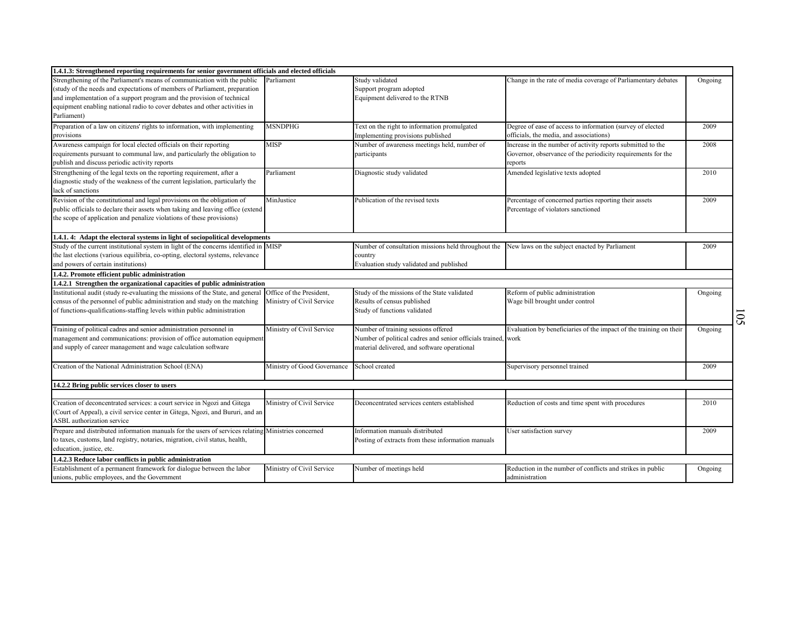| 1.4.1.3: Strengthened reporting requirements for senior government officials and elected officials                                                                                                                                                                                                                           |                                                       |                                                                                                                                                      |                                                                                                                                        |                           |
|------------------------------------------------------------------------------------------------------------------------------------------------------------------------------------------------------------------------------------------------------------------------------------------------------------------------------|-------------------------------------------------------|------------------------------------------------------------------------------------------------------------------------------------------------------|----------------------------------------------------------------------------------------------------------------------------------------|---------------------------|
| Strengthening of the Parliament's means of communication with the public<br>study of the needs and expectations of members of Parliament, preparation<br>and implementation of a support program and the provision of technical<br>equipment enabling national radio to cover debates and other activities in<br>Parliament) | Parliament                                            | Study validated<br>Support program adopted<br>Equipment delivered to the RTNB                                                                        | Change in the rate of media coverage of Parliamentary debates                                                                          | Ongoing                   |
| Preparation of a law on citizens' rights to information, with implementing<br>provisions                                                                                                                                                                                                                                     | <b>MSNDPHG</b>                                        | Text on the right to information promulgated<br>Implementing provisions published                                                                    | Degree of ease of access to information (survey of elected<br>officials, the media, and associations)                                  | 2009                      |
| Awareness campaign for local elected officials on their reporting<br>requirements pursuant to communal law, and particularly the obligation to<br>publish and discuss periodic activity reports                                                                                                                              | MISP                                                  | Number of awareness meetings held, number of<br>participants                                                                                         | Increase in the number of activity reports submitted to the<br>Governor, observance of the periodicity requirements for the<br>reports | 2008                      |
| Strengthening of the legal texts on the reporting requirement, after a<br>diagnostic study of the weakness of the current legislation, particularly the<br>lack of sanctions                                                                                                                                                 | Parliament                                            | Diagnostic study validated                                                                                                                           | Amended legislative texts adopted                                                                                                      | 2010                      |
| Revision of the constitutional and legal provisions on the obligation of<br>public officials to declare their assets when taking and leaving office (extend<br>the scope of application and penalize violations of these provisions)                                                                                         | MinJustice                                            | Publication of the revised texts                                                                                                                     | Percentage of concerned parties reporting their assets<br>Percentage of violators sanctioned                                           | 2009                      |
| 1.4.1. 4: Adapt the electoral systems in light of sociopolitical developments                                                                                                                                                                                                                                                |                                                       |                                                                                                                                                      |                                                                                                                                        |                           |
| Study of the current institutional system in light of the concerns identified in<br>the last elections (various equilibria, co-opting, electoral systems, relevance<br>and powers of certain institutions)                                                                                                                   | <b>MISP</b>                                           | Number of consultation missions held throughout the<br>country<br>Evaluation study validated and published                                           | New laws on the subject enacted by Parliament                                                                                          | 2009                      |
| 1.4.2. Promote efficient public administration                                                                                                                                                                                                                                                                               |                                                       |                                                                                                                                                      |                                                                                                                                        |                           |
| 1.4.2.1 Strengthen the organizational capacities of public administration                                                                                                                                                                                                                                                    |                                                       |                                                                                                                                                      |                                                                                                                                        |                           |
| Institutional audit (study re-evaluating the missions of the State, and general<br>census of the personnel of public administration and study on the matching<br>of functions-qualifications-staffing levels within public administration                                                                                    | Office of the President,<br>Ministry of Civil Service | Study of the missions of the State validated<br>Results of census published<br>Study of functions validated                                          | Reform of public administration<br>Wage bill brought under control                                                                     | Ongoing<br>$\overline{S}$ |
| Training of political cadres and senior administration personnel in<br>management and communications: provision of office automation equipment<br>and supply of career management and wage calculation software                                                                                                              | Ministry of Civil Service                             | Number of training sessions offered<br>Number of political cadres and senior officials trained, work<br>material delivered, and software operational | Evaluation by beneficiaries of the impact of the training on their                                                                     | Ongoing                   |
| Creation of the National Administration School (ENA)                                                                                                                                                                                                                                                                         | Ministry of Good Governance                           | School created                                                                                                                                       | Supervisory personnel trained                                                                                                          | 2009                      |
| 14.2.2 Bring public services closer to users                                                                                                                                                                                                                                                                                 |                                                       |                                                                                                                                                      |                                                                                                                                        |                           |
| Creation of deconcentrated services: a court service in Ngozi and Gitega<br>(Court of Appeal), a civil service center in Gitega, Ngozi, and Bururi, and an<br>ASBL authorization service                                                                                                                                     | Ministry of Civil Service                             | Deconcentrated services centers established                                                                                                          | Reduction of costs and time spent with procedures                                                                                      | 2010                      |
| Prepare and distributed information manuals for the users of services relating<br>to taxes, customs, land registry, notaries, migration, civil status, health,<br>education, justice, etc.                                                                                                                                   | Ministries concerned                                  | Information manuals distributed<br>Posting of extracts from these information manuals                                                                | User satisfaction survey                                                                                                               | 2009                      |
| 1.4.2.3 Reduce labor conflicts in public administration                                                                                                                                                                                                                                                                      |                                                       |                                                                                                                                                      |                                                                                                                                        |                           |
| Establishment of a permanent framework for dialogue between the labor<br>unions, public employees, and the Government                                                                                                                                                                                                        | Ministry of Civil Service                             | Number of meetings held                                                                                                                              | Reduction in the number of conflicts and strikes in public<br>administration                                                           | Ongoing                   |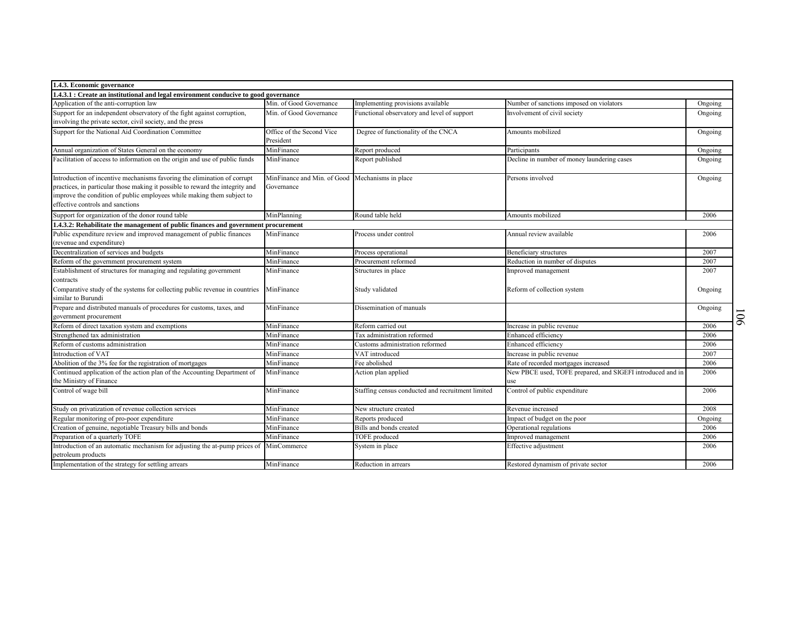| 1.4.3. Economic governance                                                           |                             |                                                   |                                                            |         |                |
|--------------------------------------------------------------------------------------|-----------------------------|---------------------------------------------------|------------------------------------------------------------|---------|----------------|
| 1.4.3.1 : Create an institutional and legal environment conducive to good governance |                             |                                                   |                                                            |         |                |
| Application of the anti-corruption law                                               | Min. of Good Governance     | Implementing provisions available                 | Number of sanctions imposed on violators                   | Ongoing |                |
| Support for an independent observatory of the fight against corruption,              | Min. of Good Governance     | unctional observatory and level of support        | Involvement of civil society                               | Ongoing |                |
| involving the private sector, civil society, and the press                           |                             |                                                   |                                                            |         |                |
| Support for the National Aid Coordination Committee                                  | Office of the Second Vice   | Degree of functionality of the CNCA               | Amounts mobilized                                          | Ongoing |                |
|                                                                                      | President                   |                                                   |                                                            |         |                |
| Annual organization of States General on the economy                                 | MinFinance                  | Report produced                                   | Participants                                               | Ongoing |                |
| Facilitation of access to information on the origin and use of public funds          | MinFinance                  | Report published                                  | Decline in number of money laundering cases                | Ongoing |                |
| Introduction of incentive mechanisms favoring the elimination of corrupt             | MinFinance and Min. of Good | Mechanisms in place                               | Persons involved                                           |         |                |
| practices, in particular those making it possible to reward the integrity and        | Governance                  |                                                   |                                                            | Ongoing |                |
| improve the condition of public employees while making them subject to               |                             |                                                   |                                                            |         |                |
| effective controls and sanctions                                                     |                             |                                                   |                                                            |         |                |
| Support for organization of the donor round table                                    | MinPlanning                 | Round table held                                  | Amounts mobilized                                          | 2006    |                |
| 1.4.3.2: Rehabilitate the management of public finances and government procurement   |                             |                                                   |                                                            |         |                |
| Public expenditure review and improved management of public finances                 | MinFinance                  | Process under control                             | Annual review available                                    | 2006    |                |
| (revenue and expenditure)                                                            |                             |                                                   |                                                            |         |                |
| Decentralization of services and budgets                                             | MinFinance                  | Process operational                               | Beneficiary structures                                     | 2007    |                |
| Reform of the government procurement system                                          | MinFinance                  | Procurement reformed                              | Reduction in number of disputes                            | 2007    |                |
| Establishment of structures for managing and regulating government                   | MinFinance                  | Structures in place                               | Improved management                                        | 2007    |                |
| contracts                                                                            |                             |                                                   |                                                            |         |                |
| Comparative study of the systems for collecting public revenue in countries          | MinFinance                  | Study validated                                   | Reform of collection system                                | Ongoing |                |
| similar to Burundi                                                                   |                             |                                                   |                                                            |         |                |
| Prepare and distributed manuals of procedures for customs, taxes, and                | MinFinance                  | Dissemination of manuals                          |                                                            | Ongoing |                |
| government procurement                                                               |                             |                                                   |                                                            |         | $\overline{6}$ |
| Reform of direct taxation system and exemptions                                      | MinFinance                  | Reform carried out                                | Increase in public revenue                                 | 2006    |                |
| Strengthened tax administration                                                      | MinFinance                  | Tax administration reformed                       | Enhanced efficiency                                        | 2006    |                |
| Reform of customs administration                                                     | MinFinance                  | Customs administration reformed                   | <b>Enhanced</b> efficiency                                 | 2006    |                |
| Introduction of VAT                                                                  | MinFinance                  | VAT introduced                                    | Increase in public revenue                                 | 2007    |                |
| Abolition of the 3% fee for the registration of mortgages                            | MinFinance                  | Fee abolished                                     | Rate of recorded mortgages increased                       | 2006    |                |
| Continued application of the action plan of the Accounting Department of             | MinFinance                  | Action plan applied                               | New PBCE used, TOFE prepared, and SIGEFI introduced and in | 2006    |                |
| the Ministry of Finance                                                              |                             |                                                   | use                                                        |         |                |
| Control of wage bill                                                                 | MinFinance                  | Staffing census conducted and recruitment limited | Control of public expenditure                              | 2006    |                |
|                                                                                      |                             |                                                   |                                                            |         |                |
| Study on privatization of revenue collection services                                | MinFinance                  | New structure created                             | Revenue increased                                          | 2008    |                |
| Regular monitoring of pro-poor expenditure                                           | MinFinance                  | Reports produced                                  | Impact of budget on the poor                               | Ongoing |                |
| Creation of genuine, negotiable Treasury bills and bonds                             | MinFinance                  | Bills and bonds created                           | Operational regulations                                    | 2006    |                |
| Preparation of a quarterly TOFE                                                      | MinFinance                  | TOFE produced                                     | Improved management                                        | 2006    |                |
| Introduction of an automatic mechanism for adjusting the at-pump prices of           | MinCommerce                 | System in place                                   | Effective adjustment                                       | 2006    |                |
| petroleum products<br>Implementation of the strategy for settling arrears            |                             |                                                   |                                                            |         |                |
|                                                                                      | MinFinance                  | Reduction in arrears                              | Restored dynamism of private sector                        | 2006    |                |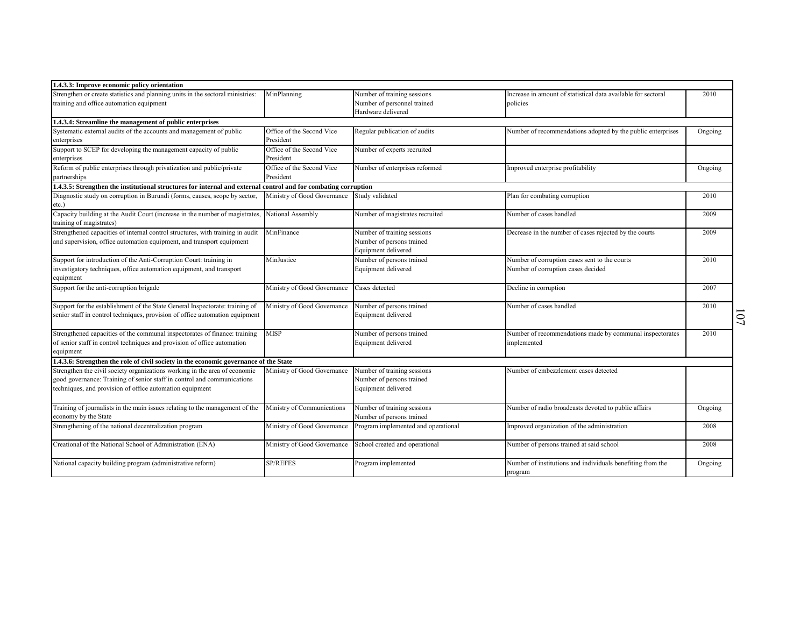| 1.4.3.3: Improve economic policy orientation                                                                                               |                             |                                                  |                                                                                     |         |                |
|--------------------------------------------------------------------------------------------------------------------------------------------|-----------------------------|--------------------------------------------------|-------------------------------------------------------------------------------------|---------|----------------|
| Strengthen or create statistics and planning units in the sectoral ministries:                                                             | MinPlanning                 | Number of training sessions                      | Increase in amount of statistical data available for sectoral                       | 2010    |                |
| training and office automation equipment                                                                                                   |                             | Number of personnel trained                      | policies                                                                            |         |                |
|                                                                                                                                            |                             | Hardware delivered                               |                                                                                     |         |                |
| 1.4.3.4: Streamline the management of public enterprises                                                                                   |                             |                                                  |                                                                                     |         |                |
| Systematic external audits of the accounts and management of public                                                                        | Office of the Second Vice   | Regular publication of audits                    | Number of recommendations adopted by the public enterprises                         | Ongoing |                |
| enterprises                                                                                                                                | President                   |                                                  |                                                                                     |         |                |
| Support to SCEP for developing the management capacity of public                                                                           | Office of the Second Vice   | Number of experts recruited                      |                                                                                     |         |                |
| enterprises                                                                                                                                | President                   |                                                  |                                                                                     |         |                |
| Reform of public enterprises through privatization and public/private                                                                      | Office of the Second Vice   | Number of enterprises reformed                   | Improved enterprise profitability                                                   | Ongoing |                |
| partnerships                                                                                                                               | President                   |                                                  |                                                                                     |         |                |
| 1.4.3.5: Strengthen the institutional structures for internal and external control and for combating corruption                            |                             |                                                  |                                                                                     |         |                |
| Diagnostic study on corruption in Burundi (forms, causes, scope by sector,                                                                 | Ministry of Good Governance | Study validated                                  | Plan for combating corruption                                                       | 2010    |                |
| etc.)                                                                                                                                      |                             |                                                  |                                                                                     |         |                |
| Capacity building at the Audit Court (increase in the number of magistrates,                                                               | National Assembly           | Number of magistrates recruited                  | Number of cases handled                                                             | 2009    |                |
| training of magistrates)                                                                                                                   |                             |                                                  |                                                                                     |         |                |
| Strengthened capacities of internal control structures, with training in audit                                                             | MinFinance                  | Number of training sessions                      | Decrease in the number of cases rejected by the courts                              | 2009    |                |
| and supervision, office automation equipment, and transport equipment                                                                      |                             | Number of persons trained<br>Equipment delivered |                                                                                     |         |                |
|                                                                                                                                            | MinJustice                  |                                                  |                                                                                     | 2010    |                |
| Support for introduction of the Anti-Corruption Court: training in<br>investigatory techniques, office automation equipment, and transport |                             | Number of persons trained<br>Equipment delivered | Number of corruption cases sent to the courts<br>Number of corruption cases decided |         |                |
| equipment                                                                                                                                  |                             |                                                  |                                                                                     |         |                |
| Support for the anti-corruption brigade                                                                                                    | Ministry of Good Governance | Cases detected                                   | Decline in corruption                                                               | 2007    |                |
|                                                                                                                                            |                             |                                                  |                                                                                     |         |                |
| Support for the establishment of the State General Inspectorate: training of                                                               | Ministry of Good Governance | Number of persons trained                        | Number of cases handled                                                             | 2010    |                |
| senior staff in control techniques, provision of office automation equipment                                                               |                             | Equipment delivered                              |                                                                                     |         |                |
|                                                                                                                                            |                             |                                                  |                                                                                     |         | $\overline{0}$ |
| Strengthened capacities of the communal inspectorates of finance: training                                                                 | MISP                        | Number of persons trained                        | Number of recommendations made by communal inspectorates                            | 2010    |                |
| of senior staff in control techniques and provision of office automation                                                                   |                             | Equipment delivered                              | implemented                                                                         |         |                |
| equipment                                                                                                                                  |                             |                                                  |                                                                                     |         |                |
| 1.4.3.6: Strengthen the role of civil society in the economic governance of the State                                                      |                             |                                                  |                                                                                     |         |                |
| Strengthen the civil society organizations working in the area of economic                                                                 | Ministry of Good Governance | Number of training sessions                      | Number of embezzlement cases detected                                               |         |                |
| good governance: Training of senior staff in control and communications                                                                    |                             | Number of persons trained                        |                                                                                     |         |                |
| techniques, and provision of office automation equipment                                                                                   |                             | Equipment delivered                              |                                                                                     |         |                |
|                                                                                                                                            |                             |                                                  |                                                                                     |         |                |
| Training of journalists in the main issues relating to the management of the                                                               | Ministry of Communications  | Number of training sessions                      | Number of radio broadcasts devoted to public affairs                                | Ongoing |                |
| economy by the State                                                                                                                       |                             | Number of persons trained                        |                                                                                     |         |                |
| Strengthening of the national decentralization program                                                                                     | Ministry of Good Governance | Program implemented and operational              | Improved organization of the administration                                         | 2008    |                |
|                                                                                                                                            |                             |                                                  |                                                                                     |         |                |
| Creational of the National School of Administration (ENA)                                                                                  | Ministry of Good Governance | School created and operational                   | Number of persons trained at said school                                            | 2008    |                |
|                                                                                                                                            |                             |                                                  |                                                                                     |         |                |
| National capacity building program (administrative reform)                                                                                 | <b>SP/REFES</b>             | Program implemented                              | Number of institutions and individuals benefiting from the                          | Ongoing |                |
|                                                                                                                                            |                             |                                                  | program                                                                             |         |                |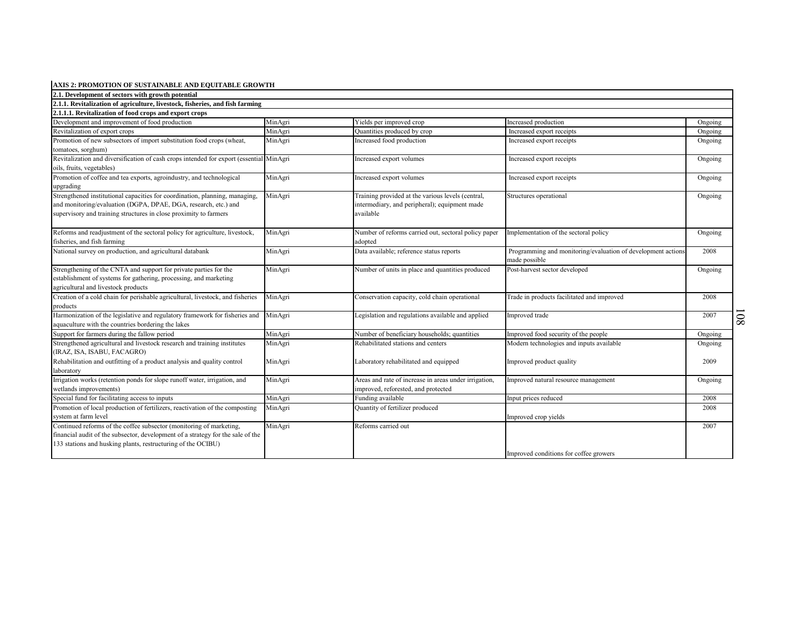| AXIS 2: PROMOTION OF SUSTAINABLE AND EQUITABLE GROWTH                                   |         |                                                                                              |                                                              |         |                 |
|-----------------------------------------------------------------------------------------|---------|----------------------------------------------------------------------------------------------|--------------------------------------------------------------|---------|-----------------|
| 2.1. Development of sectors with growth potential                                       |         |                                                                                              |                                                              |         |                 |
| 2.1.1. Revitalization of agriculture, livestock, fisheries, and fish farming            |         |                                                                                              |                                                              |         |                 |
| 2.1.1.1. Revitalization of food crops and export crops                                  |         |                                                                                              |                                                              |         |                 |
| Development and improvement of food production                                          | MinAgri | Yields per improved crop                                                                     | Increased production                                         | Ongoing |                 |
| Revitalization of export crops                                                          | MinAgri | Quantities produced by crop                                                                  | Increased export receipts                                    | Ongoing |                 |
| Promotion of new subsectors of import substitution food crops (wheat,                   | MinAgri | Increased food production                                                                    | Increased export receipts                                    | Ongoing |                 |
| tomatoes, sorghum)                                                                      |         |                                                                                              |                                                              |         |                 |
| Revitalization and diversification of cash crops intended for export (essential MinAgri |         | Increased export volumes                                                                     | Increased export receipts                                    | Ongoing |                 |
| oils, fruits, vegetables)                                                               |         |                                                                                              |                                                              |         |                 |
| Promotion of coffee and tea exports, agroindustry, and technological                    | MinAgri | Increased export volumes                                                                     | Increased export receipts                                    | Ongoing |                 |
| upgrading                                                                               |         |                                                                                              |                                                              |         |                 |
| Strengthened institutional capacities for coordination, planning, managing,             | MinAgri | Training provided at the various levels (central,                                            | Structures operational                                       | Ongoing |                 |
| and monitoring/evaluation (DGPA, DPAE, DGA, research, etc.) and                         |         | intermediary, and peripheral); equipment made                                                |                                                              |         |                 |
| supervisory and training structures in close proximity to farmers                       |         | available                                                                                    |                                                              |         |                 |
|                                                                                         |         |                                                                                              |                                                              |         |                 |
| Reforms and readjustment of the sectoral policy for agriculture, livestock,             | MinAgri | Number of reforms carried out, sectoral policy paper                                         | Implementation of the sectoral policy                        | Ongoing |                 |
| fisheries, and fish farming                                                             |         | adopted                                                                                      |                                                              |         |                 |
| National survey on production, and agricultural databank                                | MinAgri | Data available; reference status reports                                                     | Programming and monitoring/evaluation of development actions | 2008    |                 |
|                                                                                         |         |                                                                                              | made possible                                                |         |                 |
| Strengthening of the CNTA and support for private parties for the                       | MinAgri | Number of units in place and quantities produced                                             | Post-harvest sector developed                                | Ongoing |                 |
| establishment of systems for gathering, processing, and marketing                       |         |                                                                                              |                                                              |         |                 |
| agricultural and livestock products                                                     |         |                                                                                              |                                                              |         |                 |
| Creation of a cold chain for perishable agricultural, livestock, and fisheries          | MinAgri | Conservation capacity, cold chain operational                                                | Trade in products facilitated and improved                   | 2008    |                 |
| products                                                                                |         |                                                                                              |                                                              |         |                 |
| Harmonization of the legislative and regulatory framework for fisheries and             | MinAgri | Legislation and regulations available and applied                                            | Improved trade                                               | 2007    | $\overline{80}$ |
| aquaculture with the countries bordering the lakes                                      |         |                                                                                              |                                                              |         |                 |
| Support for farmers during the fallow period                                            | MinAgri | Number of beneficiary households; quantities                                                 | Improved food security of the people                         | Ongoing |                 |
| Strengthened agricultural and livestock research and training institutes                | MinAgri | Rehabilitated stations and centers                                                           | Modern technologies and inputs available                     | Ongoing |                 |
| (IRAZ, ISA, ISABU, FACAGRO)                                                             |         |                                                                                              |                                                              |         |                 |
| Rehabilitation and outfitting of a product analysis and quality control                 | MinAgri | Laboratory rehabilitated and equipped                                                        | Improved product quality                                     | 2009    |                 |
| laboratory<br>Irrigation works (retention ponds for slope runoff water, irrigation, and |         |                                                                                              |                                                              |         |                 |
| wetlands improvements)                                                                  | MinAgri | Areas and rate of increase in areas under irrigation,<br>improved, reforested, and protected | Improved natural resource management                         | Ongoing |                 |
| Special fund for facilitating access to inputs                                          | MinAgri | Funding available                                                                            |                                                              | 2008    |                 |
| Promotion of local production of fertilizers, reactivation of the composting            |         | Quantity of fertilizer produced                                                              | Input prices reduced                                         | 2008    |                 |
| system at farm level                                                                    | MinAgri |                                                                                              |                                                              |         |                 |
| Continued reforms of the coffee subsector (monitoring of marketing,                     | MinAgri | Reforms carried out                                                                          | Improved crop yields                                         | 2007    |                 |
| financial audit of the subsector, development of a strategy for the sale of the         |         |                                                                                              |                                                              |         |                 |
| 133 stations and husking plants, restructuring of the OCIBU)                            |         |                                                                                              |                                                              |         |                 |
|                                                                                         |         |                                                                                              | Improved conditions for coffee growers                       |         |                 |
|                                                                                         |         |                                                                                              |                                                              |         |                 |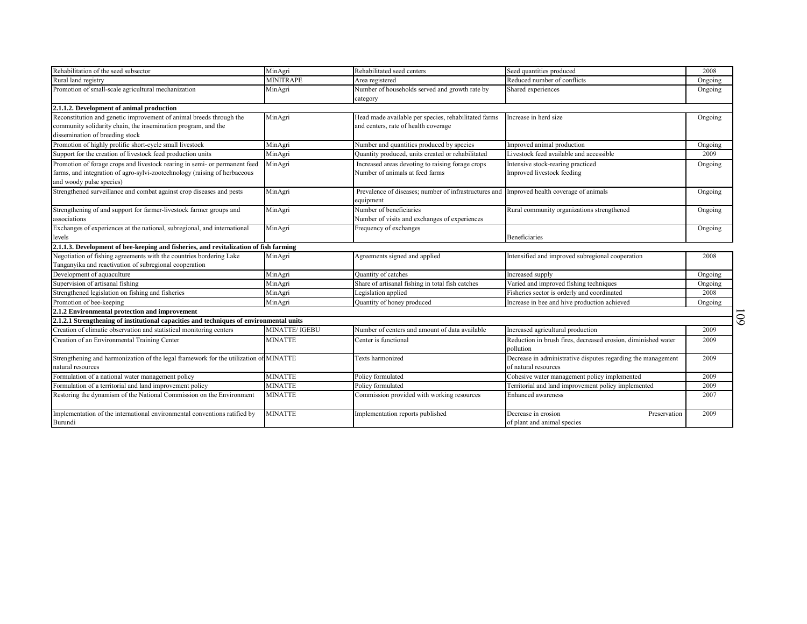| Rehabilitation of the seed subsector<br>Rural land registry                             | MinAgri<br><b>MINITRAPE</b> | Rehabilitated seed centers<br>Area registered                                                          | Seed quantities produced<br>Reduced number of conflicts                    | 2008            |    |
|-----------------------------------------------------------------------------------------|-----------------------------|--------------------------------------------------------------------------------------------------------|----------------------------------------------------------------------------|-----------------|----|
| Promotion of small-scale agricultural mechanization                                     |                             | Number of households served and growth rate by                                                         |                                                                            | Ongoing         |    |
|                                                                                         | MinAgri                     |                                                                                                        | Shared experiences                                                         | Ongoing         |    |
| 2.1.1.2. Development of animal production                                               |                             | category                                                                                               |                                                                            |                 |    |
| Reconstitution and genetic improvement of animal breeds through the                     | MinAgri                     | Head made available per species, rehabilitated farms                                                   | Increase in herd size                                                      |                 |    |
| community solidarity chain, the insemination program, and the                           |                             | and centers, rate of health coverage                                                                   |                                                                            | Ongoing         |    |
| dissemination of breeding stock                                                         |                             |                                                                                                        |                                                                            |                 |    |
| Promotion of highly prolific short-cycle small livestock                                | MinAgri                     |                                                                                                        | Improved animal production                                                 |                 |    |
| Support for the creation of livestock feed production units                             | MinAgri                     | Number and quantities produced by species<br>Quantity produced, units created or rehabilitated         | Livestock feed available and accessible                                    | Ongoing<br>2009 |    |
|                                                                                         |                             |                                                                                                        |                                                                            |                 |    |
| Promotion of forage crops and livestock rearing in semi- or permanent feed              | MinAgri                     | Increased areas devoting to raising forage crops                                                       | Intensive stock-rearing practiced                                          | Ongoing         |    |
| farms, and integration of agro-sylvi-zootechnology (raising of herbaceous               |                             | Number of animals at feed farms                                                                        | Improved livestock feeding                                                 |                 |    |
| and woody pulse species)                                                                |                             |                                                                                                        |                                                                            |                 |    |
| Strengthened surveillance and combat against crop diseases and pests                    | MinAgri                     | Prevalence of diseases; number of infrastructures and Improved health coverage of animals<br>equipment |                                                                            | Ongoing         |    |
| Strengthening of and support for farmer-livestock farmer groups and                     | MinAgri                     | Number of beneficiaries                                                                                | Rural community organizations strengthened                                 | Ongoing         |    |
| associations                                                                            |                             | Number of visits and exchanges of experiences                                                          |                                                                            |                 |    |
| Exchanges of experiences at the national, subregional, and international                | MinAgri                     | Frequency of exchanges                                                                                 |                                                                            | Ongoing         |    |
| levels                                                                                  |                             |                                                                                                        | <b>Beneficiaries</b>                                                       |                 |    |
| 2.1.1.3. Development of bee-keeping and fisheries, and revitalization of fish farming   |                             |                                                                                                        |                                                                            |                 |    |
| Negotiation of fishing agreements with the countries bordering Lake                     | MinAgri                     | Agreements signed and applied                                                                          | Intensified and improved subregional cooperation                           | 2008            |    |
| Tanganyika and reactivation of subregional cooperation                                  |                             |                                                                                                        |                                                                            |                 |    |
| Development of aquaculture                                                              | MinAgri                     | Quantity of catches                                                                                    | Increased supply                                                           | Ongoing         |    |
| Supervision of artisanal fishing                                                        | MinAgri                     | Share of artisanal fishing in total fish catches                                                       | Varied and improved fishing techniques                                     | Ongoing         |    |
| Strengthened legislation on fishing and fisheries                                       | MinAgri                     | Legislation applied                                                                                    | Fisheries sector is orderly and coordinated                                | 2008            |    |
| Promotion of bee-keeping                                                                | MinAgri                     | Quantity of honey produced                                                                             | Increase in bee and hive production achieved                               | Ongoing         |    |
| 2.1.2 Environmental protection and improvement                                          |                             |                                                                                                        |                                                                            |                 |    |
| 2.1.2.1 Strengthening of institutional capacities and techniques of environmental units |                             |                                                                                                        |                                                                            |                 | 60 |
| Creation of climatic observation and statistical monitoring centers                     | <b>MINATTE/IGEBU</b>        | Number of centers and amount of data available                                                         | Increased agricultural production                                          | 2009            |    |
| Creation of an Environmental Training Center                                            | MINATTE                     | Center is functional                                                                                   | Reduction in brush fires, decreased erosion, diminished water<br>pollution | 2009            |    |
| Strengthening and harmonization of the legal framework for the utilization of MINATTE   |                             | Texts harmonized                                                                                       | Decrease in administrative disputes regarding the management               | 2009            |    |
| natural resources                                                                       |                             |                                                                                                        | of natural resources                                                       |                 |    |
| Formulation of a national water management policy                                       | <b>MINATTE</b>              | Policy formulated                                                                                      | Cohesive water management policy implemented                               | 2009            |    |
| Formulation of a territorial and land improvement policy                                | <b>MINATTE</b>              | Policy formulated                                                                                      | Territorial and land improvement policy implemented                        | 2009            |    |
| Restoring the dynamism of the National Commission on the Environment                    | <b>MINATTE</b>              | Commission provided with working resources                                                             | <b>Enhanced</b> awareness                                                  | 2007            |    |
|                                                                                         |                             |                                                                                                        |                                                                            |                 |    |
| Implementation of the international environmental conventions ratified by               | <b>MINATTE</b>              | Implementation reports published                                                                       | Decrease in erosion<br>Preservation                                        | 2009            |    |
| Burundi                                                                                 |                             |                                                                                                        | of plant and animal species                                                |                 |    |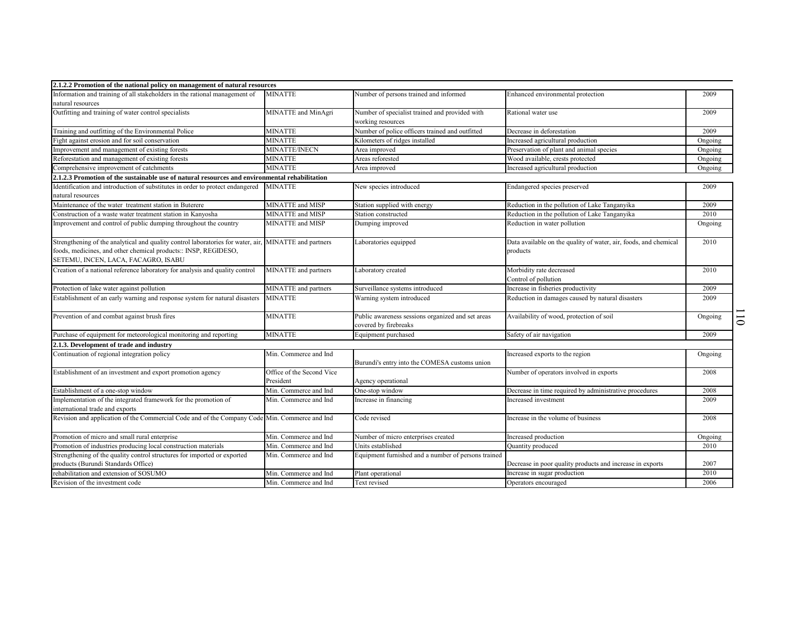| 2.1.2.2 Promotion of the national policy on management of natural resources                           |                           |                                                     |                                                                  |         |                          |
|-------------------------------------------------------------------------------------------------------|---------------------------|-----------------------------------------------------|------------------------------------------------------------------|---------|--------------------------|
| Information and training of all stakeholders in the rational management of                            | <b>MINATTE</b>            | Number of persons trained and informed              | Enhanced environmental protection                                | 2009    |                          |
| natural resources                                                                                     |                           |                                                     |                                                                  |         |                          |
| Outfitting and training of water control specialists                                                  | MINATTE and MinAgri       | Number of specialist trained and provided with      | Rational water use                                               | 2009    |                          |
|                                                                                                       |                           | working resources                                   |                                                                  |         |                          |
| Training and outfitting of the Environmental Police                                                   | MINATTE                   | Number of police officers trained and outfitted     | Decrease in deforestation                                        | 2009    |                          |
| Fight against erosion and for soil conservation                                                       | <b>MINATTE</b>            | Kilometers of ridges installed                      | Increased agricultural production                                | Ongoing |                          |
| Improvement and management of existing forests                                                        | <b>MINATTE/INECN</b>      | Area improved                                       | Preservation of plant and animal species                         | Ongoing |                          |
| Reforestation and management of existing forests                                                      | <b>MINATTE</b>            | Areas reforested                                    | Wood available, crests protected                                 | Ongoing |                          |
| Comprehensive improvement of catchments                                                               | <b>MINATTE</b>            | Area improved                                       | Increased agricultural production                                | Ongoing |                          |
| 2.1.2.3 Promotion of the sustainable use of natural resources and environmental rehabilitation        |                           |                                                     |                                                                  |         |                          |
| Identification and introduction of substitutes in order to protect endangered                         | MINATTE                   | New species introduced                              | Endangered species preserved                                     | 2009    |                          |
| natural resources                                                                                     |                           |                                                     |                                                                  |         |                          |
| Maintenance of the water treatment station in Buterere                                                | MINATTE and MISP          | Station supplied with energy                        | Reduction in the pollution of Lake Tanganyika                    | 2009    |                          |
| Construction of a waste water treatment station in Kanyosha                                           | MINATTE and MISP          | Station constructed                                 | Reduction in the pollution of Lake Tanganyika                    | 2010    |                          |
| Improvement and control of public dumping throughout the country                                      | MINATTE and MISP          | Dumping improved                                    | Reduction in water pollution                                     | Ongoing |                          |
|                                                                                                       |                           |                                                     |                                                                  |         |                          |
| Strengthening of the analytical and quality control laboratories for water, air, MINATTE and partners |                           | Laboratories equipped                               | Data available on the quality of water, air, foods, and chemical | 2010    |                          |
| foods, medicines, and other chemical products:: INSP, REGIDESO,                                       |                           |                                                     | products                                                         |         |                          |
| SETEMU, INCEN, LACA, FACAGRO, ISABU                                                                   |                           |                                                     |                                                                  |         |                          |
| Creation of a national reference laboratory for analysis and quality control                          | MINATTE and partners      | Laboratory created                                  | Morbidity rate decreased                                         | 2010    |                          |
|                                                                                                       |                           |                                                     | Control of pollution                                             |         |                          |
| Protection of lake water against pollution                                                            | MINATTE and partners      | Surveillance systems introduced                     | Increase in fisheries productivity                               | 2009    |                          |
| Establishment of an early warning and response system for natural disasters                           | <b>MINATTE</b>            | Warning system introduced                           | Reduction in damages caused by natural disasters                 | 2009    |                          |
|                                                                                                       |                           |                                                     |                                                                  |         |                          |
| Prevention of and combat against brush fires                                                          | <b>MINATTE</b>            | Public awareness sessions organized and set areas   | Availability of wood, protection of soil                         | Ongoing | $\overline{\phantom{0}}$ |
|                                                                                                       |                           | covered by firebreaks                               |                                                                  |         | $\bullet$                |
| Purchase of equipment for meteorological monitoring and reporting                                     | <b>MINATTE</b>            | Equipment purchased                                 | Safety of air navigation                                         | 2009    |                          |
| 2.1.3. Development of trade and industry                                                              |                           |                                                     |                                                                  |         |                          |
| Continuation of regional integration policy                                                           | Min. Commerce and Ind     |                                                     | Increased exports to the region                                  | Ongoing |                          |
|                                                                                                       |                           | Burundi's entry into the COMESA customs union       |                                                                  |         |                          |
| Establishment of an investment and export promotion agency                                            | Office of the Second Vice |                                                     | Number of operators involved in exports                          | 2008    |                          |
|                                                                                                       | President                 | Agency operational                                  |                                                                  |         |                          |
| Establishment of a one-stop window                                                                    | Min. Commerce and Ind     | One-stop window                                     | Decrease in time required by administrative procedures           | 2008    |                          |
| Implementation of the integrated framework for the promotion of                                       | Min. Commerce and Ind     | Increase in financing                               | Increased investment                                             | 2009    |                          |
| international trade and exports                                                                       |                           |                                                     |                                                                  |         |                          |
| Revision and application of the Commercial Code and of the Company Code Min. Commerce and Ind         |                           | Code revised                                        | Increase in the volume of business                               | 2008    |                          |
|                                                                                                       |                           |                                                     |                                                                  |         |                          |
| Promotion of micro and small rural enterprise                                                         | Min. Commerce and Ind     | Number of micro enterprises created                 | Increased production                                             | Ongoing |                          |
| Promotion of industries producing local construction materials                                        | Min. Commerce and Ind     | Units established                                   | Quantity produced                                                | 2010    |                          |
| Strengthening of the quality control structures for imported or exported                              | Min. Commerce and Ind     | Equipment furnished and a number of persons trained |                                                                  |         |                          |
| products (Burundi Standards Office)                                                                   |                           |                                                     | Decrease in poor quality products and increase in exports        | 2007    |                          |
| rehabilitation and extension of SOSUMO                                                                | Min. Commerce and Ind     | Plant operational                                   | Increase in sugar production                                     | 2010    |                          |
| Revision of the investment code                                                                       | Min. Commerce and Ind     | Text revised                                        | Operators encouraged                                             | 2006    |                          |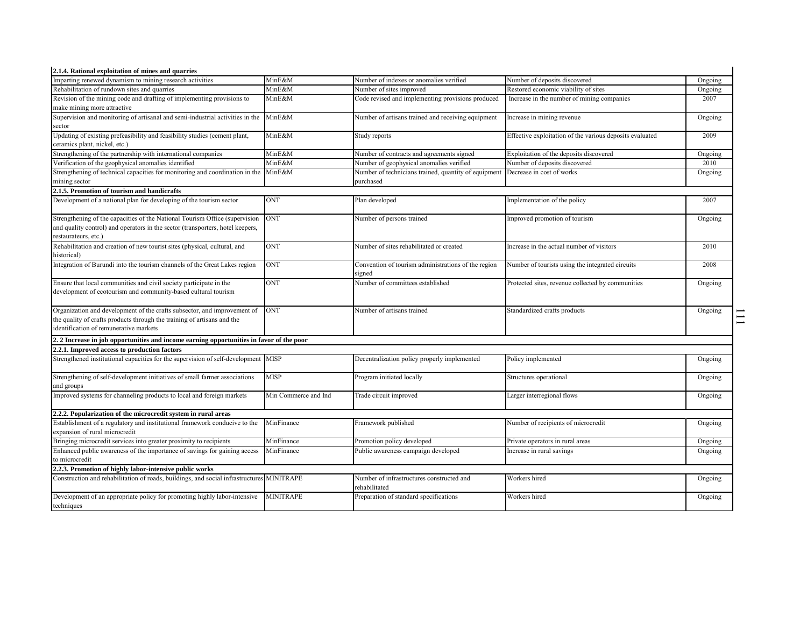| 2.1.4. Rational exploitation of mines and quarries                                                          |                      |                                                                   |                                                          |         |  |
|-------------------------------------------------------------------------------------------------------------|----------------------|-------------------------------------------------------------------|----------------------------------------------------------|---------|--|
| Imparting renewed dynamism to mining research activities                                                    | MinE&M               | Number of indexes or anomalies verified                           | Number of deposits discovered                            | Ongoing |  |
| Rehabilitation of rundown sites and quarries                                                                | MinE&M               | Number of sites improved                                          | Restored economic viability of sites                     | Ongoing |  |
| Revision of the mining code and drafting of implementing provisions to                                      | MinE&M               | Code revised and implementing provisions produced                 | Increase in the number of mining companies               | 2007    |  |
| make mining more attractive                                                                                 |                      |                                                                   |                                                          |         |  |
| Supervision and monitoring of artisanal and semi-industrial activities in the<br>sector                     | MinE&M               | Number of artisans trained and receiving equipment                | Increase in mining revenue                               | Ongoing |  |
| Updating of existing prefeasibility and feasibility studies (cement plant,<br>ceramics plant, nickel, etc.) | MinE&M               | Study reports                                                     | Effective exploitation of the various deposits evaluated | 2009    |  |
| Strengthening of the partnership with international companies                                               | MinE&M               | Number of contracts and agreements signed                         | Exploitation of the deposits discovered                  | Ongoing |  |
| Verification of the geophysical anomalies identified                                                        | MinE&M               | Number of geophysical anomalies verified                          | Number of deposits discovered                            | 2010    |  |
| Strengthening of technical capacities for monitoring and coordination in the MinE&M<br>mining sector        |                      | Number of technicians trained, quantity of equipment<br>purchased | Decrease in cost of works                                | Ongoing |  |
| 2.1.5. Promotion of tourism and handicrafts                                                                 |                      |                                                                   |                                                          |         |  |
| Development of a national plan for developing of the tourism sector                                         | <b>ONT</b>           | Plan developed                                                    | Implementation of the policy                             | 2007    |  |
|                                                                                                             |                      |                                                                   |                                                          |         |  |
| Strengthening of the capacities of the National Tourism Office (supervision                                 | <b>ONT</b>           | Number of persons trained                                         | Improved promotion of tourism                            | Ongoing |  |
| and quality control) and operators in the sector (transporters, hotel keepers,                              |                      |                                                                   |                                                          |         |  |
| restaurateurs, etc.)                                                                                        |                      |                                                                   |                                                          |         |  |
| Rehabilitation and creation of new tourist sites (physical, cultural, and<br>historical)                    | <b>ONT</b>           | Number of sites rehabilitated or created                          | Increase in the actual number of visitors                | 2010    |  |
| Integration of Burundi into the tourism channels of the Great Lakes region                                  | <b>ONT</b>           | Convention of tourism administrations of the region<br>signed     | Number of tourists using the integrated circuits         | 2008    |  |
| Ensure that local communities and civil society participate in the                                          | <b>ONT</b>           | Number of committees established                                  | Protected sites, revenue collected by communities        | Ongoing |  |
| development of ecotourism and community-based cultural tourism                                              |                      |                                                                   |                                                          |         |  |
| Organization and development of the crafts subsector, and improvement of                                    | <b>ONT</b>           | Number of artisans trained                                        | Standardized crafts products                             | Ongoing |  |
| the quality of crafts products through the training of artisans and the                                     |                      |                                                                   |                                                          |         |  |
| identification of remunerative markets                                                                      |                      |                                                                   |                                                          |         |  |
| 2. 2 Increase in job opportunities and income earning opportunities in favor of the poor                    |                      |                                                                   |                                                          |         |  |
| 2.2.1. Improved access to production factors                                                                |                      |                                                                   |                                                          |         |  |
| Strengthened institutional capacities for the supervision of self-development MISP                          |                      | Decentralization policy properly implemented                      | Policy implemented                                       | Ongoing |  |
| Strengthening of self-development initiatives of small farmer associations                                  | <b>MISP</b>          | Program initiated locally                                         | Structures operational                                   | Ongoing |  |
| and groups                                                                                                  |                      |                                                                   |                                                          |         |  |
| Improved systems for channeling products to local and foreign markets                                       | Min Commerce and Ind | Trade circuit improved                                            | Larger interregional flows                               | Ongoing |  |
| 2.2.2. Popularization of the microcredit system in rural areas                                              |                      |                                                                   |                                                          |         |  |
| Establishment of a regulatory and institutional framework conducive to the                                  | MinFinance           | Framework published                                               | Number of recipients of microcredit                      | Ongoing |  |
| expansion of rural microcredit                                                                              |                      |                                                                   |                                                          |         |  |
| Bringing microcredit services into greater proximity to recipients                                          | MinFinance           | Promotion policy developed                                        | Private operators in rural areas                         | Ongoing |  |
| Enhanced public awareness of the importance of savings for gaining access                                   | MinFinance           | Public awareness campaign developed                               | Increase in rural savings                                | Ongoing |  |
| to microcredit                                                                                              |                      |                                                                   |                                                          |         |  |
| 2.2.3. Promotion of highly labor-intensive public works                                                     |                      |                                                                   |                                                          |         |  |
| Construction and rehabilitation of roads, buildings, and social infrastructures MINITRAPE                   |                      | Number of infrastructures constructed and<br>rehabilitated        | Workers hired                                            | Ongoing |  |
| Development of an appropriate policy for promoting highly labor-intensive                                   | <b>MINITRAPE</b>     | Preparation of standard specifications                            | Workers hired                                            | Ongoing |  |
| techniques                                                                                                  |                      |                                                                   |                                                          |         |  |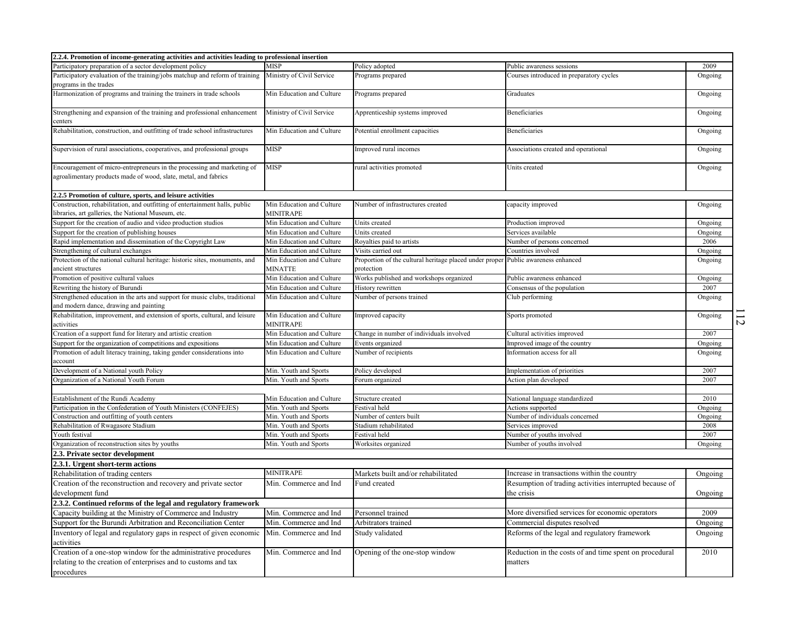| 2.2.4. Promotion of income-generating activities and activities leading to professional insertion                                               |                                             |                                                                                                 |                                                                   |         |                |
|-------------------------------------------------------------------------------------------------------------------------------------------------|---------------------------------------------|-------------------------------------------------------------------------------------------------|-------------------------------------------------------------------|---------|----------------|
| Participatory preparation of a sector development policy                                                                                        | <b>MISP</b>                                 | Policy adopted                                                                                  | Public awareness sessions                                         | 2009    |                |
| Participatory evaluation of the training/jobs matchup and reform of training Ministry of Civil Service<br>programs in the trades                |                                             | Programs prepared                                                                               | Courses introduced in preparatory cycles                          | Ongoing |                |
| Harmonization of programs and training the trainers in trade schools                                                                            | Min Education and Culture                   | Programs prepared                                                                               | Graduates                                                         | Ongoing |                |
| Strengthening and expansion of the training and professional enhancement<br>centers                                                             | Ministry of Civil Service                   | Apprenticeship systems improved                                                                 | Beneficiaries                                                     | Ongoing |                |
| Rehabilitation, construction, and outfitting of trade school infrastructures                                                                    | Min Education and Culture                   | Potential enrollment capacities                                                                 | Beneficiaries                                                     | Ongoing |                |
| Supervision of rural associations, cooperatives, and professional groups                                                                        | <b>MISP</b>                                 | Improved rural incomes                                                                          | Associations created and operational                              | Ongoing |                |
| Encouragement of micro-entrepreneurs in the processing and marketing of<br>agroalimentary products made of wood, slate, metal, and fabrics      | MISP                                        | rural activities promoted                                                                       | Units created                                                     | Ongoing |                |
| 2.2.5 Promotion of culture, sports, and leisure activities                                                                                      |                                             |                                                                                                 |                                                                   |         |                |
| Construction, rehabilitation, and outfitting of entertainment halls, public<br>libraries, art galleries, the National Museum, etc.              | Min Education and Culture<br>MINITRAPE      | Number of infrastructures created                                                               | capacity improved                                                 | Ongoing |                |
| Support for the creation of audio and video production studios                                                                                  | Min Education and Culture                   | Units created                                                                                   | Production improved                                               | Ongoing |                |
| Support for the creation of publishing houses                                                                                                   | Min Education and Culture                   | Units created                                                                                   | Services available                                                | Ongoing |                |
| Rapid implementation and dissemination of the Copyright Law                                                                                     | Min Education and Culture                   | Royalties paid to artists                                                                       | Number of persons concerned                                       | 2006    |                |
| Strengthening of cultural exchanges                                                                                                             | Min Education and Culture                   | Visits carried out                                                                              | Countries involved                                                | Ongoing |                |
| Protection of the national cultural heritage: historic sites, monuments, and<br>ancient structures                                              | Min Education and Culture<br><b>MINATTE</b> | Proportion of the cultural heritage placed under proper Public awareness enhanced<br>protection |                                                                   | Ongoing |                |
| Promotion of positive cultural values                                                                                                           | Min Education and Culture                   | Works published and workshops organized                                                         | Public awareness enhanced                                         | Ongoing |                |
| Rewriting the history of Burundi                                                                                                                | Min Education and Culture                   | History rewritten                                                                               | Consensus of the population                                       | 2007    |                |
| Strengthened education in the arts and support for music clubs, traditional<br>and modern dance, drawing and painting                           | Min Education and Culture                   | Number of persons trained                                                                       | Club performing                                                   | Ongoing |                |
| Rehabilitation, improvement, and extension of sports, cultural, and leisure<br>activities                                                       | Min Education and Culture<br>MINITRAPE      | Improved capacity                                                                               | Sports promoted                                                   | Ongoing | $\overline{v}$ |
| Creation of a support fund for literary and artistic creation                                                                                   | Min Education and Culture                   | Change in number of individuals involved                                                        | Cultural activities improved                                      | 2007    |                |
| Support for the organization of competitions and expositions                                                                                    | Min Education and Culture                   | Events organized                                                                                | Improved image of the country                                     | Ongoing |                |
| Promotion of adult literacy training, taking gender considerations into<br>account                                                              | Min Education and Culture                   | Number of recipients                                                                            | Information access for all                                        | Ongoing |                |
| Development of a National youth Policy                                                                                                          | Min. Youth and Sports                       | Policy developed                                                                                | Implementation of priorities                                      | 2007    |                |
| Organization of a National Youth Forum                                                                                                          | Min. Youth and Sports                       | Forum organized                                                                                 | Action plan developed                                             | 2007    |                |
| Establishment of the Rundi Academy                                                                                                              | Min Education and Culture                   | Structure created                                                                               | National language standardized                                    | 2010    |                |
| articipation in the Confederation of Youth Ministers (CONFEJES)                                                                                 | Min. Youth and Sports                       | Festival held                                                                                   | Actions supported                                                 | Ongoing |                |
| Construction and outfitting of youth centers                                                                                                    | Min. Youth and Sports                       | Number of centers built                                                                         | Number of individuals concerned                                   | Ongoing |                |
| Rehabilitation of Rwagasore Stadium                                                                                                             | Min. Youth and Sports                       | Stadium rehabilitated                                                                           | Services improved                                                 | 2008    |                |
| Youth festival                                                                                                                                  | Min. Youth and Sports                       | Festival held                                                                                   | Number of youths involved                                         | 2007    |                |
| Organization of reconstruction sites by youths                                                                                                  | Min. Youth and Sports                       | Worksites organized                                                                             | Number of youths involved                                         | Ongoing |                |
| 2.3. Private sector development                                                                                                                 |                                             |                                                                                                 |                                                                   |         |                |
| 2.3.1. Urgent short-term actions                                                                                                                |                                             |                                                                                                 |                                                                   |         |                |
| Rehabilitation of trading centers                                                                                                               | <b>MINITRAPE</b>                            | Markets built and/or rehabilitated                                                              | Increase in transactions within the country                       | Ongoing |                |
| Creation of the reconstruction and recovery and private sector                                                                                  | Min. Commerce and Ind                       | Fund created                                                                                    | Resumption of trading activities interrupted because of           |         |                |
| development fund                                                                                                                                |                                             |                                                                                                 | the crisis                                                        | Ongoing |                |
| 2.3.2. Continued reforms of the legal and regulatory framework                                                                                  |                                             |                                                                                                 |                                                                   |         |                |
| Capacity building at the Ministry of Commerce and Industry                                                                                      | Min. Commerce and Ind                       | Personnel trained                                                                               | More diversified services for economic operators                  | 2009    |                |
| Support for the Burundi Arbitration and Reconciliation Center                                                                                   | Min. Commerce and Ind                       | Arbitrators trained                                                                             | Commercial disputes resolved                                      | Ongoing |                |
| Inventory of legal and regulatory gaps in respect of given economic<br>activities                                                               | Min. Commerce and Ind                       | Study validated                                                                                 | Reforms of the legal and regulatory framework                     | Ongoing |                |
| Creation of a one-stop window for the administrative procedures<br>relating to the creation of enterprises and to customs and tax<br>procedures | Min. Commerce and Ind                       | Opening of the one-stop window                                                                  | Reduction in the costs of and time spent on procedural<br>matters | 2010    |                |
|                                                                                                                                                 |                                             |                                                                                                 |                                                                   |         |                |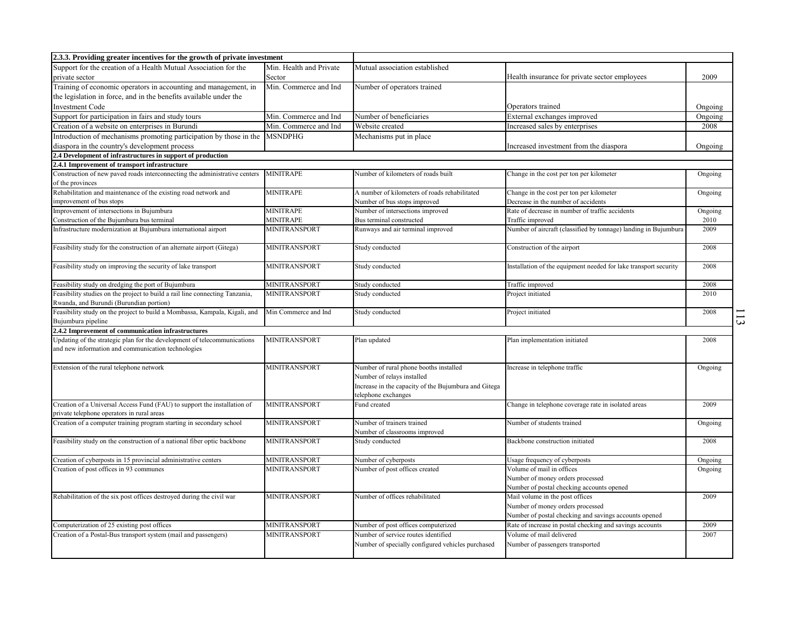| 2.3.3. Providing greater incentives for the growth of private investment                                                       |                         |                                                                                                                              |                                                                  |         |
|--------------------------------------------------------------------------------------------------------------------------------|-------------------------|------------------------------------------------------------------------------------------------------------------------------|------------------------------------------------------------------|---------|
| Support for the creation of a Health Mutual Association for the                                                                | Min. Health and Private | Mutual association established                                                                                               |                                                                  |         |
| private sector                                                                                                                 | Sector                  |                                                                                                                              | Health insurance for private sector employees                    | 2009    |
| Training of economic operators in accounting and management, in                                                                | Min. Commerce and Ind   | Number of operators trained                                                                                                  |                                                                  |         |
| the legislation in force, and in the benefits available under the                                                              |                         |                                                                                                                              |                                                                  |         |
| <b>Investment Code</b>                                                                                                         |                         |                                                                                                                              | Operators trained                                                | Ongoing |
| Support for participation in fairs and study tours                                                                             | Min. Commerce and Ind   | Number of beneficiaries                                                                                                      | External exchanges improved                                      | Ongoing |
| Creation of a website on enterprises in Burundi                                                                                | Min. Commerce and Ind   | Website created                                                                                                              | Increased sales by enterprises                                   | 2008    |
| Introduction of mechanisms promoting participation by those in the                                                             | <b>MSNDPHG</b>          | Mechanisms put in place                                                                                                      |                                                                  |         |
| diaspora in the country's development process                                                                                  |                         |                                                                                                                              | Increased investment from the diaspora                           | Ongoing |
| 2.4 Development of infrastructures in support of production                                                                    |                         |                                                                                                                              |                                                                  |         |
| 2.4.1 Improvement of transport infrastructure                                                                                  |                         |                                                                                                                              |                                                                  |         |
| Construction of new paved roads interconnecting the administrative centers<br>of the provinces                                 | <b>MINITRAPE</b>        | Number of kilometers of roads built                                                                                          | Change in the cost per ton per kilometer                         | Ongoing |
| Rehabilitation and maintenance of the existing road network and                                                                | <b>MINITRAPE</b>        | A number of kilometers of roads rehabilitated                                                                                | Change in the cost per ton per kilometer                         | Ongoing |
| improvement of bus stops                                                                                                       |                         | Number of bus stops improved                                                                                                 | Decrease in the number of accidents                              |         |
| Improvement of intersections in Bujumbura                                                                                      | <b>MINITRAPE</b>        | Number of intersections improved                                                                                             | Rate of decrease in number of traffic accidents                  | Ongoing |
| Construction of the Bujumbura bus terminal                                                                                     | MINITRAPE               | Bus terminal constructed                                                                                                     | Traffic improved                                                 | 2010    |
| Infrastructure modernization at Bujumbura international airport                                                                | <b>MINITRANSPORT</b>    | Runways and air terminal improved                                                                                            | Number of aircraft (classified by tonnage) landing in Bujumbura  | 2009    |
| Feasibility study for the construction of an alternate airport (Gitega)                                                        | MINITRANSPORT           | Study conducted                                                                                                              | Construction of the airport                                      | 2008    |
| Feasibility study on improving the security of lake transport                                                                  | MINITRANSPORT           | Study conducted                                                                                                              | Installation of the equipment needed for lake transport security | 2008    |
| Feasibility study on dredging the port of Bujumbura                                                                            | MINITRANSPORT           | Study conducted                                                                                                              | Traffic improved                                                 | 2008    |
| Feasibility studies on the project to build a rail line connecting Tanzania,<br>Rwanda, and Burundi (Burundian portion)        | <b>MINITRANSPORT</b>    | Study conducted                                                                                                              | Project initiated                                                | 2010    |
| Feasibility study on the project to build a Mombassa, Kampala, Kigali, and<br>Bujumbura pipeline                               | Min Commerce and Ind    | Study conducted                                                                                                              | Project initiated                                                | 2008    |
| 2.4.2 Improvement of communication infrastructures                                                                             |                         |                                                                                                                              |                                                                  |         |
| Jpdating of the strategic plan for the development of telecommunications<br>and new information and communication technologies | MINITRANSPORT           | Plan updated                                                                                                                 | Plan implementation initiated                                    | 2008    |
| Extension of the rural telephone network                                                                                       | MINITRANSPORT           | Number of rural phone booths installed<br>Number of relays installed<br>Increase in the capacity of the Bujumbura and Gitega | Increase in telephone traffic                                    | Ongoing |
| Creation of a Universal Access Fund (FAU) to support the installation of                                                       | MINITRANSPORT           | telephone exchanges<br>Fund created                                                                                          | Change in telephone coverage rate in isolated areas              | 2009    |
| private telephone operators in rural areas<br>Creation of a computer training program starting in secondary school             | <b>MINITRANSPORT</b>    | Number of trainers trained                                                                                                   | Number of students trained                                       | Ongoing |
| Feasibility study on the construction of a national fiber optic backbone                                                       | MINITRANSPORT           | Number of classrooms improved<br>Study conducted                                                                             | Backbone construction initiated                                  | 2008    |
| Creation of cyberposts in 15 provincial administrative centers                                                                 | MINITRANSPORT           | Number of cyberposts                                                                                                         | Usage frequency of cyberposts                                    | Ongoing |
| Creation of post offices in 93 communes                                                                                        | MINITRANSPORT           | Number of post offices created                                                                                               | Volume of mail in offices                                        | Ongoing |
|                                                                                                                                |                         |                                                                                                                              | Number of money orders processed                                 |         |
|                                                                                                                                |                         |                                                                                                                              | Number of postal checking accounts opened                        |         |
| Rehabilitation of the six post offices destroyed during the civil war                                                          | MINITRANSPORT           | Number of offices rehabilitated                                                                                              | Mail volume in the post offices                                  | 2009    |
|                                                                                                                                |                         |                                                                                                                              | Number of money orders processed                                 |         |
|                                                                                                                                |                         |                                                                                                                              | Number of postal checking and savings accounts opened            |         |
| Computerization of 25 existing post offices                                                                                    | MINITRANSPORT           | Number of post offices computerized                                                                                          | Rate of increase in postal checking and savings accounts         | 2009    |
| Creation of a Postal-Bus transport system (mail and passengers)                                                                | <b>MINITRANSPORT</b>    | Number of service routes identified                                                                                          | Volume of mail delivered                                         | 2007    |
|                                                                                                                                |                         | Number of specially configured vehicles purchased                                                                            | Number of passengers transported                                 |         |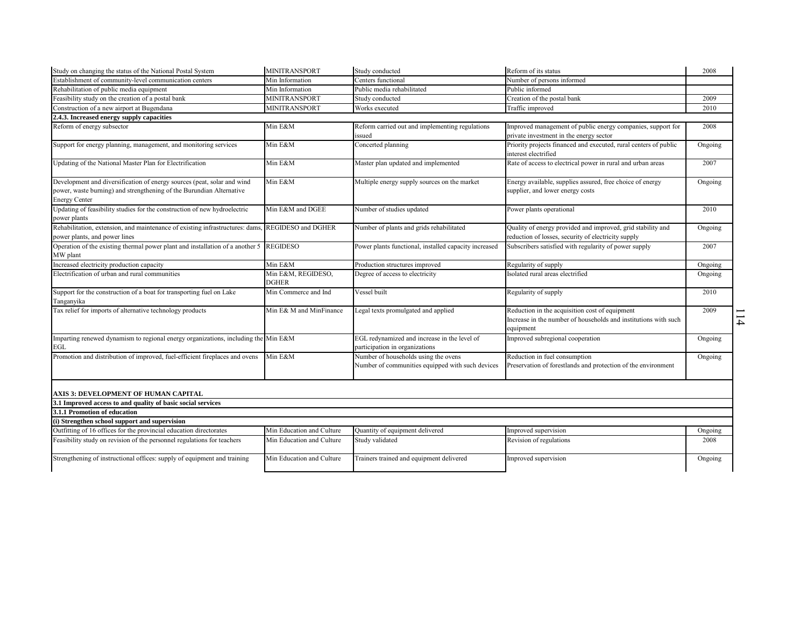| Study on changing the status of the National Postal System                                                                                                              | MINITRANSPORT                      | Study conducted                                                                          | Reform of its status                                                                                                           | 2008    |               |
|-------------------------------------------------------------------------------------------------------------------------------------------------------------------------|------------------------------------|------------------------------------------------------------------------------------------|--------------------------------------------------------------------------------------------------------------------------------|---------|---------------|
| Establishment of community-level communication centers                                                                                                                  | Min Information                    | Centers functional                                                                       | Number of persons informed                                                                                                     |         |               |
| Rehabilitation of public media equipment                                                                                                                                | Min Information                    | Public media rehabilitated                                                               | Public informed                                                                                                                |         |               |
| Feasibility study on the creation of a postal bank                                                                                                                      | <b>MINITRANSPORT</b>               | Study conducted                                                                          | Creation of the postal bank                                                                                                    | 2009    |               |
| Construction of a new airport at Bugendana                                                                                                                              | <b>MINITRANSPORT</b>               | Works executed                                                                           | Traffic improved                                                                                                               | 2010    |               |
| 2.4.3. Increased energy supply capacities                                                                                                                               |                                    |                                                                                          |                                                                                                                                |         |               |
| Reform of energy subsector                                                                                                                                              | Min E&M                            | Reform carried out and implementing regulations<br>issued                                | Improved management of public energy companies, support for<br>private investment in the energy sector                         | 2008    |               |
| Support for energy planning, management, and monitoring services                                                                                                        | Min E&M                            | Concerted planning                                                                       | Priority projects financed and executed, rural centers of public<br>interest electrified                                       | Ongoing |               |
| Updating of the National Master Plan for Electrification                                                                                                                | Min E&M                            | Master plan updated and implemented                                                      | Rate of access to electrical power in rural and urban areas                                                                    | 2007    |               |
| Development and diversification of energy sources (peat, solar and wind<br>power, waste burning) and strengthening of the Burundian Alternative<br><b>Energy Center</b> | Min E&M                            | Multiple energy supply sources on the market                                             | Energy available, supplies assured, free choice of energy<br>supplier, and lower energy costs                                  | Ongoing |               |
| Updating of feasibility studies for the construction of new hydroelectric<br>power plants                                                                               | Min E&M and DGEE                   | Number of studies updated                                                                | Power plants operational                                                                                                       | 2010    |               |
| Rehabilitation, extension, and maintenance of existing infrastructures: dams,<br>power plants, and power lines                                                          | REGIDESO and DGHER                 | Number of plants and grids rehabilitated                                                 | Quality of energy provided and improved, grid stability and<br>reduction of losses, security of electricity supply             | Ongoing |               |
| Operation of the existing thermal power plant and installation of a another 5 REGIDESO<br>MW plant                                                                      |                                    | Power plants functional, installed capacity increased                                    | Subscribers satisfied with regularity of power supply                                                                          | 2007    |               |
| Increased electricity production capacity                                                                                                                               | Min E&M                            | Production structures improved                                                           | Regularity of supply                                                                                                           | Ongoing |               |
| Electrification of urban and rural communities                                                                                                                          | Min E&M, REGIDESO,<br><b>DGHER</b> | Degree of access to electricity                                                          | Isolated rural areas electrified                                                                                               | Ongoing |               |
| Support for the construction of a boat for transporting fuel on Lake<br>Tanganyika                                                                                      | Min Commerce and Ind               | Vessel built                                                                             | Regularity of supply                                                                                                           | 2010    |               |
| Tax relief for imports of alternative technology products                                                                                                               | Min E& M and MinFinance            | Legal texts promulgated and applied                                                      | Reduction in the acquisition cost of equipment<br>Increase in the number of households and institutions with such<br>equipment | 2009    | $\rightarrow$ |
| Imparting renewed dynamism to regional energy organizations, including the Min E&M<br>EGL                                                                               |                                    | EGL redynamized and increase in the level of<br>participation in organizations           | Improved subregional cooperation                                                                                               | Ongoing |               |
| Promotion and distribution of improved, fuel-efficient fireplaces and ovens                                                                                             | Min E&M                            | Number of households using the ovens<br>Number of communities equipped with such devices | Reduction in fuel consumption<br>Preservation of forestlands and protection of the environment                                 | Ongoing |               |
| AXIS 3: DEVELOPMENT OF HUMAN CAPITAL                                                                                                                                    |                                    |                                                                                          |                                                                                                                                |         |               |
| 3.1 Improved access to and quality of basic social services                                                                                                             |                                    |                                                                                          |                                                                                                                                |         |               |
| 3.1.1 Promotion of education                                                                                                                                            |                                    |                                                                                          |                                                                                                                                |         |               |
| (i) Strengthen school support and supervision                                                                                                                           |                                    |                                                                                          |                                                                                                                                |         |               |
| Outfitting of 16 offices for the provincial education directorates                                                                                                      | Min Education and Culture          | Quantity of equipment delivered                                                          | Improved supervision                                                                                                           | Ongoing |               |
| Feasibility study on revision of the personnel regulations for teachers                                                                                                 | Min Education and Culture          | Study validated                                                                          | Revision of regulations                                                                                                        | 2008    |               |
| Strengthening of instructional offices: supply of equipment and training                                                                                                | Min Education and Culture          | Trainers trained and equipment delivered                                                 | Improved supervision                                                                                                           | Ongoing |               |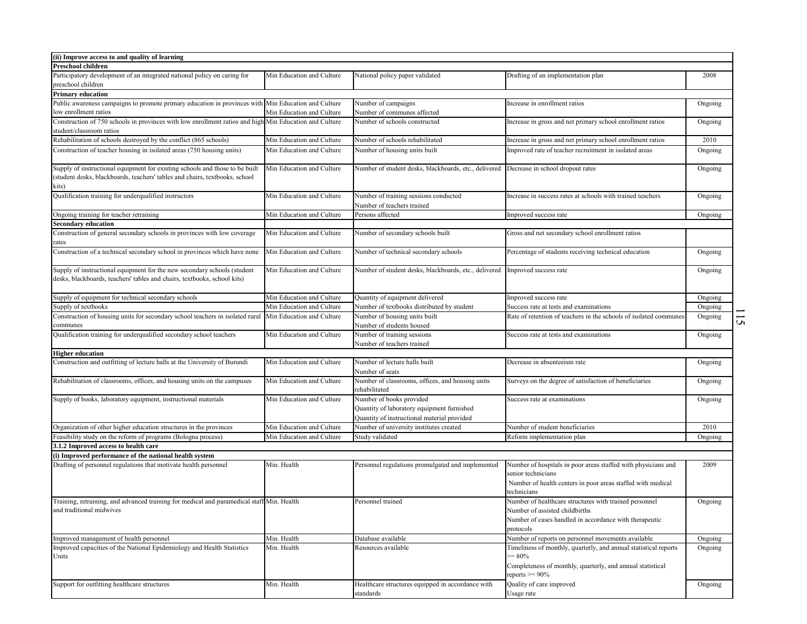| (ii) Improve access to and quality of learning                                                                                                                       |                           |                                                                                        |                                                                                                                                                                   |         |                |
|----------------------------------------------------------------------------------------------------------------------------------------------------------------------|---------------------------|----------------------------------------------------------------------------------------|-------------------------------------------------------------------------------------------------------------------------------------------------------------------|---------|----------------|
| Preschool children                                                                                                                                                   |                           |                                                                                        |                                                                                                                                                                   |         |                |
| Participatory development of an integrated national policy on caring for<br>preschool children                                                                       | Min Education and Culture | National policy paper validated                                                        | Drafting of an implementation plan                                                                                                                                | 2008    |                |
| <b>Primary education</b>                                                                                                                                             |                           |                                                                                        |                                                                                                                                                                   |         |                |
| Public awareness campaigns to promote primary education in provinces with Min Education and Culture                                                                  |                           | Number of campaigns                                                                    | Increase in enrollment ratios                                                                                                                                     | Ongoing |                |
| ow enrollment ratios                                                                                                                                                 | Min Education and Culture | Number of communes affected                                                            |                                                                                                                                                                   |         |                |
| Construction of 750 schools in provinces with low enrollment ratios and high Min Education and Culture<br>student/classroom ratios                                   |                           | Number of schools constructed                                                          | Increase in gross and net primary school enrollment ratios                                                                                                        | Ongoing |                |
| Rehabilitation of schools destroyed by the conflict (865 schools)                                                                                                    | Min Education and Culture | Number of schools rehabilitated                                                        | Increase in gross and net primary school enrollment ratios                                                                                                        | 2010    |                |
| Construction of teacher housing in isolated areas (750 housing units)                                                                                                | Min Education and Culture | Number of housing units built                                                          | Improved rate of teacher recruitment in isolated areas                                                                                                            |         |                |
|                                                                                                                                                                      |                           |                                                                                        |                                                                                                                                                                   | Ongoing |                |
| Supply of instructional equipment for existing schools and those to be built<br>(student desks, blackboards, teachers' tables and chairs, textbooks, school<br>kits) | Min Education and Culture | Number of student desks, blackboards, etc., delivered Decrease in school dropout rates |                                                                                                                                                                   | Ongoing |                |
| Qualification training for underqualified instructors                                                                                                                | Min Education and Culture | Number of training sessions conducted<br>Number of teachers trained                    | Increase in success rates at schools with trained teachers                                                                                                        | Ongoing |                |
| Ongoing training for teacher retraining                                                                                                                              | Min Education and Culture | Persons affected                                                                       | Improved success rate                                                                                                                                             | Ongoing |                |
| <b>Secondary education</b>                                                                                                                                           |                           |                                                                                        |                                                                                                                                                                   |         |                |
| Construction of general secondary schools in provinces with low coverage<br>ates                                                                                     | Min Education and Culture | Number of secondary schools built                                                      | Gross and net secondary school enrollment ratios                                                                                                                  |         |                |
| Construction of a technical secondary school in provinces which have none                                                                                            | Min Education and Culture | Number of technical secondary schools                                                  | Percentage of students receiving technical education                                                                                                              | Ongoing |                |
| Supply of instructional equipment for the new secondary schools (student<br>desks, blackboards, teachers' tables and chairs, textbooks, school kits)                 | Min Education and Culture | Number of student desks, blackboards, etc., delivered                                  | Improved success rate                                                                                                                                             | Ongoing |                |
| Supply of equipment for technical secondary schools                                                                                                                  | Min Education and Culture | Quantity of equipment delivered                                                        | Improved success rate                                                                                                                                             | Ongoing |                |
| Supply of textbooks                                                                                                                                                  | Min Education and Culture | Number of textbooks distributed by student                                             | Success rate at tests and examinations                                                                                                                            | Ongoing |                |
| Construction of housing units for secondary school teachers in isolated rural                                                                                        | Min Education and Culture | Number of housing units built                                                          | Rate of retention of teachers in the schools of isolated communes                                                                                                 | Ongoing |                |
| communes                                                                                                                                                             |                           | Number of students housed                                                              |                                                                                                                                                                   |         | $\overline{5}$ |
| Qualification training for underqualified secondary school teachers                                                                                                  | Min Education and Culture | Number of training sessions<br>Number of teachers trained                              | Success rate at tests and examinations                                                                                                                            | Ongoing |                |
| <b>Higher education</b>                                                                                                                                              |                           |                                                                                        |                                                                                                                                                                   |         |                |
| Construction and outfitting of lecture halls at the University of Burundi                                                                                            | Min Education and Culture | Number of lecture halls built                                                          | Decrease in absenteeism rate                                                                                                                                      |         |                |
|                                                                                                                                                                      |                           |                                                                                        |                                                                                                                                                                   | Ongoing |                |
|                                                                                                                                                                      |                           | Number of seats                                                                        |                                                                                                                                                                   |         |                |
| Rehabilitation of classrooms, offices, and housing units on the campuses                                                                                             | Min Education and Culture | Number of classrooms, offices, and housing units<br>rehabilitated                      | Surveys on the degree of satisfaction of beneficiaries                                                                                                            | Ongoing |                |
| Supply of books, laboratory equipment, instructional materials                                                                                                       | Min Education and Culture | Number of books provided                                                               | Success rate at examinations                                                                                                                                      | Ongoing |                |
|                                                                                                                                                                      |                           | Quantity of laboratory equipment furnished                                             |                                                                                                                                                                   |         |                |
|                                                                                                                                                                      |                           | Quantity of instructional material provided                                            |                                                                                                                                                                   |         |                |
| Organization of other higher education structures in the provinces                                                                                                   | Min Education and Culture | Number of university institutes created                                                | Number of student beneficiaries                                                                                                                                   | 2010    |                |
| Feasibility study on the reform of programs (Bologna process)                                                                                                        | Min Education and Culture | Study validated                                                                        | Reform implementation plan                                                                                                                                        | Ongoing |                |
| 3.1.2 Improved access to health care                                                                                                                                 |                           |                                                                                        |                                                                                                                                                                   |         |                |
| (i) Improved performance of the national health system                                                                                                               |                           |                                                                                        |                                                                                                                                                                   |         |                |
| Drafting of personnel regulations that motivate health personnel                                                                                                     | Min. Health               | Personnel regulations promulgated and implemented                                      | Number of hospitals in poor areas staffed with physicians and<br>senior technicians<br>Number of health centers in poor areas staffed with medical<br>technicians | 2009    |                |
| Training, retraining, and advanced training for medical and paramedical staff Min. Health                                                                            |                           | Personnel trained                                                                      |                                                                                                                                                                   |         |                |
|                                                                                                                                                                      |                           |                                                                                        | Number of healthcare structures with trained personnel                                                                                                            | Ongoing |                |
| and traditional midwives                                                                                                                                             |                           |                                                                                        | Number of assisted childbirths                                                                                                                                    |         |                |
|                                                                                                                                                                      |                           |                                                                                        | Number of cases handled in accordance with therapeutic<br>protocols                                                                                               |         |                |
| Improved management of health personnel                                                                                                                              | Min. Health               | Database available                                                                     | Number of reports on personnel movements available                                                                                                                | Ongoing |                |
| Improved capacities of the National Epidemiology and Health Statistics                                                                                               | Min. Health               | Resources available                                                                    | Timeliness of monthly, quarterly, and annual statistical reports                                                                                                  | Ongoing |                |
| Units                                                                                                                                                                |                           |                                                                                        | $>=80%$<br>Completeness of monthly, quarterly, and annual statistical<br>reports $\geq$ 90%                                                                       |         |                |
| Support for outfitting healthcare structures                                                                                                                         | Min. Health               | Healthcare structures equipped in accordance with<br>standards                         | Quality of care improved<br>Usage rate                                                                                                                            | Ongoing |                |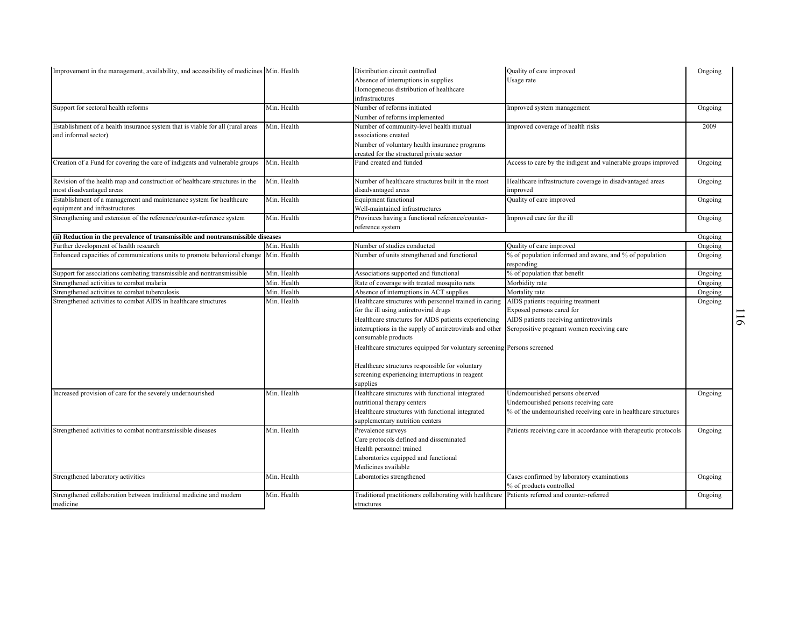| Improvement in the management, availability, and accessibility of medicines Min. Health |             | Distribution circuit controlled                                                                | Quality of care improved                                         | Ongoing |          |
|-----------------------------------------------------------------------------------------|-------------|------------------------------------------------------------------------------------------------|------------------------------------------------------------------|---------|----------|
|                                                                                         |             | Absence of interruptions in supplies                                                           | Usage rate                                                       |         |          |
|                                                                                         |             | Homogeneous distribution of healthcare                                                         |                                                                  |         |          |
|                                                                                         |             | infrastructures                                                                                |                                                                  |         |          |
| Support for sectoral health reforms                                                     | Min. Health | Number of reforms initiated                                                                    | Improved system management                                       | Ongoing |          |
|                                                                                         |             | Number of reforms implemented                                                                  |                                                                  |         |          |
| Establishment of a health insurance system that is viable for all (rural areas          | Min. Health | Number of community-level health mutual                                                        | Improved coverage of health risks                                | 2009    |          |
| and informal sector)                                                                    |             | associations created                                                                           |                                                                  |         |          |
|                                                                                         |             | Number of voluntary health insurance programs                                                  |                                                                  |         |          |
|                                                                                         |             | created for the structured private sector                                                      |                                                                  |         |          |
| Creation of a Fund for covering the care of indigents and vulnerable groups             | Min. Health | Fund created and funded                                                                        | Access to care by the indigent and vulnerable groups improved    | Ongoing |          |
| Revision of the health map and construction of healthcare structures in the             | Min. Health | Number of healthcare structures built in the most                                              | Healthcare infrastructure coverage in disadvantaged areas        | Ongoing |          |
| most disadvantaged areas                                                                |             | disadvantaged areas                                                                            | improved                                                         |         |          |
| Establishment of a management and maintenance system for healthcare                     | Min. Health | Equipment functional                                                                           | Quality of care improved                                         | Ongoing |          |
| equipment and infrastructures                                                           |             | Well-maintained infrastructures                                                                |                                                                  |         |          |
| Strengthening and extension of the reference/counter-reference system                   | Min. Health | Provinces having a functional reference/counter-<br>reference system                           | Improved care for the ill                                        | Ongoing |          |
| (ii) Reduction in the prevalence of transmissible and nontransmissible diseases         |             |                                                                                                |                                                                  | Ongoing |          |
| Further development of health research                                                  | Min. Health | Number of studies conducted                                                                    | Quality of care improved                                         | Ongoing |          |
| Enhanced capacities of communications units to promote behavioral change Min. Health    |             | Number of units strengthened and functional                                                    | % of population informed and aware, and % of population          | Ongoing |          |
|                                                                                         |             |                                                                                                | responding                                                       |         |          |
| Support for associations combating transmissible and nontransmissible                   | Min. Health | Associations supported and functional                                                          | % of population that benefit                                     | Ongoing |          |
| Strengthened activities to combat malaria                                               | Min. Health | Rate of coverage with treated mosquito nets                                                    | Morbidity rate                                                   | Ongoing |          |
| Strengthened activities to combat tuberculosis                                          | Min. Health | Absence of interruptions in ACT supplies                                                       | Mortality rate                                                   | Ongoing |          |
| Strengthened activities to combat AIDS in healthcare structures                         | Min. Health | Healthcare structures with personnel trained in caring                                         | AIDS patients requiring treatment                                | Ongoing |          |
|                                                                                         |             | for the ill using antiretroviral drugs                                                         | Exposed persons cared for                                        |         |          |
|                                                                                         |             | Healthcare structures for AIDS patients experiencing                                           | AIDS patients receiving antiretrovirals                          |         | $\sigma$ |
|                                                                                         |             | interruptions in the supply of antiretrovirals and other                                       | Seropositive pregnant women receiving care                       |         |          |
|                                                                                         |             | consumable products                                                                            |                                                                  |         |          |
|                                                                                         |             | Healthcare structures equipped for voluntary screening Persons screened                        |                                                                  |         |          |
|                                                                                         |             | Healthcare structures responsible for voluntary                                                |                                                                  |         |          |
|                                                                                         |             | screening experiencing interruptions in reagent                                                |                                                                  |         |          |
|                                                                                         |             | supplies                                                                                       |                                                                  |         |          |
| Increased provision of care for the severely undernourished                             | Min. Health | Healthcare structures with functional integrated                                               | Undernourished persons observed                                  | Ongoing |          |
|                                                                                         |             | nutritional therapy centers                                                                    | Undernourished persons receiving care                            |         |          |
|                                                                                         |             | Healthcare structures with functional integrated                                               | % of the undernourished receiving care in healthcare structures  |         |          |
|                                                                                         |             | supplementary nutrition centers                                                                |                                                                  |         |          |
| Strengthened activities to combat nontransmissible diseases                             | Min. Health | Prevalence surveys                                                                             | Patients receiving care in accordance with therapeutic protocols | Ongoing |          |
|                                                                                         |             | Care protocols defined and disseminated                                                        |                                                                  |         |          |
|                                                                                         |             | Health personnel trained                                                                       |                                                                  |         |          |
|                                                                                         |             | Laboratories equipped and functional                                                           |                                                                  |         |          |
|                                                                                         |             | Medicines available                                                                            |                                                                  |         |          |
| Strengthened laboratory activities                                                      | Min. Health | Laboratories strengthened                                                                      | Cases confirmed by laboratory examinations                       | Ongoing |          |
|                                                                                         |             |                                                                                                | % of products controlled                                         |         |          |
| Strengthened collaboration between traditional medicine and modern                      | Min. Health | Traditional practitioners collaborating with healthcare Patients referred and counter-referred |                                                                  | Ongoing |          |
| medicine                                                                                |             | structures                                                                                     |                                                                  |         |          |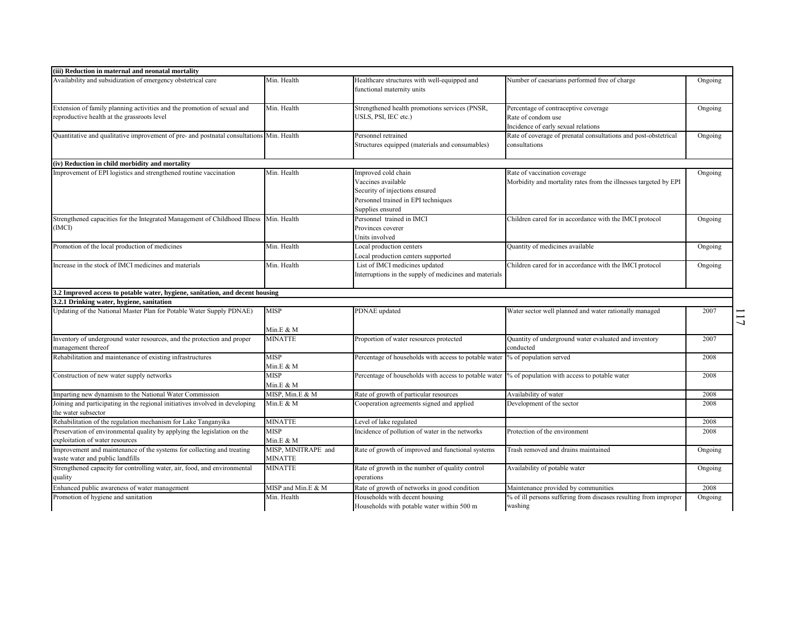| (iii) Reduction in maternal and neonatal mortality                                                                                                                                                   |                                |                                                                                                                                        |                                                                                                   |         |
|------------------------------------------------------------------------------------------------------------------------------------------------------------------------------------------------------|--------------------------------|----------------------------------------------------------------------------------------------------------------------------------------|---------------------------------------------------------------------------------------------------|---------|
| Availability and subsidization of emergency obstetrical care                                                                                                                                         | Min. Health                    | Healthcare structures with well-equipped and<br>functional maternity units                                                             | Number of caesarians performed free of charge                                                     | Ongoing |
| Extension of family planning activities and the promotion of sexual and<br>eproductive health at the grassroots level                                                                                | Min. Health                    | Strengthened health promotions services (PNSR,<br>JSLS, PSI, IEC etc.)                                                                 | Percentage of contraceptive coverage<br>Rate of condom use<br>Incidence of early sexual relations | Ongoing |
| Quantitative and qualitative improvement of pre- and postnatal consultations Min. Health                                                                                                             |                                | Personnel retrained<br>Structures equipped (materials and consumables)                                                                 | Rate of coverage of prenatal consultations and post-obstetrical<br>consultations                  | Ongoing |
| (iv) Reduction in child morbidity and mortality                                                                                                                                                      |                                |                                                                                                                                        |                                                                                                   |         |
| Improvement of EPI logistics and strengthened routine vaccination                                                                                                                                    | Min. Health                    | Improved cold chain<br>Vaccines available<br>Security of injections ensured<br>Personnel trained in EPI techniques<br>Supplies ensured | Rate of vaccination coverage<br>Morbidity and mortality rates from the illnesses targeted by EPI  | Ongoing |
| Strengthened capacities for the Integrated Management of Childhood Illness<br>(IMCI)                                                                                                                 | Min. Health                    | Personnel trained in IMCI<br>Provinces coverer<br>Jnits involved                                                                       | Children cared for in accordance with the IMCI protocol                                           | Ongoing |
| Promotion of the local production of medicines                                                                                                                                                       | Min. Health                    | Local production centers<br>Local production centers supported                                                                         | Quantity of medicines available                                                                   | Ongoing |
| Increase in the stock of IMCI medicines and materials                                                                                                                                                | Min. Health                    | List of IMCI medicines updated<br>Interruptions in the supply of medicines and materials                                               | Children cared for in accordance with the IMCI protocol                                           | Ongoing |
| 3.2 Improved access to potable water, hygiene, sanitation, and decent housing                                                                                                                        |                                |                                                                                                                                        |                                                                                                   |         |
| 3.2.1 Drinking water, hygiene, sanitation                                                                                                                                                            |                                |                                                                                                                                        |                                                                                                   |         |
| Jpdating of the National Master Plan for Potable Water Supply PDNAE)                                                                                                                                 | MISP                           | PDNAE updated                                                                                                                          | Water sector well planned and water rationally managed                                            | 2007    |
| Inventory of underground water resources, and the protection and proper<br>management thereof                                                                                                        | Min.E & M<br>MINATTE           | Proportion of water resources protected                                                                                                | Quantity of underground water evaluated and inventory<br>conducted                                | 2007    |
| Rehabilitation and maintenance of existing infrastructures                                                                                                                                           | MISP<br>Min.E & M              | Percentage of households with access to potable water                                                                                  | % of population served                                                                            | 2008    |
| Construction of new water supply networks                                                                                                                                                            | MISP<br>Min.E & M              | Percentage of households with access to potable water                                                                                  | % of population with access to potable water                                                      | 2008    |
|                                                                                                                                                                                                      |                                |                                                                                                                                        | Availability of water                                                                             | 2008    |
| Imparting new dynamism to the National Water Commission                                                                                                                                              | MISP, Min.E & M                | Rate of growth of particular resources                                                                                                 |                                                                                                   |         |
| Joining and participating in the regional initiatives involved in developing                                                                                                                         | Min.E & M                      | Cooperation agreements signed and applied                                                                                              | Development of the sector                                                                         | 2008    |
|                                                                                                                                                                                                      | MINATTE                        | Level of lake regulated                                                                                                                |                                                                                                   | 2008    |
| the water subsector<br>Rehabilitation of the regulation mechanism for Lake Tanganyika<br>Preservation of environmental quality by applying the legislation on the<br>exploitation of water resources | MISP<br>Min.E & M              | Incidence of pollution of water in the networks                                                                                        | Protection of the environment                                                                     | 2008    |
| Improvement and maintenance of the systems for collecting and treating<br>waste water and public landfills                                                                                           | MISP, MINITRAPE and<br>MINATTE | Rate of growth of improved and functional systems                                                                                      | Trash removed and drains maintained                                                               | Ongoing |
| Strengthened capacity for controlling water, air, food, and environmental<br>quality                                                                                                                 | <b>MINATTE</b>                 | Rate of growth in the number of quality control<br>operations                                                                          | Availability of potable water                                                                     | Ongoing |
| Enhanced public awareness of water management                                                                                                                                                        | MISP and Min.E & M             | Rate of growth of networks in good condition                                                                                           | Maintenance provided by communities                                                               | 2008    |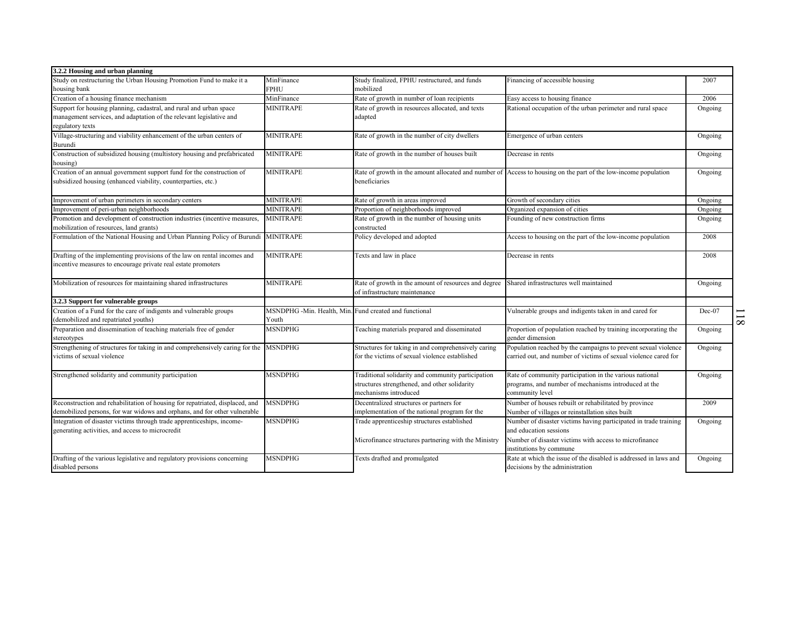| 3.2.2 Housing and urban planning                                                     |                                                        |                                                      |                                                                                                                 |         |          |
|--------------------------------------------------------------------------------------|--------------------------------------------------------|------------------------------------------------------|-----------------------------------------------------------------------------------------------------------------|---------|----------|
| Study on restructuring the Urban Housing Promotion Fund to make it a                 | MinFinance                                             | Study finalized, FPHU restructured, and funds        | Financing of accessible housing                                                                                 | 2007    |          |
| housing bank                                                                         | FPHU                                                   | mobilized                                            |                                                                                                                 |         |          |
| Creation of a housing finance mechanism                                              | MinFinance                                             | Rate of growth in number of loan recipients          | Easy access to housing finance                                                                                  | 2006    |          |
| Support for housing planning, cadastral, and rural and urban space                   | <b>MINITRAPE</b>                                       | Rate of growth in resources allocated, and texts     | Rational occupation of the urban perimeter and rural space                                                      | Ongoing |          |
| management services, and adaptation of the relevant legislative and                  |                                                        | adapted                                              |                                                                                                                 |         |          |
| regulatory texts                                                                     |                                                        |                                                      |                                                                                                                 |         |          |
| Village-structuring and viability enhancement of the urban centers of                | <b>MINITRAPE</b>                                       | Rate of growth in the number of city dwellers        | Emergence of urban centers                                                                                      | Ongoing |          |
| Burundi                                                                              |                                                        |                                                      |                                                                                                                 |         |          |
| Construction of subsidized housing (multistory housing and prefabricated             | <b>MINITRAPE</b>                                       | Rate of growth in the number of houses built         | Decrease in rents                                                                                               | Ongoing |          |
| housing)                                                                             |                                                        |                                                      |                                                                                                                 |         |          |
| Creation of an annual government support fund for the construction of                | <b>MINITRAPE</b>                                       |                                                      | Rate of growth in the amount allocated and number of Access to housing on the part of the low-income population | Ongoing |          |
| subsidized housing (enhanced viability, counterparties, etc.)                        |                                                        | beneficiaries                                        |                                                                                                                 |         |          |
|                                                                                      |                                                        |                                                      |                                                                                                                 |         |          |
| Improvement of urban perimeters in secondary centers                                 | <b>MINITRAPE</b>                                       | Rate of growth in areas improved                     | Growth of secondary cities                                                                                      | Ongoing |          |
| Improvement of peri-urban neighborhoods                                              | <b>MINITRAPE</b>                                       | Proportion of neighborhoods improved                 | Organized expansion of cities                                                                                   | Ongoing |          |
| Promotion and development of construction industries (incentive measures,            | <b>MINITRAPE</b>                                       | Rate of growth in the number of housing units        | Founding of new construction firms                                                                              | Ongoing |          |
| mobilization of resources, land grants)                                              |                                                        | constructed                                          |                                                                                                                 |         |          |
| Formulation of the National Housing and Urban Planning Policy of Burundi             | <b>MINITRAPE</b>                                       | Policy developed and adopted                         | Access to housing on the part of the low-income population                                                      | 2008    |          |
|                                                                                      |                                                        |                                                      |                                                                                                                 |         |          |
| Drafting of the implementing provisions of the law on rental incomes and             | <b>MINITRAPE</b>                                       | Texts and law in place                               | Decrease in rents                                                                                               | 2008    |          |
| incentive measures to encourage private real estate promoters                        |                                                        |                                                      |                                                                                                                 |         |          |
|                                                                                      |                                                        |                                                      |                                                                                                                 |         |          |
| Mobilization of resources for maintaining shared infrastructures                     | <b>MINITRAPE</b>                                       | Rate of growth in the amount of resources and degree | Shared infrastructures well maintained                                                                          | Ongoing |          |
|                                                                                      |                                                        | of infrastructure maintenance                        |                                                                                                                 |         |          |
| 3.2.3 Support for vulnerable groups                                                  |                                                        |                                                      |                                                                                                                 |         |          |
| Creation of a Fund for the care of indigents and vulnerable groups                   | MSNDPHG -Min. Health, Min. Fund created and functional |                                                      | Vulnerable groups and indigents taken in and cared for                                                          | Dec-07  |          |
| (demobilized and repatriated youths)                                                 | Youth                                                  |                                                      |                                                                                                                 |         | $\infty$ |
| Preparation and dissemination of teaching materials free of gender                   | MSNDPHG                                                | Feaching materials prepared and disseminated         | Proportion of population reached by training incorporating the                                                  | Ongoing |          |
| stereotypes                                                                          |                                                        |                                                      | gender dimension                                                                                                |         |          |
| Strengthening of structures for taking in and comprehensively caring for the MSNDPHG |                                                        | Structures for taking in and comprehensively caring  | Population reached by the campaigns to prevent sexual violence                                                  | Ongoing |          |
| victims of sexual violence                                                           |                                                        | for the victims of sexual violence established       | carried out, and number of victims of sexual violence cared for                                                 |         |          |
| Strengthened solidarity and community participation                                  | <b>MSNDPHG</b>                                         | Traditional solidarity and community participation   | Rate of community participation in the various national                                                         | Ongoing |          |
|                                                                                      |                                                        | structures strengthened, and other solidarity        | programs, and number of mechanisms introduced at the                                                            |         |          |
|                                                                                      |                                                        | mechanisms introduced                                | community level                                                                                                 |         |          |
| Reconstruction and rehabilitation of housing for repatriated, displaced, and         | <b>MSNDPHG</b>                                         | Decentralized structures or partners for             | Number of houses rebuilt or rehabilitated by province                                                           | 2009    |          |
| demobilized persons, for war widows and orphans, and for other vulnerable            |                                                        | implementation of the national program for the       | Number of villages or reinstallation sites built                                                                |         |          |
| Integration of disaster victims through trade apprenticeships, income-               | <b>MSNDPHG</b>                                         | Trade apprenticeship structures established          | Number of disaster victims having participated in trade training                                                | Ongoing |          |
| generating activities, and access to microcredit                                     |                                                        |                                                      | and education sessions                                                                                          |         |          |
|                                                                                      |                                                        | Microfinance structures partnering with the Ministry | Number of disaster victims with access to microfinance                                                          |         |          |
|                                                                                      |                                                        |                                                      | institutions by commune                                                                                         |         |          |
| Drafting of the various legislative and regulatory provisions concerning             | <b>MSNDPHG</b>                                         | Texts drafted and promulgated                        | Rate at which the issue of the disabled is addressed in laws and                                                | Ongoing |          |
| disabled persons                                                                     |                                                        |                                                      | decisions by the administration                                                                                 |         |          |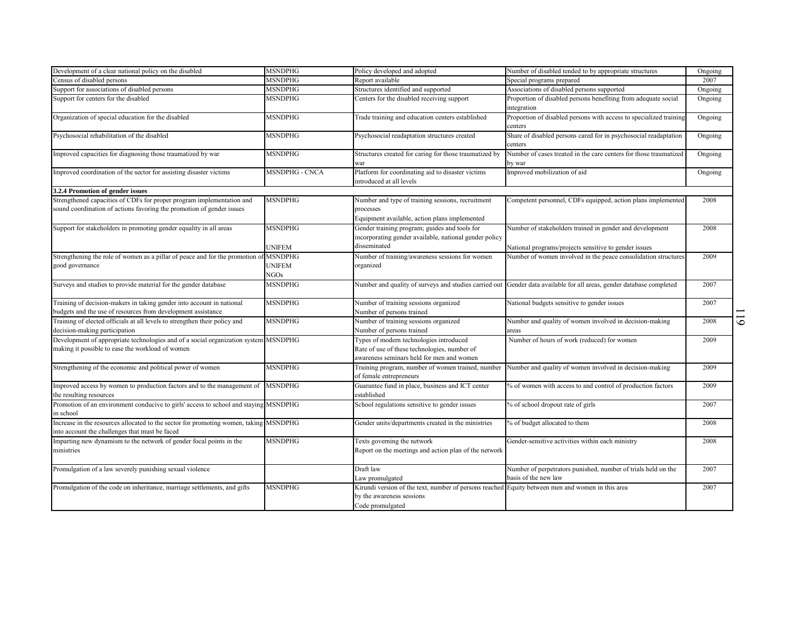| Development of a clear national policy on the disabled                                                                                         | <b>MSNDPHG</b>        | Policy developed and adopted                                                                            | Number of disabled tended to by appropriate structures                                                               | Ongoing |                |
|------------------------------------------------------------------------------------------------------------------------------------------------|-----------------------|---------------------------------------------------------------------------------------------------------|----------------------------------------------------------------------------------------------------------------------|---------|----------------|
| Census of disabled persons                                                                                                                     | MSNDPHG               | Report available                                                                                        | Special programs prepared                                                                                            | 2007    |                |
| Support for associations of disabled persons                                                                                                   | MSNDPHG               | Structures identified and supported                                                                     | Associations of disabled persons supported                                                                           | Ongoing |                |
| Support for centers for the disabled                                                                                                           | MSNDPHG               | Centers for the disabled receiving support                                                              | Proportion of disabled persons benefiting from adequate social<br>integration                                        | Ongoing |                |
| Organization of special education for the disabled                                                                                             | MSNDPHG               | Trade training and education centers established                                                        | Proportion of disabled persons with access to specialized training<br>centers                                        | Ongoing |                |
| Psychosocial rehabilitation of the disabled                                                                                                    | MSNDPHG               | Psychosocial readaptation structures created                                                            | Share of disabled persons cared for in psychosocial readaptation<br>centers                                          | Ongoing |                |
| Improved capacities for diagnosing those traumatized by war                                                                                    | MSNDPHG               | Structures created for caring for those traumatized by<br>war                                           | Number of cases treated in the care centers for those traumatized<br>by war                                          | Ongoing |                |
| Improved coordination of the sector for assisting disaster victims                                                                             | <b>MSNDPHG - CNCA</b> | Platform for coordinating aid to disaster victims<br>introduced at all levels                           | Improved mobilization of aid                                                                                         | Ongoing |                |
| 3.2.4 Promotion of gender issues                                                                                                               |                       |                                                                                                         |                                                                                                                      |         |                |
| Strengthened capacities of CDFs for proper program implementation and<br>sound coordination of actions favoring the promotion of gender issues | <b>MSNDPHG</b>        | Number and type of training sessions, recruitment<br>processes                                          | Competent personnel, CDFs equipped, action plans implemented                                                         | 2008    |                |
|                                                                                                                                                |                       | Equipment available, action plans implemented                                                           |                                                                                                                      |         |                |
| Support for stakeholders in promoting gender equality in all areas                                                                             | <b>MSNDPHG</b>        | Gender training program; guides and tools for<br>incorporating gender available, national gender policy | Number of stakeholders trained in gender and development                                                             | 2008    |                |
|                                                                                                                                                | <b>UNIFEM</b>         | disseminated                                                                                            | National programs/projects sensitive to gender issues                                                                |         |                |
| Strengthening the role of women as a pillar of peace and for the promotion of MSNDPHG<br>good governance                                       | <b>UNIFEM</b>         | Number of training/awareness sessions for women<br>organized                                            | Number of women involved in the peace consolidation structures                                                       | 2009    |                |
|                                                                                                                                                | NGO <sub>S</sub>      |                                                                                                         |                                                                                                                      |         |                |
| Surveys and studies to provide material for the gender database                                                                                | <b>MSNDPHG</b>        |                                                                                                         | Number and quality of surveys and studies carried out Gender data available for all areas, gender database completed | 2007    |                |
| Training of decision-makers in taking gender into account in national<br>budgets and the use of resources from development assistance          | <b>MSNDPHG</b>        | Number of training sessions organized<br>Number of persons trained                                      | National budgets sensitive to gender issues                                                                          | 2007    |                |
| Training of elected officials at all levels to strengthen their policy and                                                                     | <b>MSNDPHG</b>        | Number of training sessions organized                                                                   | Number and quality of women involved in decision-making                                                              | 2008    | $\overline{6}$ |
| decision-making participation                                                                                                                  |                       | Number of persons trained                                                                               | areas                                                                                                                |         |                |
| Development of appropriate technologies and of a social organization system MSNDPHG                                                            |                       | Types of modern technologies introduced                                                                 | Number of hours of work (reduced) for women                                                                          | 2009    |                |
| making it possible to ease the workload of women                                                                                               |                       | Rate of use of these technologies, number of<br>awareness seminars held for men and women               |                                                                                                                      |         |                |
| Strengthening of the economic and political power of women                                                                                     | <b>MSNDPHG</b>        | Training program, number of women trained, number<br>of female entrepreneurs                            | Number and quality of women involved in decision-making                                                              | 2009    |                |
| Improved access by women to production factors and to the management of<br>the resulting resources                                             | <b>MSNDPHG</b>        | Guarantee fund in place, business and ICT center<br>established                                         | % of women with access to and control of production factors                                                          | 2009    |                |
| Promotion of an environment conducive to girls' access to school and staying MSNDPHG<br>in school                                              |                       | School regulations sensitive to gender issues                                                           | % of school dropout rate of girls                                                                                    | 2007    |                |
| Increase in the resources allocated to the sector for promoting women, taking MSNDPHG<br>into account the challenges that must be faced        |                       | Gender units/departments created in the ministries                                                      | % of budget allocated to them                                                                                        | 2008    |                |
| Imparting new dynamism to the network of gender focal points in the                                                                            | <b>MSNDPHG</b>        | Texts governing the network                                                                             | Gender-sensitive activities within each ministry                                                                     | 2008    |                |
| ministries                                                                                                                                     |                       | Report on the meetings and action plan of the network                                                   |                                                                                                                      |         |                |
| Promulgation of a law severely punishing sexual violence                                                                                       |                       | Draft law                                                                                               | Number of perpetrators punished, number of trials held on the                                                        | 2007    |                |
|                                                                                                                                                |                       | Law promulgated                                                                                         | basis of the new law                                                                                                 |         |                |
| Promulgation of the code on inheritance, marriage settlements, and gifts                                                                       | <b>MSNDPHG</b>        | Kirundi version of the text, number of persons reached Equity between men and women in this area        |                                                                                                                      | 2007    |                |
|                                                                                                                                                |                       | by the awareness sessions                                                                               |                                                                                                                      |         |                |
|                                                                                                                                                |                       | Code promulgated                                                                                        |                                                                                                                      |         |                |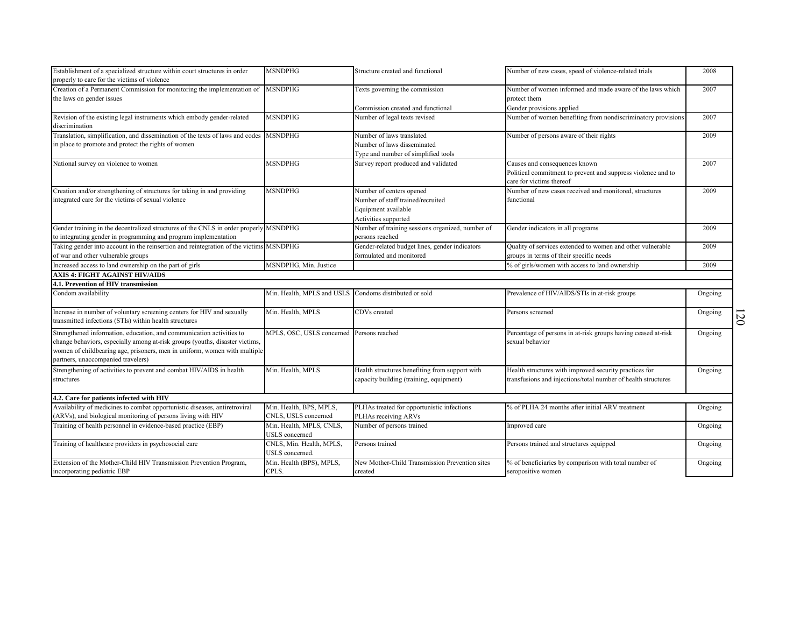| Establishment of a specialized structure within court structures in order<br>properly to care for the victims of violence | <b>MSNDPHG</b>                                         | Structure created and functional                 | Number of new cases, speed of violence-related trials         | 2008    |                           |
|---------------------------------------------------------------------------------------------------------------------------|--------------------------------------------------------|--------------------------------------------------|---------------------------------------------------------------|---------|---------------------------|
| Creation of a Permanent Commission for monitoring the implementation of                                                   | <b>MSNDPHG</b>                                         | Texts governing the commission                   | Number of women informed and made aware of the laws which     | 2007    |                           |
| the laws on gender issues                                                                                                 |                                                        |                                                  | protect them                                                  |         |                           |
|                                                                                                                           | <b>MSNDPHG</b>                                         | Commission created and functional                | Gender provisions applied                                     | 2007    |                           |
| Revision of the existing legal instruments which embody gender-related<br>discrimination                                  |                                                        | Number of legal texts revised                    | Number of women benefiting from nondiscriminatory provisions  |         |                           |
| Translation, simplification, and dissemination of the texts of laws and codes MSNDPHG                                     |                                                        | Number of laws translated                        | Number of persons aware of their rights                       | 2009    |                           |
| in place to promote and protect the rights of women                                                                       |                                                        | Number of laws disseminated                      |                                                               |         |                           |
|                                                                                                                           |                                                        | Type and number of simplified tools              |                                                               |         |                           |
| National survey on violence to women                                                                                      | MSNDPHG                                                | Survey report produced and validated             | Causes and consequences known                                 | 2007    |                           |
|                                                                                                                           |                                                        |                                                  | Political commitment to prevent and suppress violence and to  |         |                           |
|                                                                                                                           |                                                        |                                                  | care for victims thereof                                      |         |                           |
| Creation and/or strengthening of structures for taking in and providing                                                   | <b>MSNDPHG</b>                                         | Number of centers opened                         | Number of new cases received and monitored, structures        | 2009    |                           |
| integrated care for the victims of sexual violence                                                                        |                                                        | Number of staff trained/recruited                | functional                                                    |         |                           |
|                                                                                                                           |                                                        | Equipment available                              |                                                               |         |                           |
|                                                                                                                           |                                                        | Activities supported                             |                                                               |         |                           |
| Gender training in the decentralized structures of the CNLS in order properly MSNDPHG                                     |                                                        | Number of training sessions organized, number of | Gender indicators in all programs                             | 2009    |                           |
| to integrating gender in programming and program implementation                                                           |                                                        | persons reached                                  |                                                               |         |                           |
| Taking gender into account in the reinsertion and reintegration of the victims MSNDPHG                                    |                                                        | Gender-related budget lines, gender indicators   | Quality of services extended to women and other vulnerable    | 2009    |                           |
| of war and other vulnerable groups                                                                                        |                                                        | formulated and monitored                         | groups in terms of their specific needs                       |         |                           |
| Increased access to land ownership on the part of girls                                                                   | MSNDPHG, Min. Justice                                  |                                                  | % of girls/women with access to land ownership                | 2009    |                           |
| <b>AXIS 4: FIGHT AGAINST HIV/AIDS</b>                                                                                     |                                                        |                                                  |                                                               |         |                           |
| 4.1. Prevention of HIV transmission                                                                                       |                                                        |                                                  |                                                               |         |                           |
| Condom availability                                                                                                       | Min. Health, MPLS and USLS Condoms distributed or sold |                                                  | Prevalence of HIV/AIDS/STIs in at-risk groups                 | Ongoing |                           |
| Increase in number of voluntary screening centers for HIV and sexually                                                    | Min. Health, MPLS                                      | CDVs created                                     | Persons screened                                              | Ongoing |                           |
| transmitted infections (STIs) within health structures                                                                    |                                                        |                                                  |                                                               |         | $\widetilde{\mathcal{S}}$ |
| Strengthened information, education, and communication activities to                                                      | MPLS, OSC, USLS concerned                              | Persons reached                                  | Percentage of persons in at-risk groups having ceased at-risk | Ongoing |                           |
| change behaviors, especially among at-risk groups (youths, disaster victims,                                              |                                                        |                                                  | sexual behavior                                               |         |                           |
| women of childbearing age, prisoners, men in uniform, women with multiple                                                 |                                                        |                                                  |                                                               |         |                           |
| partners, unaccompanied travelers)                                                                                        |                                                        |                                                  |                                                               |         |                           |
| Strengthening of activities to prevent and combat HIV/AIDS in health                                                      | Min. Health, MPLS                                      | Health structures benefiting from support with   | Health structures with improved security practices for        | Ongoing |                           |
| structures                                                                                                                |                                                        | capacity building (training, equipment)          | transfusions and injections/total number of health structures |         |                           |
|                                                                                                                           |                                                        |                                                  |                                                               |         |                           |
| 4.2. Care for patients infected with HIV                                                                                  |                                                        |                                                  |                                                               |         |                           |
| Availability of medicines to combat opportunistic diseases, antiretroviral                                                | Min. Health, BPS, MPLS,                                | PLHAs treated for opportunistic infections       | % of PLHA 24 months after initial ARV treatment               | Ongoing |                           |
| ARVs), and biological monitoring of persons living with HIV                                                               | CNLS, USLS concerned                                   | PLHAs receiving ARVs                             |                                                               |         |                           |
| Training of health personnel in evidence-based practice (EBP)                                                             | Min. Health, MPLS, CNLS,                               | Number of persons trained                        | Improved care                                                 | Ongoing |                           |
|                                                                                                                           | JSLS concerned                                         |                                                  |                                                               |         |                           |
| Training of healthcare providers in psychosocial care                                                                     | CNLS, Min. Health, MPLS,                               | Persons trained                                  | Persons trained and structures equipped                       | Ongoing |                           |
|                                                                                                                           | JSLS concerned.                                        |                                                  |                                                               |         |                           |
| Extension of the Mother-Child HIV Transmission Prevention Program,                                                        | Min. Health (BPS), MPLS,                               | New Mother-Child Transmission Prevention sites   | % of beneficiaries by comparison with total number of         | Ongoing |                           |
| incorporating pediatric EBP                                                                                               | CPLS.                                                  | created                                          | seropositive women                                            |         |                           |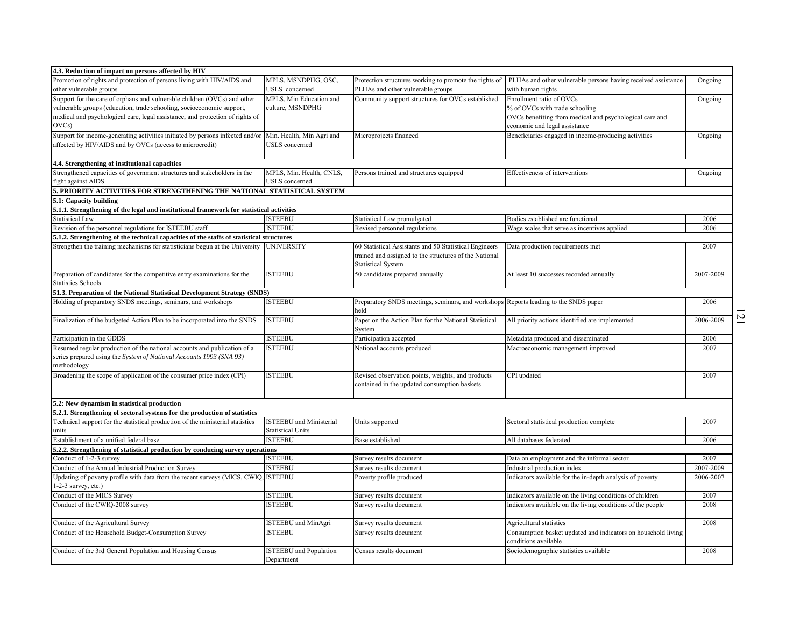| 4.3. Reduction of impact on persons affected by HIV                                      |                                                            |                                                                                              |                                                                                       |           |   |
|------------------------------------------------------------------------------------------|------------------------------------------------------------|----------------------------------------------------------------------------------------------|---------------------------------------------------------------------------------------|-----------|---|
| Promotion of rights and protection of persons living with HIV/AIDS and                   | MPLS, MSNDPHG, OSC,                                        | Protection structures working to promote the rights of                                       | PLHAs and other vulnerable persons having received assistance                         | Ongoing   |   |
| other vulnerable groups                                                                  | USLS concerned                                             | PLHAs and other vulnerable groups                                                            | with human rights                                                                     |           |   |
| Support for the care of orphans and vulnerable children (OVCs) and other                 | MPLS, Min Education and                                    | Community support structures for OVCs established                                            | Enrollment ratio of OVCs                                                              | Ongoing   |   |
| vulnerable groups (education, trade schooling, socioeconomic support,                    | culture, MSNDPHG                                           |                                                                                              | % of OVCs with trade schooling                                                        |           |   |
| medical and psychological care, legal assistance, and protection of rights of            |                                                            |                                                                                              | OVCs benefiting from medical and psychological care and                               |           |   |
| OVCs)                                                                                    |                                                            |                                                                                              | economic and legal assistance                                                         |           |   |
| Support for income-generating activities initiated by persons infected and/or            | Min. Health, Min Agri and                                  | Microprojects financed                                                                       | Beneficiaries engaged in income-producing activities                                  | Ongoing   |   |
| affected by HIV/AIDS and by OVCs (access to microcredit)                                 | USLS concerned                                             |                                                                                              |                                                                                       |           |   |
| 4.4. Strengthening of institutional capacities                                           |                                                            |                                                                                              |                                                                                       |           |   |
| Strengthened capacities of government structures and stakeholders in the                 | MPLS, Min. Health, CNLS,                                   | Persons trained and structures equipped                                                      | Effectiveness of interventions                                                        | Ongoing   |   |
| fight against AIDS                                                                       | USLS concerned.                                            |                                                                                              |                                                                                       |           |   |
| 5. PRIORITY ACTIVITIES FOR STRENGTHENING THE NATIONAL STATISTICAL SYSTEM                 |                                                            |                                                                                              |                                                                                       |           |   |
| 5.1: Capacity building                                                                   |                                                            |                                                                                              |                                                                                       |           |   |
| 5.1.1. Strengthening of the legal and institutional framework for statistical activities |                                                            |                                                                                              |                                                                                       |           |   |
| <b>Statistical Law</b>                                                                   | <b>ISTEEBU</b>                                             | Statistical Law promulgated                                                                  | Bodies established are functional                                                     | 2006      |   |
| Revision of the personnel regulations for ISTEEBU staff                                  | <b>ISTEEBU</b>                                             | Revised personnel regulations                                                                | Wage scales that serve as incentives applied                                          | 2006      |   |
| 5.1.2. Strengthening of the technical capacities of the staffs of statistical structures |                                                            |                                                                                              |                                                                                       |           |   |
| Strengthen the training mechanisms for statisticians begun at the University             | UNIVERSITY                                                 | 60 Statistical Assistants and 50 Statistical Engineers                                       | Data production requirements met                                                      | 2007      |   |
|                                                                                          |                                                            | trained and assigned to the structures of the National                                       |                                                                                       |           |   |
|                                                                                          |                                                            | <b>Statistical System</b>                                                                    |                                                                                       |           |   |
| Preparation of candidates for the competitive entry examinations for the                 | <b>ISTEEBU</b>                                             | 50 candidates prepared annually                                                              | At least 10 successes recorded annually                                               | 2007-2009 |   |
| <b>Statistics Schools</b>                                                                |                                                            |                                                                                              |                                                                                       |           |   |
| 51.3. Preparation of the National Statistical Development Strategy (SNDS)                |                                                            |                                                                                              |                                                                                       |           |   |
| Holding of preparatory SNDS meetings, seminars, and workshops                            | ISTEEBU                                                    | Preparatory SNDS meetings, seminars, and workshops Reports leading to the SNDS paper<br>ıeld |                                                                                       | 2006      |   |
| Finalization of the budgeted Action Plan to be incorporated into the SNDS                | <b>ISTEEBU</b>                                             | Paper on the Action Plan for the National Statistical                                        | All priority actions identified are implemented                                       | 2006-2009 | N |
|                                                                                          |                                                            | System                                                                                       |                                                                                       |           |   |
| Participation in the GDDS                                                                | <b>ISTEEBU</b>                                             | Participation accepted                                                                       | Metadata produced and disseminated                                                    | 2006      |   |
| Resumed regular production of the national accounts and publication of a                 | <b>ISTEEBU</b>                                             | National accounts produced                                                                   | Macroeconomic management improved                                                     | 2007      |   |
| series prepared using the System of National Accounts 1993 (SNA 93)<br>methodology       |                                                            |                                                                                              |                                                                                       |           |   |
| Broadening the scope of application of the consumer price index (CPI)                    | <b>ISTEEBU</b>                                             | Revised observation points, weights, and products                                            | CPI updated                                                                           | 2007      |   |
|                                                                                          |                                                            | contained in the updated consumption baskets                                                 |                                                                                       |           |   |
|                                                                                          |                                                            |                                                                                              |                                                                                       |           |   |
| 5.2: New dynamism in statistical production                                              |                                                            |                                                                                              |                                                                                       |           |   |
| 5.2.1. Strengthening of sectoral systems for the production of statistics                |                                                            |                                                                                              |                                                                                       |           |   |
| Technical support for the statistical production of the ministerial statistics<br>units  | <b>ISTEEBU</b> and Ministerial<br><b>Statistical Units</b> | Units supported                                                                              | Sectoral statistical production complete                                              | 2007      |   |
| Establishment of a unified federal base                                                  | <b>ISTEEBU</b>                                             | Base established                                                                             | All databases federated                                                               | 2006      |   |
| 5.2.2. Strengthening of statistical production by conducing survey operations            |                                                            |                                                                                              |                                                                                       |           |   |
| Conduct of 1-2-3 survey                                                                  | <b>ISTEEBU</b>                                             | Survey results document                                                                      | Data on employment and the informal sector                                            | 2007      |   |
| Conduct of the Annual Industrial Production Survey                                       | <b>ISTEEBU</b>                                             | Survey results document                                                                      | Industrial production index                                                           | 2007-2009 |   |
| Updating of poverty profile with data from the recent surveys (MICS, CWIQ, ISTEEBU       |                                                            | Poverty profile produced                                                                     | Indicators available for the in-depth analysis of poverty                             | 2006-2007 |   |
| $1-2-3$ survey, etc.)                                                                    |                                                            |                                                                                              |                                                                                       |           |   |
| Conduct of the MICS Survey                                                               | <b>ISTEEBU</b>                                             | Survey results document                                                                      | Indicators available on the living conditions of children                             | 2007      |   |
| Conduct of the CWIQ-2008 survey                                                          | ISTEEBU                                                    | Survey results document                                                                      | Indicators available on the living conditions of the people                           | 2008      |   |
|                                                                                          |                                                            |                                                                                              |                                                                                       |           |   |
| Conduct of the Agricultural Survey                                                       | <b>STEEBU</b> and MinAgri                                  | Survey results document                                                                      | Agricultural statistics                                                               | 2008      |   |
| Conduct of the Household Budget-Consumption Survey                                       | ISTEEBU                                                    | Survey results document                                                                      | Consumption basket updated and indicators on household living<br>conditions available |           |   |
| Conduct of the 3rd General Population and Housing Census                                 | <b>ISTEEBU</b> and Population<br>Department                | Census results document                                                                      | Sociodemographic statistics available                                                 | 2008      |   |
|                                                                                          |                                                            |                                                                                              |                                                                                       |           |   |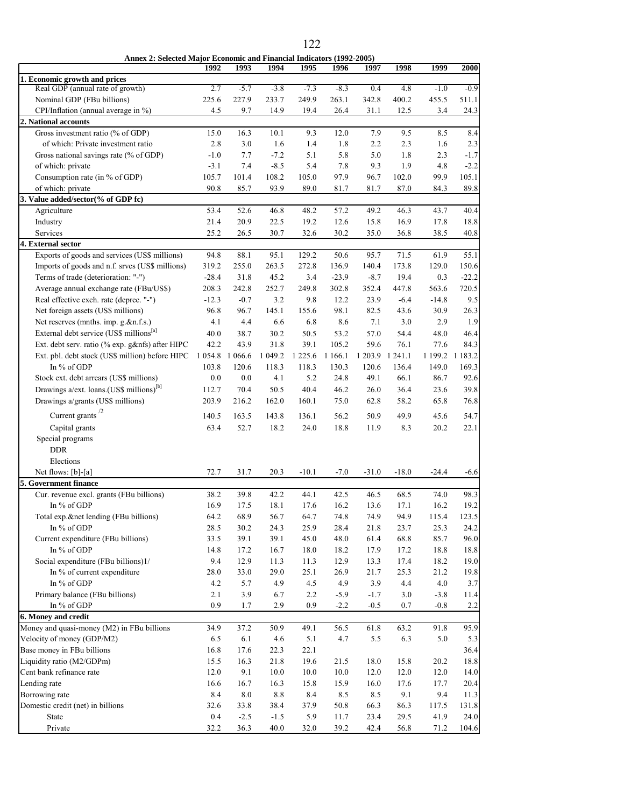|                                                      | Annex 2: Selected Major Economic and Financial Indicators (1992-2005) |           |         |             |           |         |         |         |             |  |  |  |
|------------------------------------------------------|-----------------------------------------------------------------------|-----------|---------|-------------|-----------|---------|---------|---------|-------------|--|--|--|
|                                                      | 1992                                                                  | 1993      | 1994    | 1995        | 1996      | 1997    | 1998    | 1999    | 2000        |  |  |  |
| 1. Economic growth and prices                        |                                                                       |           |         |             |           |         |         |         |             |  |  |  |
| Real GDP (annual rate of growth)                     | 2.7                                                                   | $-5.7$    | $-3.8$  | $-7.3$      | $-8.3$    | 0.4     | 4.8     | $-1.0$  | $-0.9$      |  |  |  |
| Nominal GDP (FBu billions)                           | 225.6                                                                 | 227.9     | 233.7   | 249.9       | 263.1     | 342.8   | 400.2   | 455.5   | 511.1       |  |  |  |
| CPI/Inflation (annual average in %)                  | 4.5                                                                   | 9.7       | 14.9    | 19.4        | 26.4      | 31.1    | 12.5    | 3.4     | 24.3        |  |  |  |
| 2. National accounts                                 |                                                                       |           |         |             |           |         |         |         |             |  |  |  |
| Gross investment ratio (% of GDP)                    | 15.0                                                                  | 16.3      | 10.1    | 9.3         | 12.0      | 7.9     | 9.5     | 8.5     | 8.4         |  |  |  |
| of which: Private investment ratio                   | 2.8                                                                   | 3.0       | 1.6     | 1.4         | 1.8       | 2.2     | 2.3     | 1.6     | 2.3         |  |  |  |
| Gross national savings rate (% of GDP)               | $-1.0$                                                                | 7.7       | $-7.2$  | 5.1         | 5.8       | 5.0     | 1.8     | 2.3     | $-1.7$      |  |  |  |
| of which: private                                    | $-3.1$                                                                | 7.4       | $-8.5$  | 5.4         | 7.8       | 9.3     | 1.9     | 4.8     | $-2.2$      |  |  |  |
| Consumption rate (in % of GDP)                       | 105.7                                                                 | 101.4     | 108.2   | 105.0       | 97.9      | 96.7    | 102.0   | 99.9    | 105.1       |  |  |  |
| of which: private                                    | 90.8                                                                  | 85.7      | 93.9    | 89.0        | 81.7      | 81.7    | 87.0    | 84.3    | 89.8        |  |  |  |
| 3. Value added/sector(% of GDP fc)                   |                                                                       |           |         |             |           |         |         |         |             |  |  |  |
| Agriculture                                          | 53.4                                                                  | 52.6      | 46.8    | 48.2        | 57.2      | 49.2    | 46.3    | 43.7    | 40.4        |  |  |  |
| Industry                                             | 21.4                                                                  | 20.9      | 22.5    | 19.2        | 12.6      | 15.8    | 16.9    | 17.8    | 18.8        |  |  |  |
| Services                                             | 25.2                                                                  | 26.5      | 30.7    | 32.6        | 30.2      | 35.0    | 36.8    | 38.5    | 40.8        |  |  |  |
| 4. External sector                                   |                                                                       |           |         |             |           |         |         |         |             |  |  |  |
| Exports of goods and services (US\$ millions)        | 94.8                                                                  | 88.1      | 95.1    | 129.2       | 50.6      | 95.7    | 71.5    | 61.9    | 55.1        |  |  |  |
| Imports of goods and n.f. srvcs (US\$ millions)      | 319.2                                                                 | 255.0     | 263.5   | 272.8       | 136.9     | 140.4   | 173.8   | 129.0   | 150.6       |  |  |  |
| Terms of trade (deterioration: "-")                  | $-28.4$                                                               | 31.8      | 45.2    | 3.4         | $-23.9$   | $-8.7$  | 19.4    | 0.3     | $-22.2$     |  |  |  |
| Average annual exchange rate (FBu/US\$)              | 208.3                                                                 | 242.8     | 252.7   | 249.8       | 302.8     | 352.4   | 447.8   | 563.6   | 720.5       |  |  |  |
| Real effective exch. rate (deprec. "-")              | $-12.3$                                                               | $-0.7$    | 3.2     | 9.8         | 12.2      | 23.9    | $-6.4$  | $-14.8$ | 9.5         |  |  |  |
| Net foreign assets (US\$ millions)                   | 96.8                                                                  | 96.7      | 145.1   | 155.6       | 98.1      | 82.5    | 43.6    | 30.9    | 26.3        |  |  |  |
| Net reserves (mnths. imp. g.&n.f.s.)                 | 4.1                                                                   | 4.4       | 6.6     | 6.8         | 8.6       | 7.1     | 3.0     | 2.9     | 1.9         |  |  |  |
| External debt service (US\$ millions <sup>[a]</sup>  | 40.0                                                                  | 38.7      | 30.2    | 50.5        | 53.2      | 57.0    | 54.4    | 48.0    | 46.4        |  |  |  |
| Ext. debt serv. ratio (% exp. g&nfs) after HIPC      | 42.2                                                                  | 43.9      | 31.8    | 39.1        | 105.2     | 59.6    | 76.1    | 77.6    | 84.3        |  |  |  |
| Ext. pbl. debt stock (US\$ million) before HIPC      | 1 0 5 4.8                                                             | 1 0 6 6.6 | 1 049.2 | 1 2 2 5 . 6 | 1 1 6 6.1 | 1 203.9 | 1 241.1 | 1 199.2 | 1 1 8 3 . 2 |  |  |  |
| In % of GDP                                          | 103.8                                                                 | 120.6     | 118.3   | 118.3       | 130.3     | 120.6   | 136.4   | 149.0   | 169.3       |  |  |  |
| Stock ext. debt arrears (US\$ millions)              | 0.0                                                                   | 0.0       | 4.1     | 5.2         | 24.8      | 49.1    | 66.1    | 86.7    | 92.6        |  |  |  |
| Drawings a/ext. loans.(US\$ millions) <sup>[b]</sup> | 112.7                                                                 | 70.4      | 50.5    | 40.4        | 46.2      | 26.0    | 36.4    | 23.6    | 39.8        |  |  |  |
| Drawings a/grants (US\$ millions)                    | 203.9                                                                 | 216.2     | 162.0   | 160.1       | 75.0      | 62.8    | 58.2    | 65.8    | 76.8        |  |  |  |
|                                                      |                                                                       |           |         |             |           |         |         |         |             |  |  |  |
| Current grants <sup>/2</sup>                         | 140.5                                                                 | 163.5     | 143.8   | 136.1       | 56.2      | 50.9    | 49.9    | 45.6    | 54.7        |  |  |  |
| Capital grants                                       | 63.4                                                                  | 52.7      | 18.2    | 24.0        | 18.8      | 11.9    | 8.3     | 20.2    | 22.1        |  |  |  |
| Special programs                                     |                                                                       |           |         |             |           |         |         |         |             |  |  |  |
| <b>DDR</b>                                           |                                                                       |           |         |             |           |         |         |         |             |  |  |  |
| Elections                                            |                                                                       |           |         |             |           |         |         |         |             |  |  |  |
| Net flows: [b]-[a]                                   | 72.7                                                                  | 31.7      | 20.3    | $-10.1$     | $-7.0$    | $-31.0$ | $-18.0$ | $-24.4$ | $-6.6$      |  |  |  |
| 5. Government finance                                |                                                                       |           |         |             |           |         |         |         |             |  |  |  |
| Cur. revenue excl. grants (FBu billions)             | 38.2                                                                  | 39.8      | 42.2    | 44.1        | 42.5      | 46.5    | 68.5    | 74.0    | 98.3        |  |  |  |
| In % of GDP                                          | 16.9                                                                  | 17.5      | 18.1    | 17.6        | 16.2      | 13.6    | 17.1    | 16.2    | 19.2        |  |  |  |
| Total exp.&net lending (FBu billions)                | 64.2                                                                  | 68.9      | 56.7    | 64.7        | 74.8      | 74.9    | 94.9    | 115.4   | 123.5       |  |  |  |
| In % of GDP                                          | 28.5                                                                  | 30.2      | 24.3    | 25.9        | 28.4      | 21.8    | 23.7    | 25.3    | 24.2        |  |  |  |
| Current expenditure (FBu billions)                   | 33.5                                                                  | 39.1      | 39.1    | 45.0        | 48.0      | 61.4    | 68.8    | 85.7    | 96.0        |  |  |  |
| In % of GDP                                          | 14.8                                                                  | 17.2      | 16.7    | 18.0        | 18.2      | 17.9    | 17.2    | 18.8    | 18.8        |  |  |  |
| Social expenditure (FBu billions)1/                  | 9.4                                                                   | 12.9      | 11.3    | 11.3        | 12.9      | 13.3    | 17.4    | 18.2    | 19.0        |  |  |  |
| In % of current expenditure                          | 28.0                                                                  | 33.0      | 29.0    | 25.1        | 26.9      | 21.7    | 25.3    | 21.2    | 19.8        |  |  |  |
| In % of GDP                                          | 4.2                                                                   | 5.7       | 4.9     | 4.5         | 4.9       | 3.9     | 4.4     | 4.0     | 3.7         |  |  |  |
| Primary balance (FBu billions)                       | 2.1                                                                   | 3.9       | 6.7     | 2.2         | $-5.9$    | $-1.7$  | $3.0$   | $-3.8$  | 11.4        |  |  |  |
| In % of GDP                                          | 0.9                                                                   | 1.7       | 2.9     | 0.9         | $-2.2$    | $-0.5$  | 0.7     | $-0.8$  | 2.2         |  |  |  |
| 6. Money and credit                                  |                                                                       |           |         |             |           |         |         |         |             |  |  |  |
| Money and quasi-money (M2) in FBu billions           | 34.9                                                                  | 37.2      | 50.9    | 49.1        | 56.5      | 61.8    | 63.2    | 91.8    | 95.9        |  |  |  |
| Velocity of money (GDP/M2)                           | 6.5                                                                   | 6.1       | 4.6     | 5.1         | 4.7       | 5.5     | 6.3     | 5.0     | 5.3         |  |  |  |
| Base money in FBu billions                           | 16.8                                                                  | 17.6      | 22.3    | 22.1        |           |         |         |         | 36.4        |  |  |  |
| Liquidity ratio (M2/GDPm)                            | 15.5                                                                  | 16.3      | 21.8    | 19.6        | 21.5      | 18.0    | 15.8    | 20.2    | 18.8        |  |  |  |
| Cent bank refinance rate                             | 12.0                                                                  | 9.1       | 10.0    | 10.0        | 10.0      | 12.0    | 12.0    | 12.0    | 14.0        |  |  |  |
| Lending rate                                         | 16.6                                                                  | 16.7      | 16.3    | 15.8        | 15.9      | 16.0    | 17.6    | 17.7    | 20.4        |  |  |  |
| Borrowing rate                                       | 8.4                                                                   | 8.0       | $8.8\,$ | 8.4         | 8.5       | 8.5     | 9.1     | 9.4     | 11.3        |  |  |  |
| Domestic credit (net) in billions                    | 32.6                                                                  | 33.8      | 38.4    | 37.9        | 50.8      | 66.3    | 86.3    | 117.5   | 131.8       |  |  |  |
| State                                                | 0.4                                                                   | $-2.5$    | $-1.5$  | 5.9         | 11.7      | 23.4    | 29.5    | 41.9    | 24.0        |  |  |  |
| Private                                              | 32.2                                                                  | 36.3      | 40.0    | 32.0        | 39.2      | 42.4    | 56.8    | 71.2    | 104.6       |  |  |  |

122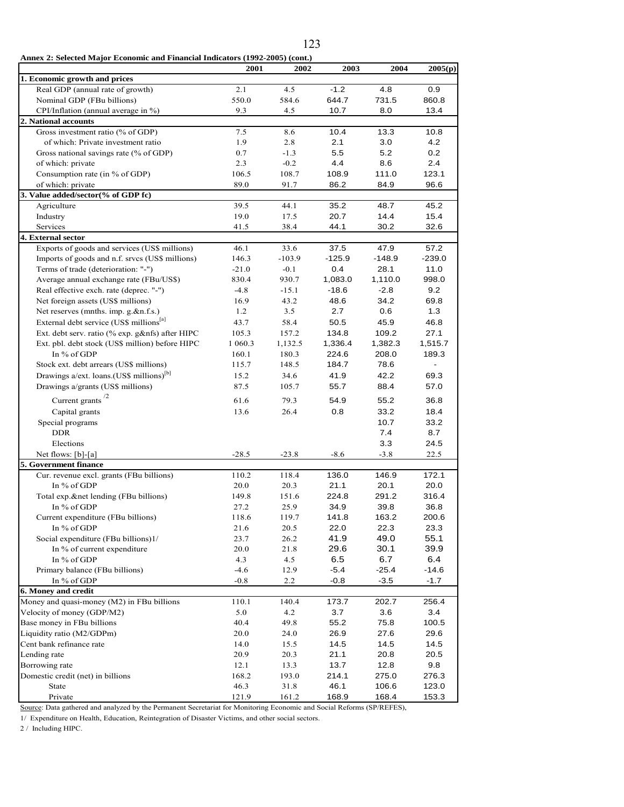**Annex 2: Selected Major Economic and Financial Indicators (1992-2005) (cont.)**

|                                                       | 2001    | 2002     | 2003     | 2004     | 2005(p)  |
|-------------------------------------------------------|---------|----------|----------|----------|----------|
| 1. Economic growth and prices                         |         |          |          |          |          |
| Real GDP (annual rate of growth)                      | 2.1     | 4.5      | $-1.2$   | 4.8      | 0.9      |
| Nominal GDP (FBu billions)                            | 550.0   | 584.6    | 644.7    | 731.5    | 860.8    |
| CPI/Inflation (annual average in %)                   | 9.3     | 4.5      | 10.7     | 8.0      | 13.4     |
| 2. National accounts                                  |         |          |          |          |          |
| Gross investment ratio (% of GDP)                     | 7.5     | 8.6      | 10.4     | 13.3     | 10.8     |
| of which: Private investment ratio                    | 1.9     | 2.8      | 2.1      | 3.0      | 4.2      |
| Gross national savings rate (% of GDP)                | 0.7     | $-1.3$   | 5.5      | 5.2      | 0.2      |
| of which: private                                     | 2.3     | $-0.2$   | 4.4      | 8.6      | 2.4      |
| Consumption rate (in % of GDP)                        | 106.5   | 108.7    | 108.9    | 111.0    | 123.1    |
| of which: private                                     | 89.0    | 91.7     | 86.2     | 84.9     | 96.6     |
| 3. Value added/sector(% of GDP fc)                    |         |          |          |          |          |
| Agriculture                                           | 39.5    | 44.1     | 35.2     | 48.7     | 45.2     |
| Industry                                              | 19.0    | 17.5     | 20.7     | 14.4     | 15.4     |
| Services                                              | 41.5    | 38.4     | 44.1     | 30.2     | 32.6     |
| 4. External sector                                    |         |          |          |          |          |
| Exports of goods and services (US\$ millions)         | 46.1    | 33.6     | 37.5     | 47.9     | 57.2     |
| Imports of goods and n.f. srvcs (US\$ millions)       | 146.3   | $-103.9$ | $-125.9$ | $-148.9$ | $-239.0$ |
| Terms of trade (deterioration: "-")                   | $-21.0$ | $-0.1$   | 0.4      | 28.1     | 11.0     |
| Average annual exchange rate (FBu/US\$)               | 830.4   | 930.7    | 1,083.0  | 1,110.0  | 998.0    |
| Real effective exch. rate (deprec. "-")               | $-4.8$  | $-15.1$  | $-18.6$  | $-2.8$   | 9.2      |
| Net foreign assets (US\$ millions)                    | 16.9    | 43.2     | 48.6     | 34.2     | 69.8     |
| Net reserves (mnths. imp. g.&n.f.s.)                  | 1.2     | 3.5      | 2.7      | 0.6      | 1.3      |
| External debt service (US\$ millions <sup>[a]</sup>   |         |          |          |          |          |
|                                                       | 43.7    | 58.4     | 50.5     | 45.9     | 46.8     |
| Ext. debt serv. ratio (% exp. g&nfs) after HIPC       | 105.3   | 157.2    | 134.8    | 109.2    | 27.1     |
| Ext. pbl. debt stock (US\$ million) before HIPC       | 1 060.3 | 1,132.5  | 1,336.4  | 1,382.3  | 1,515.7  |
| In % of GDP                                           | 160.1   | 180.3    | 224.6    | 208.0    | 189.3    |
| Stock ext. debt arrears (US\$ millions)               | 115.7   | 148.5    | 184.7    | 78.6     |          |
| Drawings a/ext. loans. (US\$ millions) <sup>[b]</sup> | 15.2    | 34.6     | 41.9     | 42.2     | 69.3     |
| Drawings a/grants (US\$ millions)                     | 87.5    | 105.7    | 55.7     | 88.4     | 57.0     |
| Current grants <sup>/2</sup>                          | 61.6    | 79.3     | 54.9     | 55.2     | 36.8     |
| Capital grants                                        | 13.6    | 26.4     | 0.8      | 33.2     | 18.4     |
| Special programs                                      |         |          |          | 10.7     | 33.2     |
| <b>DDR</b>                                            |         |          |          | 7.4      | 8.7      |
| Elections                                             |         |          |          | 3.3      | 24.5     |
| Net flows: [b]-[a]                                    | $-28.5$ | $-23.8$  | $-8.6$   | $-3.8$   | 22.5     |
| 5. Government finance                                 |         |          |          |          |          |
| Cur. revenue excl. grants (FBu billions)              | 110.2   | 118.4    | 136.0    | 146.9    | 172.1    |
| In % of GDP                                           | 20.0    | 20.3     | 21.1     | 20.1     | 20.0     |
| Total exp.&net lending (FBu billions)                 | 149.8   | 151.6    | 224.8    | 291.2    | 316.4    |
| In % of GDP                                           | 27.2    | 25.9     | 34.9     | 39.8     | 36.8     |
| Current expenditure (FBu billions)                    | 118.6   | 119.7    | 141.8    | 163.2    | 200.6    |
| In % of GDP                                           | 21.6    | 20.5     | 22.0     | 22.3     | 23.3     |
| Social expenditure (FBu billions)1/                   | 23.7    | 26.2     | 41.9     | 49.0     | 55.1     |
| In % of current expenditure                           | 20.0    | 21.8     | 29.6     | 30.1     | 39.9     |
| In % of GDP                                           | 4.3     | 4.5      | 6.5      | 6.7      | 6.4      |
| Primary balance (FBu billions)                        | $-4.6$  | 12.9     | $-5.4$   | $-25.4$  | $-14.6$  |
| In % of GDP                                           | $-0.8$  | 2.2      | $-0.8$   | -3.5     | $-1.7$   |
| 6. Money and credit                                   |         |          |          |          |          |
| Money and quasi-money (M2) in FBu billions            | 110.1   | 140.4    | 173.7    | 202.7    | 256.4    |
| Velocity of money (GDP/M2)                            | 5.0     | 4.2      | 3.7      | 3.6      | 3.4      |
| Base money in FBu billions                            | 40.4    | 49.8     | 55.2     | 75.8     | 100.5    |
| Liquidity ratio (M2/GDPm)                             | 20.0    | 24.0     | 26.9     | 27.6     | 29.6     |
| Cent bank refinance rate                              | 14.0    | 15.5     | 14.5     | 14.5     | 14.5     |
| Lending rate                                          | 20.9    | 20.3     | 21.1     | 20.8     | 20.5     |
|                                                       |         |          |          |          |          |
| Borrowing rate                                        | 12.1    | 13.3     | 13.7     | 12.8     | 9.8      |
| Domestic credit (net) in billions                     | 168.2   | 193.0    | 214.1    | 275.0    | 276.3    |
| State                                                 | 46.3    | 31.8     | 46.1     | 106.6    | 123.0    |
| Private                                               | 121.9   | 161.2    | 168.9    | 168.4    | 153.3    |

Source: Data gathered and analyzed by the Permanent Secretariat for Monitoring Economic and Social Reforms (SP/REFES),

1/ Expenditure on Health, Education, Reintegration of Disaster Victims, and other social sectors.

2 / Including HIPC.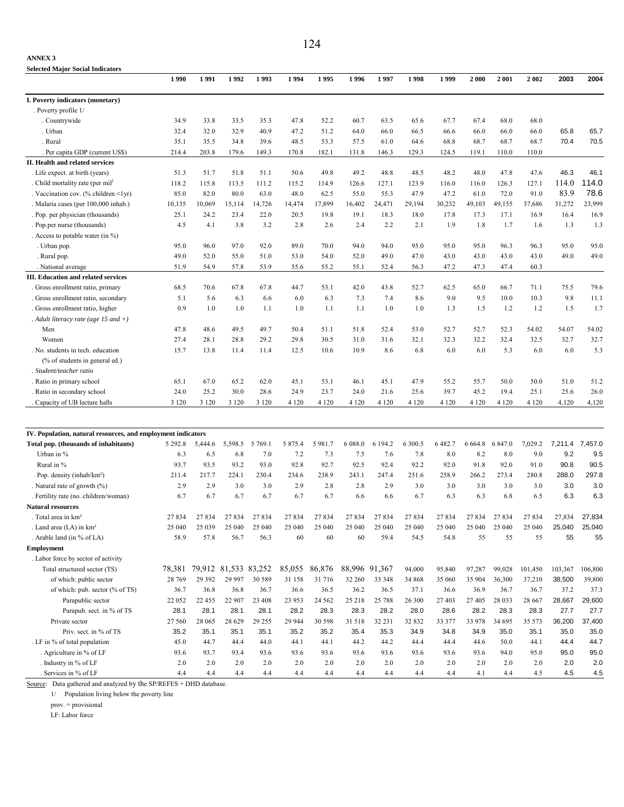| <b>Selected Major Social Indicators</b>                      |          |                      |         |           |         |          |               |         |         |           |           |         |         |         |         |
|--------------------------------------------------------------|----------|----------------------|---------|-----------|---------|----------|---------------|---------|---------|-----------|-----------|---------|---------|---------|---------|
|                                                              | 1990     | 1991                 | 1992    | 1993      | 1994    | 1995     | 1996          | 1997    | 1998    | 1999      | 2000      | 2001    | 2 0 0 2 | 2003    | 2004    |
| I. Poverty indicators (monetary)                             |          |                      |         |           |         |          |               |         |         |           |           |         |         |         |         |
| . Poverty profile 1/                                         |          |                      |         |           |         |          |               |         |         |           |           |         |         |         |         |
| . Countrywide                                                | 34.9     | 33.8                 | 33.5    | 35.3      | 47.8    | 52.2     | 60.7          | 63.5    | 65.6    | 67.7      | 67.4      | 68.0    | 68.0    |         |         |
| . Urban                                                      | 32.4     | 32.0                 | 32.9    | 40.9      | 47.2    | 51.2     | 64.0          | 66.0    | 66.5    | 66.6      | 66.0      | 66.0    | 66.0    | 65.8    | 65.7    |
| . Rural                                                      | 35.1     | 35.5                 | 34.8    | 39.6      | 48.5    | 53.3     | 57.5          | 61.0    | 64.6    | 68.8      | 68.7      | 68.7    | 68.7    | 70.4    | 70.5    |
| Per capita GDP (current US\$)                                | 214.4    | 203.8                | 179.6   | 149.3     | 170.8   | 182.1    | 131.8         | 146.3   | 129.3   | 124.5     | 119.1     | 110.0   | 110.0   |         |         |
| II. Health and related services                              |          |                      |         |           |         |          |               |         |         |           |           |         |         |         |         |
| . Life expect. at birth (years)                              | 51.3     | 51.7                 | 51.8    | 51.1      | 50.6    | 49.8     | 49.2          | 48.8    | 48.5    | 48.2      | 48.0      | 47.8    | 47.6    | 46.3    | 46.1    |
| . Child mortality rate (per mil <sup>)</sup>                 | 118.2    | 115.8                | 113.5   | 111.2     | 115.2   | 114.9    | 126.6         | 127.1   | 123.9   | 116.0     | 116.0     | 126.3   | 127.1   | 114.0   | 114.0   |
| . Vaccination cov. (% children <1yr)                         | 85.0     | 82.0                 | 80.0    | 63.0      | 48.0    | 62.5     | 55.0          | 55.3    | 47.9    | 47.2      | 61.0      | 72.0    | 91.0    | 83.9    | 78.6    |
| . Malaria cases (per 100,000 inhab.)                         | 10,135   | 10,069               | 15,114  | 14,726    | 14,474  | 17,899   | 16,402        | 24,471  | 29,194  | 30,232    | 49,103    | 49,155  | 37,686  | 31,272  | 23,999  |
| . Pop. per physician (thousands)                             | 25.1     | 24.2                 | 23.4    | 22.0      | 20.5    | 19.8     | 19.1          | 18.3    | 18.0    | 17.8      | 17.3      | 17.1    | 16.9    | 16.4    | 16.9    |
| . Pop.per nurse (thousands)                                  | 4.5      | 4.1                  | 3.8     | 3.2       | 2.8     | 2.6      | 2.4           | 2.2     | 2.1     | 1.9       | 1.8       | 1.7     | 1.6     | 1.3     | 1.3     |
| . Access to potable water (in $\%$ )                         |          |                      |         |           |         |          |               |         |         |           |           |         |         |         |         |
| . Urban pop.                                                 | 95.0     | 96.0                 | 97.0    | 92.0      | 89.0    | 70.0     | 94.0          | 94.0    | 95.0    | 95.0      | 95.0      | 96.3    | 96.3    | 95.0    | 95.0    |
| . Rural pop.                                                 | 49.0     | 52.0                 | 55.0    | 51.0      | 53.0    | 54.0     | 52.0          | 49.0    | 47.0    | 43.0      | 43.0      | 43.0    | 43.0    | 49.0    | 49.0    |
| National average                                             | 51.9     | 54.9                 | 57.8    | 53.9      | 55.6    | 55.2     | 55.1          | 52.4    | 56.3    | 47.2      | 47.3      | 47.4    | 60.3    |         |         |
| <b>III. Education and related services</b>                   |          |                      |         |           |         |          |               |         |         |           |           |         |         |         |         |
| . Gross enrollment ratio, primary                            | 68.5     | 70.6                 | 67.8    | 67.8      | 44.7    | 53.1     | 42.0          | 43.8    | 52.7    | 62.5      | 65.0      | 66.7    | 71.1    | 75.5    | 79.6    |
| . Gross enrollment ratio, secondary                          | 5.1      | 5.6                  | 6.3     | 6.6       | 6.0     | 6.3      | 7.3           | 7.4     | 8.6     | 9.0       | 9.5       | 10.0    | 10.3    | 9.8     | 11.1    |
| . Gross enrollment ratio, higher                             | 0.9      | 1.0                  | 1.0     | 1.1       | 1.0     | 1.1      | 1.1           | 1.0     | 1.0     | 1.3       | 1.5       | 1.2     | 1.2     | 1.5     | 1.7     |
| . Adult literacy rate (age 15 and $+)$                       |          |                      |         |           |         |          |               |         |         |           |           |         |         |         |         |
| Men                                                          | 47.8     | 48.6                 | 49.5    | 49.7      | 50.4    | 51.1     | 51.8          | 52.4    | 53.0    | 52.7      | 52.7      | 52.3    | 54.02   | 54.07   | 54.02   |
| Women                                                        | 27.4     | 28.1                 | 28.8    | 29.2      | 29.8    | 30.5     | 31.0          | 31.6    | 32.1    | 32.3      | 32.2      | 32.4    | 32.5    | 32.7    | 32.7    |
| . No. students in tech. education                            | 15.7     | 13.8                 | 11.4    | 11.4      | 12.5    | 10.6     | 10.9          | 8.6     | 6.8     | 6.0       | 6.0       | 5.3     | 6.0     | 6.0     | 5.3     |
| (% of students in general ed.)                               |          |                      |         |           |         |          |               |         |         |           |           |         |         |         |         |
| . Student/teacher ratio                                      |          |                      |         |           |         |          |               |         |         |           |           |         |         |         |         |
| . Ratio in primary school                                    | 65.1     | 67.0                 | 65.2    | 62.0      | 45.1    | 53.1     | 46.1          | 45.1    | 47.9    | 55.2      | 55.7      | 50.0    | 50.0    | 51.0    | 51.2    |
| . Ratio in secondary school                                  | 24.0     | 25.2                 | 30.0    | 28.6      | 24.9    | 23.7     | 24.0          | 21.6    | 25.6    | 39.7      | 45.2      | 19.4    | 25.1    | 25.6    | 26.0    |
| Capacity of UB lecture halls                                 | 3 1 2 0  | 3 1 2 0              | 3 1 2 0 | 3 1 2 0   | 4 1 2 0 | 4 1 2 0  | 4 1 2 0       | 4 1 2 0 | 4 1 2 0 | 4 1 2 0   | 4 1 2 0   | 4 1 2 0 | 4 1 2 0 | 4,120   | 4,120   |
|                                                              |          |                      |         |           |         |          |               |         |         |           |           |         |         |         |         |
| IV. Population, natural resources, and employment indicators |          |                      |         |           |         |          |               |         |         |           |           |         |         |         |         |
| Total pop. (thousands of inhabitants)                        | 5 29 2.8 | 5,444.6              | 5,598.5 | 5 7 6 9 1 | 5 875.4 | 5981.7   | 6 0 8 8 .0    | 6 194.2 | 6 300.5 | 6 4 8 2.7 | 6 6 6 4.8 | 6 847.0 | 7,029.2 | 7,211.4 | 7,457.0 |
| Urban in %                                                   | 6.3      | 6.5                  | 6.8     | 7.0       | 7.2     | 7.3      | 7.5           | 7.6     | 7.8     | 8.0       | 8.2       | 8.0     | 9.0     | 9.2     | 9.5     |
| Rural in %                                                   | 93.7     | 93.5                 | 93.2    | 93.0      | 92.8    | 92.7     | 92.5          | 92.4    | 92.2    | 92.0      | 91.8      | 92.0    | 91.0    | 90.8    | 90.5    |
| . Pop. density (inhab/km <sup>2</sup> )                      | 211.4    | 217.7                | 224.1   | 230.4     | 234.6   | 238.9    | 243.1         | 247.4   | 251.6   | 258.9     | 266.2     | 273.4   | 280.8   | 288.0   | 297.8   |
| . Natural rate of growth (%)                                 | 2.9      | 2.9                  | 3.0     | 3.0       | 2.9     | 2.8      | 2.8           | 2.9     | 3.0     | 3.0       | 3.0       | 3.0     | 3.0     | 3.0     | 3.0     |
| . Fertility rate (no. children/woman)                        | 6.7      | 6.7                  | 6.7     | 6.7       | 6.7     | 6.7      | 6.6           | 6.6     | 6.7     | 6.3       | 6.3       | 6.8     | 6.5     | 6.3     | 6.3     |
| <b>Natural resources</b>                                     |          |                      |         |           |         |          |               |         |         |           |           |         |         |         |         |
| Total area in km <sup>2</sup>                                | 27834    | 27834                | 27834   | 27834     | 27834   | 27834    | 27834         | 27834   | 27834   | 27834     | 27834     | 27834   | 27834   | 27.834  |         |
| . Land area (LA) in km <sup>2</sup>                          | 25 040   | 25 039               | 25 040  | 25 040    | 25 040  | 25 040   | 25 040        | 25 040  | 25 040  | 25 040    | 25 040    | 25 040  | 25 040  | 25,040  | 25,040  |
| . Arable land (in % of LA)                                   | 58.9     | 57.8                 | 56.7    | 56.3      | 60      | 60       | 60            | 59.4    | 54.5    | 54.8      | 55        | 55      | 55      | 55      | 55      |
| <b>Employment</b>                                            |          |                      |         |           |         |          |               |         |         |           |           |         |         |         |         |
| . Labor force by sector of activity                          |          |                      |         |           |         |          |               |         |         |           |           |         |         |         |         |
| Total structured sector (TS)                                 | 78,381   | 79,912 81,533 83,252 |         |           | 85,055  | 86,876   | 88,996 91,367 |         | 94,000  | 95,840    | 97,287    | 99,028  | 101,450 | 103,367 | 106,800 |
| of which: public sector                                      | 28 769   | 29 3 9 2             | 29 997  | 30 589    | 31 158  | 31716    | 32 260        | 33 348  | 34 868  | 35 060    | 35 904    | 36,300  | 37,210  | 38,500  | 39,800  |
| of which: pub. sector (% of TS)                              | 36.7     | 36.8                 | 36.8    | 36.7      | 36.6    | 36.5     | 36.2          | 36.5    | 37.1    | 36.6      | 36.9      | 36.7    | 36.7    | 37.2    | 37.3    |
| Parapublic sector                                            | 22 052   | 22 455               | 22 907  | 23 4 08   | 23 953  | 24 5 6 2 | 25 218        | 25 788  | 26 300  | 27 403    | 27 405    | 28 0 33 | 28 667  | 28,667  | 29,600  |
| Parapub. sect. in % of TS                                    | 28.1     | 28.1                 | 28.1    | 28.1      | 28.2    | 28.3     | 28.3          | 28.2    | 28.0    | 28.6      | 28.2      | 28.3    | 28.3    | 27.7    | 27.7    |
| Private sector                                               | 27 560   | 28 065               | 28 629  | 29 25 5   | 29 944  | 30 598   | 31 518        | 32 23 1 | 32 832  | 33 377    | 33 978    | 34 695  | 35 573  | 36,200  | 37,400  |
| Priv. sect. in % of TS                                       | 35.2     | 35.1                 | 35.1    | 35.1      | 35.2    | 35.2     | 35.4          | 35.3    | 34.9    | 34.8      | 34.9      | 35.0    | 35.1    | 35.0    | 35.0    |
| LF in % of total population                                  | 45.0     | 44.7                 | 44.4    | 44.0      | 44.1    | 44.1     | 44.2          | 44.2    | 44.4    | 44.4      | 44.6      | 50.0    | 44.1    | 44.4    | 44.7    |

 . Agriculture in % of LF 93.6 93.7 93.4 93.6 93.6 93.6 93.6 93.6 93.6 93.6 93.6 94.0 95.0 95.0 95.0 . Industry in % of LF 2.0 2.0 2.0 2.0 2.0 2.0 2.0 2.0 2.0 2.0 2.0 2.0 2.0 2.0 2.0 . Services in % of LF 4.4 4.4 4.4 4.4 4.4 4.4 4.4 4.4 4.4 4.4 4.1 4.4 4.5 4.5 4.5

Source: Data gathered and analyzed by the SP/REFES + DHD database.

1/ Population living below the poverty line

prov. = provisional

LF: Labor force

**ANNEX 3**